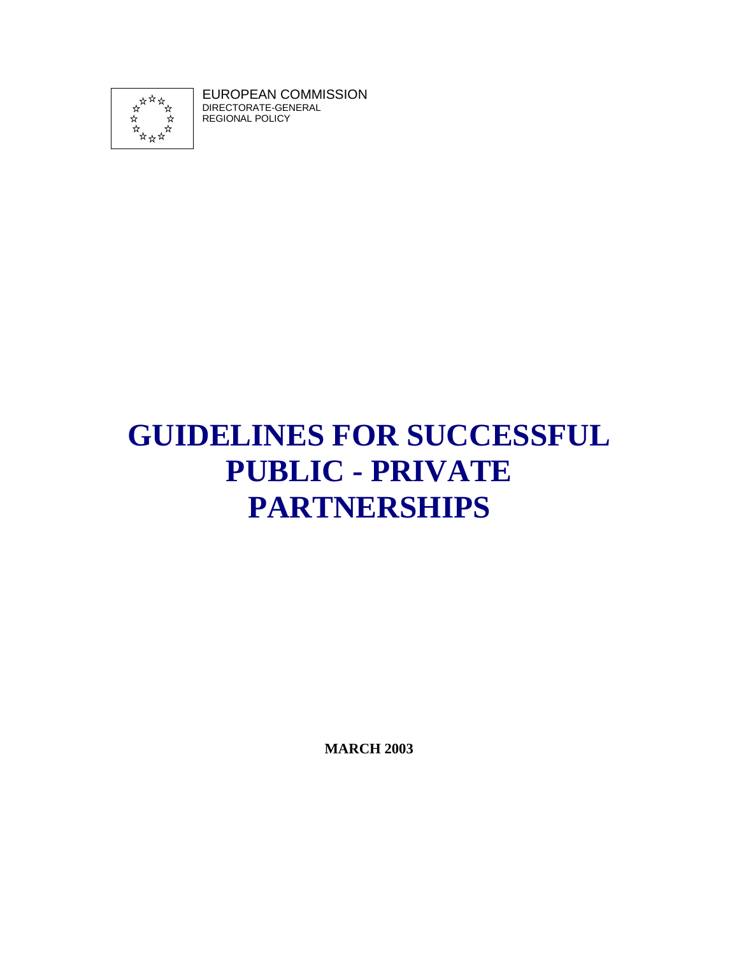

EUROPEAN COMMISSION DIRECTORATE-GENERAL REGIONAL POLICY

# **GUIDELINES FOR SUCCESSFUL PUBLIC - PRIVATE PARTNERSHIPS**

**MARCH 2003**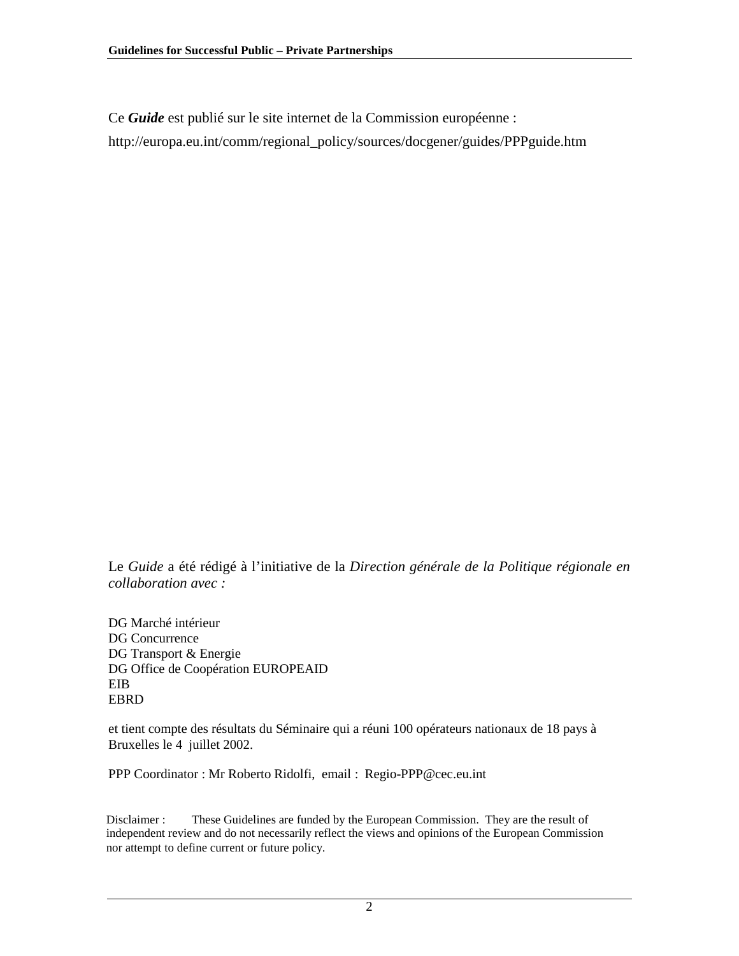Ce *Guide* est publié sur le site internet de la Commission européenne :

http://europa.eu.int/comm/regional\_policy/sources/docgener/guides/PPPguide.htm

Le *Guide* a été rédigé à l'initiative de la *Direction générale de la Politique régionale en collaboration avec :*

DG Marché intérieur DG Concurrence DG Transport & Energie DG Office de Coopération EUROPEAID EIB EBRD

et tient compte des résultats du Séminaire qui a réuni 100 opérateurs nationaux de 18 pays à Bruxelles le 4 juillet 2002.

PPP Coordinator : Mr Roberto Ridolfi, email : Regio-PPP@cec.eu.int

Disclaimer : These Guidelines are funded by the European Commission. They are the result of independent review and do not necessarily reflect the views and opinions of the European Commission nor attempt to define current or future policy.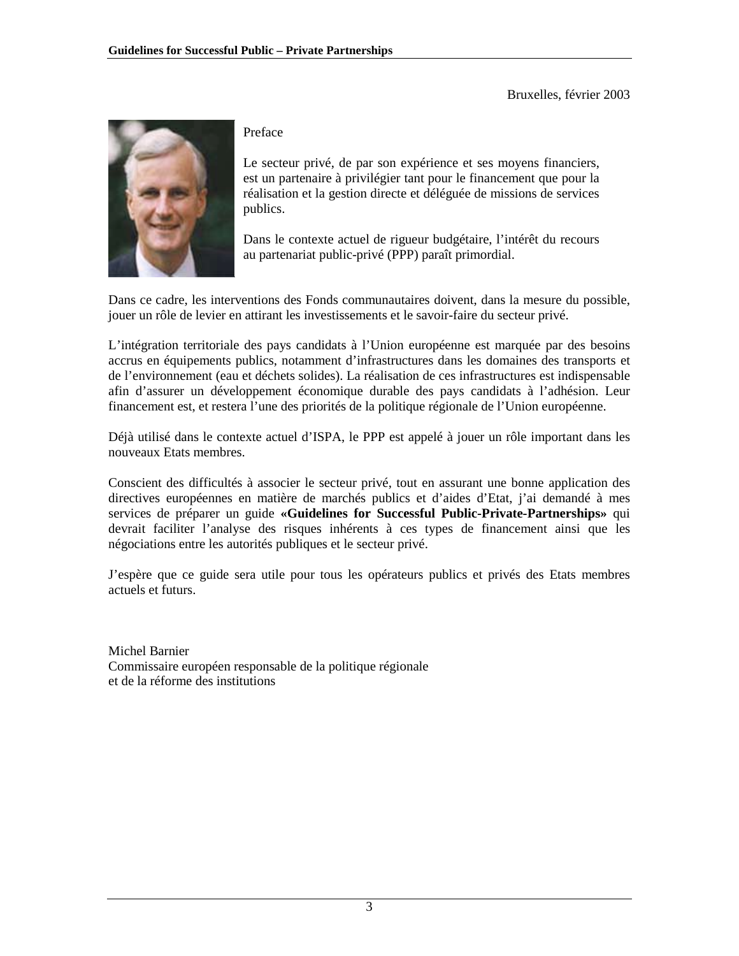Bruxelles, février 2003



Preface

Le secteur privé, de par son expérience et ses moyens financiers, est un partenaire à privilégier tant pour le financement que pour la réalisation et la gestion directe et déléguée de missions de services publics.

Dans le contexte actuel de rigueur budgétaire, l'intérêt du recours au partenariat public-privé (PPP) paraît primordial.

Dans ce cadre, les interventions des Fonds communautaires doivent, dans la mesure du possible, jouer un rôle de levier en attirant les investissements et le savoir-faire du secteur privé.

L'intégration territoriale des pays candidats à l'Union européenne est marquée par des besoins accrus en équipements publics, notamment d'infrastructures dans les domaines des transports et de l'environnement (eau et déchets solides). La réalisation de ces infrastructures est indispensable afin d'assurer un développement économique durable des pays candidats à l'adhésion. Leur financement est, et restera l'une des priorités de la politique régionale de l'Union européenne.

Déjà utilisé dans le contexte actuel d'ISPA, le PPP est appelé à jouer un rôle important dans les nouveaux Etats membres.

Conscient des difficultés à associer le secteur privé, tout en assurant une bonne application des directives européennes en matière de marchés publics et d'aides d'Etat, j'ai demandé à mes services de préparer un guide **«Guidelines for Successful Public-Private-Partnerships»** qui devrait faciliter l'analyse des risques inhérents à ces types de financement ainsi que les négociations entre les autorités publiques et le secteur privé.

J'espère que ce guide sera utile pour tous les opérateurs publics et privés des Etats membres actuels et futurs.

Michel Barnier Commissaire européen responsable de la politique régionale et de la réforme des institutions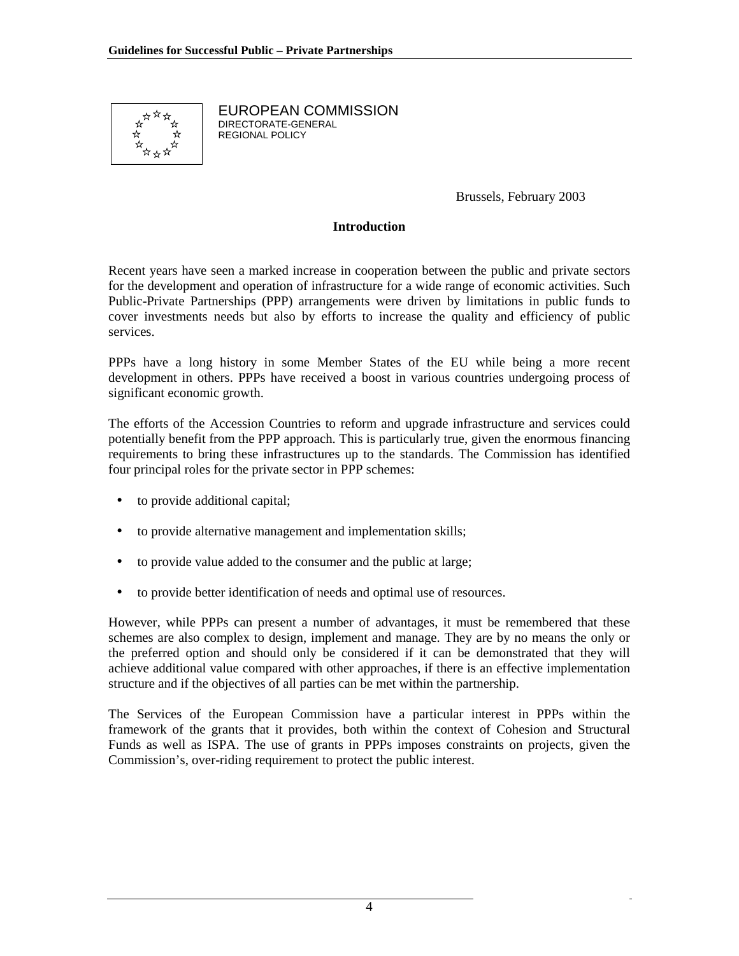

EUROPEAN COMMISSION DIRECTORATE-GENERAL REGIONAL POLICY

Brussels, February 2003

#### **Introduction**

Recent years have seen a marked increase in cooperation between the public and private sectors for the development and operation of infrastructure for a wide range of economic activities. Such Public-Private Partnerships (PPP) arrangements were driven by limitations in public funds to cover investments needs but also by efforts to increase the quality and efficiency of public services.

PPPs have a long history in some Member States of the EU while being a more recent development in others. PPPs have received a boost in various countries undergoing process of significant economic growth.

The efforts of the Accession Countries to reform and upgrade infrastructure and services could potentially benefit from the PPP approach. This is particularly true, given the enormous financing requirements to bring these infrastructures up to the standards. The Commission has identified four principal roles for the private sector in PPP schemes:

- to provide additional capital;
- to provide alternative management and implementation skills;
- to provide value added to the consumer and the public at large;
- to provide better identification of needs and optimal use of resources.

However, while PPPs can present a number of advantages, it must be remembered that these schemes are also complex to design, implement and manage. They are by no means the only or the preferred option and should only be considered if it can be demonstrated that they will achieve additional value compared with other approaches, if there is an effective implementation structure and if the objectives of all parties can be met within the partnership.

The Services of the European Commission have a particular interest in PPPs within the framework of the grants that it provides, both within the context of Cohesion and Structural Funds as well as ISPA. The use of grants in PPPs imposes constraints on projects, given the Commission's, over-riding requirement to protect the public interest.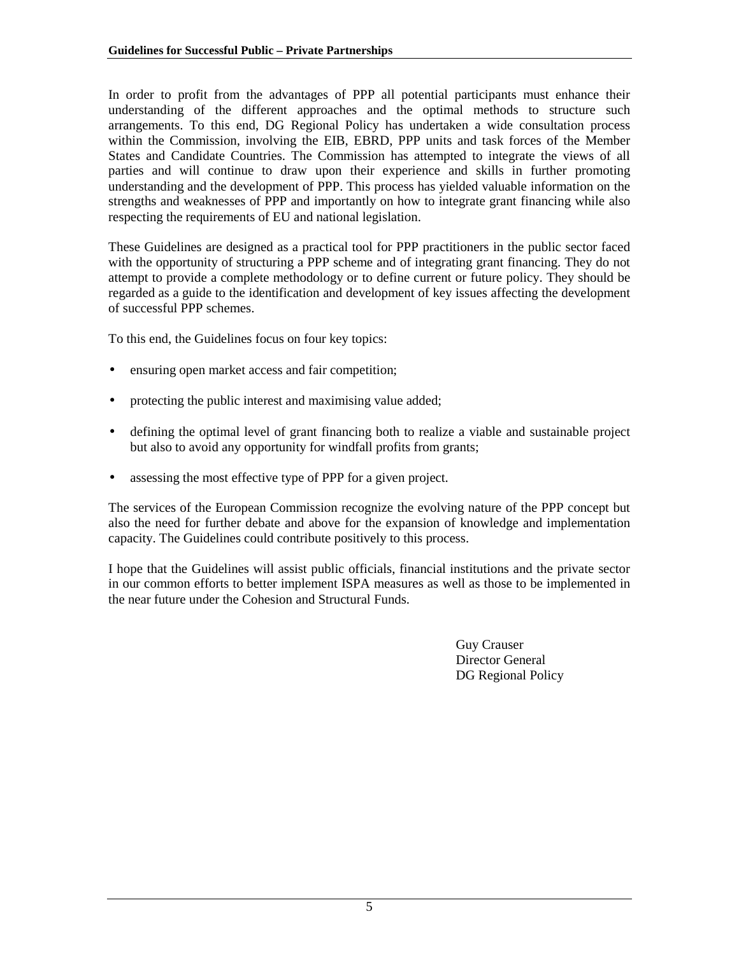In order to profit from the advantages of PPP all potential participants must enhance their understanding of the different approaches and the optimal methods to structure such arrangements. To this end, DG Regional Policy has undertaken a wide consultation process within the Commission, involving the EIB, EBRD, PPP units and task forces of the Member States and Candidate Countries. The Commission has attempted to integrate the views of all parties and will continue to draw upon their experience and skills in further promoting understanding and the development of PPP. This process has yielded valuable information on the strengths and weaknesses of PPP and importantly on how to integrate grant financing while also respecting the requirements of EU and national legislation.

These Guidelines are designed as a practical tool for PPP practitioners in the public sector faced with the opportunity of structuring a PPP scheme and of integrating grant financing. They do not attempt to provide a complete methodology or to define current or future policy. They should be regarded as a guide to the identification and development of key issues affecting the development of successful PPP schemes.

To this end, the Guidelines focus on four key topics:

- ensuring open market access and fair competition;
- protecting the public interest and maximising value added;
- defining the optimal level of grant financing both to realize a viable and sustainable project but also to avoid any opportunity for windfall profits from grants;
- assessing the most effective type of PPP for a given project.

The services of the European Commission recognize the evolving nature of the PPP concept but also the need for further debate and above for the expansion of knowledge and implementation capacity. The Guidelines could contribute positively to this process.

I hope that the Guidelines will assist public officials, financial institutions and the private sector in our common efforts to better implement ISPA measures as well as those to be implemented in the near future under the Cohesion and Structural Funds.

> Guy Crauser Director General DG Regional Policy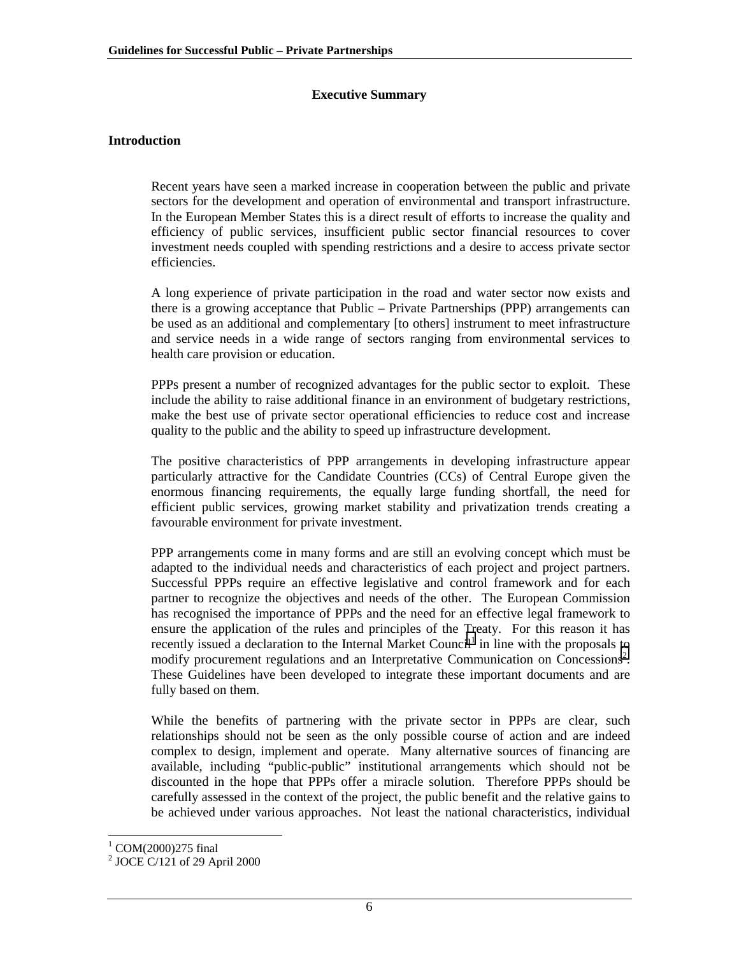#### **Executive Summary**

#### **Introduction**

Recent years have seen a marked increase in cooperation between the public and private sectors for the development and operation of environmental and transport infrastructure. In the European Member States this is a direct result of efforts to increase the quality and efficiency of public services, insufficient public sector financial resources to cover investment needs coupled with spending restrictions and a desire to access private sector efficiencies.

A long experience of private participation in the road and water sector now exists and there is a growing acceptance that Public – Private Partnerships (PPP) arrangements can be used as an additional and complementary [to others] instrument to meet infrastructure and service needs in a wide range of sectors ranging from environmental services to health care provision or education.

PPPs present a number of recognized advantages for the public sector to exploit. These include the ability to raise additional finance in an environment of budgetary restrictions, make the best use of private sector operational efficiencies to reduce cost and increase quality to the public and the ability to speed up infrastructure development.

The positive characteristics of PPP arrangements in developing infrastructure appear particularly attractive for the Candidate Countries (CCs) of Central Europe given the enormous financing requirements, the equally large funding shortfall, the need for efficient public services, growing market stability and privatization trends creating a favourable environment for private investment.

PPP arrangements come in many forms and are still an evolving concept which must be adapted to the individual needs and characteristics of each project and project partners. Successful PPPs require an effective legislative and control framework and for each partner to recognize the objectives and needs of the other. The European Commission has recognised the importance of PPPs and the need for an effective legal framework to ensure the application of the rules and principles of the Treaty. For this reason it has recently issued a declaration to the Internal Market Council<sup>1</sup> in line with the proposals to modify procurement regulations and an Interpretative Communication on Concessions<sup>2</sup>. These Guidelines have been developed to integrate these important documents and are fully based on them.

While the benefits of partnering with the private sector in PPPs are clear, such relationships should not be seen as the only possible course of action and are indeed complex to design, implement and operate. Many alternative sources of financing are available, including "public-public" institutional arrangements which should not be discounted in the hope that PPPs offer a miracle solution. Therefore PPPs should be carefully assessed in the context of the project, the public benefit and the relative gains to be achieved under various approaches. Not least the national characteristics, individual

<sup>&</sup>lt;sup>1</sup> COM(2000)275 final

<sup>&</sup>lt;sup>2</sup> JOCE C/121 of 29 April 2000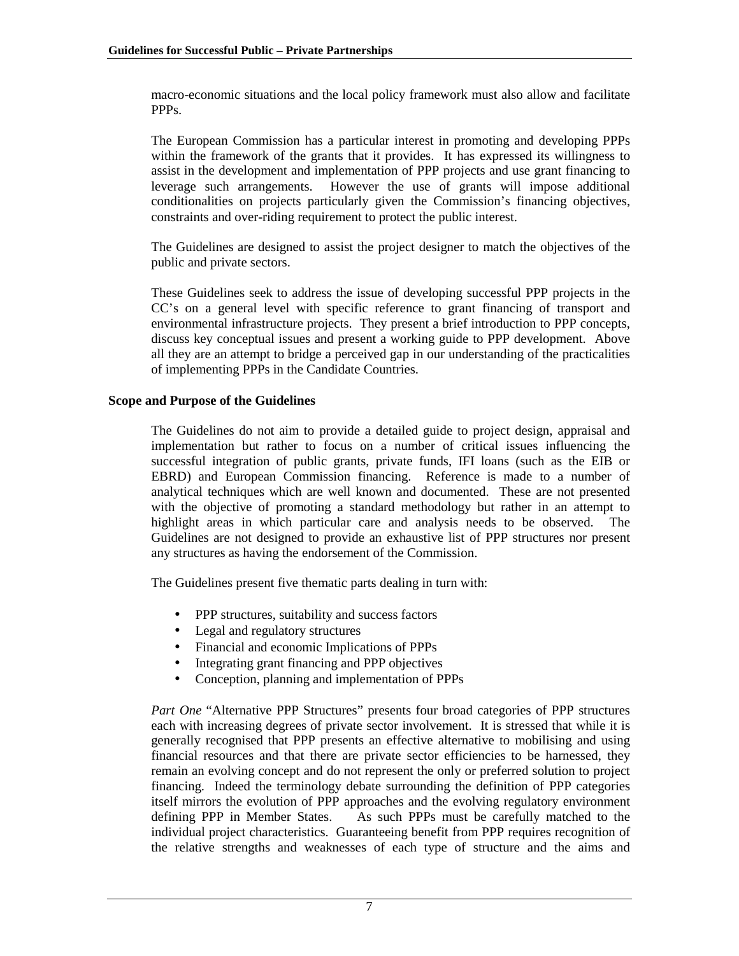macro-economic situations and the local policy framework must also allow and facilitate PPPs.

The European Commission has a particular interest in promoting and developing PPPs within the framework of the grants that it provides. It has expressed its willingness to assist in the development and implementation of PPP projects and use grant financing to leverage such arrangements. However the use of grants will impose additional conditionalities on projects particularly given the Commission's financing objectives, constraints and over-riding requirement to protect the public interest.

The Guidelines are designed to assist the project designer to match the objectives of the public and private sectors.

These Guidelines seek to address the issue of developing successful PPP projects in the CC's on a general level with specific reference to grant financing of transport and environmental infrastructure projects. They present a brief introduction to PPP concepts, discuss key conceptual issues and present a working guide to PPP development. Above all they are an attempt to bridge a perceived gap in our understanding of the practicalities of implementing PPPs in the Candidate Countries.

#### **Scope and Purpose of the Guidelines**

The Guidelines do not aim to provide a detailed guide to project design, appraisal and implementation but rather to focus on a number of critical issues influencing the successful integration of public grants, private funds, IFI loans (such as the EIB or EBRD) and European Commission financing. Reference is made to a number of analytical techniques which are well known and documented. These are not presented with the objective of promoting a standard methodology but rather in an attempt to highlight areas in which particular care and analysis needs to be observed. The Guidelines are not designed to provide an exhaustive list of PPP structures nor present any structures as having the endorsement of the Commission.

The Guidelines present five thematic parts dealing in turn with:

- PPP structures, suitability and success factors
- Legal and regulatory structures
- Financial and economic Implications of PPPs
- Integrating grant financing and PPP objectives
- Conception, planning and implementation of PPPs

*Part One* "Alternative PPP Structures" presents four broad categories of PPP structures each with increasing degrees of private sector involvement. It is stressed that while it is generally recognised that PPP presents an effective alternative to mobilising and using financial resources and that there are private sector efficiencies to be harnessed, they remain an evolving concept and do not represent the only or preferred solution to project financing. Indeed the terminology debate surrounding the definition of PPP categories itself mirrors the evolution of PPP approaches and the evolving regulatory environment defining PPP in Member States. As such PPPs must be carefully matched to the individual project characteristics. Guaranteeing benefit from PPP requires recognition of the relative strengths and weaknesses of each type of structure and the aims and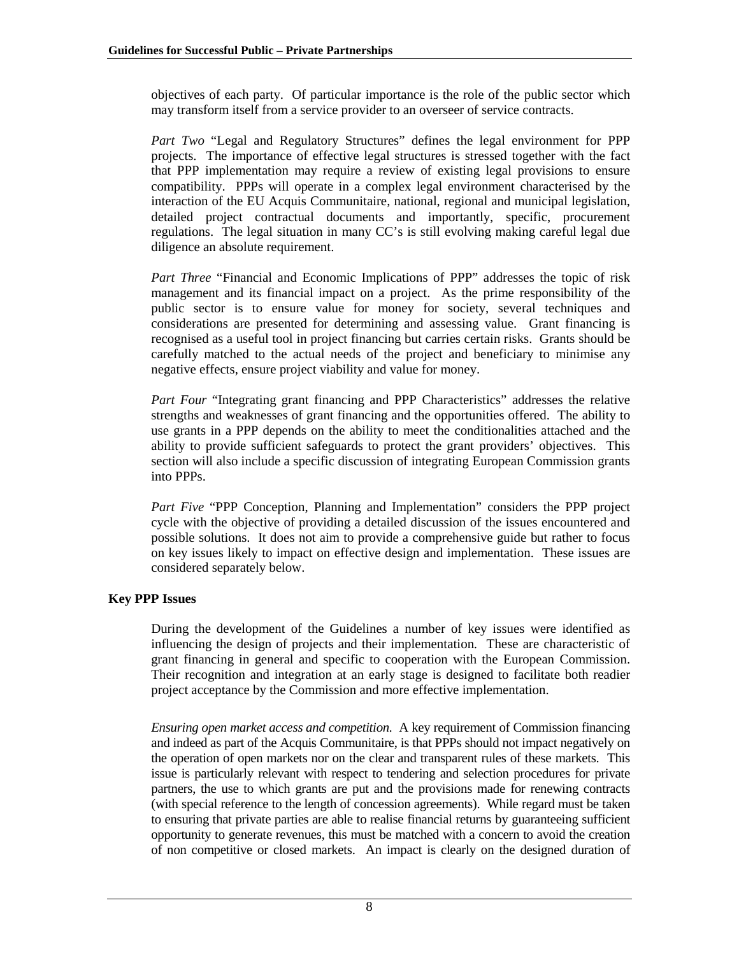objectives of each party. Of particular importance is the role of the public sector which may transform itself from a service provider to an overseer of service contracts.

*Part Two* "Legal and Regulatory Structures" defines the legal environment for PPP projects. The importance of effective legal structures is stressed together with the fact that PPP implementation may require a review of existing legal provisions to ensure compatibility. PPPs will operate in a complex legal environment characterised by the interaction of the EU Acquis Communitaire, national, regional and municipal legislation, detailed project contractual documents and importantly, specific, procurement regulations. The legal situation in many CC's is still evolving making careful legal due diligence an absolute requirement.

*Part Three* "Financial and Economic Implications of PPP" addresses the topic of risk management and its financial impact on a project. As the prime responsibility of the public sector is to ensure value for money for society, several techniques and considerations are presented for determining and assessing value. Grant financing is recognised as a useful tool in project financing but carries certain risks. Grants should be carefully matched to the actual needs of the project and beneficiary to minimise any negative effects, ensure project viability and value for money.

*Part Four* "Integrating grant financing and PPP Characteristics" addresses the relative strengths and weaknesses of grant financing and the opportunities offered. The ability to use grants in a PPP depends on the ability to meet the conditionalities attached and the ability to provide sufficient safeguards to protect the grant providers' objectives. This section will also include a specific discussion of integrating European Commission grants into PPPs.

*Part Five* "PPP Conception, Planning and Implementation" considers the PPP project cycle with the objective of providing a detailed discussion of the issues encountered and possible solutions. It does not aim to provide a comprehensive guide but rather to focus on key issues likely to impact on effective design and implementation. These issues are considered separately below.

#### **Key PPP Issues**

During the development of the Guidelines a number of key issues were identified as influencing the design of projects and their implementation. These are characteristic of grant financing in general and specific to cooperation with the European Commission. Their recognition and integration at an early stage is designed to facilitate both readier project acceptance by the Commission and more effective implementation.

*Ensuring open market access and competition.* A key requirement of Commission financing and indeed as part of the Acquis Communitaire, is that PPPs should not impact negatively on the operation of open markets nor on the clear and transparent rules of these markets. This issue is particularly relevant with respect to tendering and selection procedures for private partners, the use to which grants are put and the provisions made for renewing contracts (with special reference to the length of concession agreements). While regard must be taken to ensuring that private parties are able to realise financial returns by guaranteeing sufficient opportunity to generate revenues, this must be matched with a concern to avoid the creation of non competitive or closed markets. An impact is clearly on the designed duration of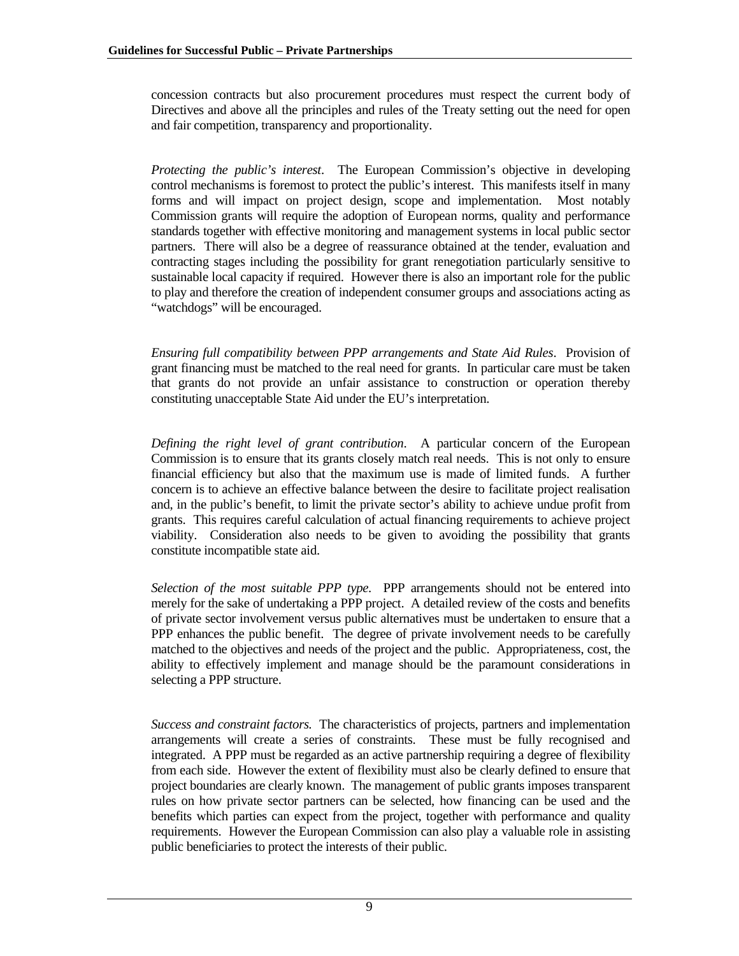concession contracts but also procurement procedures must respect the current body of Directives and above all the principles and rules of the Treaty setting out the need for open and fair competition, transparency and proportionality.

*Protecting the public's interest*. The European Commission's objective in developing control mechanisms is foremost to protect the public's interest. This manifests itself in many forms and will impact on project design, scope and implementation. Most notably Commission grants will require the adoption of European norms, quality and performance standards together with effective monitoring and management systems in local public sector partners. There will also be a degree of reassurance obtained at the tender, evaluation and contracting stages including the possibility for grant renegotiation particularly sensitive to sustainable local capacity if required. However there is also an important role for the public to play and therefore the creation of independent consumer groups and associations acting as "watchdogs" will be encouraged.

*Ensuring full compatibility between PPP arrangements and State Aid Rules*. Provision of grant financing must be matched to the real need for grants. In particular care must be taken that grants do not provide an unfair assistance to construction or operation thereby constituting unacceptable State Aid under the EU's interpretation.

*Defining the right level of grant contribution*. A particular concern of the European Commission is to ensure that its grants closely match real needs. This is not only to ensure financial efficiency but also that the maximum use is made of limited funds. A further concern is to achieve an effective balance between the desire to facilitate project realisation and, in the public's benefit, to limit the private sector's ability to achieve undue profit from grants. This requires careful calculation of actual financing requirements to achieve project viability. Consideration also needs to be given to avoiding the possibility that grants constitute incompatible state aid.

*Selection of the most suitable PPP type.* PPP arrangements should not be entered into merely for the sake of undertaking a PPP project. A detailed review of the costs and benefits of private sector involvement versus public alternatives must be undertaken to ensure that a PPP enhances the public benefit. The degree of private involvement needs to be carefully matched to the objectives and needs of the project and the public. Appropriateness, cost, the ability to effectively implement and manage should be the paramount considerations in selecting a PPP structure.

*Success and constraint factors.* The characteristics of projects, partners and implementation arrangements will create a series of constraints. These must be fully recognised and integrated. A PPP must be regarded as an active partnership requiring a degree of flexibility from each side. However the extent of flexibility must also be clearly defined to ensure that project boundaries are clearly known. The management of public grants imposes transparent rules on how private sector partners can be selected, how financing can be used and the benefits which parties can expect from the project, together with performance and quality requirements. However the European Commission can also play a valuable role in assisting public beneficiaries to protect the interests of their public.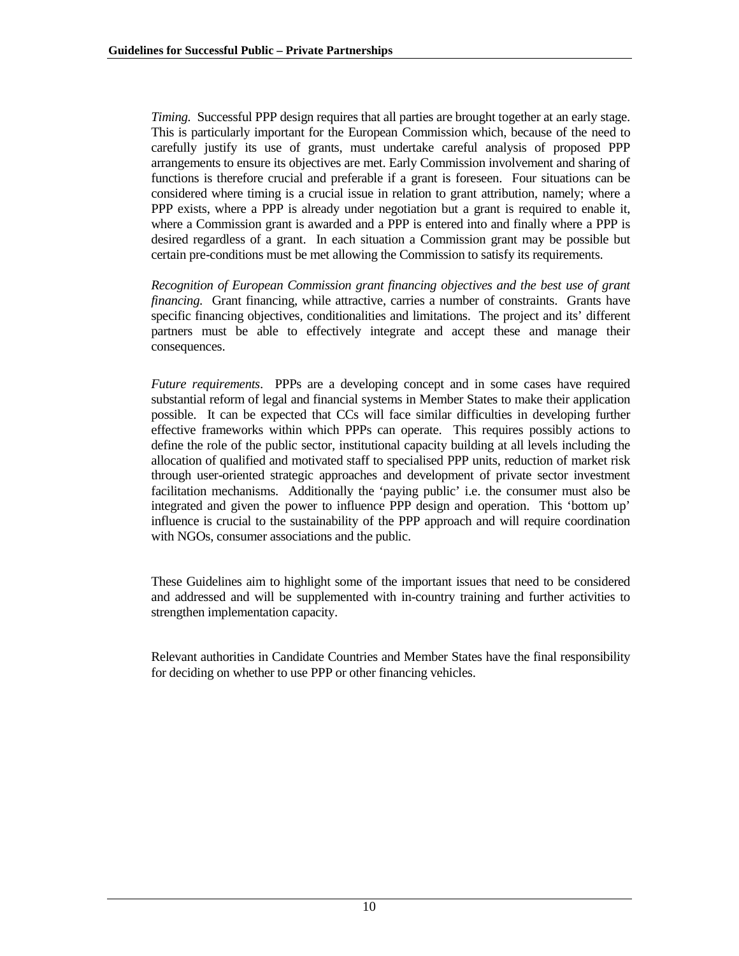*Timing.* Successful PPP design requires that all parties are brought together at an early stage. This is particularly important for the European Commission which, because of the need to carefully justify its use of grants, must undertake careful analysis of proposed PPP arrangements to ensure its objectives are met. Early Commission involvement and sharing of functions is therefore crucial and preferable if a grant is foreseen. Four situations can be considered where timing is a crucial issue in relation to grant attribution, namely; where a PPP exists, where a PPP is already under negotiation but a grant is required to enable it, where a Commission grant is awarded and a PPP is entered into and finally where a PPP is desired regardless of a grant. In each situation a Commission grant may be possible but certain pre-conditions must be met allowing the Commission to satisfy its requirements.

*Recognition of European Commission grant financing objectives and the best use of grant financing.* Grant financing, while attractive, carries a number of constraints. Grants have specific financing objectives, conditionalities and limitations. The project and its' different partners must be able to effectively integrate and accept these and manage their consequences.

*Future requirements*. PPPs are a developing concept and in some cases have required substantial reform of legal and financial systems in Member States to make their application possible. It can be expected that CCs will face similar difficulties in developing further effective frameworks within which PPPs can operate. This requires possibly actions to define the role of the public sector, institutional capacity building at all levels including the allocation of qualified and motivated staff to specialised PPP units, reduction of market risk through user-oriented strategic approaches and development of private sector investment facilitation mechanisms. Additionally the 'paying public' i.e. the consumer must also be integrated and given the power to influence PPP design and operation. This 'bottom up' influence is crucial to the sustainability of the PPP approach and will require coordination with NGOs, consumer associations and the public.

These Guidelines aim to highlight some of the important issues that need to be considered and addressed and will be supplemented with in-country training and further activities to strengthen implementation capacity.

Relevant authorities in Candidate Countries and Member States have the final responsibility for deciding on whether to use PPP or other financing vehicles.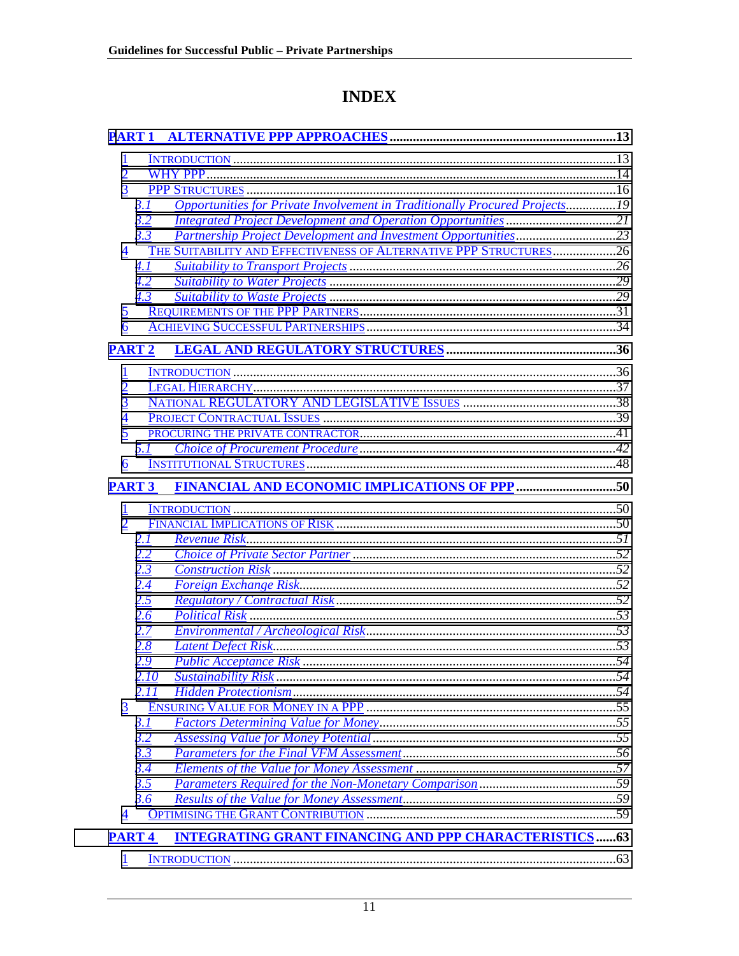# **INDEX**

| $\overline{1}$                 |                                                                                   |  |
|--------------------------------|-----------------------------------------------------------------------------------|--|
| $\frac{2}{3}$                  |                                                                                   |  |
|                                |                                                                                   |  |
|                                | Opportunities for Private Involvement in Traditionally Procured Projects19<br>3.1 |  |
|                                | <b>Integrated Project Development and Operation Opportunities21</b><br>3.2        |  |
|                                | 3.3                                                                               |  |
| 4                              | THE SUITABILITY AND EFFECTIVENESS OF ALTERNATIVE PPP STRUCTURES26                 |  |
|                                | 4.1                                                                               |  |
|                                | 4.2                                                                               |  |
|                                | 4.3                                                                               |  |
| $\overline{2}$<br>6            |                                                                                   |  |
|                                |                                                                                   |  |
| <b>PART 2</b>                  |                                                                                   |  |
|                                |                                                                                   |  |
| $\frac{1}{2}$<br>$\frac{3}{2}$ |                                                                                   |  |
|                                |                                                                                   |  |
| $\frac{4}{5}$                  |                                                                                   |  |
|                                |                                                                                   |  |
|                                | 5.1                                                                               |  |
| $\underline{6}$                |                                                                                   |  |
| <b>PART 3</b>                  |                                                                                   |  |
| $\mathbf{1}$                   |                                                                                   |  |
| $\overline{2}$                 |                                                                                   |  |
|                                | 2. I                                                                              |  |
|                                | 2.2                                                                               |  |
|                                | 2.3                                                                               |  |
|                                | 2.4                                                                               |  |
|                                | 2.5                                                                               |  |
|                                | 2.6                                                                               |  |
|                                | 2.7                                                                               |  |
|                                | 2.8                                                                               |  |
|                                | 2.9                                                                               |  |
|                                | 2.10<br>2.11                                                                      |  |
| 3                              |                                                                                   |  |
|                                | <u>3.1</u>                                                                        |  |
|                                | 3.2                                                                               |  |
|                                | <u>3.3</u>                                                                        |  |
|                                | <u>3.4</u>                                                                        |  |
|                                | 3.5                                                                               |  |
|                                | 3.6                                                                               |  |
| $\overline{4}$                 |                                                                                   |  |
| <b>PART4</b>                   | <b>INTEGRATING GRANT FINANCING AND PPP CHARACTERISTICS63</b>                      |  |
|                                |                                                                                   |  |
|                                |                                                                                   |  |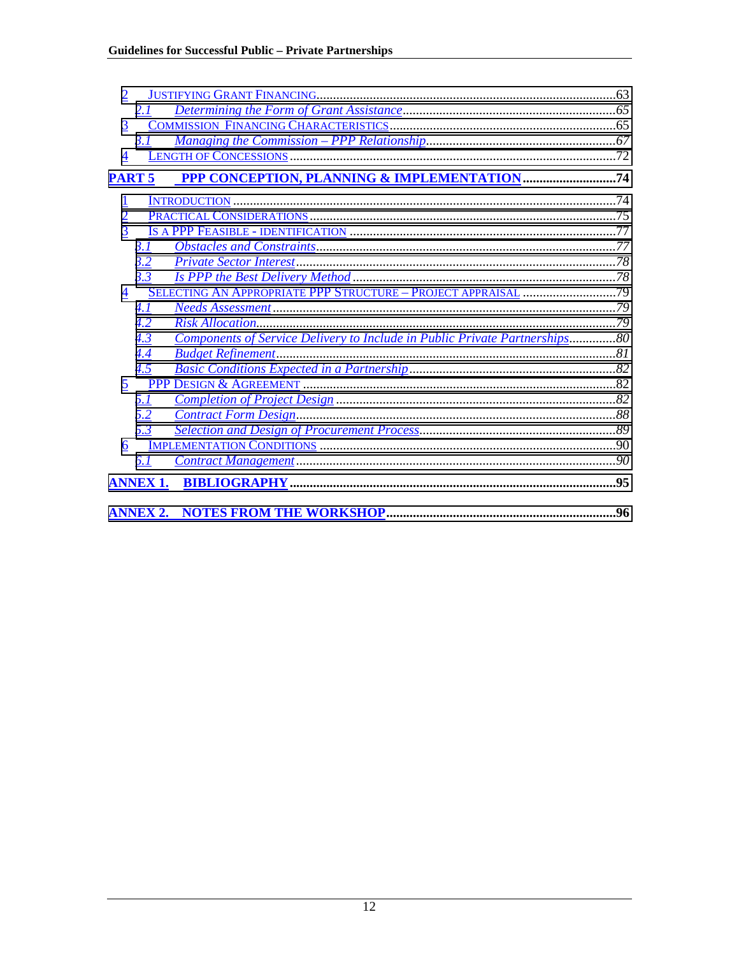|                    | 2.1             |                                                                            |     |
|--------------------|-----------------|----------------------------------------------------------------------------|-----|
| 3                  |                 |                                                                            |     |
|                    | 3.1             |                                                                            |     |
| $\overline{4}$     |                 |                                                                            |     |
| <b>PART 5</b>      |                 |                                                                            |     |
|                    |                 |                                                                            |     |
|                    |                 |                                                                            |     |
| $\frac{1}{2}$<br>3 |                 |                                                                            |     |
|                    | 3.1             |                                                                            |     |
|                    | 3.2             |                                                                            |     |
|                    | 3.3             |                                                                            |     |
| 4                  |                 |                                                                            |     |
|                    | 4.1             |                                                                            |     |
|                    | 4.2             |                                                                            |     |
|                    | 4.3             | Components of Service Delivery to Include in Public Private Partnerships80 |     |
|                    | 4.4             |                                                                            |     |
|                    | 4.5             |                                                                            |     |
| 5                  |                 |                                                                            |     |
|                    | 5.1             |                                                                            |     |
|                    | 5.2             |                                                                            |     |
|                    | 5.3             |                                                                            |     |
| 6                  |                 |                                                                            |     |
|                    | 6.1             |                                                                            |     |
|                    | <b>ANNEX 1.</b> |                                                                            | .95 |
|                    |                 |                                                                            |     |
|                    |                 |                                                                            | .96 |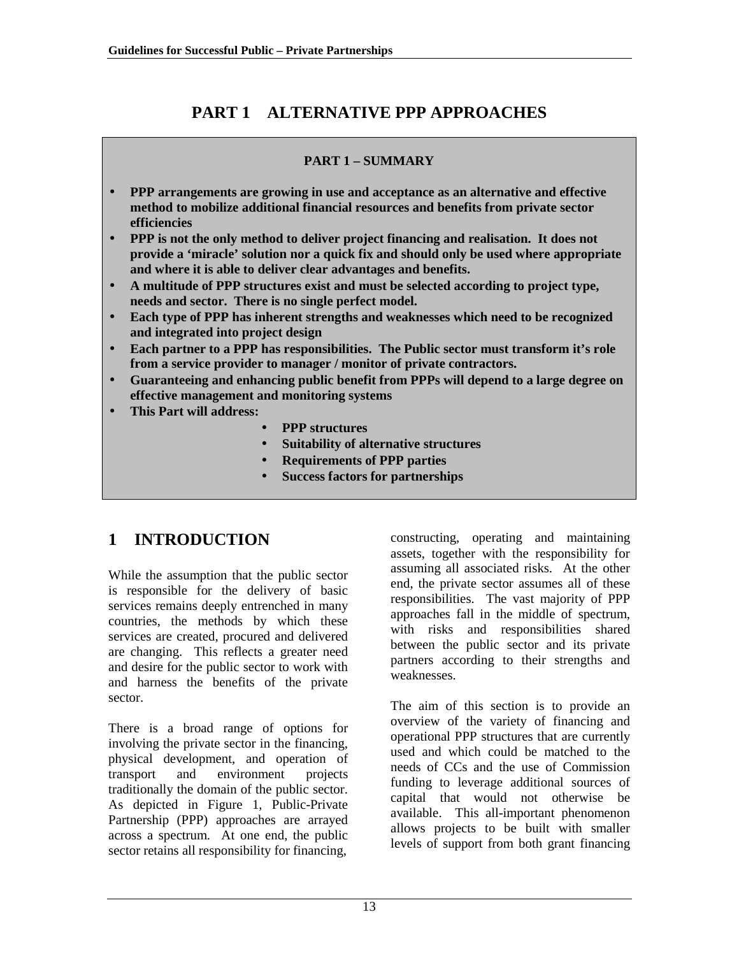# **PART 1 ALTERNATIVE PPP APPROACHES**

### **PART 1 – SUMMARY**

- <span id="page-12-0"></span>• **PPP arrangements are growing in use and acceptance as an alternative and effective method to mobilize additional financial resources and benefits from private sector efficiencies**
- **PPP is not the only method to deliver project financing and realisation. It does not provide a 'miracle' solution nor a quick fix and should only be used where appropriate and where it is able to deliver clear advantages and benefits.**
- **A multitude of PPP structures exist and must be selected according to project type, needs and sector. There is no single perfect model.**
- **Each type of PPP has inherent strengths and weaknesses which need to be recognized and integrated into project design**
- **Each partner to a PPP has responsibilities. The Public sector must transform it's role from a service provider to manager / monitor of private contractors.**
- **Guaranteeing and enhancing public benefit from PPPs will depend to a large degree on effective management and monitoring systems**
- **This Part will address:**
	- **PPP structures**
	- **Suitability of alternative structures**
	- **Requirements of PPP parties**
	- **Success factors for partnerships**

# **1 INTRODUCTION**

While the assumption that the public sector is responsible for the delivery of basic services remains deeply entrenched in many countries, the methods by which these services are created, procured and delivered are changing. This reflects a greater need and desire for the public sector to work with and harness the benefits of the private sector.

There is a broad range of options for involving the private sector in the financing, physical development, and operation of transport and environment projects traditionally the domain of the public sector. As depicted in Figure 1, Public-Private Partnership (PPP) approaches are arrayed across a spectrum. At one end, the public sector retains all responsibility for financing,

constructing, operating and maintaining assets, together with the responsibility for assuming all associated risks. At the other end, the private sector assumes all of these responsibilities. The vast majority of PPP approaches fall in the middle of spectrum, with risks and responsibilities shared between the public sector and its private partners according to their strengths and weaknesses.

The aim of this section is to provide an overview of the variety of financing and operational PPP structures that are currently used and which could be matched to the needs of CCs and the use of Commission funding to leverage additional sources of capital that would not otherwise be available. This all-important phenomenon allows projects to be built with smaller levels of support from both grant financing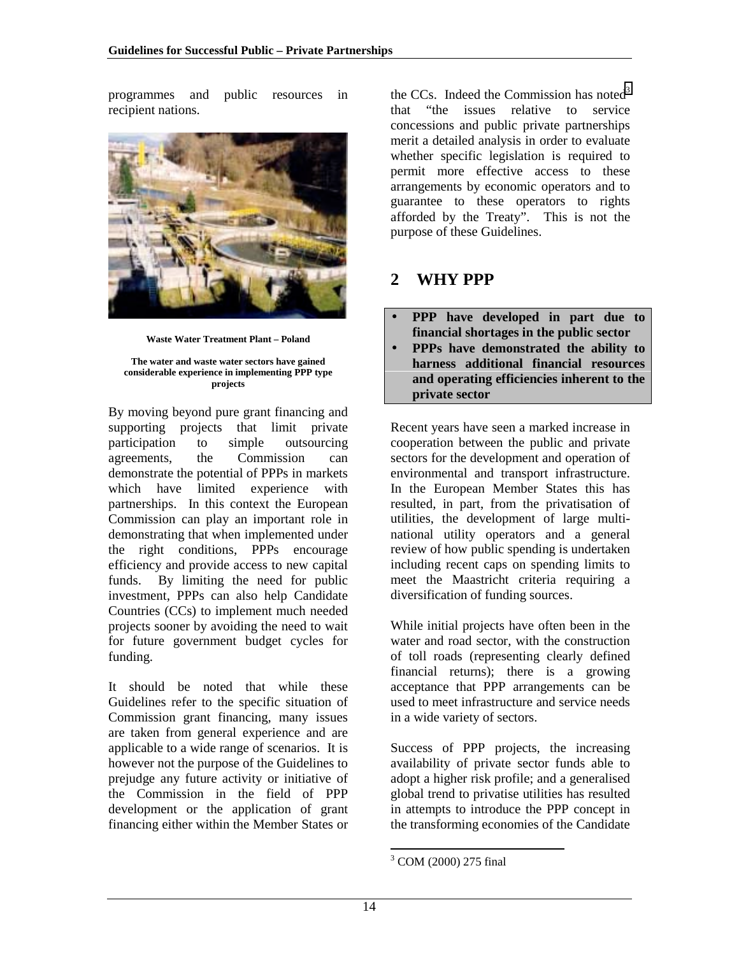<span id="page-13-0"></span>programmes and public resources in recipient nations.



**Waste Water Treatment Plant – Poland**

**The water and waste water sectors have gained considerable experience in implementing PPP type projects**

By moving beyond pure grant financing and supporting projects that limit private participation to simple outsourcing agreements, the Commission can demonstrate the potential of PPPs in markets which have limited experience with partnerships. In this context the European Commission can play an important role in demonstrating that when implemented under the right conditions, PPPs encourage efficiency and provide access to new capital funds. By limiting the need for public investment, PPPs can also help Candidate Countries (CCs) to implement much needed projects sooner by avoiding the need to wait for future government budget cycles for funding.

It should be noted that while these Guidelines refer to the specific situation of Commission grant financing, many issues are taken from general experience and are applicable to a wide range of scenarios. It is however not the purpose of the Guidelines to prejudge any future activity or initiative of the Commission in the field of PPP development or the application of grant financing either within the Member States or

the CCs. Indeed the Commission has noted $3$ that "the issues relative to service concessions and public private partnerships merit a detailed analysis in order to evaluate whether specific legislation is required to permit more effective access to these arrangements by economic operators and to guarantee to these operators to rights afforded by the Treaty". This is not the purpose of these Guidelines.

# **2 WHY PPP**

- **PPP have developed in part due to financial shortages in the public sector**
- **PPPs have demonstrated the ability to harness additional financial resources and operating efficiencies inherent to the private sector**

Recent years have seen a marked increase in cooperation between the public and private sectors for the development and operation of environmental and transport infrastructure. In the European Member States this has resulted, in part, from the privatisation of utilities, the development of large multinational utility operators and a general review of how public spending is undertaken including recent caps on spending limits to meet the Maastricht criteria requiring a diversification of funding sources.

While initial projects have often been in the water and road sector, with the construction of toll roads (representing clearly defined financial returns); there is a growing acceptance that PPP arrangements can be used to meet infrastructure and service needs in a wide variety of sectors.

Success of PPP projects, the increasing availability of private sector funds able to adopt a higher risk profile; and a generalised global trend to privatise utilities has resulted in attempts to introduce the PPP concept in the transforming economies of the Candidate

l <sup>3</sup> COM (2000) 275 final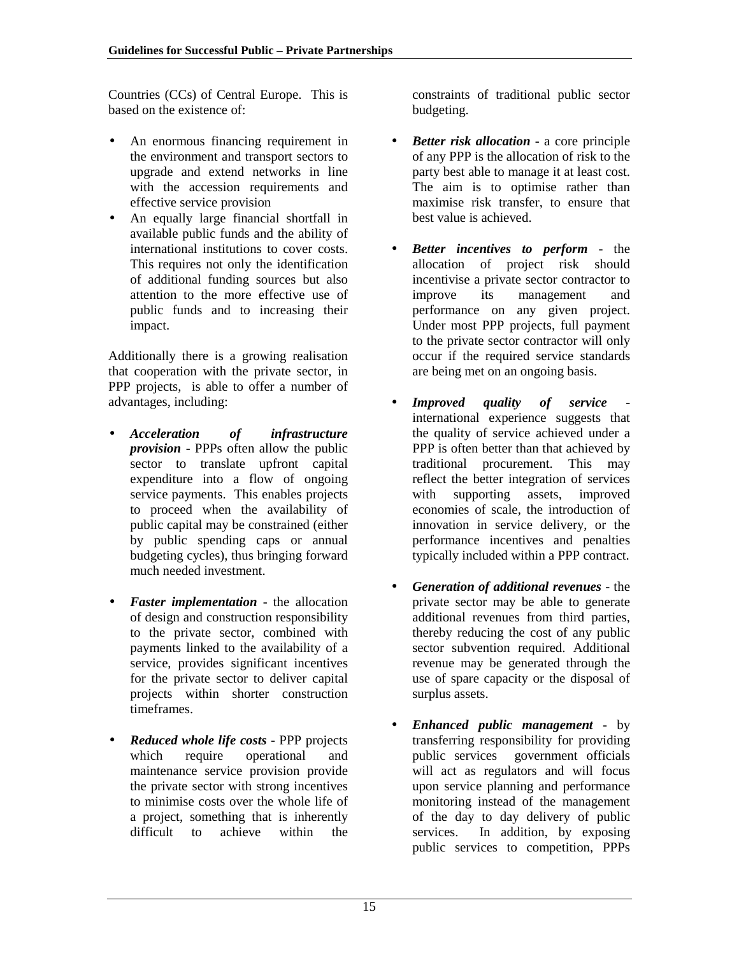Countries (CCs) of Central Europe. This is based on the existence of:

- An enormous financing requirement in the environment and transport sectors to upgrade and extend networks in line with the accession requirements and effective service provision
- An equally large financial shortfall in available public funds and the ability of international institutions to cover costs. This requires not only the identification of additional funding sources but also attention to the more effective use of public funds and to increasing their impact.

Additionally there is a growing realisation that cooperation with the private sector, in PPP projects, is able to offer a number of advantages, including:

- *Acceleration of infrastructure provision* - PPPs often allow the public sector to translate upfront capital expenditure into a flow of ongoing service payments. This enables projects to proceed when the availability of public capital may be constrained (either by public spending caps or annual budgeting cycles), thus bringing forward much needed investment.
- *Faster implementation*  the allocation of design and construction responsibility to the private sector, combined with payments linked to the availability of a service, provides significant incentives for the private sector to deliver capital projects within shorter construction timeframes.
- *Reduced whole life costs*  PPP projects which require operational and maintenance service provision provide the private sector with strong incentives to minimise costs over the whole life of a project, something that is inherently<br>difficult to achieve within the achieve within the

constraints of traditional public sector budgeting.

- *Better risk allocation*  a core principle of any PPP is the allocation of risk to the party best able to manage it at least cost. The aim is to optimise rather than maximise risk transfer, to ensure that best value is achieved.
- *Better incentives to perform*  the allocation of project risk should incentivise a private sector contractor to improve its management and performance on any given project. Under most PPP projects, full payment to the private sector contractor will only occur if the required service standards are being met on an ongoing basis.
- *Improved quality of service*  international experience suggests that the quality of service achieved under a PPP is often better than that achieved by traditional procurement. This may reflect the better integration of services with supporting assets, improved economies of scale, the introduction of innovation in service delivery, or the performance incentives and penalties typically included within a PPP contract.
- *Generation of additional revenues*  the private sector may be able to generate additional revenues from third parties, thereby reducing the cost of any public sector subvention required. Additional revenue may be generated through the use of spare capacity or the disposal of surplus assets.
- *Enhanced public management*  by transferring responsibility for providing public services government officials will act as regulators and will focus upon service planning and performance monitoring instead of the management of the day to day delivery of public services. In addition, by exposing public services to competition, PPPs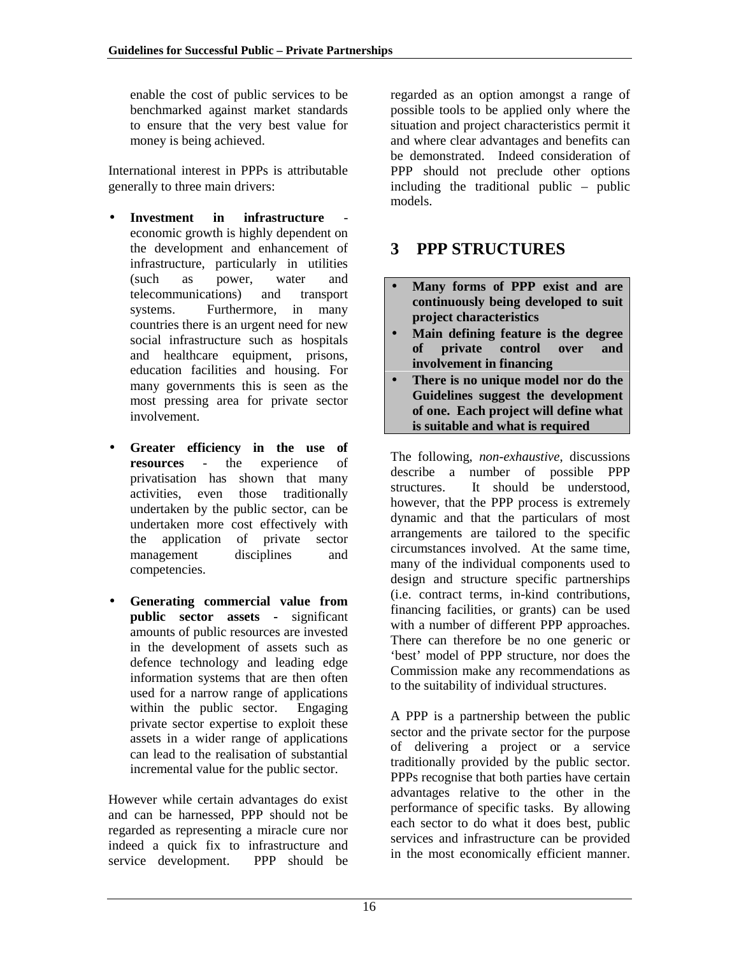<span id="page-15-0"></span>enable the cost of public services to be benchmarked against market standards to ensure that the very best value for money is being achieved.

International interest in PPPs is attributable generally to three main drivers:

- Investment in infrastructure economic growth is highly dependent on the development and enhancement of infrastructure, particularly in utilities (such as power, water and telecommunications) and transport systems. Furthermore, in many countries there is an urgent need for new social infrastructure such as hospitals and healthcare equipment, prisons, education facilities and housing. For many governments this is seen as the most pressing area for private sector involvement.
- **Greater efficiency in the use of resources** - the experience of privatisation has shown that many activities, even those traditionally undertaken by the public sector, can be undertaken more cost effectively with the application of private sector management disciplines and competencies.
- **Generating commercial value from public sector assets -** significant amounts of public resources are invested in the development of assets such as defence technology and leading edge information systems that are then often used for a narrow range of applications within the public sector. Engaging private sector expertise to exploit these assets in a wider range of applications can lead to the realisation of substantial incremental value for the public sector.

However while certain advantages do exist and can be harnessed, PPP should not be regarded as representing a miracle cure nor indeed a quick fix to infrastructure and service development. PPP should be

regarded as an option amongst a range of possible tools to be applied only where the situation and project characteristics permit it and where clear advantages and benefits can be demonstrated. Indeed consideration of PPP should not preclude other options including the traditional public – public models.

# **3 PPP STRUCTURES**

- **Many forms of PPP exist and are continuously being developed to suit project characteristics**
- **Main defining feature is the degree of private control over and involvement in financing**
- **There is no unique model nor do the Guidelines suggest the development of one. Each project will define what is suitable and what is required**

The following, *non-exhaustive*, discussions describe a number of possible PPP structures. It should be understood, however, that the PPP process is extremely dynamic and that the particulars of most arrangements are tailored to the specific circumstances involved. At the same time, many of the individual components used to design and structure specific partnerships (i.e. contract terms, in-kind contributions, financing facilities, or grants) can be used with a number of different PPP approaches. There can therefore be no one generic or 'best' model of PPP structure, nor does the Commission make any recommendations as to the suitability of individual structures.

A PPP is a partnership between the public sector and the private sector for the purpose of delivering a project or a service traditionally provided by the public sector. PPPs recognise that both parties have certain advantages relative to the other in the performance of specific tasks. By allowing each sector to do what it does best, public services and infrastructure can be provided in the most economically efficient manner.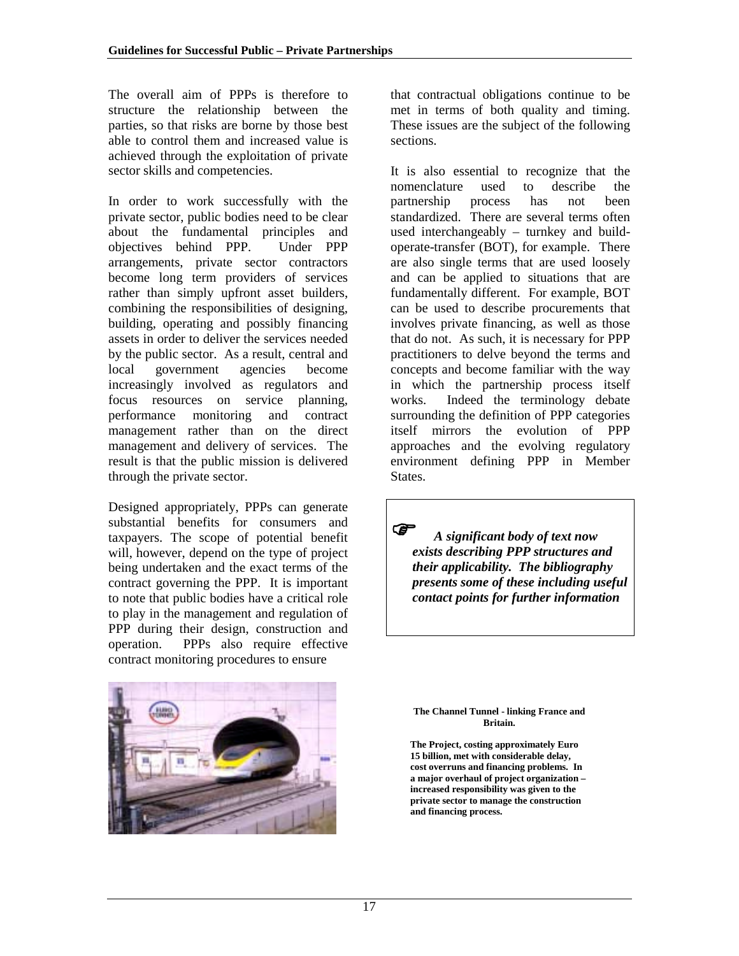The overall aim of PPPs is therefore to structure the relationship between the parties, so that risks are borne by those best able to control them and increased value is achieved through the exploitation of private sector skills and competencies.

In order to work successfully with the private sector, public bodies need to be clear about the fundamental principles and objectives behind PPP. Under PPP arrangements, private sector contractors become long term providers of services rather than simply upfront asset builders, combining the responsibilities of designing, building, operating and possibly financing assets in order to deliver the services needed by the public sector. As a result, central and local government agencies become increasingly involved as regulators and focus resources on service planning, performance monitoring and contract management rather than on the direct management and delivery of services. The result is that the public mission is delivered through the private sector.

Designed appropriately, PPPs can generate substantial benefits for consumers and taxpayers. The scope of potential benefit will, however, depend on the type of project being undertaken and the exact terms of the contract governing the PPP. It is important to note that public bodies have a critical role to play in the management and regulation of PPP during their design, construction and operation. PPPs also require effective contract monitoring procedures to ensure



that contractual obligations continue to be met in terms of both quality and timing. These issues are the subject of the following sections.

It is also essential to recognize that the nomenclature used to describe the partnership process has not been standardized. There are several terms often used interchangeably – turnkey and buildoperate-transfer (BOT), for example. There are also single terms that are used loosely and can be applied to situations that are fundamentally different. For example, BOT can be used to describe procurements that involves private financing, as well as those that do not. As such, it is necessary for PPP practitioners to delve beyond the terms and concepts and become familiar with the way in which the partnership process itself works. Indeed the terminology debate surrounding the definition of PPP categories itself mirrors the evolution of PPP approaches and the evolving regulatory environment defining PPP in Member States.

 *A significant body of text now exists describing PPP structures and their applicability. The bibliography presents some of these including useful contact points for further information*

**The Channel Tunnel - linking France and Britain.**

**The Project, costing approximately Euro 15 billion, met with considerable delay, cost overruns and financing problems. In a major overhaul of project organization – increased responsibility was given to the private sector to manage the construction and financing process.**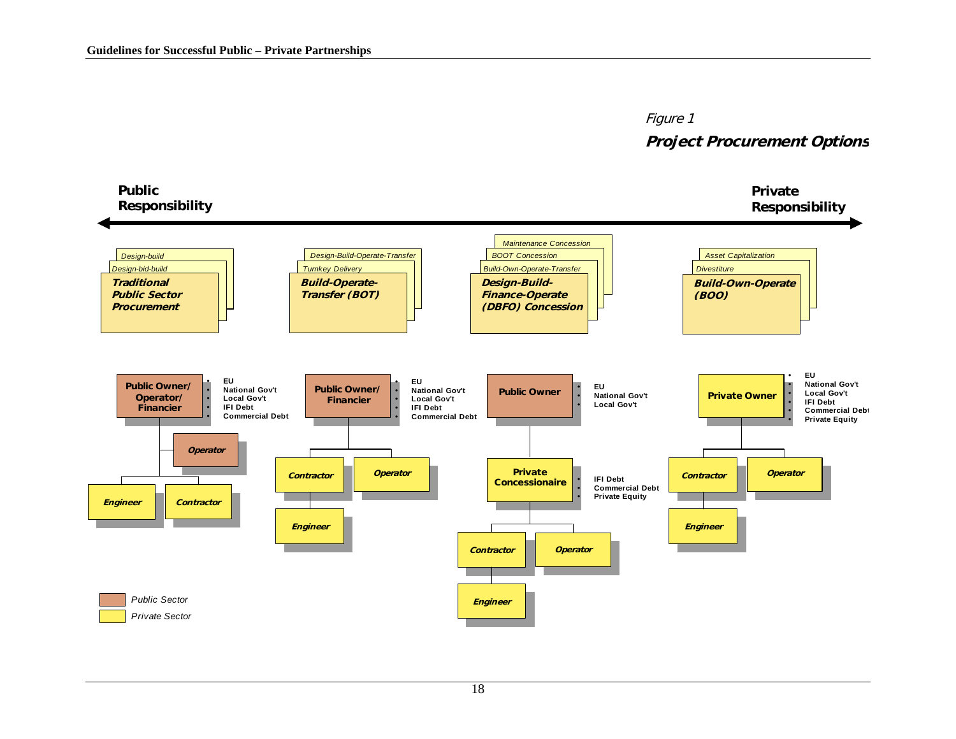# Figure 1 **Project Procurement Options**



#### 18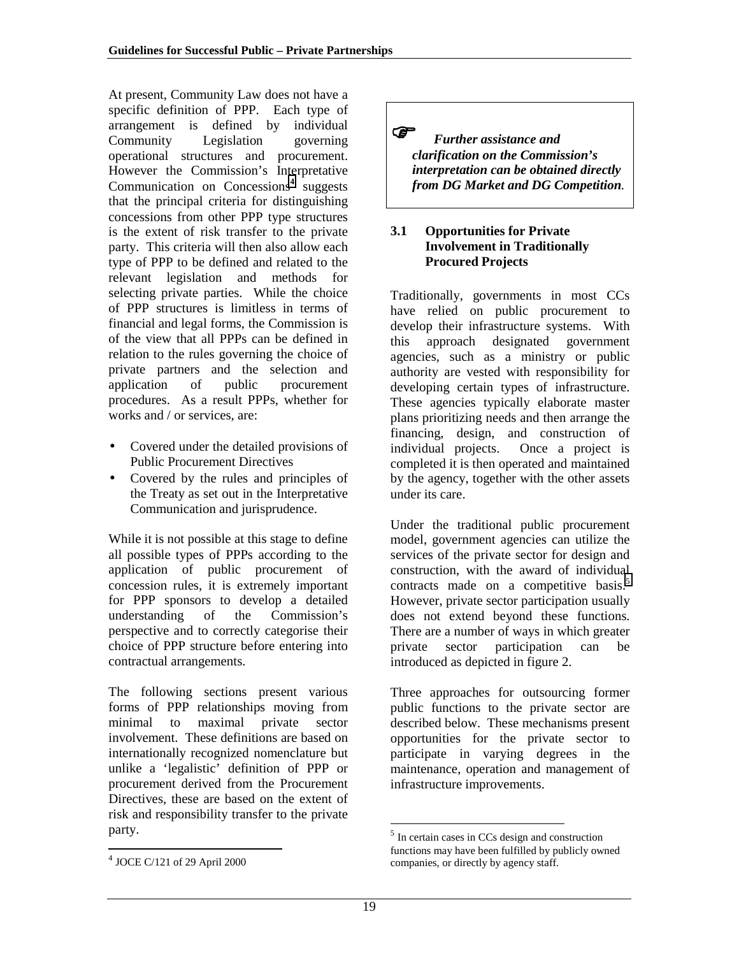<span id="page-18-0"></span>At present, Community Law does not have a specific definition of PPP. Each type of arrangement is defined by individual Community Legislation governing operational structures and procurement. However the Commission's Interpretative Communication on Concessions<sup>4</sup> suggests that the principal criteria for distinguishing concessions from other PPP type structures is the extent of risk transfer to the private party. This criteria will then also allow each type of PPP to be defined and related to the relevant legislation and methods for selecting private parties. While the choice of PPP structures is limitless in terms of financial and legal forms, the Commission is of the view that all PPPs can be defined in relation to the rules governing the choice of private partners and the selection and application of public procurement procedures. As a result PPPs, whether for works and / or services, are:

- Covered under the detailed provisions of Public Procurement Directives
- Covered by the rules and principles of the Treaty as set out in the Interpretative Communication and jurisprudence.

While it is not possible at this stage to define all possible types of PPPs according to the application of public procurement of concession rules, it is extremely important for PPP sponsors to develop a detailed understanding of the Commission's perspective and to correctly categorise their choice of PPP structure before entering into contractual arrangements.

The following sections present various forms of PPP relationships moving from minimal to maximal private sector involvement. These definitions are based on internationally recognized nomenclature but unlike a 'legalistic' definition of PPP or procurement derived from the Procurement Directives, these are based on the extent of risk and responsibility transfer to the private party.

l

 *Further assistance and clarification on the Commission's interpretation can be obtained directly from DG Market and DG Competition.*

#### **3.1 Opportunities for Private Involvement in Traditionally Procured Projects**

Traditionally, governments in most CCs have relied on public procurement to develop their infrastructure systems. With this approach designated government agencies, such as a ministry or public authority are vested with responsibility for developing certain types of infrastructure. These agencies typically elaborate master plans prioritizing needs and then arrange the financing, design, and construction of individual projects. Once a project is completed it is then operated and maintained by the agency, together with the other assets under its care.

Under the traditional public procurement model, government agencies can utilize the services of the private sector for design and construction, with the award of individual contracts made on a competitive basis.<sup>5</sup> However, private sector participation usually does not extend beyond these functions. There are a number of ways in which greater private sector participation can be introduced as depicted in figure 2.

Three approaches for outsourcing former public functions to the private sector are described below. These mechanisms present opportunities for the private sector to participate in varying degrees in the maintenance, operation and management of infrastructure improvements.

l

<sup>4</sup> JOCE C/121 of 29 April 2000

<sup>5</sup> In certain cases in CCs design and construction functions may have been fulfilled by publicly owned companies, or directly by agency staff.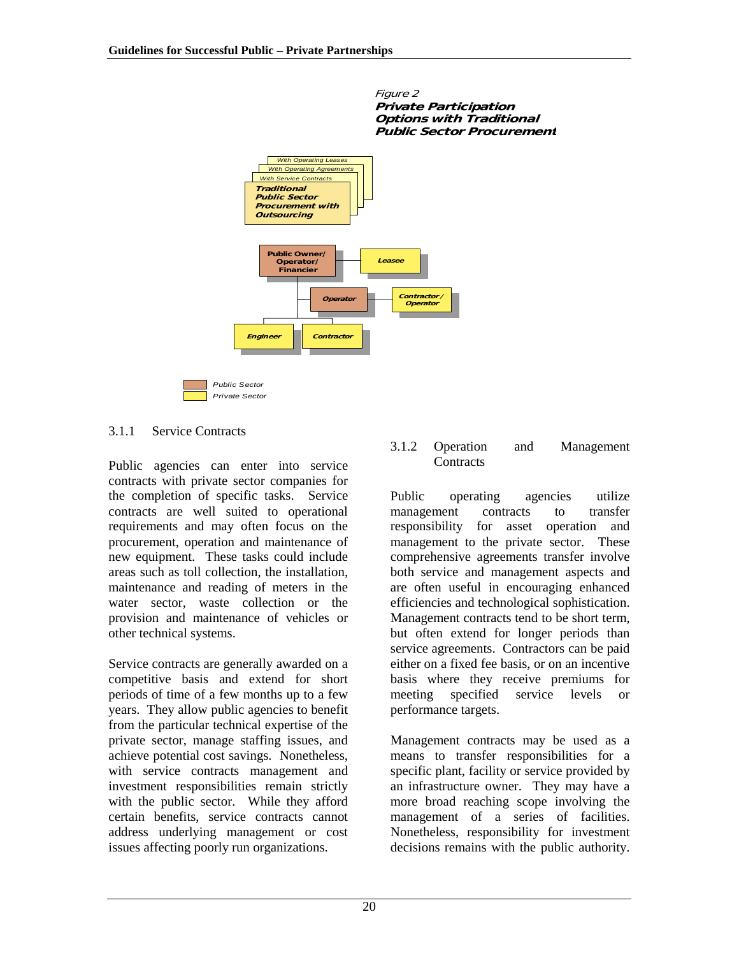

Figure 2

#### 3.1.1 Service Contracts

Public agencies can enter into service contracts with private sector companies for the completion of specific tasks. Service contracts are well suited to operational requirements and may often focus on the procurement, operation and maintenance of new equipment. These tasks could include areas such as toll collection, the installation, maintenance and reading of meters in the water sector, waste collection or the provision and maintenance of vehicles or other technical systems.

Service contracts are generally awarded on a competitive basis and extend for short periods of time of a few months up to a few years. They allow public agencies to benefit from the particular technical expertise of the private sector, manage staffing issues, and achieve potential cost savings. Nonetheless, with service contracts management and investment responsibilities remain strictly with the public sector. While they afford certain benefits, service contracts cannot address underlying management or cost issues affecting poorly run organizations.

#### 3.1.2 Operation and Management **Contracts**

Public operating agencies utilize management contracts to transfer responsibility for asset operation and management to the private sector. These comprehensive agreements transfer involve both service and management aspects and are often useful in encouraging enhanced efficiencies and technological sophistication. Management contracts tend to be short term, but often extend for longer periods than service agreements. Contractors can be paid either on a fixed fee basis, or on an incentive basis where they receive premiums for meeting specified service levels or performance targets.

Management contracts may be used as a means to transfer responsibilities for a specific plant, facility or service provided by an infrastructure owner. They may have a more broad reaching scope involving the management of a series of facilities. Nonetheless, responsibility for investment decisions remains with the public authority.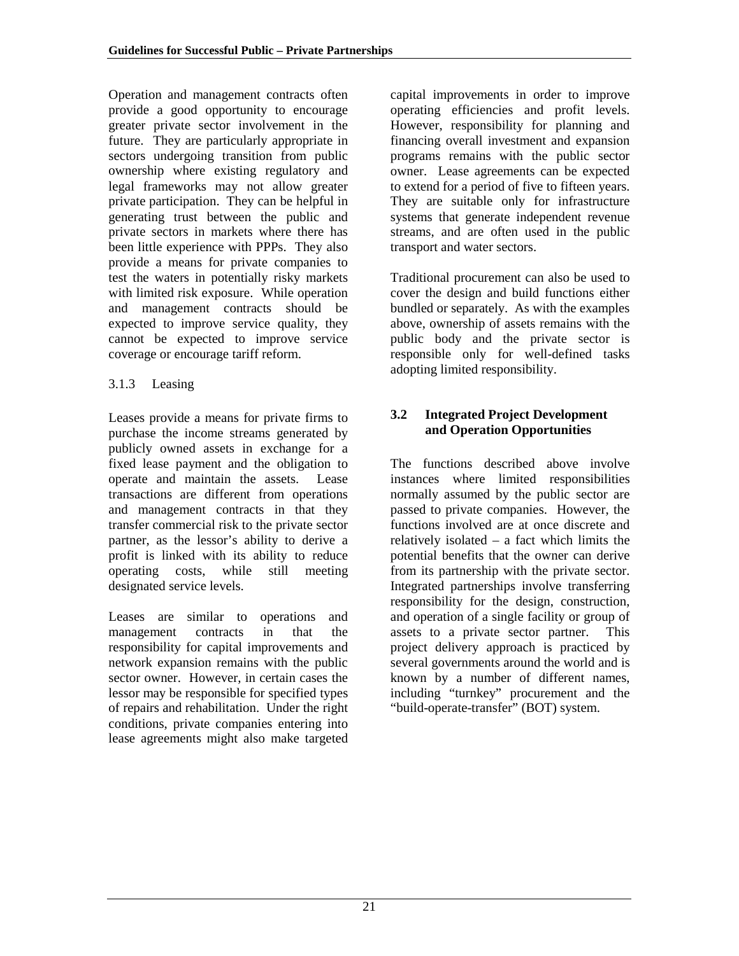<span id="page-20-0"></span>Operation and management contracts often provide a good opportunity to encourage greater private sector involvement in the future. They are particularly appropriate in sectors undergoing transition from public ownership where existing regulatory and legal frameworks may not allow greater private participation. They can be helpful in generating trust between the public and private sectors in markets where there has been little experience with PPPs. They also provide a means for private companies to test the waters in potentially risky markets with limited risk exposure. While operation and management contracts should be expected to improve service quality, they cannot be expected to improve service coverage or encourage tariff reform.

#### 3.1.3 Leasing

Leases provide a means for private firms to purchase the income streams generated by publicly owned assets in exchange for a fixed lease payment and the obligation to operate and maintain the assets. Lease transactions are different from operations and management contracts in that they transfer commercial risk to the private sector partner, as the lessor's ability to derive a profit is linked with its ability to reduce operating costs, while still meeting designated service levels.

Leases are similar to operations and management contracts in that the responsibility for capital improvements and network expansion remains with the public sector owner. However, in certain cases the lessor may be responsible for specified types of repairs and rehabilitation. Under the right conditions, private companies entering into lease agreements might also make targeted capital improvements in order to improve operating efficiencies and profit levels. However, responsibility for planning and financing overall investment and expansion programs remains with the public sector owner. Lease agreements can be expected to extend for a period of five to fifteen years. They are suitable only for infrastructure systems that generate independent revenue streams, and are often used in the public transport and water sectors.

Traditional procurement can also be used to cover the design and build functions either bundled or separately. As with the examples above, ownership of assets remains with the public body and the private sector is responsible only for well-defined tasks adopting limited responsibility.

#### **3.2 Integrated Project Development and Operation Opportunities**

The functions described above involve instances where limited responsibilities normally assumed by the public sector are passed to private companies. However, the functions involved are at once discrete and relatively isolated – a fact which limits the potential benefits that the owner can derive from its partnership with the private sector. Integrated partnerships involve transferring responsibility for the design, construction, and operation of a single facility or group of assets to a private sector partner. This project delivery approach is practiced by several governments around the world and is known by a number of different names, including "turnkey" procurement and the "build-operate-transfer" (BOT) system.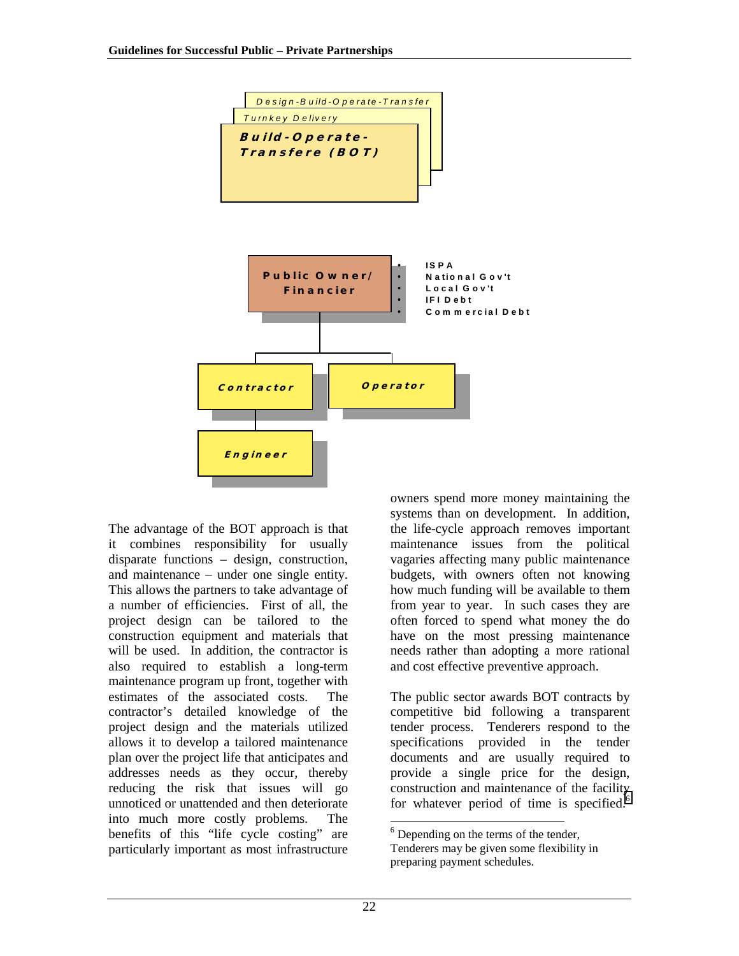

The advantage of the BOT approach is that it combines responsibility for usually disparate functions – design, construction, and maintenance – under one single entity. This allows the partners to take advantage of a number of efficiencies. First of all, the project design can be tailored to the construction equipment and materials that will be used. In addition, the contractor is also required to establish a long-term maintenance program up front, together with estimates of the associated costs. The contractor's detailed knowledge of the project design and the materials utilized allows it to develop a tailored maintenance plan over the project life that anticipates and addresses needs as they occur, thereby reducing the risk that issues will go unnoticed or unattended and then deteriorate into much more costly problems. The benefits of this "life cycle costing" are particularly important as most infrastructure owners spend more money maintaining the systems than on development. In addition, the life-cycle approach removes important maintenance issues from the political vagaries affecting many public maintenance budgets, with owners often not knowing how much funding will be available to them from year to year. In such cases they are often forced to spend what money the do have on the most pressing maintenance needs rather than adopting a more rational and cost effective preventive approach.

The public sector awards BOT contracts by competitive bid following a transparent tender process. Tenderers respond to the specifications provided in the tender documents and are usually required to provide a single price for the design, construction and maintenance of the facility for whatever period of time is specified.<sup>6</sup>

l

<sup>&</sup>lt;sup>6</sup> Depending on the terms of the tender,

Tenderers may be given some flexibility in preparing payment schedules.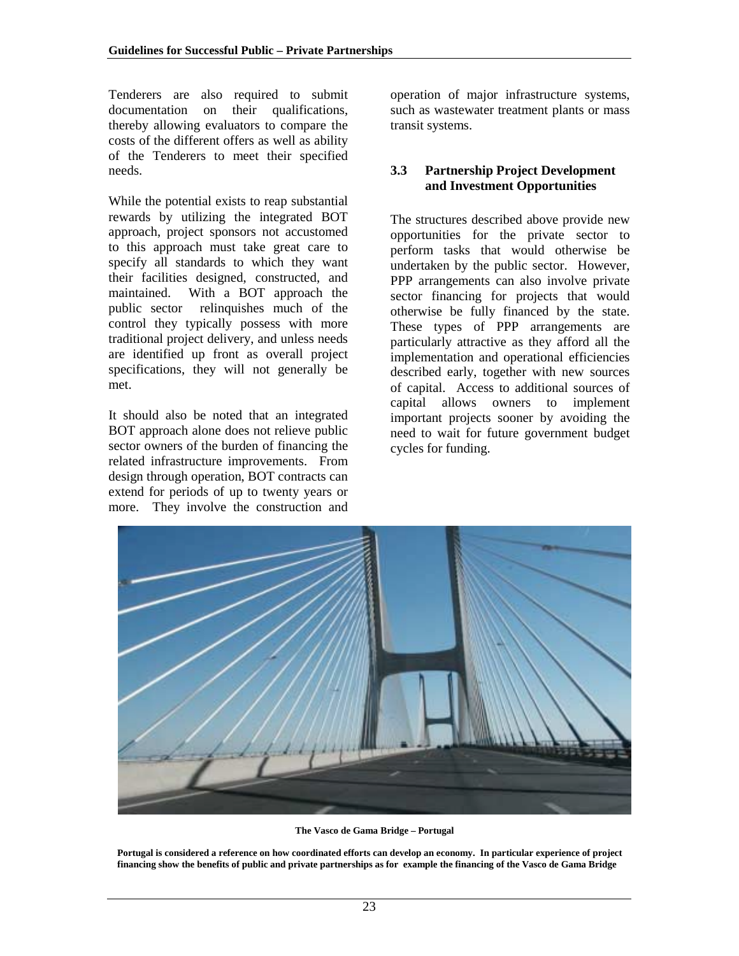<span id="page-22-0"></span>Tenderers are also required to submit documentation on their qualifications, thereby allowing evaluators to compare the costs of the different offers as well as ability of the Tenderers to meet their specified needs.

While the potential exists to reap substantial rewards by utilizing the integrated BOT approach, project sponsors not accustomed to this approach must take great care to specify all standards to which they want their facilities designed, constructed, and maintained. With a BOT approach the public sector relinquishes much of the control they typically possess with more traditional project delivery, and unless needs are identified up front as overall project specifications, they will not generally be met.

It should also be noted that an integrated BOT approach alone does not relieve public sector owners of the burden of financing the related infrastructure improvements. From design through operation, BOT contracts can extend for periods of up to twenty years or more. They involve the construction and

operation of major infrastructure systems, such as wastewater treatment plants or mass transit systems.

#### **3.3 Partnership Project Development and Investment Opportunities**

The structures described above provide new opportunities for the private sector to perform tasks that would otherwise be undertaken by the public sector. However, PPP arrangements can also involve private sector financing for projects that would otherwise be fully financed by the state. These types of PPP arrangements are particularly attractive as they afford all the implementation and operational efficiencies described early, together with new sources of capital. Access to additional sources of capital allows owners to implement important projects sooner by avoiding the need to wait for future government budget cycles for funding.



**The Vasco de Gama Bridge – Portugal**

**Portugal is considered a reference on how coordinated efforts can develop an economy. In particular experience of project financing show the benefits of public and private partnerships as for example the financing of the Vasco de Gama Bridge**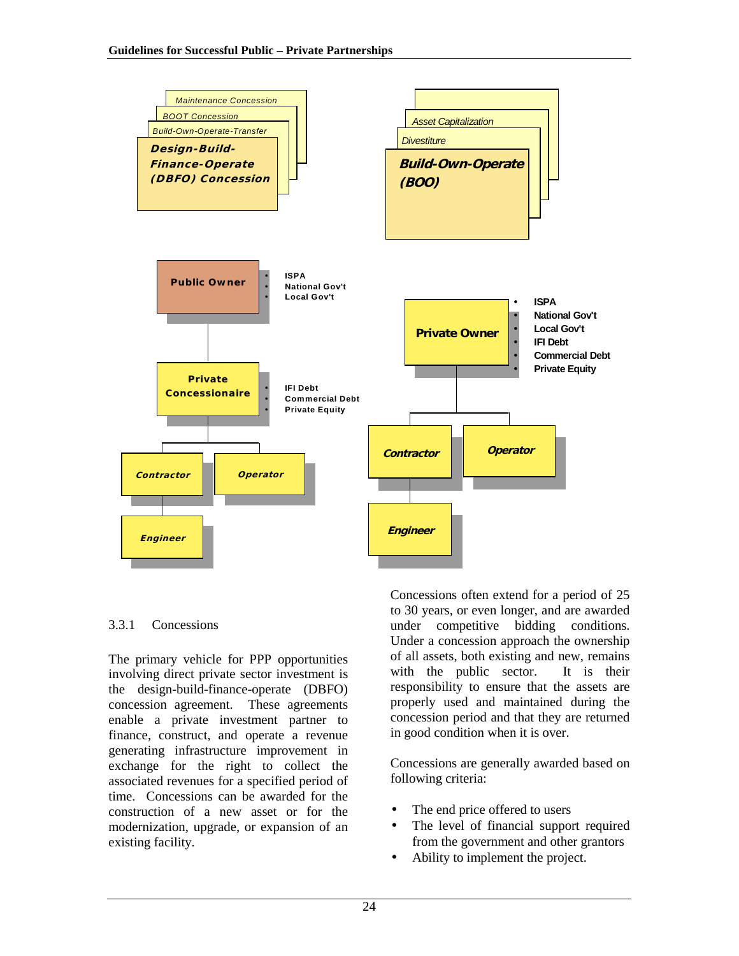

#### 3.3.1 Concessions

The primary vehicle for PPP opportunities involving direct private sector investment is the design-build-finance-operate (DBFO) concession agreement. These agreements enable a private investment partner to finance, construct, and operate a revenue generating infrastructure improvement in exchange for the right to collect the associated revenues for a specified period of time. Concessions can be awarded for the construction of a new asset or for the modernization, upgrade, or expansion of an existing facility.

Concessions often extend for a period of 25 to 30 years, or even longer, and are awarded under competitive bidding conditions. Under a concession approach the ownership of all assets, both existing and new, remains with the public sector. It is their responsibility to ensure that the assets are properly used and maintained during the concession period and that they are returned in good condition when it is over.

Concessions are generally awarded based on following criteria:

- The end price offered to users
- The level of financial support required from the government and other grantors
- Ability to implement the project.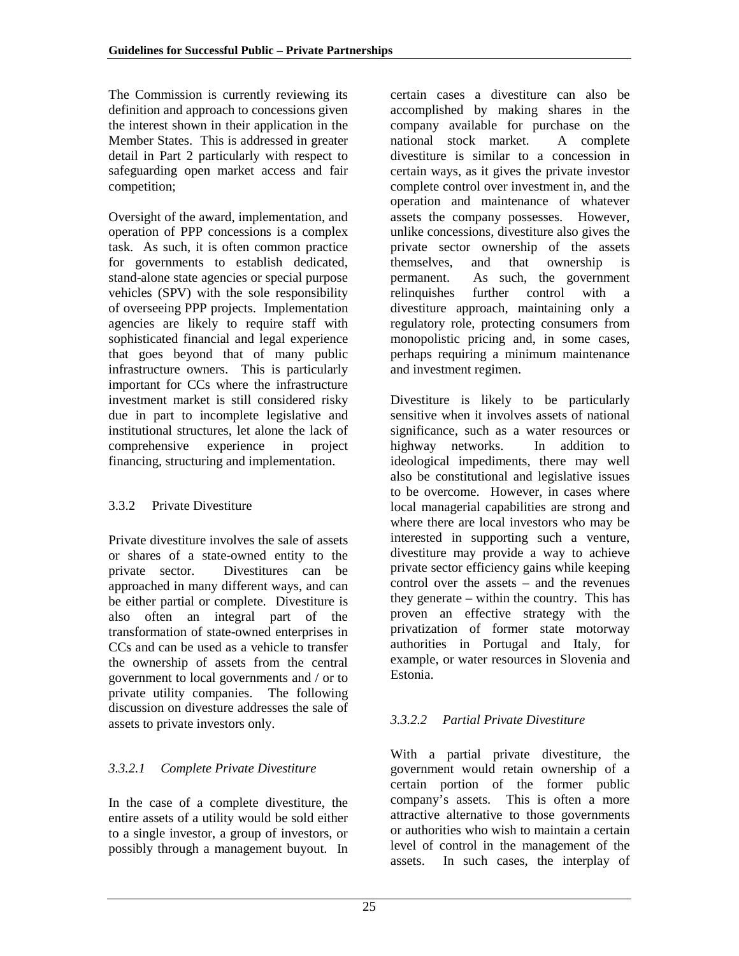The Commission is currently reviewing its definition and approach to concessions given the interest shown in their application in the Member States. This is addressed in greater detail in Part 2 particularly with respect to safeguarding open market access and fair competition;

Oversight of the award, implementation, and operation of PPP concessions is a complex task. As such, it is often common practice for governments to establish dedicated, stand-alone state agencies or special purpose vehicles (SPV) with the sole responsibility of overseeing PPP projects. Implementation agencies are likely to require staff with sophisticated financial and legal experience that goes beyond that of many public infrastructure owners. This is particularly important for CCs where the infrastructure investment market is still considered risky due in part to incomplete legislative and institutional structures, let alone the lack of comprehensive experience in project financing, structuring and implementation.

### 3.3.2 Private Divestiture

Private divestiture involves the sale of assets or shares of a state-owned entity to the private sector. Divestitures can be approached in many different ways, and can be either partial or complete. Divestiture is also often an integral part of the transformation of state-owned enterprises in CCs and can be used as a vehicle to transfer the ownership of assets from the central government to local governments and / or to private utility companies. The following discussion on divesture addresses the sale of assets to private investors only.

### *3.3.2.1 Complete Private Divestiture*

In the case of a complete divestiture, the entire assets of a utility would be sold either to a single investor, a group of investors, or possibly through a management buyout. In certain cases a divestiture can also be accomplished by making shares in the company available for purchase on the national stock market. A complete divestiture is similar to a concession in certain ways, as it gives the private investor complete control over investment in, and the operation and maintenance of whatever assets the company possesses. However, unlike concessions, divestiture also gives the private sector ownership of the assets themselves, and that ownership is permanent. As such, the government relinquishes further control with a divestiture approach, maintaining only a regulatory role, protecting consumers from monopolistic pricing and, in some cases, perhaps requiring a minimum maintenance and investment regimen.

Divestiture is likely to be particularly sensitive when it involves assets of national significance, such as a water resources or highway networks. In addition to ideological impediments, there may well also be constitutional and legislative issues to be overcome. However, in cases where local managerial capabilities are strong and where there are local investors who may be interested in supporting such a venture, divestiture may provide a way to achieve private sector efficiency gains while keeping control over the assets – and the revenues they generate – within the country. This has proven an effective strategy with the privatization of former state motorway authorities in Portugal and Italy, for example, or water resources in Slovenia and Estonia.

### *3.3.2.2 Partial Private Divestiture*

With a partial private divestiture, the government would retain ownership of a certain portion of the former public company's assets. This is often a more attractive alternative to those governments or authorities who wish to maintain a certain level of control in the management of the assets. In such cases, the interplay of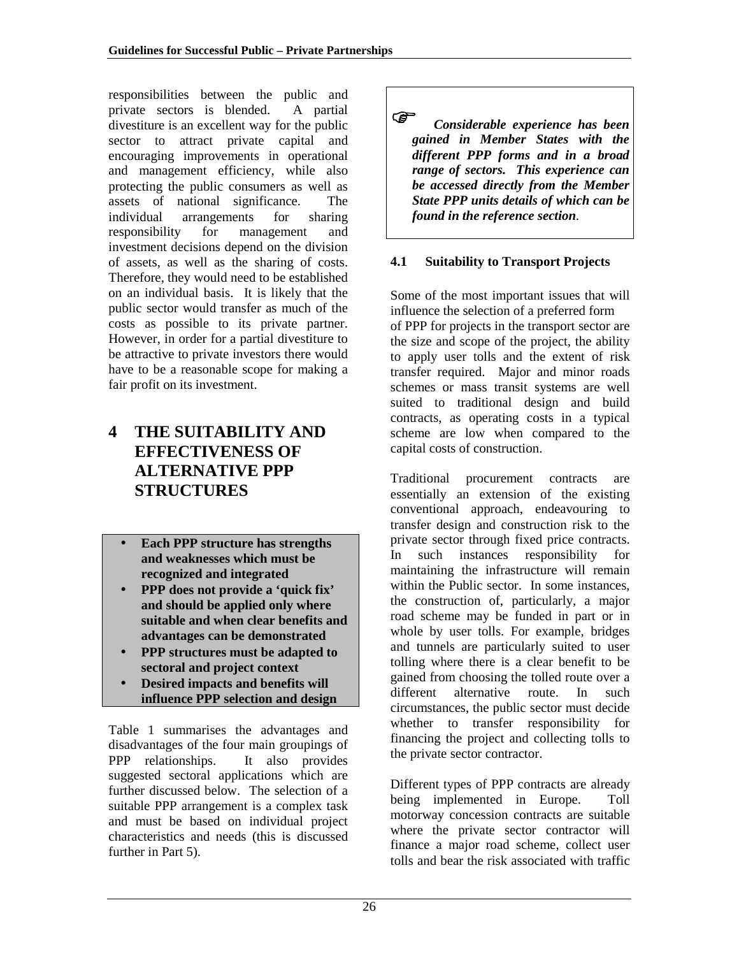<span id="page-25-0"></span>responsibilities between the public and private sectors is blended. A partial divestiture is an excellent way for the public sector to attract private capital and encouraging improvements in operational and management efficiency, while also protecting the public consumers as well as assets of national significance. The individual arrangements for sharing responsibility for management and investment decisions depend on the division of assets, as well as the sharing of costs. Therefore, they would need to be established on an individual basis. It is likely that the public sector would transfer as much of the costs as possible to its private partner. However, in order for a partial divestiture to be attractive to private investors there would have to be a reasonable scope for making a fair profit on its investment.

# **4 THE SUITABILITY AND EFFECTIVENESS OF ALTERNATIVE PPP STRUCTURES**

- **Each PPP structure has strengths and weaknesses which must be recognized and integrated**
- **PPP does not provide a 'quick fix' and should be applied only where suitable and when clear benefits and advantages can be demonstrated**
- **PPP structures must be adapted to sectoral and project context**
- **Desired impacts and benefits will influence PPP selection and design**

Table 1 summarises the advantages and disadvantages of the four main groupings of PPP relationships. It also provides suggested sectoral applications which are further discussed below. The selection of a suitable PPP arrangement is a complex task and must be based on individual project characteristics and needs (this is discussed further in Part 5).

 *Considerable experience has been gained in Member States with the different PPP forms and in a broad range of sectors. This experience can be accessed directly from the Member State PPP units details of which can be found in the reference section.*

### **4.1 Suitability to Transport Projects**

Some of the most important issues that will influence the selection of a preferred form of PPP for projects in the transport sector are the size and scope of the project, the ability to apply user tolls and the extent of risk transfer required. Major and minor roads schemes or mass transit systems are well suited to traditional design and build contracts, as operating costs in a typical scheme are low when compared to the capital costs of construction.

Traditional procurement contracts are essentially an extension of the existing conventional approach, endeavouring to transfer design and construction risk to the private sector through fixed price contracts. In such instances responsibility for maintaining the infrastructure will remain within the Public sector. In some instances, the construction of, particularly, a major road scheme may be funded in part or in whole by user tolls. For example, bridges and tunnels are particularly suited to user tolling where there is a clear benefit to be gained from choosing the tolled route over a different alternative route. In such circumstances, the public sector must decide whether to transfer responsibility for financing the project and collecting tolls to the private sector contractor.

Different types of PPP contracts are already being implemented in Europe. Toll motorway concession contracts are suitable where the private sector contractor will finance a major road scheme, collect user tolls and bear the risk associated with traffic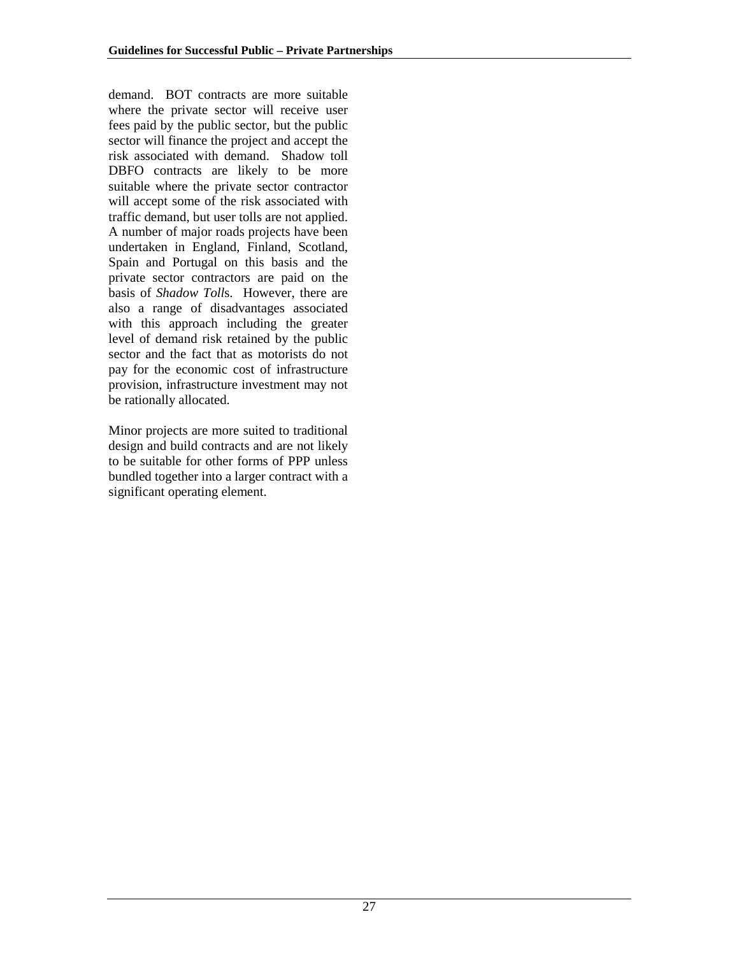demand. BOT contracts are more suitable where the private sector will receive user fees paid by the public sector, but the public sector will finance the project and accept the risk associated with demand. Shadow toll DBFO contracts are likely to be more suitable where the private sector contractor will accept some of the risk associated with traffic demand, but user tolls are not applied. A number of major roads projects have been undertaken in England, Finland, Scotland, Spain and Portugal on this basis and the private sector contractors are paid on the basis of *Shadow Toll*s. However, there are also a range of disadvantages associated with this approach including the greater level of demand risk retained by the public sector and the fact that as motorists do not pay for the economic cost of infrastructure provision, infrastructure investment may not be rationally allocated.

Minor projects are more suited to traditional design and build contracts and are not likely to be suitable for other forms of PPP unless bundled together into a larger contract with a significant operating element.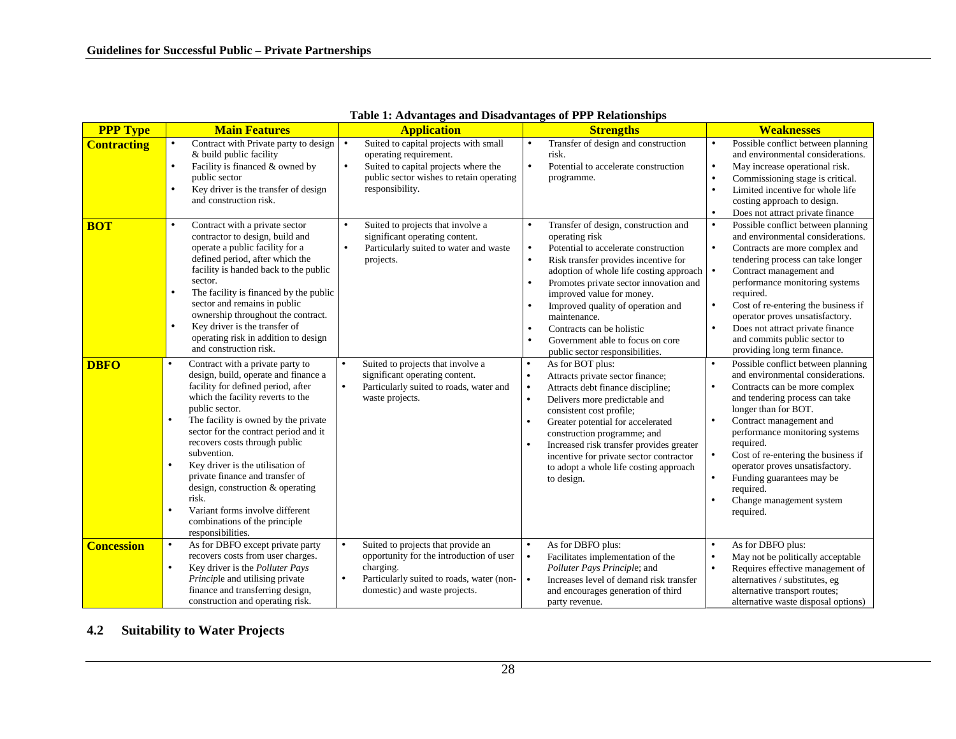| <b>PPP Type</b>    | <b>Main Features</b>                                                                                                                                                                                                                                                                                                                                                                                                                                                                                                                                       | <b>Application</b>                                                                                                                                                                                  | <b>Strengths</b>                                                                                                                                                                                                                                                                                                                                                                                                                                                                                | <b>Weaknesses</b>                                                                                                                                                                                                                                                                                                                                                                                                                                |
|--------------------|------------------------------------------------------------------------------------------------------------------------------------------------------------------------------------------------------------------------------------------------------------------------------------------------------------------------------------------------------------------------------------------------------------------------------------------------------------------------------------------------------------------------------------------------------------|-----------------------------------------------------------------------------------------------------------------------------------------------------------------------------------------------------|-------------------------------------------------------------------------------------------------------------------------------------------------------------------------------------------------------------------------------------------------------------------------------------------------------------------------------------------------------------------------------------------------------------------------------------------------------------------------------------------------|--------------------------------------------------------------------------------------------------------------------------------------------------------------------------------------------------------------------------------------------------------------------------------------------------------------------------------------------------------------------------------------------------------------------------------------------------|
| <b>Contracting</b> | Contract with Private party to design<br>$\bullet$<br>& build public facility<br>Facility is financed & owned by<br>$\bullet$<br>public sector<br>Key driver is the transfer of design<br>$\bullet$<br>and construction risk.                                                                                                                                                                                                                                                                                                                              | Suited to capital projects with small<br>$\bullet$<br>operating requirement.<br>Suited to capital projects where the<br>$\bullet$<br>public sector wishes to retain operating<br>responsibility.    | Transfer of design and construction<br>$\bullet$<br>risk.<br>Potential to accelerate construction<br>$\bullet$<br>programme.                                                                                                                                                                                                                                                                                                                                                                    | Possible conflict between planning<br>$\bullet$<br>and environmental considerations.<br>May increase operational risk.<br>$\bullet$<br>Commissioning stage is critical.<br>Limited incentive for whole life<br>$\bullet$<br>costing approach to design.<br>Does not attract private finance<br>$\bullet$                                                                                                                                         |
| <b>BOT</b>         | Contract with a private sector<br>$\bullet$<br>contractor to design, build and<br>operate a public facility for a<br>defined period, after which the<br>facility is handed back to the public<br>sector.<br>The facility is financed by the public<br>$\bullet$<br>sector and remains in public<br>ownership throughout the contract.<br>Key driver is the transfer of<br>$\bullet$<br>operating risk in addition to design<br>and construction risk.                                                                                                      | Suited to projects that involve a<br>significant operating content.<br>Particularly suited to water and waste<br>$\bullet$<br>projects.                                                             | Transfer of design, construction and<br>$\bullet$<br>operating risk<br>Potential to accelerate construction<br>$\bullet$<br>Risk transfer provides incentive for<br>$\bullet$<br>adoption of whole life costing approach<br>Promotes private sector innovation and<br>$\bullet$<br>improved value for money.<br>Improved quality of operation and<br>$\bullet$<br>maintenance.<br>Contracts can be holistic<br>$\bullet$<br>Government able to focus on core<br>public sector responsibilities. | Possible conflict between planning<br>$\bullet$<br>and environmental considerations.<br>Contracts are more complex and<br>$\bullet$<br>tendering process can take longer<br>Contract management and<br>∣•<br>performance monitoring systems<br>required.<br>Cost of re-entering the business if<br>operator proves unsatisfactory.<br>Does not attract private finance<br>and commits public sector to<br>providing long term finance.           |
| <b>DBFO</b>        | Contract with a private party to<br>$\bullet$<br>design, build, operate and finance a<br>facility for defined period, after<br>which the facility reverts to the<br>public sector.<br>The facility is owned by the private<br>$\bullet$<br>sector for the contract period and it<br>recovers costs through public<br>subvention.<br>Key driver is the utilisation of<br>$\bullet$<br>private finance and transfer of<br>design, construction & operating<br>risk.<br>Variant forms involve different<br>combinations of the principle<br>responsibilities. | Suited to projects that involve a<br>$\bullet$<br>significant operating content.<br>Particularly suited to roads, water and<br>$\bullet$<br>waste projects.                                         | As for BOT plus:<br>$\bullet$<br>Attracts private sector finance;<br>$\bullet$<br>Attracts debt finance discipline;<br>$\bullet$<br>Delivers more predictable and<br>$\bullet$<br>consistent cost profile;<br>Greater potential for accelerated<br>$\bullet$<br>construction programme; and<br>Increased risk transfer provides greater<br>incentive for private sector contractor<br>to adopt a whole life costing approach<br>to design.                                                      | Possible conflict between planning<br>$\bullet$<br>and environmental considerations.<br>Contracts can be more complex<br>and tendering process can take<br>longer than for BOT.<br>Contract management and<br>$\bullet$<br>performance monitoring systems<br>required.<br>Cost of re-entering the business if<br>$\bullet$<br>operator proves unsatisfactory.<br>Funding guarantees may be<br>required.<br>Change management system<br>required. |
| <b>Concession</b>  | As for DBFO except private party<br>$\bullet$<br>recovers costs from user charges.<br>Key driver is the Polluter Pays<br>$\bullet$<br><i>Principle</i> and utilising private<br>finance and transferring design,<br>construction and operating risk.                                                                                                                                                                                                                                                                                                       | Suited to projects that provide an<br>$\bullet$<br>opportunity for the introduction of user<br>charging.<br>Particularly suited to roads, water (non-<br>$\bullet$<br>domestic) and waste projects. | As for DBFO plus:<br>$\bullet$<br>Facilitates implementation of the<br>$\bullet$<br>Polluter Pays Principle; and<br>Increases level of demand risk transfer<br>$\bullet$<br>and encourages generation of third<br>party revenue.                                                                                                                                                                                                                                                                | As for DBFO plus:<br>$\bullet$<br>May not be politically acceptable<br>$\bullet$<br>Requires effective management of<br>$\bullet$<br>alternatives / substitutes, eg<br>alternative transport routes;<br>alternative waste disposal options)                                                                                                                                                                                                      |

**Table 1: Advantages and Disadvantages of PPP Relationships**

#### **4.2Suitability to Water Projects**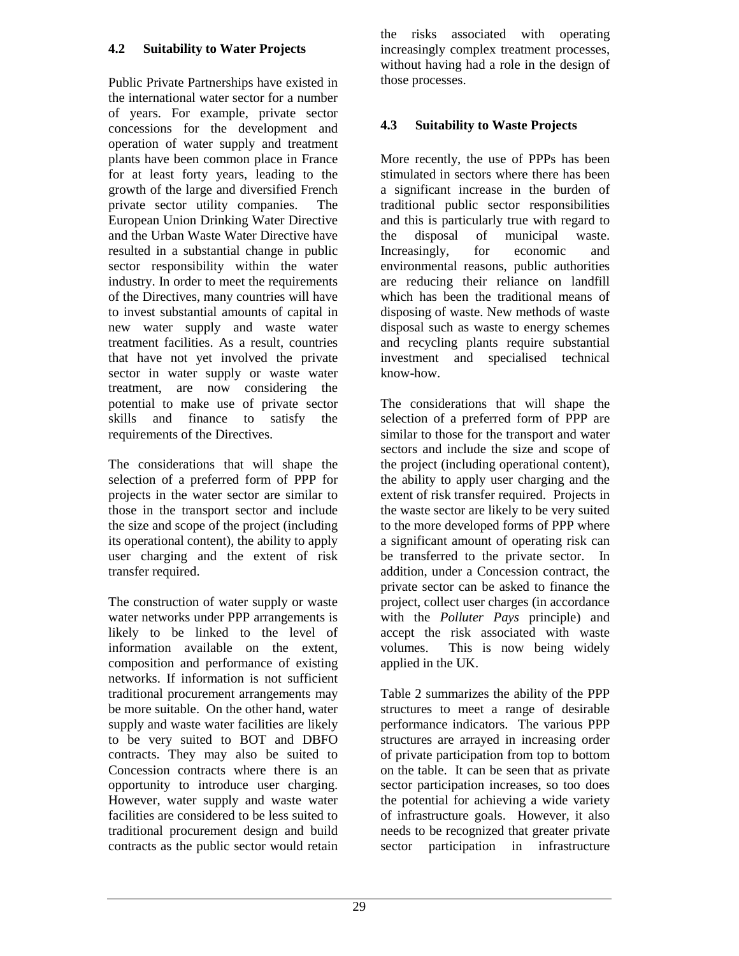### <span id="page-28-0"></span>**4.2 Suitability to Water Projects**

Public Private Partnerships have existed in the international water sector for a number of years. For example, private sector concessions for the development and operation of water supply and treatment plants have been common place in France for at least forty years, leading to the growth of the large and diversified French private sector utility companies. The European Union Drinking Water Directive and the Urban Waste Water Directive have resulted in a substantial change in public sector responsibility within the water industry. In order to meet the requirements of the Directives, many countries will have to invest substantial amounts of capital in new water supply and waste water treatment facilities. As a result, countries that have not yet involved the private sector in water supply or waste water treatment, are now considering the potential to make use of private sector skills and finance to satisfy the requirements of the Directives.

The considerations that will shape the selection of a preferred form of PPP for projects in the water sector are similar to those in the transport sector and include the size and scope of the project (including its operational content), the ability to apply user charging and the extent of risk transfer required.

The construction of water supply or waste water networks under PPP arrangements is likely to be linked to the level of information available on the extent, composition and performance of existing networks. If information is not sufficient traditional procurement arrangements may be more suitable. On the other hand, water supply and waste water facilities are likely to be very suited to BOT and DBFO contracts. They may also be suited to Concession contracts where there is an opportunity to introduce user charging. However, water supply and waste water facilities are considered to be less suited to traditional procurement design and build contracts as the public sector would retain

the risks associated with operating increasingly complex treatment processes, without having had a role in the design of those processes.

### **4.3 Suitability to Waste Projects**

More recently, the use of PPPs has been stimulated in sectors where there has been a significant increase in the burden of traditional public sector responsibilities and this is particularly true with regard to the disposal of municipal waste. Increasingly, for economic and environmental reasons, public authorities are reducing their reliance on landfill which has been the traditional means of disposing of waste. New methods of waste disposal such as waste to energy schemes and recycling plants require substantial investment and specialised technical know-how.

The considerations that will shape the selection of a preferred form of PPP are similar to those for the transport and water sectors and include the size and scope of the project (including operational content), the ability to apply user charging and the extent of risk transfer required. Projects in the waste sector are likely to be very suited to the more developed forms of PPP where a significant amount of operating risk can be transferred to the private sector. In addition, under a Concession contract, the private sector can be asked to finance the project, collect user charges (in accordance with the *Polluter Pays* principle) and accept the risk associated with waste volumes. This is now being widely applied in the UK.

Table 2 summarizes the ability of the PPP structures to meet a range of desirable performance indicators. The various PPP structures are arrayed in increasing order of private participation from top to bottom on the table. It can be seen that as private sector participation increases, so too does the potential for achieving a wide variety of infrastructure goals. However, it also needs to be recognized that greater private sector participation in infrastructure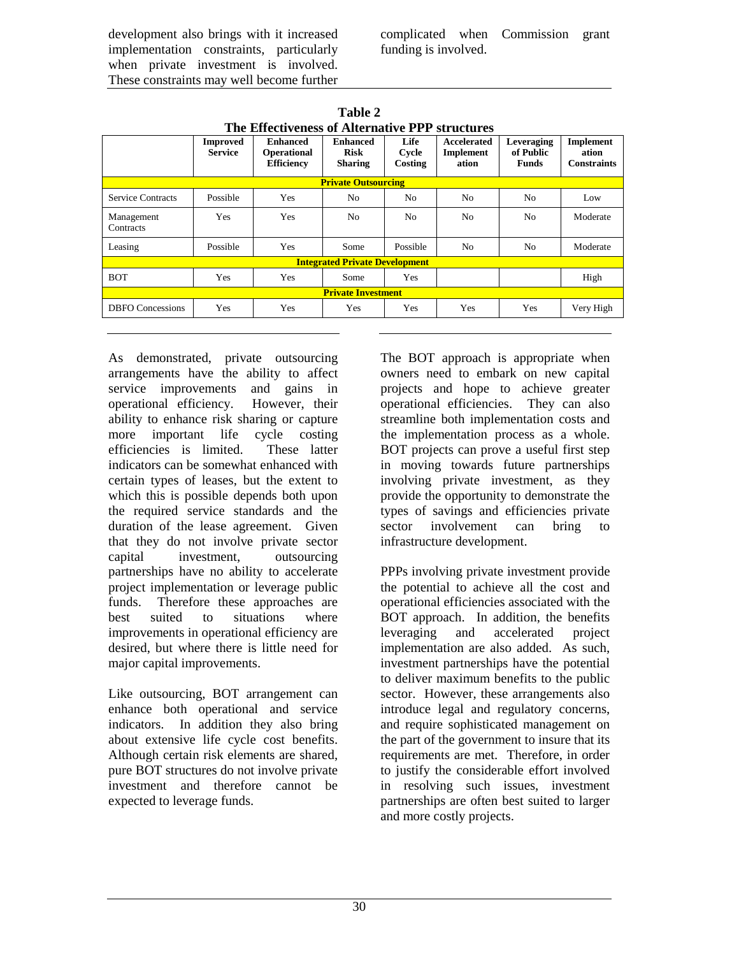development also brings with it increased implementation constraints, particularly when private investment is involved. These constraints may well become further

complicated when Commission grant funding is involved.

| The Enternooness of Anti-Bauve III subdenies |                                   |                                                     |                                                  |                          |                                   |                                         |                                          |  |
|----------------------------------------------|-----------------------------------|-----------------------------------------------------|--------------------------------------------------|--------------------------|-----------------------------------|-----------------------------------------|------------------------------------------|--|
|                                              | <b>Improved</b><br><b>Service</b> | <b>Enhanced</b><br>Operational<br><b>Efficiency</b> | <b>Enhanced</b><br><b>Risk</b><br><b>Sharing</b> | Life<br>Cycle<br>Costing | Accelerated<br>Implement<br>ation | Leveraging<br>of Public<br><b>Funds</b> | Implement<br>ation<br><b>Constraints</b> |  |
| <b>Private Outsourcing</b>                   |                                   |                                                     |                                                  |                          |                                   |                                         |                                          |  |
| <b>Service Contracts</b>                     | Possible                          | Yes                                                 | No.                                              | No                       | N <sub>0</sub>                    | No.                                     | Low                                      |  |
| Management<br>Contracts                      | Yes                               | Yes                                                 | N <sub>0</sub>                                   | N <sub>0</sub>           | N <sub>o</sub>                    | N <sub>o</sub>                          | Moderate                                 |  |
| Leasing                                      | Possible                          | Yes                                                 | Some                                             | Possible                 | N <sub>0</sub>                    | N <sub>o</sub>                          | Moderate                                 |  |
| <b>Integrated Private Development</b>        |                                   |                                                     |                                                  |                          |                                   |                                         |                                          |  |
| <b>BOT</b>                                   | Yes                               | Yes                                                 | Some                                             | Yes                      |                                   |                                         | High                                     |  |
| <b>Private Investment</b>                    |                                   |                                                     |                                                  |                          |                                   |                                         |                                          |  |
| <b>DBFO</b> Concessions                      | Yes                               | Yes                                                 | Yes                                              | Yes                      | Yes                               | Yes                                     | Very High                                |  |

**Table 2 The Effectiveness of Alternative PPP structures**

As demonstrated, private outsourcing arrangements have the ability to affect service improvements and gains in operational efficiency. However, their ability to enhance risk sharing or capture more important life cycle costing efficiencies is limited. These latter indicators can be somewhat enhanced with certain types of leases, but the extent to which this is possible depends both upon the required service standards and the duration of the lease agreement. Given that they do not involve private sector capital investment, outsourcing partnerships have no ability to accelerate project implementation or leverage public funds. Therefore these approaches are best suited to situations where improvements in operational efficiency are desired, but where there is little need for major capital improvements.

Like outsourcing, BOT arrangement can enhance both operational and service indicators. In addition they also bring about extensive life cycle cost benefits. Although certain risk elements are shared, pure BOT structures do not involve private investment and therefore cannot be expected to leverage funds.

The BOT approach is appropriate when owners need to embark on new capital projects and hope to achieve greater operational efficiencies. They can also streamline both implementation costs and the implementation process as a whole. BOT projects can prove a useful first step in moving towards future partnerships involving private investment, as they provide the opportunity to demonstrate the types of savings and efficiencies private sector involvement can bring to infrastructure development.

PPPs involving private investment provide the potential to achieve all the cost and operational efficiencies associated with the BOT approach. In addition, the benefits leveraging and accelerated project implementation are also added. As such, investment partnerships have the potential to deliver maximum benefits to the public sector. However, these arrangements also introduce legal and regulatory concerns, and require sophisticated management on the part of the government to insure that its requirements are met. Therefore, in order to justify the considerable effort involved in resolving such issues, investment partnerships are often best suited to larger and more costly projects.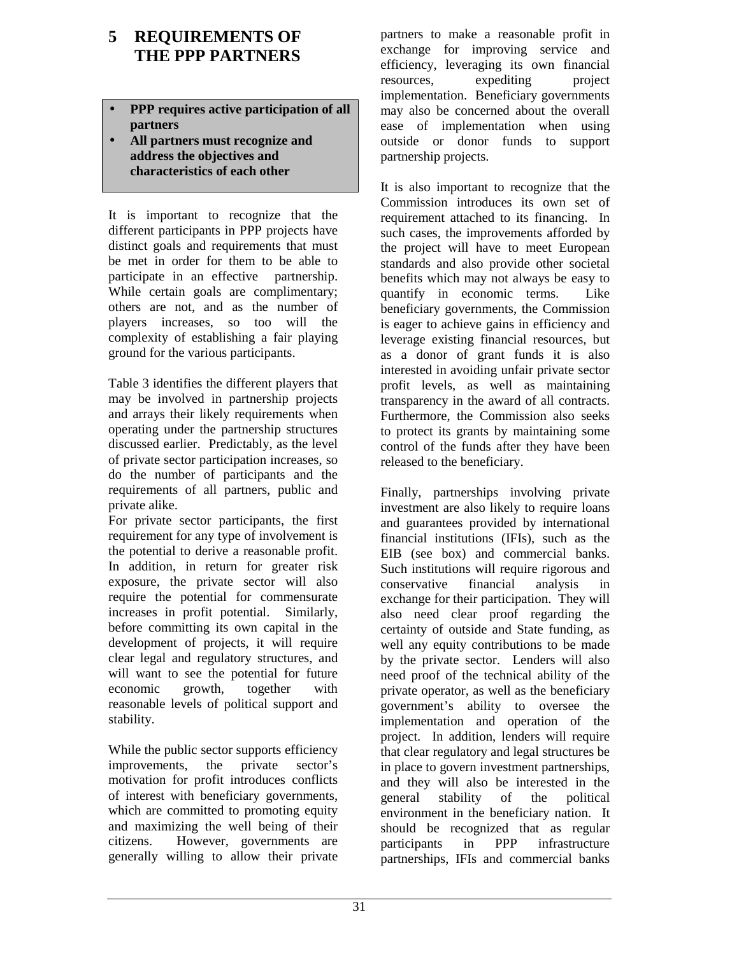# <span id="page-30-0"></span>**5 REQUIREMENTS OF THE PPP PARTNERS**

#### • **PPP requires active participation of all partners**

• **All partners must recognize and address the objectives and characteristics of each other**

It is important to recognize that the different participants in PPP projects have distinct goals and requirements that must be met in order for them to be able to participate in an effective partnership. While certain goals are complimentary; others are not, and as the number of players increases, so too will the complexity of establishing a fair playing ground for the various participants.

Table 3 identifies the different players that may be involved in partnership projects and arrays their likely requirements when operating under the partnership structures discussed earlier. Predictably, as the level of private sector participation increases, so do the number of participants and the requirements of all partners, public and private alike.

For private sector participants, the first requirement for any type of involvement is the potential to derive a reasonable profit. In addition, in return for greater risk exposure, the private sector will also require the potential for commensurate increases in profit potential. Similarly, before committing its own capital in the development of projects, it will require clear legal and regulatory structures, and will want to see the potential for future economic growth, together with reasonable levels of political support and stability.

While the public sector supports efficiency improvements, the private sector's motivation for profit introduces conflicts of interest with beneficiary governments, which are committed to promoting equity and maximizing the well being of their citizens. However, governments are generally willing to allow their private

partners to make a reasonable profit in exchange for improving service and efficiency, leveraging its own financial resources, expediting project implementation. Beneficiary governments may also be concerned about the overall ease of implementation when using outside or donor funds to support partnership projects.

It is also important to recognize that the Commission introduces its own set of requirement attached to its financing. In such cases, the improvements afforded by the project will have to meet European standards and also provide other societal benefits which may not always be easy to quantify in economic terms. Like beneficiary governments, the Commission is eager to achieve gains in efficiency and leverage existing financial resources, but as a donor of grant funds it is also interested in avoiding unfair private sector profit levels, as well as maintaining transparency in the award of all contracts. Furthermore, the Commission also seeks to protect its grants by maintaining some control of the funds after they have been released to the beneficiary.

Finally, partnerships involving private investment are also likely to require loans and guarantees provided by international financial institutions (IFIs), such as the EIB (see box) and commercial banks. Such institutions will require rigorous and conservative financial analysis in exchange for their participation. They will also need clear proof regarding the certainty of outside and State funding, as well any equity contributions to be made by the private sector. Lenders will also need proof of the technical ability of the private operator, as well as the beneficiary government's ability to oversee the implementation and operation of the project. In addition, lenders will require that clear regulatory and legal structures be in place to govern investment partnerships, and they will also be interested in the general stability of the political environment in the beneficiary nation. It should be recognized that as regular participants in PPP infrastructure partnerships, IFIs and commercial banks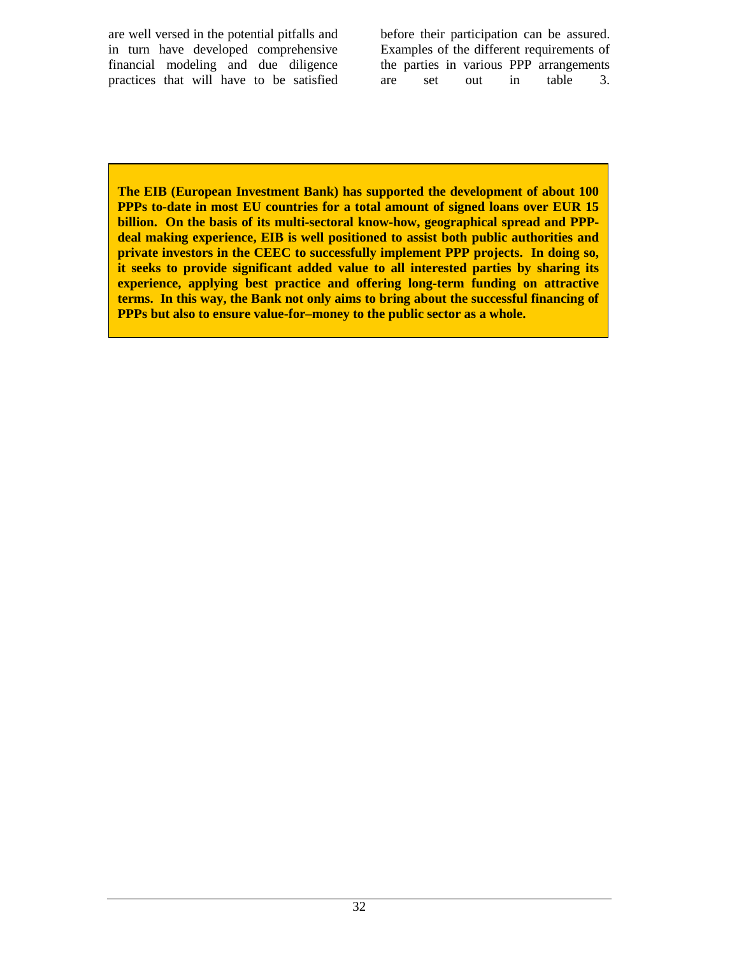are well versed in the potential pitfalls and in turn have developed comprehensive financial modeling and due diligence practices that will have to be satisfied before their participation can be assured. Examples of the different requirements of the parties in various PPP arrangements are set out in table 3.

**The EIB (European Investment Bank) has supported the development of about 100 PPPs to-date in most EU countries for a total amount of signed loans over EUR 15 billion. On the basis of its multi-sectoral know-how, geographical spread and PPPdeal making experience, EIB is well positioned to assist both public authorities and private investors in the CEEC to successfully implement PPP projects. In doing so, it seeks to provide significant added value to all interested parties by sharing its experience, applying best practice and offering long-term funding on attractive terms. In this way, the Bank not only aims to bring about the successful financing of PPPs but also to ensure value-for–money to the public sector as a whole.**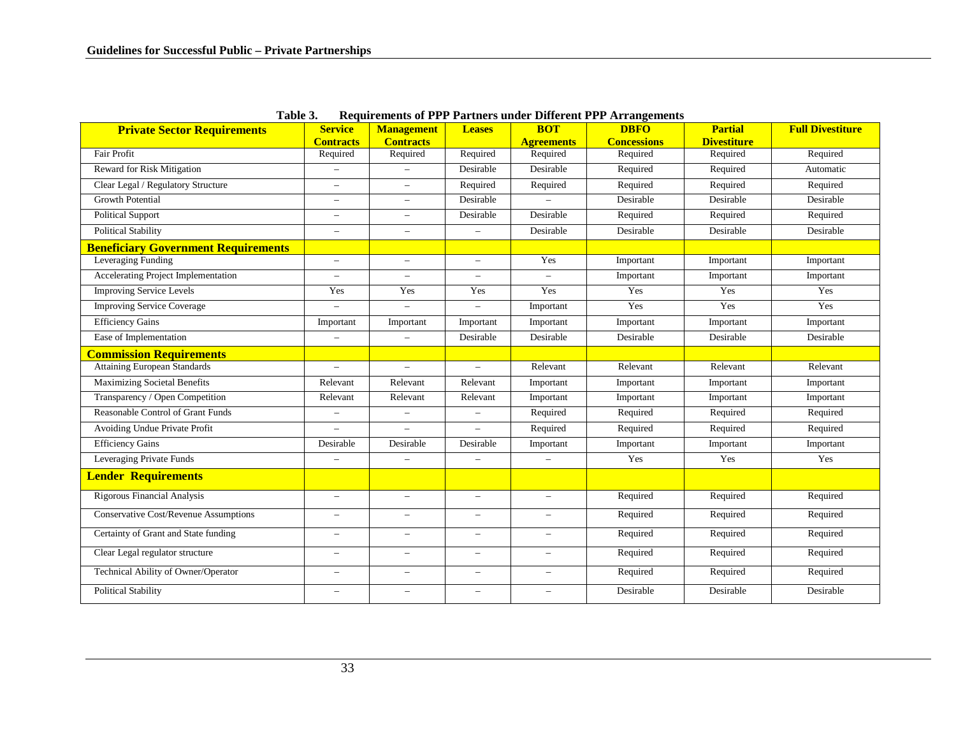| THUIC OF<br><b>Private Sector Requirements</b> | <b>Service</b>           | <b>Management</b>        | <b>Leases</b>            | <b>BOT</b>               | Acquirements of first furthers under Dinerent first infungements<br><b>DBFO</b> | <b>Partial</b>     | <b>Full Divestiture</b> |
|------------------------------------------------|--------------------------|--------------------------|--------------------------|--------------------------|---------------------------------------------------------------------------------|--------------------|-------------------------|
|                                                | <b>Contracts</b>         | <b>Contracts</b>         |                          | <b>Agreements</b>        | <b>Concessions</b>                                                              | <b>Divestiture</b> |                         |
| <b>Fair Profit</b>                             | Required                 | Required                 | Required                 | Required                 | Required                                                                        | Required           | Required                |
| Reward for Risk Mitigation                     |                          |                          | Desirable                | Desirable                | Required                                                                        | Required           | Automatic               |
| Clear Legal / Regulatory Structure             | $\equiv$                 | $\qquad \qquad -$        | Required                 | Required                 | Required                                                                        | Required           | Required                |
| <b>Growth Potential</b>                        | $\overline{\phantom{0}}$ | $\overline{\phantom{m}}$ | Desirable                |                          | Desirable                                                                       | Desirable          | Desirable               |
| <b>Political Support</b>                       | $\overline{\phantom{0}}$ | $\overline{\phantom{0}}$ | Desirable                | Desirable                | Required                                                                        | Required           | Required                |
| <b>Political Stability</b>                     | $\qquad \qquad -$        | $\overline{\phantom{0}}$ | $\overline{\phantom{0}}$ | Desirable                | Desirable                                                                       | Desirable          | Desirable               |
| <b>Beneficiary Government Requirements</b>     |                          |                          |                          |                          |                                                                                 |                    |                         |
| Leveraging Funding                             | $\overline{\phantom{0}}$ | $\overline{\phantom{m}}$ | $\qquad \qquad -$        | Yes                      | Important                                                                       | Important          | Important               |
| Accelerating Project Implementation            | $\overline{\phantom{0}}$ | $\overline{\phantom{0}}$ | $\overline{\phantom{a}}$ | $\overline{\phantom{a}}$ | Important                                                                       | Important          | Important               |
| <b>Improving Service Levels</b>                | Yes                      | Yes                      | Yes                      | Yes                      | Yes                                                                             | Yes                | Yes                     |
| <b>Improving Service Coverage</b>              |                          | $\overline{\phantom{0}}$ |                          | Important                | Yes                                                                             | Yes                | Yes                     |
| <b>Efficiency Gains</b>                        | Important                | Important                | Important                | Important                | Important                                                                       | Important          | Important               |
| Ease of Implementation                         |                          | $\overline{\phantom{0}}$ | Desirable                | Desirable                | Desirable                                                                       | Desirable          | Desirable               |
| <b>Commission Requirements</b>                 |                          |                          |                          |                          |                                                                                 |                    |                         |
| <b>Attaining European Standards</b>            | $\overline{\phantom{0}}$ | $\overline{a}$           | $\overline{\phantom{0}}$ | Relevant                 | Relevant                                                                        | Relevant           | Relevant                |
| <b>Maximizing Societal Benefits</b>            | Relevant                 | Relevant                 | Relevant                 | Important                | Important                                                                       | Important          | Important               |
| Transparency / Open Competition                | Relevant                 | Relevant                 | Relevant                 | Important                | Important                                                                       | Important          | Important               |
| Reasonable Control of Grant Funds              | $\overline{\phantom{0}}$ | $\qquad \qquad -$        | $\overline{\phantom{0}}$ | Required                 | Required                                                                        | Required           | Required                |
| Avoiding Undue Private Profit                  |                          | $\overline{\phantom{0}}$ | $\overline{\phantom{0}}$ | Required                 | Required                                                                        | Required           | Required                |
| <b>Efficiency Gains</b>                        | Desirable                | Desirable                | Desirable                | Important                | Important                                                                       | Important          | Important               |
| Leveraging Private Funds                       | $\overline{\phantom{0}}$ | $\overline{\phantom{0}}$ | $\overline{\phantom{m}}$ | $\overline{\phantom{m}}$ | Yes                                                                             | Yes                | Yes                     |
| Lender Requirements                            |                          |                          |                          |                          |                                                                                 |                    |                         |
| <b>Rigorous Financial Analysis</b>             | $\overline{\phantom{0}}$ | $\overline{\phantom{0}}$ | $\overline{\phantom{0}}$ | $\overline{\phantom{a}}$ | Required                                                                        | Required           | Required                |
| <b>Conservative Cost/Revenue Assumptions</b>   | $\overline{\phantom{0}}$ | $\qquad \qquad -$        | $\overline{\phantom{0}}$ | $\equiv$                 | Required                                                                        | Required           | Required                |
| Certainty of Grant and State funding           | $\overline{\phantom{a}}$ | $\overline{\phantom{0}}$ | $\overline{\phantom{a}}$ | $\overline{\phantom{a}}$ | Required                                                                        | Required           | Required                |
| Clear Legal regulator structure                | $\overline{\phantom{0}}$ | $\overline{\phantom{m}}$ | $\qquad \qquad -$        | $\overline{\phantom{a}}$ | Required                                                                        | Required           | Required                |
| <b>Technical Ability of Owner/Operator</b>     | $\overline{\phantom{0}}$ | $\overline{\phantom{0}}$ | $\equiv$                 | $\overline{\phantom{0}}$ | Required                                                                        | Required           | Required                |
| <b>Political Stability</b>                     | $\overline{\phantom{0}}$ | $\overline{\phantom{0}}$ | $\overline{\phantom{0}}$ | $\overline{\phantom{0}}$ | Desirable                                                                       | Desirable          | Desirable               |

**Table 3. Requirements of PPP Partners under Different PPP Arrangements**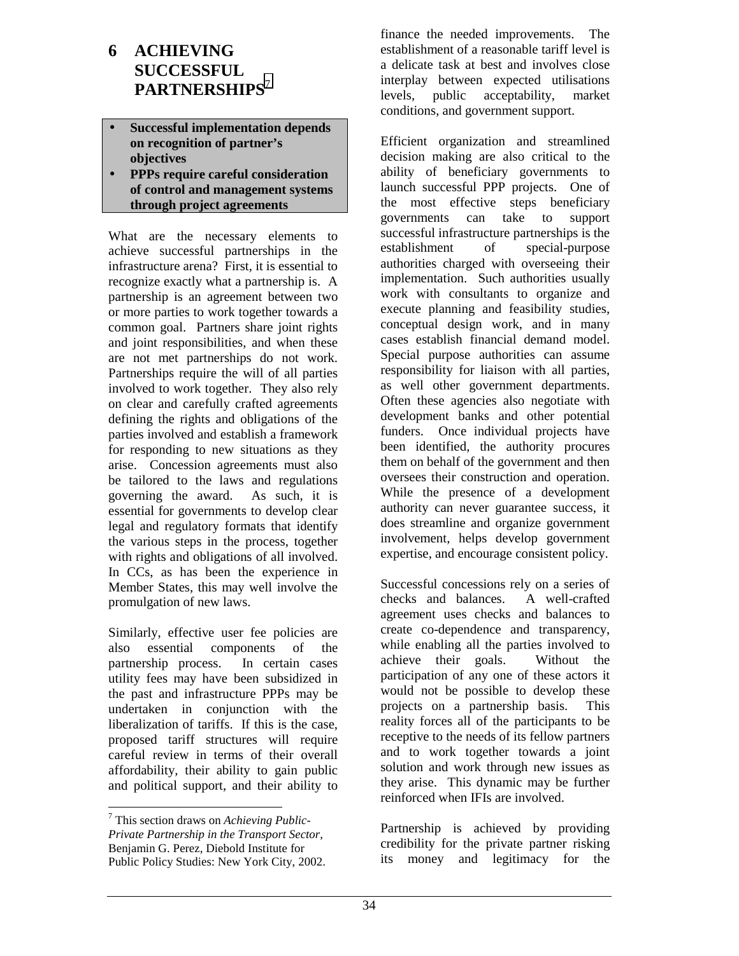# <span id="page-33-0"></span>**6 ACHIEVING SUCCESSFUL PARTNERSHIPS**<sup>7</sup>

- **Successful implementation depends on recognition of partner's objectives**
- **PPPs require careful consideration of control and management systems through project agreements**

What are the necessary elements to achieve successful partnerships in the infrastructure arena? First, it is essential to recognize exactly what a partnership is. A partnership is an agreement between two or more parties to work together towards a common goal. Partners share joint rights and joint responsibilities, and when these are not met partnerships do not work. Partnerships require the will of all parties involved to work together. They also rely on clear and carefully crafted agreements defining the rights and obligations of the parties involved and establish a framework for responding to new situations as they arise. Concession agreements must also be tailored to the laws and regulations governing the award. As such, it is essential for governments to develop clear legal and regulatory formats that identify the various steps in the process, together with rights and obligations of all involved. In CCs, as has been the experience in Member States, this may well involve the promulgation of new laws.

Similarly, effective user fee policies are also essential components of the partnership process. In certain cases utility fees may have been subsidized in the past and infrastructure PPPs may be undertaken in conjunction with the liberalization of tariffs. If this is the case, proposed tariff structures will require careful review in terms of their overall affordability, their ability to gain public and political support, and their ability to

finance the needed improvements. The establishment of a reasonable tariff level is a delicate task at best and involves close interplay between expected utilisations levels, public acceptability, market conditions, and government support.

Efficient organization and streamlined decision making are also critical to the ability of beneficiary governments to launch successful PPP projects. One of the most effective steps beneficiary governments can take to support successful infrastructure partnerships is the establishment of special-purpose authorities charged with overseeing their implementation. Such authorities usually work with consultants to organize and execute planning and feasibility studies, conceptual design work, and in many cases establish financial demand model. Special purpose authorities can assume responsibility for liaison with all parties, as well other government departments. Often these agencies also negotiate with development banks and other potential funders. Once individual projects have been identified, the authority procures them on behalf of the government and then oversees their construction and operation. While the presence of a development authority can never guarantee success, it does streamline and organize government involvement, helps develop government expertise, and encourage consistent policy.

Successful concessions rely on a series of checks and balances. A well-crafted agreement uses checks and balances to create co-dependence and transparency, while enabling all the parties involved to achieve their goals. Without the participation of any one of these actors it would not be possible to develop these projects on a partnership basis. This reality forces all of the participants to be receptive to the needs of its fellow partners and to work together towards a joint solution and work through new issues as they arise. This dynamic may be further reinforced when IFIs are involved.

Partnership is achieved by providing credibility for the private partner risking its money and legitimacy for the

<sup>7</sup> This section draws on *Achieving Public-Private Partnership in the Transport Sector*, Benjamin G. Perez, Diebold Institute for Public Policy Studies: New York City, 2002.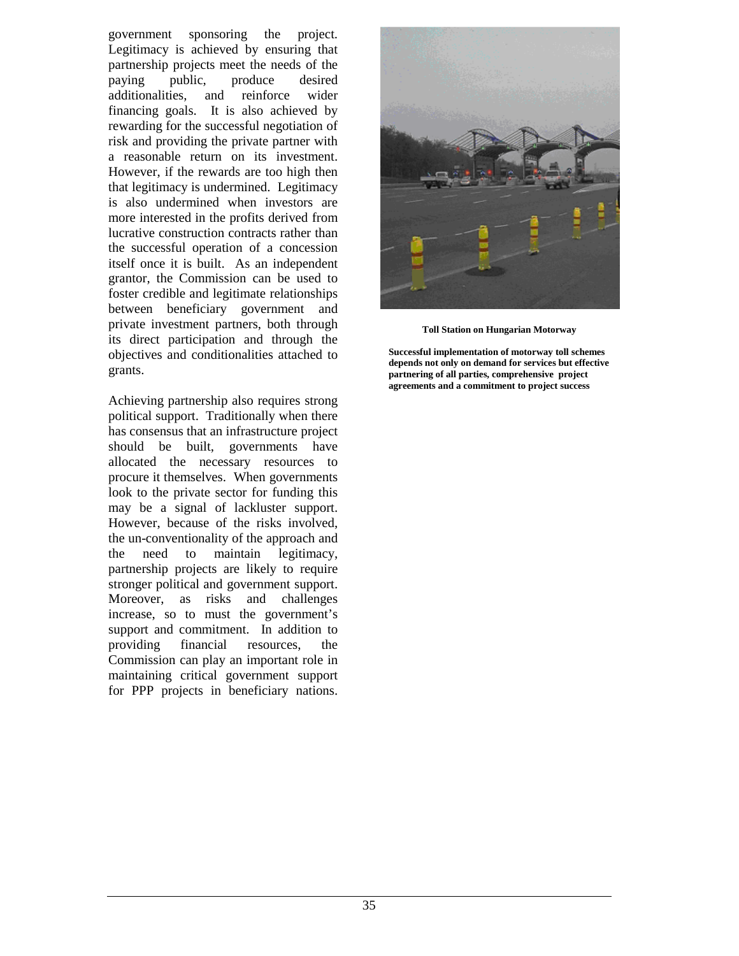government sponsoring the project. Legitimacy is achieved by ensuring that partnership projects meet the needs of the paying public, produce desired additionalities, and reinforce wider financing goals. It is also achieved by rewarding for the successful negotiation of risk and providing the private partner with a reasonable return on its investment. However, if the rewards are too high then that legitimacy is undermined. Legitimacy is also undermined when investors are more interested in the profits derived from lucrative construction contracts rather than the successful operation of a concession itself once it is built. As an independent grantor, the Commission can be used to foster credible and legitimate relationships between beneficiary government and private investment partners, both through its direct participation and through the objectives and conditionalities attached to grants.

Achieving partnership also requires strong political support. Traditionally when there has consensus that an infrastructure project should be built, governments have allocated the necessary resources to procure it themselves. When governments look to the private sector for funding this may be a signal of lackluster support. However, because of the risks involved, the un-conventionality of the approach and the need to maintain legitimacy, partnership projects are likely to require stronger political and government support. Moreover, as risks and challenges increase, so to must the government's support and commitment. In addition to providing financial resources, the Commission can play an important role in maintaining critical government support for PPP projects in beneficiary nations.



**Toll Station on Hungarian Motorway**

**Successful implementation of motorway toll schemes depends not only on demand for services but effective partnering of all parties, comprehensive project agreements and a commitment to project success**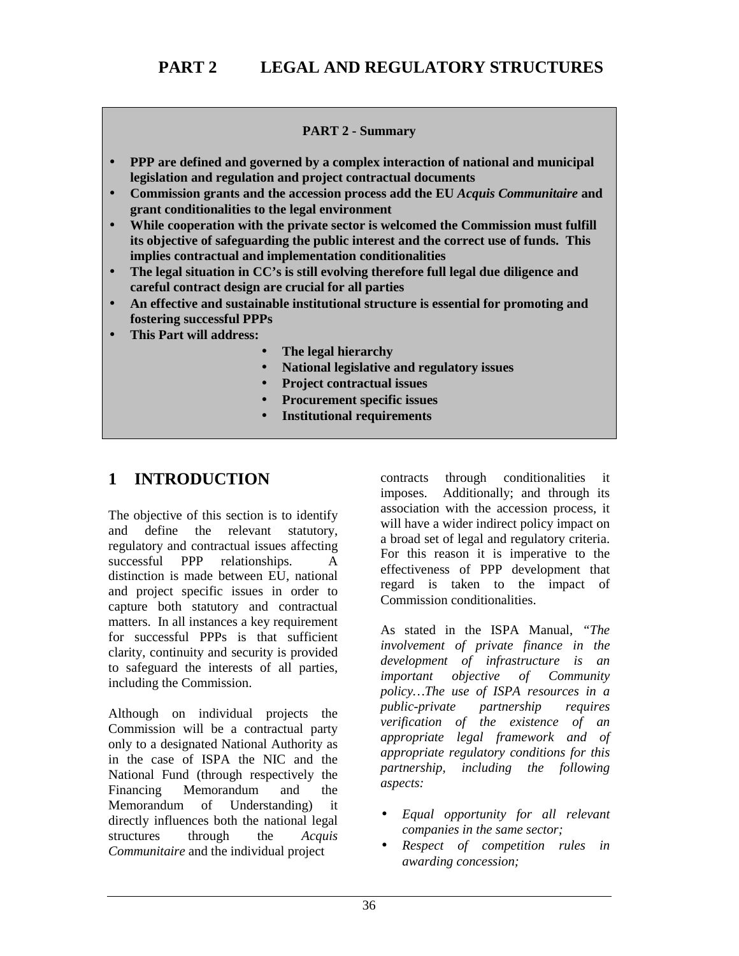#### **PART 2 - Summary**

- <span id="page-35-0"></span>• **PPP are defined and governed by a complex interaction of national and municipal legislation and regulation and project contractual documents**
- **Commission grants and the accession process add the EU** *Acquis Communitaire* **and grant conditionalities to the legal environment**
- **While cooperation with the private sector is welcomed the Commission must fulfill its objective of safeguarding the public interest and the correct use of funds. This implies contractual and implementation conditionalities**
- **The legal situation in CC's is still evolving therefore full legal due diligence and careful contract design are crucial for all parties**
- **An effective and sustainable institutional structure is essential for promoting and fostering successful PPPs**
- **This Part will address:**
	- **The legal hierarchy**
	- **National legislative and regulatory issues**
	- **Project contractual issues**
	- **Procurement specific issues**
	- **Institutional requirements**

# **1 INTRODUCTION**

The objective of this section is to identify and define the relevant statutory, regulatory and contractual issues affecting successful PPP relationships. A distinction is made between EU, national and project specific issues in order to capture both statutory and contractual matters. In all instances a key requirement for successful PPPs is that sufficient clarity, continuity and security is provided to safeguard the interests of all parties, including the Commission.

Although on individual projects the Commission will be a contractual party only to a designated National Authority as in the case of ISPA the NIC and the National Fund (through respectively the Financing Memorandum and the Memorandum of Understanding) it directly influences both the national legal structures through the *Acquis Communitaire* and the individual project

contracts through conditionalities it imposes. Additionally; and through its association with the accession process, it will have a wider indirect policy impact on a broad set of legal and regulatory criteria. For this reason it is imperative to the effectiveness of PPP development that regard is taken to the impact of Commission conditionalities.

As stated in the ISPA Manual, *"The involvement of private finance in the development of infrastructure is an important objective of Community policy…The use of ISPA resources in a public-private partnership requires verification of the existence of an appropriate legal framework and of appropriate regulatory conditions for this partnership, including the following aspects:*

- *Equal opportunity for all relevant companies in the same sector;*
- *Respect of competition rules in awarding concession;*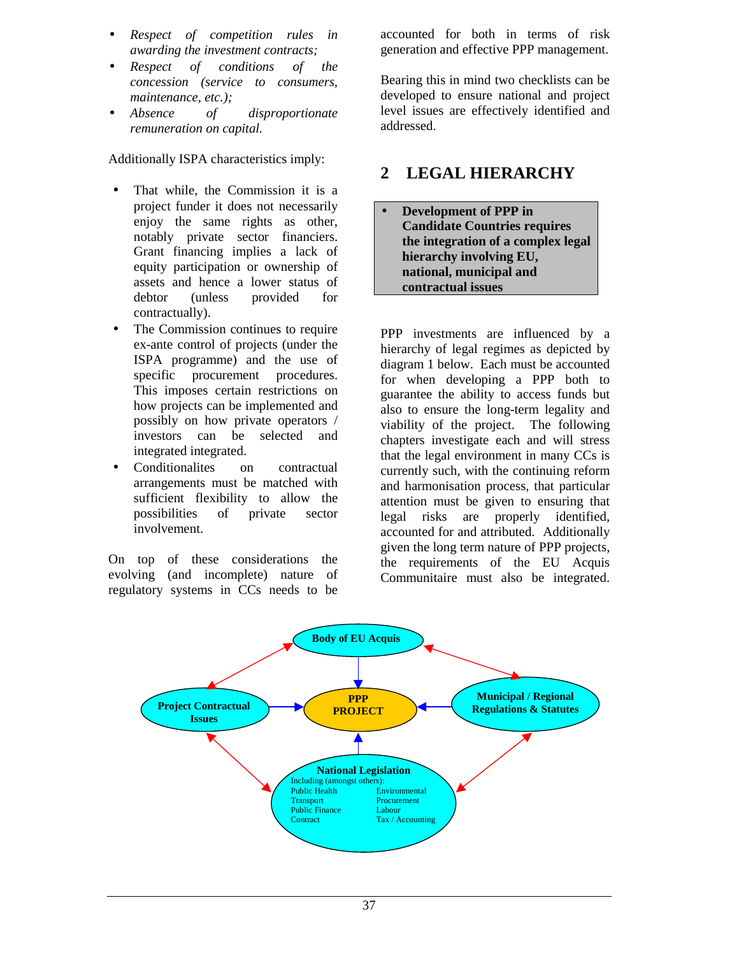- *Respect of competition rules in awarding the investment contracts;*
- *Respect of conditions of the concession (service to consumers, maintenance, etc.);*
- *Absence of disproportionate remuneration on capital.*

Additionally ISPA characteristics imply:

- That while, the Commission it is a project funder it does not necessarily enjoy the same rights as other, notably private sector financiers. Grant financing implies a lack of equity participation or ownership of assets and hence a lower status of debtor (unless provided for contractually).
- The Commission continues to require ex-ante control of projects (under the ISPA programme) and the use of specific procurement procedures. This imposes certain restrictions on how projects can be implemented and possibly on how private operators / investors can be selected and integrated integrated.
- Conditionalites on contractual arrangements must be matched with sufficient flexibility to allow the possibilities of private sector involvement.

On top of these considerations the evolving (and incomplete) nature of regulatory systems in CCs needs to be accounted for both in terms of risk generation and effective PPP management.

Bearing this in mind two checklists can be developed to ensure national and project level issues are effectively identified and addressed.

### **2 LEGAL HIERARCHY**

• **Development of PPP in Candidate Countries requires the integration of a complex legal hierarchy involving EU, national, municipal and contractual issues**

PPP investments are influenced by a hierarchy of legal regimes as depicted by diagram 1 below. Each must be accounted for when developing a PPP both to guarantee the ability to access funds but also to ensure the long-term legality and viability of the project. The following chapters investigate each and will stress that the legal environment in many CCs is currently such, with the continuing reform and harmonisation process, that particular attention must be given to ensuring that legal risks are properly identified, accounted for and attributed. Additionally given the long term nature of PPP projects, the requirements of the EU Acquis Communitaire must also be integrated.

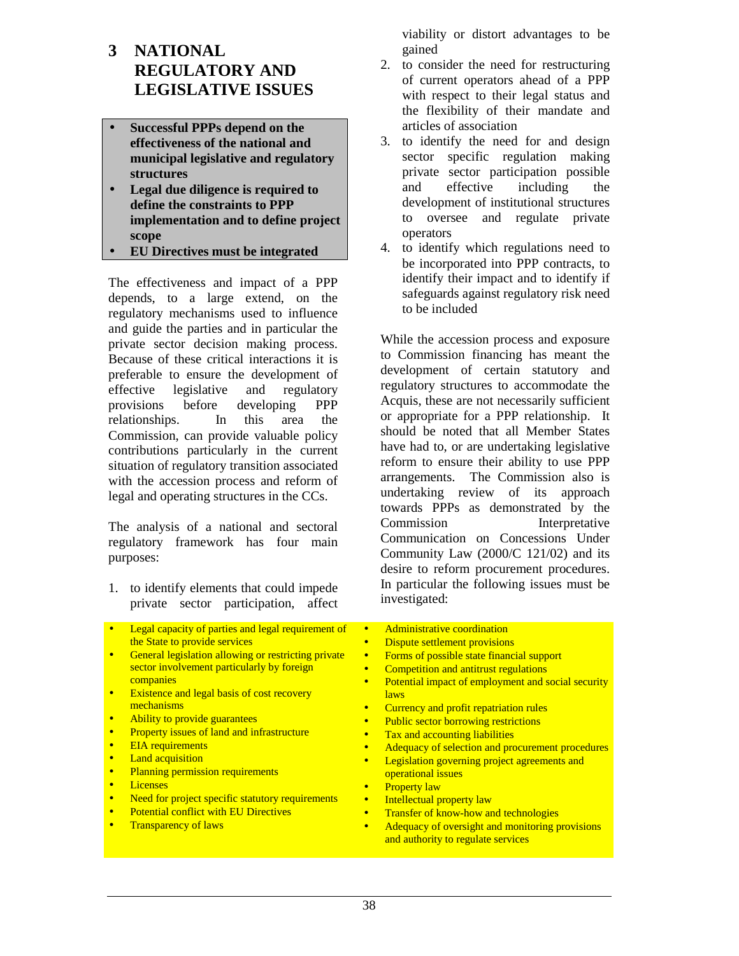### **3 NATIONAL REGULATORY AND LEGISLATIVE ISSUES**

- **Successful PPPs depend on the effectiveness of the national and municipal legislative and regulatory structures**
- **Legal due diligence is required to define the constraints to PPP implementation and to define project scope**
- **EU Directives must be integrated**

The effectiveness and impact of a PPP depends, to a large extend, on the regulatory mechanisms used to influence and guide the parties and in particular the private sector decision making process. Because of these critical interactions it is preferable to ensure the development of effective legislative and regulatory provisions before developing PPP relationships. In this area the Commission, can provide valuable policy contributions particularly in the current situation of regulatory transition associated with the accession process and reform of legal and operating structures in the CCs.

The analysis of a national and sectoral regulatory framework has four main purposes:

- 1. to identify elements that could impede private sector participation, affect
- Legal capacity of parties and legal requirement of the State to provide services
- General legislation allowing or restricting private sector involvement particularly by foreign companies
- Existence and legal basis of cost recovery mechanisms
- Ability to provide guarantees
- Property issues of land and infrastructure
- EIA requirements
- Land acquisition
- Planning permission requirements
- Licenses
- Need for project specific statutory requirements
- Potential conflict with EU Directives
- Transparency of laws

viability or distort advantages to be gained

- 2. to consider the need for restructuring of current operators ahead of a PPP with respect to their legal status and the flexibility of their mandate and articles of association
- 3. to identify the need for and design sector specific regulation making private sector participation possible and effective including the development of institutional structures to oversee and regulate private operators
- 4. to identify which regulations need to be incorporated into PPP contracts, to identify their impact and to identify if safeguards against regulatory risk need to be included

While the accession process and exposure to Commission financing has meant the development of certain statutory and regulatory structures to accommodate the Acquis, these are not necessarily sufficient or appropriate for a PPP relationship. It should be noted that all Member States have had to, or are undertaking legislative reform to ensure their ability to use PPP arrangements. The Commission also is undertaking review of its approach towards PPPs as demonstrated by the Commission Interpretative Communication on Concessions Under Community Law (2000/C 121/02) and its desire to reform procurement procedures. In particular the following issues must be investigated:

- Administrative coordination
- Dispute settlement provisions
- Forms of possible state financial support
- Competition and antitrust regulations
- Potential impact of employment and social security laws
- Currency and profit repatriation rules
- **Public sector borrowing restrictions**
- Tax and accounting liabilities
- Adequacy of selection and procurement procedures
- Legislation governing project agreements and operational issues
- Property law
- Intellectual property law
- Transfer of know-how and technologies
- Adequacy of oversight and monitoring provisions and authority to regulate services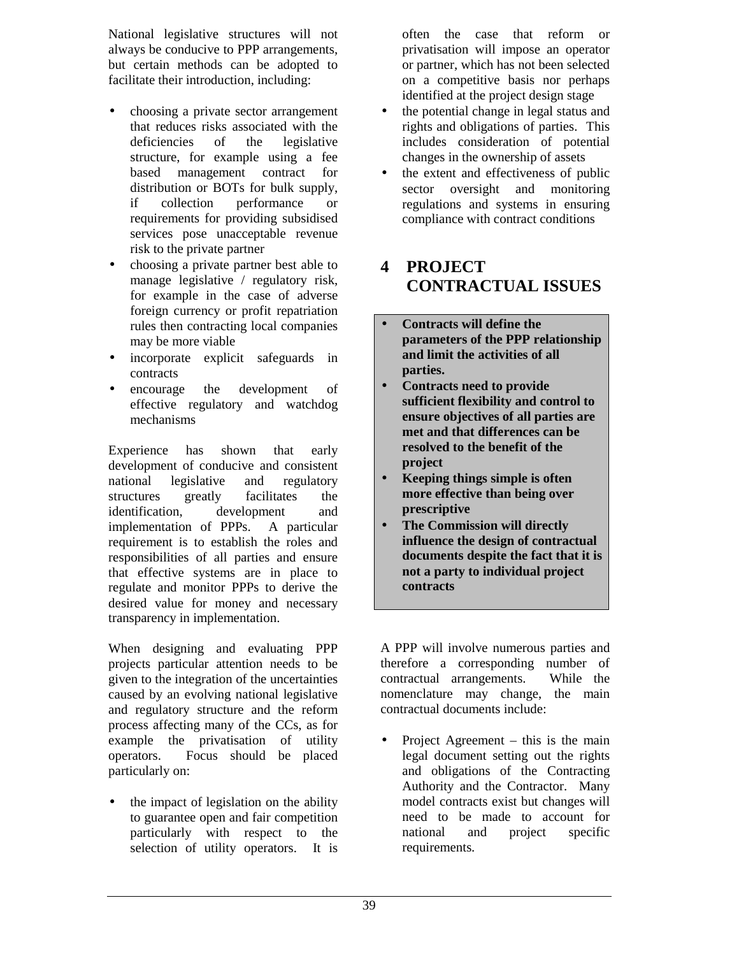National legislative structures will not always be conducive to PPP arrangements, but certain methods can be adopted to facilitate their introduction, including:

- choosing a private sector arrangement that reduces risks associated with the deficiencies of the legislative structure, for example using a fee based management contract for distribution or BOTs for bulk supply, if collection performance or requirements for providing subsidised services pose unacceptable revenue risk to the private partner
- choosing a private partner best able to manage legislative / regulatory risk, for example in the case of adverse foreign currency or profit repatriation rules then contracting local companies may be more viable
- incorporate explicit safeguards in contracts
- encourage the development of effective regulatory and watchdog mechanisms

Experience has shown that early development of conducive and consistent national legislative and regulatory structures greatly facilitates the identification, development and implementation of PPPs. A particular requirement is to establish the roles and responsibilities of all parties and ensure that effective systems are in place to regulate and monitor PPPs to derive the desired value for money and necessary transparency in implementation.

When designing and evaluating PPP projects particular attention needs to be given to the integration of the uncertainties caused by an evolving national legislative and regulatory structure and the reform process affecting many of the CCs, as for example the privatisation of utility operators. Focus should be placed particularly on:

• the impact of legislation on the ability to guarantee open and fair competition particularly with respect to the selection of utility operators. It is

often the case that reform or privatisation will impose an operator or partner, which has not been selected on a competitive basis nor perhaps identified at the project design stage

- the potential change in legal status and rights and obligations of parties. This includes consideration of potential changes in the ownership of assets
- the extent and effectiveness of public sector oversight and monitoring regulations and systems in ensuring compliance with contract conditions

### **4 PROJECT CONTRACTUAL ISSUES**

- **Contracts will define the parameters of the PPP relationship and limit the activities of all parties.**
- **Contracts need to provide sufficient flexibility and control to ensure objectives of all parties are met and that differences can be resolved to the benefit of the project**
- **Keeping things simple is often more effective than being over prescriptive**
- **The Commission will directly influence the design of contractual documents despite the fact that it is not a party to individual project contracts**

A PPP will involve numerous parties and therefore a corresponding number of contractual arrangements. While the nomenclature may change, the main contractual documents include:

Project Agreement – this is the main legal document setting out the rights and obligations of the Contracting Authority and the Contractor. Many model contracts exist but changes will need to be made to account for national and project specific requirements.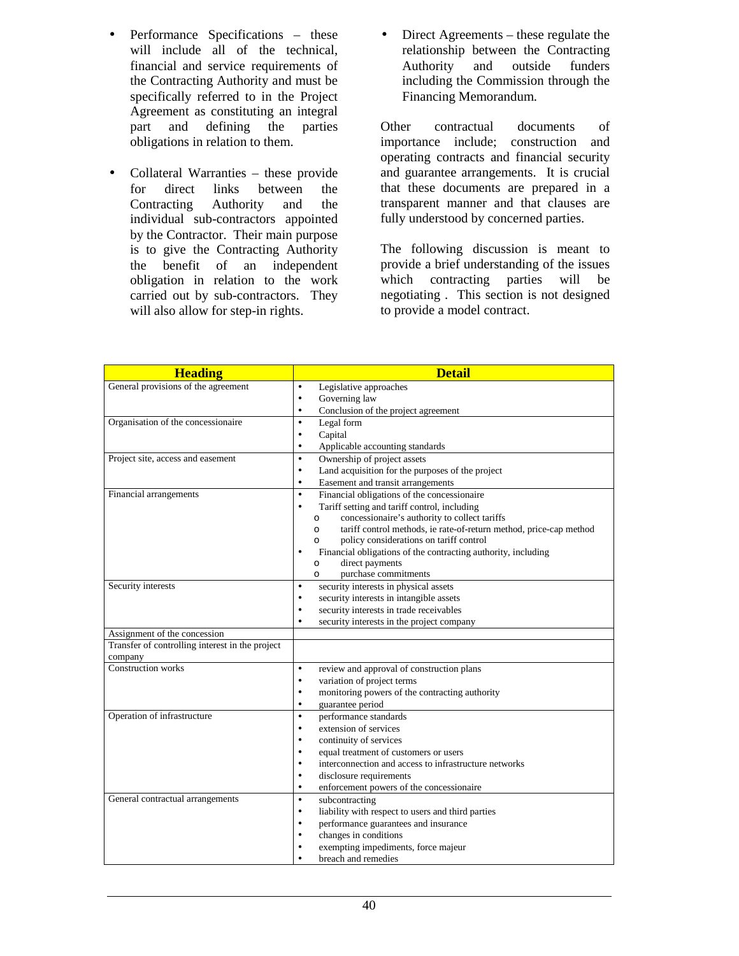- Performance Specifications these will include all of the technical, financial and service requirements of the Contracting Authority and must be specifically referred to in the Project Agreement as constituting an integral part and defining the parties obligations in relation to them.
- Collateral Warranties these provide for direct links between the Contracting Authority and the individual sub-contractors appointed by the Contractor. Their main purpose is to give the Contracting Authority the benefit of an independent obligation in relation to the work carried out by sub-contractors. They will also allow for step-in rights.
- Direct Agreements these regulate the relationship between the Contracting Authority and outside funders including the Commission through the Financing Memorandum.

Other contractual documents of importance include; construction and operating contracts and financial security and guarantee arrangements. It is crucial that these documents are prepared in a transparent manner and that clauses are fully understood by concerned parties.

The following discussion is meant to provide a brief understanding of the issues which contracting parties will be negotiating . This section is not designed to provide a model contract.

| <b>Heading</b>                                             | <b>Detail</b>                                                                  |  |  |
|------------------------------------------------------------|--------------------------------------------------------------------------------|--|--|
| General provisions of the agreement                        | Legislative approaches<br>$\bullet$                                            |  |  |
|                                                            | Governing law<br>$\bullet$                                                     |  |  |
|                                                            | Conclusion of the project agreement<br>$\bullet$                               |  |  |
| Organisation of the concessionaire                         | Legal form<br>$\bullet$                                                        |  |  |
|                                                            | Capital<br>$\bullet$                                                           |  |  |
|                                                            | Applicable accounting standards<br>$\bullet$                                   |  |  |
| Project site, access and easement                          | Ownership of project assets<br>$\bullet$                                       |  |  |
|                                                            | Land acquisition for the purposes of the project<br>$\bullet$                  |  |  |
|                                                            | Easement and transit arrangements<br>$\bullet$                                 |  |  |
| Financial arrangements                                     | Financial obligations of the concessionaire<br>$\bullet$                       |  |  |
|                                                            | Tariff setting and tariff control, including<br>$\bullet$                      |  |  |
|                                                            | concessionaire's authority to collect tariffs<br>$\Omega$                      |  |  |
|                                                            | tariff control methods, ie rate-of-return method, price-cap method<br>$\Omega$ |  |  |
|                                                            | policy considerations on tariff control<br>$\circ$                             |  |  |
|                                                            | Financial obligations of the contracting authority, including<br>$\bullet$     |  |  |
|                                                            | direct payments<br>$\circ$                                                     |  |  |
|                                                            | purchase commitments<br>$\Omega$                                               |  |  |
| Security interests                                         | security interests in physical assets<br>$\bullet$                             |  |  |
|                                                            | security interests in intangible assets<br>$\bullet$                           |  |  |
|                                                            | security interests in trade receivables<br>$\bullet$                           |  |  |
|                                                            | security interests in the project company<br>$\bullet$                         |  |  |
| Assignment of the concession                               |                                                                                |  |  |
| Transfer of controlling interest in the project<br>company |                                                                                |  |  |
| <b>Construction</b> works                                  | review and approval of construction plans<br>$\bullet$                         |  |  |
|                                                            | variation of project terms<br>$\bullet$                                        |  |  |
|                                                            | monitoring powers of the contracting authority<br>$\bullet$                    |  |  |
|                                                            | guarantee period<br>$\bullet$                                                  |  |  |
| Operation of infrastructure                                | performance standards<br>$\bullet$                                             |  |  |
|                                                            | extension of services<br>$\bullet$                                             |  |  |
|                                                            | continuity of services<br>$\bullet$                                            |  |  |
|                                                            | equal treatment of customers or users<br>$\bullet$                             |  |  |
|                                                            | interconnection and access to infrastructure networks<br>$\bullet$             |  |  |
|                                                            | disclosure requirements<br>$\bullet$                                           |  |  |
|                                                            | enforcement powers of the concessionaire<br>$\bullet$                          |  |  |
| General contractual arrangements                           | subcontracting<br>$\bullet$                                                    |  |  |
|                                                            | liability with respect to users and third parties<br>$\bullet$                 |  |  |
|                                                            | performance guarantees and insurance<br>$\bullet$                              |  |  |
|                                                            | changes in conditions<br>$\bullet$                                             |  |  |
|                                                            | exempting impediments, force majeur<br>$\bullet$                               |  |  |
|                                                            | breach and remedies                                                            |  |  |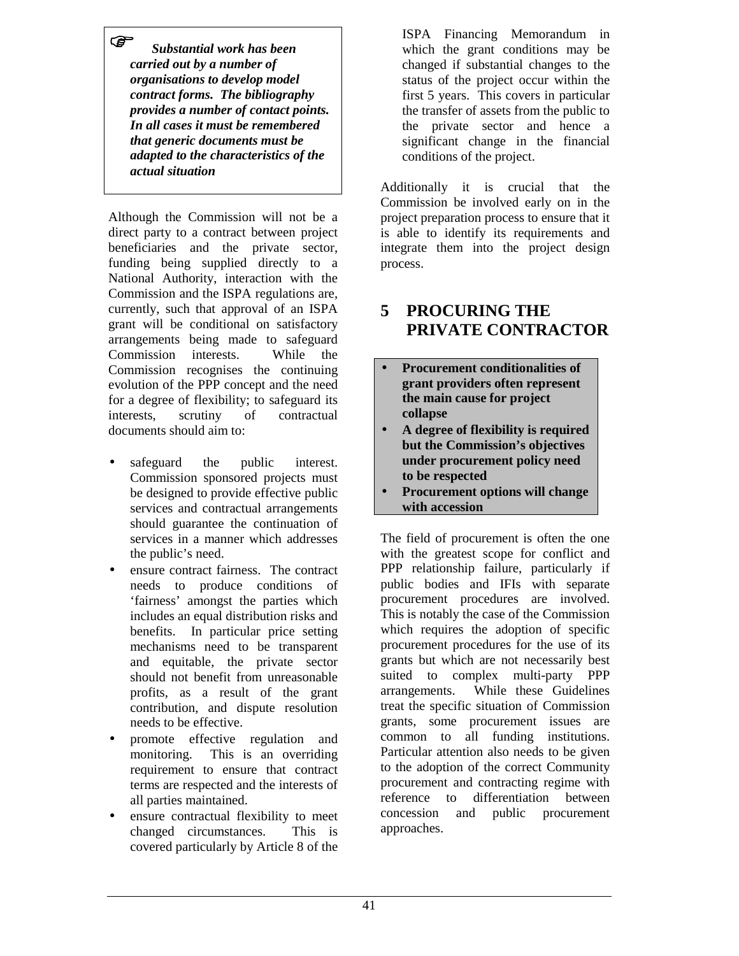*Substantial work has been carried out by a number of organisations to develop model contract forms. The bibliography provides a number of contact points. In all cases it must be remembered that generic documents must be adapted to the characteristics of the actual situation*

Although the Commission will not be a direct party to a contract between project beneficiaries and the private sector, funding being supplied directly to a National Authority, interaction with the Commission and the ISPA regulations are, currently, such that approval of an ISPA grant will be conditional on satisfactory arrangements being made to safeguard Commission interests. While the Commission recognises the continuing evolution of the PPP concept and the need for a degree of flexibility; to safeguard its interests, scrutiny of contractual documents should aim to:

- safeguard the public interest. Commission sponsored projects must be designed to provide effective public services and contractual arrangements should guarantee the continuation of services in a manner which addresses the public's need.
- ensure contract fairness. The contract needs to produce conditions of 'fairness' amongst the parties which includes an equal distribution risks and benefits. In particular price setting mechanisms need to be transparent and equitable, the private sector should not benefit from unreasonable profits, as a result of the grant contribution, and dispute resolution needs to be effective.
- promote effective regulation and monitoring. This is an overriding requirement to ensure that contract terms are respected and the interests of all parties maintained.
- ensure contractual flexibility to meet changed circumstances. This is covered particularly by Article 8 of the

ISPA Financing Memorandum in which the grant conditions may be changed if substantial changes to the status of the project occur within the first 5 years. This covers in particular the transfer of assets from the public to the private sector and hence a significant change in the financial conditions of the project.

Additionally it is crucial that the Commission be involved early on in the project preparation process to ensure that it is able to identify its requirements and integrate them into the project design process.

# **5 PROCURING THE PRIVATE CONTRACTOR**

- **Procurement conditionalities of grant providers often represent the main cause for project collapse**
- **A degree of flexibility is required but the Commission's objectives under procurement policy need to be respected**
- **Procurement options will change with accession**

The field of procurement is often the one with the greatest scope for conflict and PPP relationship failure, particularly if public bodies and IFIs with separate procurement procedures are involved. This is notably the case of the Commission which requires the adoption of specific procurement procedures for the use of its grants but which are not necessarily best suited to complex multi-party PPP arrangements. While these Guidelines treat the specific situation of Commission grants, some procurement issues are common to all funding institutions. Particular attention also needs to be given to the adoption of the correct Community procurement and contracting regime with reference to differentiation between concession and public procurement approaches.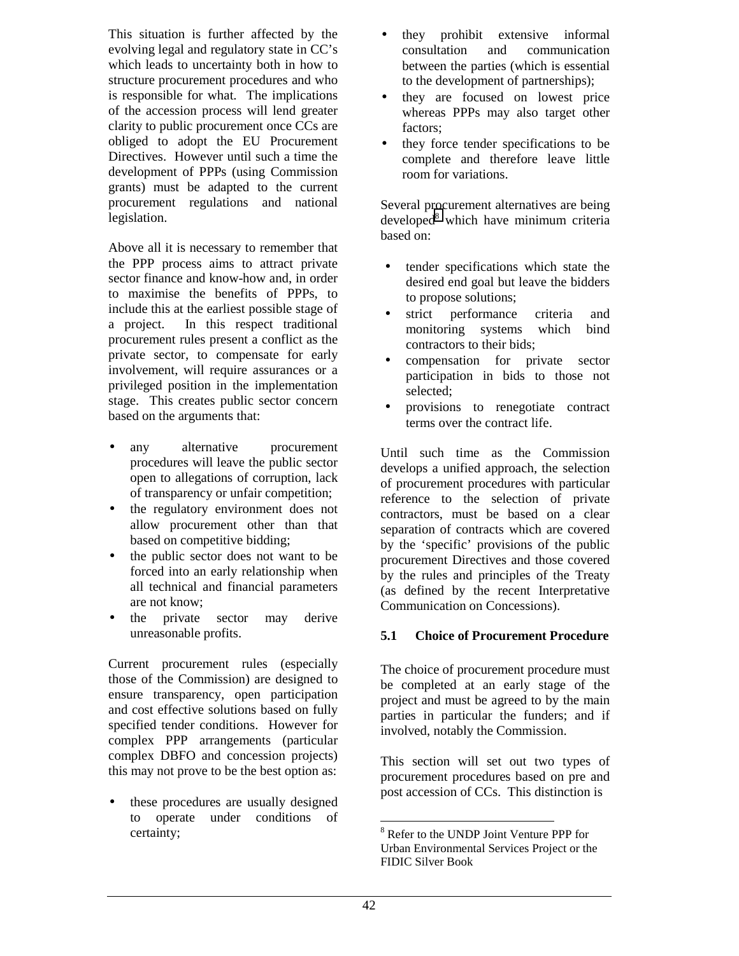This situation is further affected by the evolving legal and regulatory state in CC's which leads to uncertainty both in how to structure procurement procedures and who is responsible for what. The implications of the accession process will lend greater clarity to public procurement once CCs are obliged to adopt the EU Procurement Directives. However until such a time the development of PPPs (using Commission grants) must be adapted to the current procurement regulations and national legislation.

Above all it is necessary to remember that the PPP process aims to attract private sector finance and know-how and, in order to maximise the benefits of PPPs, to include this at the earliest possible stage of a project. In this respect traditional procurement rules present a conflict as the private sector, to compensate for early involvement, will require assurances or a privileged position in the implementation stage. This creates public sector concern based on the arguments that:

- any alternative procurement procedures will leave the public sector open to allegations of corruption, lack of transparency or unfair competition;
- the regulatory environment does not allow procurement other than that based on competitive bidding;
- the public sector does not want to be forced into an early relationship when all technical and financial parameters are not know;
- the private sector may derive unreasonable profits.

Current procurement rules (especially those of the Commission) are designed to ensure transparency, open participation and cost effective solutions based on fully specified tender conditions. However for complex PPP arrangements (particular complex DBFO and concession projects) this may not prove to be the best option as:

• these procedures are usually designed to operate under conditions of certainty;

- they prohibit extensive informal consultation and communication between the parties (which is essential to the development of partnerships);
- they are focused on lowest price whereas PPPs may also target other factors;
- they force tender specifications to be complete and therefore leave little room for variations.

Several procurement alternatives are being developed<sup>8</sup> which have minimum criteria based on:

- tender specifications which state the desired end goal but leave the bidders to propose solutions;
- strict performance criteria and monitoring systems which bind contractors to their bids;
- compensation for private sector participation in bids to those not selected;
- provisions to renegotiate contract terms over the contract life.

Until such time as the Commission develops a unified approach, the selection of procurement procedures with particular reference to the selection of private contractors, must be based on a clear separation of contracts which are covered by the 'specific' provisions of the public procurement Directives and those covered by the rules and principles of the Treaty (as defined by the recent Interpretative Communication on Concessions).

#### **5.1 Choice of Procurement Procedure**

The choice of procurement procedure must be completed at an early stage of the project and must be agreed to by the main parties in particular the funders; and if involved, notably the Commission.

This section will set out two types of procurement procedures based on pre and post accession of CCs. This distinction is

<sup>1</sup> <sup>8</sup> Refer to the UNDP Joint Venture PPP for Urban Environmental Services Project or the FIDIC Silver Book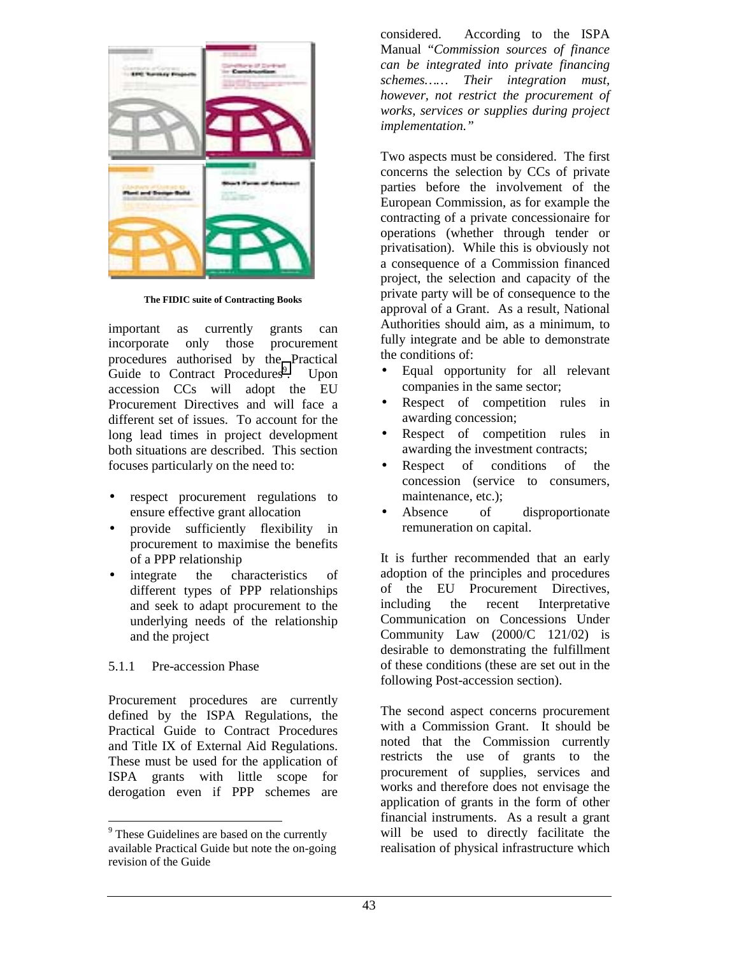

**The FIDIC suite of Contracting Books**

important as currently grants can incorporate only those procurement procedures authorised by the Practical Guide to Contract Procedures<sup>9</sup>. Upon accession CCs will adopt the EU Procurement Directives and will face a different set of issues. To account for the long lead times in project development both situations are described. This section focuses particularly on the need to:

- respect procurement regulations to ensure effective grant allocation
- provide sufficiently flexibility in procurement to maximise the benefits of a PPP relationship
- integrate the characteristics of different types of PPP relationships and seek to adapt procurement to the underlying needs of the relationship and the project

#### 5.1.1 Pre-accession Phase

Procurement procedures are currently defined by the ISPA Regulations, the Practical Guide to Contract Procedures and Title IX of External Aid Regulations. These must be used for the application of ISPA grants with little scope for derogation even if PPP schemes are considered. According to the ISPA Manual "*Commission sources of finance can be integrated into private financing schemes…… Their integration must, however, not restrict the procurement of works, services or supplies during project implementation."*

Two aspects must be considered. The first concerns the selection by CCs of private parties before the involvement of the European Commission, as for example the contracting of a private concessionaire for operations (whether through tender or privatisation). While this is obviously not a consequence of a Commission financed project, the selection and capacity of the private party will be of consequence to the approval of a Grant. As a result, National Authorities should aim, as a minimum, to fully integrate and be able to demonstrate the conditions of:

- Equal opportunity for all relevant companies in the same sector;
- Respect of competition rules in awarding concession;
- Respect of competition rules in awarding the investment contracts;
- Respect of conditions of the concession (service to consumers, maintenance, etc.);
- Absence of disproportionate remuneration on capital.

It is further recommended that an early adoption of the principles and procedures of the EU Procurement Directives, including the recent Interpretative Communication on Concessions Under Community Law (2000/C 121/02) is desirable to demonstrating the fulfillment of these conditions (these are set out in the following Post-accession section).

The second aspect concerns procurement with a Commission Grant. It should be noted that the Commission currently restricts the use of grants to the procurement of supplies, services and works and therefore does not envisage the application of grants in the form of other financial instruments. As a result a grant will be used to directly facilitate the realisation of physical infrastructure which

<sup>&</sup>lt;sup>9</sup> These Guidelines are based on the currently available Practical Guide but note the on-going revision of the Guide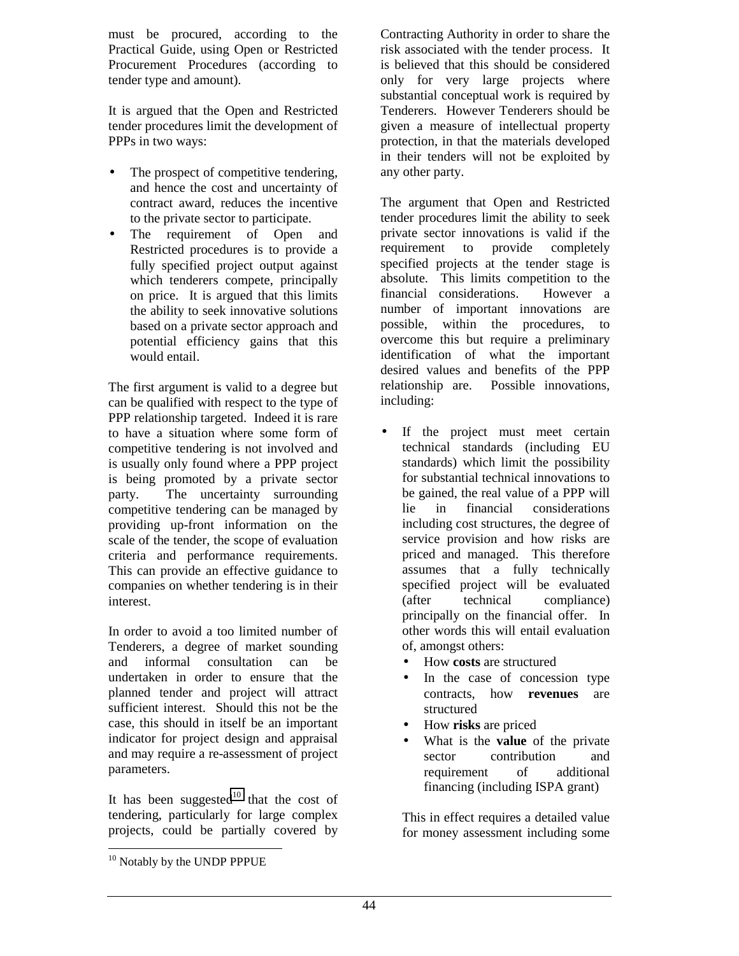must be procured, according to the Practical Guide, using Open or Restricted Procurement Procedures (according to tender type and amount).

It is argued that the Open and Restricted tender procedures limit the development of PPPs in two ways:

- The prospect of competitive tendering, and hence the cost and uncertainty of contract award, reduces the incentive to the private sector to participate.
- The requirement of Open and Restricted procedures is to provide a fully specified project output against which tenderers compete, principally on price. It is argued that this limits the ability to seek innovative solutions based on a private sector approach and potential efficiency gains that this would entail.

The first argument is valid to a degree but can be qualified with respect to the type of PPP relationship targeted. Indeed it is rare to have a situation where some form of competitive tendering is not involved and is usually only found where a PPP project is being promoted by a private sector party. The uncertainty surrounding competitive tendering can be managed by providing up-front information on the scale of the tender, the scope of evaluation criteria and performance requirements. This can provide an effective guidance to companies on whether tendering is in their interest.

In order to avoid a too limited number of Tenderers, a degree of market sounding and informal consultation can be undertaken in order to ensure that the planned tender and project will attract sufficient interest. Should this not be the case, this should in itself be an important indicator for project design and appraisal and may require a re-assessment of project parameters.

It has been suggested<sup>10</sup> that the cost of tendering, particularly for large complex projects, could be partially covered by

Contracting Authority in order to share the risk associated with the tender process. It is believed that this should be considered only for very large projects where substantial conceptual work is required by Tenderers. However Tenderers should be given a measure of intellectual property protection, in that the materials developed in their tenders will not be exploited by any other party.

The argument that Open and Restricted tender procedures limit the ability to seek private sector innovations is valid if the requirement to provide completely specified projects at the tender stage is absolute. This limits competition to the financial considerations. However a number of important innovations are possible, within the procedures, to overcome this but require a preliminary identification of what the important desired values and benefits of the PPP relationship are. Possible innovations, including:

- If the project must meet certain technical standards (including EU standards) which limit the possibility for substantial technical innovations to be gained, the real value of a PPP will lie in financial considerations including cost structures, the degree of service provision and how risks are priced and managed. This therefore assumes that a fully technically specified project will be evaluated (after technical compliance) principally on the financial offer. In other words this will entail evaluation of, amongst others:
	- How **costs** are structured
	- In the case of concession type contracts, how **revenues** are structured
	- How **risks** are priced
	- What is the **value** of the private sector contribution and requirement of additional financing (including ISPA grant)

This in effect requires a detailed value for money assessment including some

<sup>&</sup>lt;sup>10</sup> Notably by the UNDP PPPUE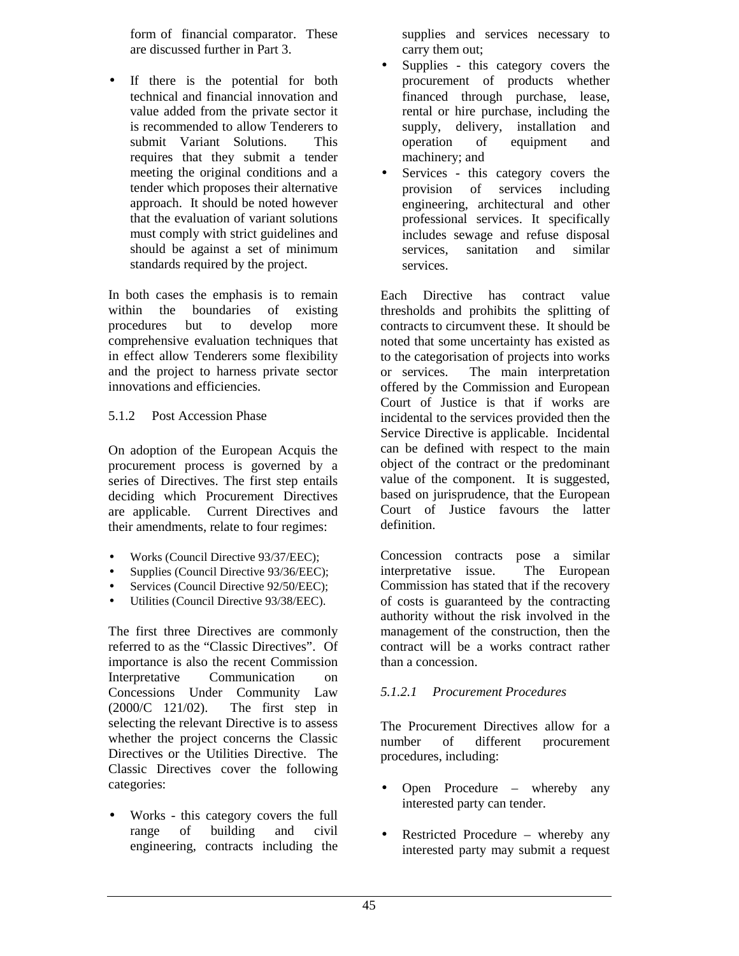form of financial comparator. These are discussed further in Part 3.

If there is the potential for both technical and financial innovation and value added from the private sector it is recommended to allow Tenderers to submit Variant Solutions. This requires that they submit a tender meeting the original conditions and a tender which proposes their alternative approach. It should be noted however that the evaluation of variant solutions must comply with strict guidelines and should be against a set of minimum standards required by the project.

In both cases the emphasis is to remain within the boundaries of existing procedures but to develop more comprehensive evaluation techniques that in effect allow Tenderers some flexibility and the project to harness private sector innovations and efficiencies.

#### 5.1.2 Post Accession Phase

On adoption of the European Acquis the procurement process is governed by a series of Directives. The first step entails deciding which Procurement Directives are applicable. Current Directives and their amendments, relate to four regimes:

- Works (Council Directive 93/37/EEC);
- Supplies (Council Directive 93/36/EEC);
- Services (Council Directive 92/50/EEC);
- Utilities (Council Directive 93/38/EEC).

The first three Directives are commonly referred to as the "Classic Directives". Of importance is also the recent Commission Interpretative Communication on Concessions Under Community Law (2000/C 121/02). The first step in selecting the relevant Directive is to assess whether the project concerns the Classic Directives or the Utilities Directive. The Classic Directives cover the following categories:

• Works - this category covers the full range of building and civil engineering, contracts including the

supplies and services necessary to carry them out;

- Supplies this category covers the procurement of products whether financed through purchase, lease, rental or hire purchase, including the supply, delivery, installation and operation of equipment and machinery; and
- Services this category covers the provision of services including engineering, architectural and other professional services. It specifically includes sewage and refuse disposal services, sanitation and similar services.

Each Directive has contract value thresholds and prohibits the splitting of contracts to circumvent these. It should be noted that some uncertainty has existed as to the categorisation of projects into works or services. The main interpretation offered by the Commission and European Court of Justice is that if works are incidental to the services provided then the Service Directive is applicable. Incidental can be defined with respect to the main object of the contract or the predominant value of the component. It is suggested, based on jurisprudence, that the European Court of Justice favours the latter definition.

Concession contracts pose a similar interpretative issue. The European Commission has stated that if the recovery of costs is guaranteed by the contracting authority without the risk involved in the management of the construction, then the contract will be a works contract rather than a concession.

#### *5.1.2.1 Procurement Procedures*

The Procurement Directives allow for a number of different procurement procedures, including:

- Open Procedure whereby any interested party can tender.
- Restricted Procedure whereby any interested party may submit a request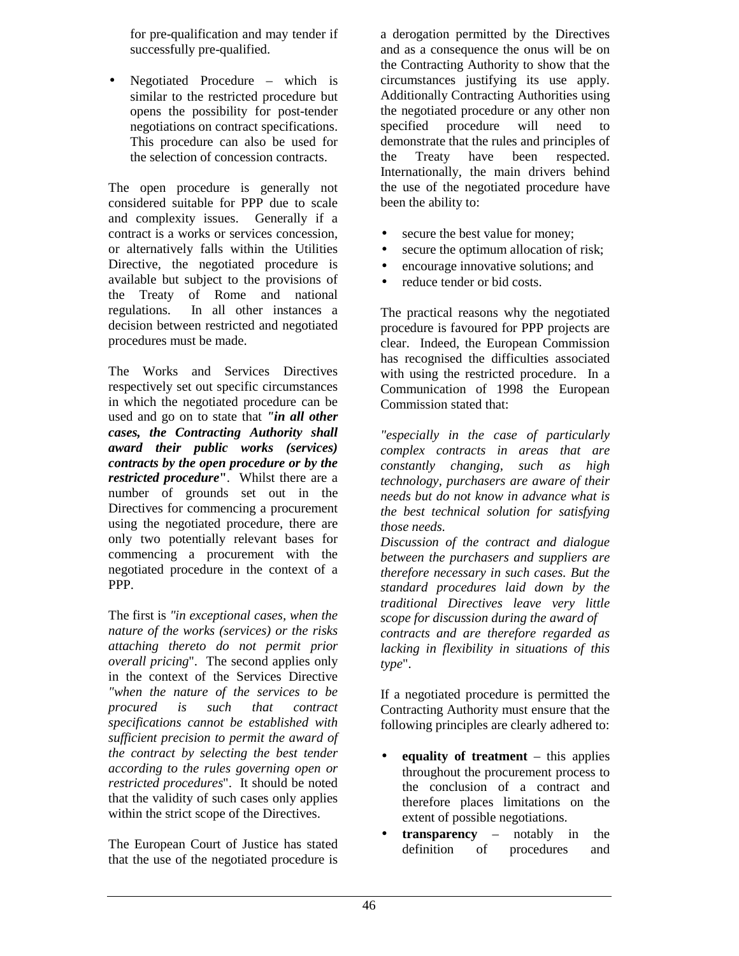for pre-qualification and may tender if successfully pre-qualified.

Negotiated Procedure – which is similar to the restricted procedure but opens the possibility for post-tender negotiations on contract specifications. This procedure can also be used for the selection of concession contracts.

The open procedure is generally not considered suitable for PPP due to scale and complexity issues. Generally if a contract is a works or services concession, or alternatively falls within the Utilities Directive, the negotiated procedure is available but subject to the provisions of the Treaty of Rome and national regulations. In all other instances a decision between restricted and negotiated procedures must be made.

The Works and Services Directives respectively set out specific circumstances in which the negotiated procedure can be used and go on to state that *"in all other cases, the Contracting Authority shall award their public works (services) contracts by the open procedure or by the restricted procedure***"**. Whilst there are a number of grounds set out in the Directives for commencing a procurement using the negotiated procedure, there are only two potentially relevant bases for commencing a procurement with the negotiated procedure in the context of a PPP.

The first is *"in exceptional cases, when the nature of the works (services) or the risks attaching thereto do not permit prior overall pricing*". The second applies only in the context of the Services Directive *"when the nature of the services to be procured is such that contract specifications cannot be established with sufficient precision to permit the award of the contract by selecting the best tender according to the rules governing open or restricted procedures*". It should be noted that the validity of such cases only applies within the strict scope of the Directives.

The European Court of Justice has stated that the use of the negotiated procedure is

a derogation permitted by the Directives and as a consequence the onus will be on the Contracting Authority to show that the circumstances justifying its use apply. Additionally Contracting Authorities using the negotiated procedure or any other non specified procedure will need to demonstrate that the rules and principles of the Treaty have been respected. Internationally, the main drivers behind the use of the negotiated procedure have been the ability to:

- secure the best value for money;
- secure the optimum allocation of risk;
- encourage innovative solutions; and
- reduce tender or bid costs.

The practical reasons why the negotiated procedure is favoured for PPP projects are clear. Indeed, the European Commission has recognised the difficulties associated with using the restricted procedure. In a Communication of 1998 the European Commission stated that:

*"especially in the case of particularly complex contracts in areas that are constantly changing, such as high technology, purchasers are aware of their needs but do not know in advance what is the best technical solution for satisfying those needs.*

*Discussion of the contract and dialogue between the purchasers and suppliers are therefore necessary in such cases. But the standard procedures laid down by the traditional Directives leave very little scope for discussion during the award of contracts and are therefore regarded as lacking in flexibility in situations of this type*".

If a negotiated procedure is permitted the Contracting Authority must ensure that the following principles are clearly adhered to:

- **equality of treatment** this applies throughout the procurement process to the conclusion of a contract and therefore places limitations on the extent of possible negotiations.
- **transparency** notably in the definition of procedures and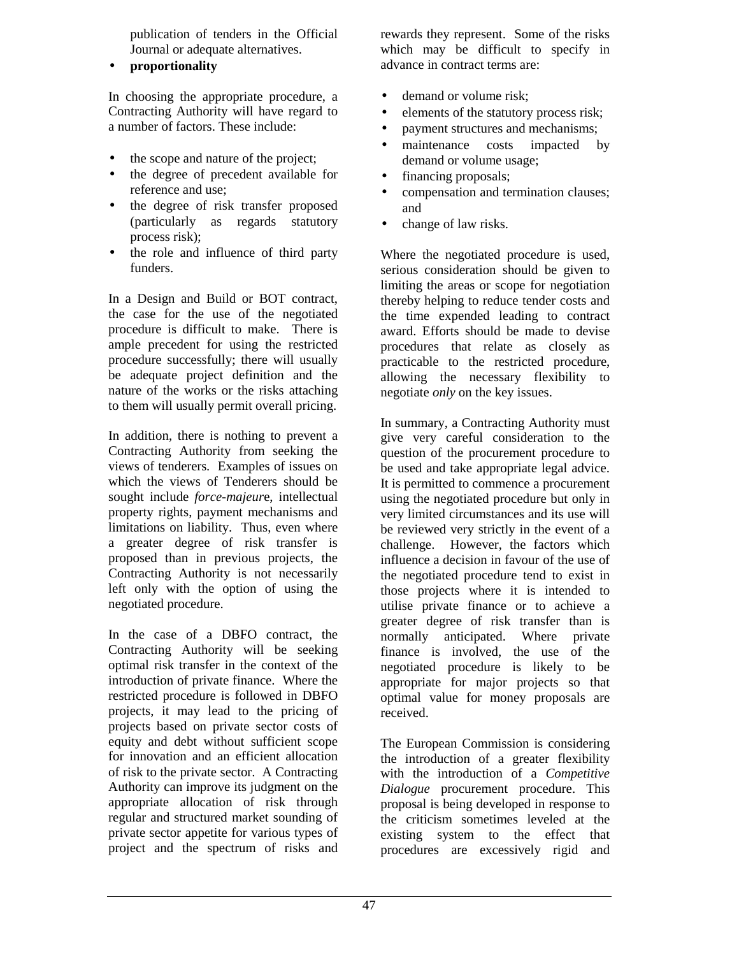publication of tenders in the Official Journal or adequate alternatives.

• **proportionality**

In choosing the appropriate procedure, a Contracting Authority will have regard to a number of factors. These include:

- the scope and nature of the project;
- the degree of precedent available for reference and use;
- the degree of risk transfer proposed (particularly as regards statutory process risk);
- the role and influence of third party funders.

In a Design and Build or BOT contract, the case for the use of the negotiated procedure is difficult to make. There is ample precedent for using the restricted procedure successfully; there will usually be adequate project definition and the nature of the works or the risks attaching to them will usually permit overall pricing.

In addition, there is nothing to prevent a Contracting Authority from seeking the views of tenderers*.* Examples of issues on which the views of Tenderers should be sought include *force-majeur*e, intellectual property rights, payment mechanisms and limitations on liability. Thus, even where a greater degree of risk transfer is proposed than in previous projects, the Contracting Authority is not necessarily left only with the option of using the negotiated procedure.

In the case of a DBFO contract, the Contracting Authority will be seeking optimal risk transfer in the context of the introduction of private finance. Where the restricted procedure is followed in DBFO projects, it may lead to the pricing of projects based on private sector costs of equity and debt without sufficient scope for innovation and an efficient allocation of risk to the private sector. A Contracting Authority can improve its judgment on the appropriate allocation of risk through regular and structured market sounding of private sector appetite for various types of project and the spectrum of risks and rewards they represent. Some of the risks which may be difficult to specify in advance in contract terms are:

- demand or volume risk:
- elements of the statutory process risk;
- payment structures and mechanisms;
- maintenance costs impacted by demand or volume usage;
- financing proposals;
- compensation and termination clauses; and
- change of law risks.

Where the negotiated procedure is used, serious consideration should be given to limiting the areas or scope for negotiation thereby helping to reduce tender costs and the time expended leading to contract award. Efforts should be made to devise procedures that relate as closely as practicable to the restricted procedure, allowing the necessary flexibility to negotiate *only* on the key issues.

In summary, a Contracting Authority must give very careful consideration to the question of the procurement procedure to be used and take appropriate legal advice. It is permitted to commence a procurement using the negotiated procedure but only in very limited circumstances and its use will be reviewed very strictly in the event of a challenge. However, the factors which influence a decision in favour of the use of the negotiated procedure tend to exist in those projects where it is intended to utilise private finance or to achieve a greater degree of risk transfer than is normally anticipated. Where private finance is involved, the use of the negotiated procedure is likely to be appropriate for major projects so that optimal value for money proposals are received.

The European Commission is considering the introduction of a greater flexibility with the introduction of a *Competitive Dialogue* procurement procedure. This proposal is being developed in response to the criticism sometimes leveled at the existing system to the effect that procedures are excessively rigid and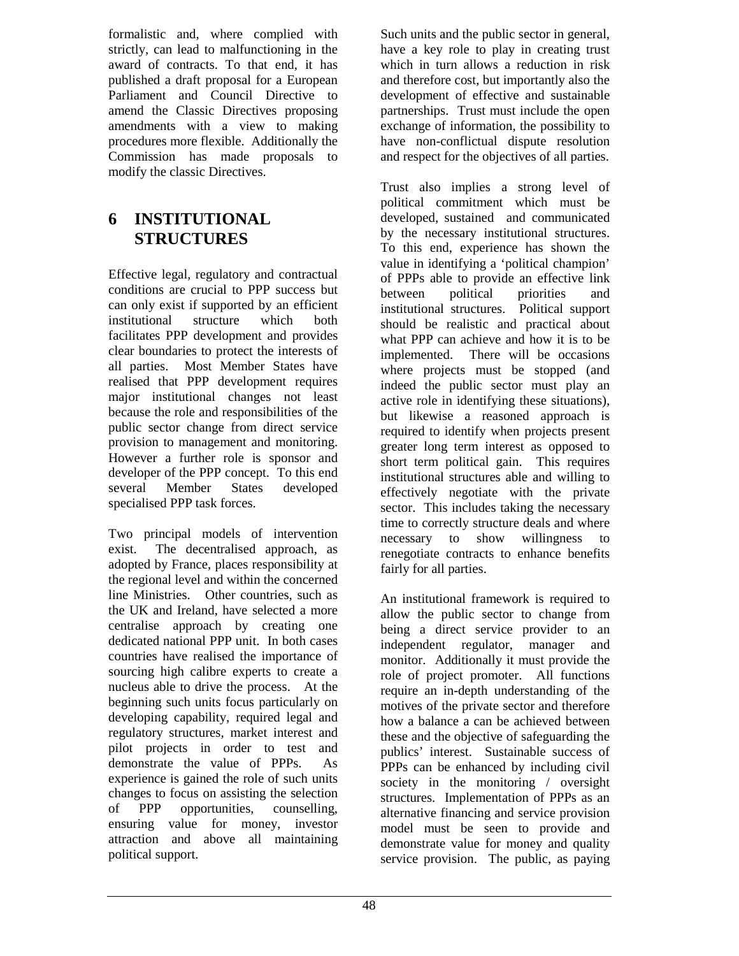formalistic and, where complied with strictly, can lead to malfunctioning in the award of contracts. To that end, it has published a draft proposal for a European Parliament and Council Directive to amend the Classic Directives proposing amendments with a view to making procedures more flexible. Additionally the Commission has made proposals to modify the classic Directives.

# **6 INSTITUTIONAL STRUCTURES**

Effective legal, regulatory and contractual conditions are crucial to PPP success but can only exist if supported by an efficient institutional structure which both facilitates PPP development and provides clear boundaries to protect the interests of all parties. Most Member States have realised that PPP development requires major institutional changes not least because the role and responsibilities of the public sector change from direct service provision to management and monitoring. However a further role is sponsor and developer of the PPP concept. To this end several Member States developed specialised PPP task forces.

Two principal models of intervention exist. The decentralised approach, as adopted by France, places responsibility at the regional level and within the concerned line Ministries. Other countries, such as the UK and Ireland, have selected a more centralise approach by creating one dedicated national PPP unit. In both cases countries have realised the importance of sourcing high calibre experts to create a nucleus able to drive the process. At the beginning such units focus particularly on developing capability, required legal and regulatory structures, market interest and pilot projects in order to test and demonstrate the value of PPPs. As experience is gained the role of such units changes to focus on assisting the selection of PPP opportunities, counselling, ensuring value for money, investor attraction and above all maintaining political support.

Such units and the public sector in general, have a key role to play in creating trust which in turn allows a reduction in risk and therefore cost, but importantly also the development of effective and sustainable partnerships. Trust must include the open exchange of information, the possibility to have non-conflictual dispute resolution and respect for the objectives of all parties.

Trust also implies a strong level of political commitment which must be developed, sustained and communicated by the necessary institutional structures. To this end, experience has shown the value in identifying a 'political champion' of PPPs able to provide an effective link between political priorities and institutional structures. Political support should be realistic and practical about what PPP can achieve and how it is to be implemented. There will be occasions where projects must be stopped (and indeed the public sector must play an active role in identifying these situations), but likewise a reasoned approach is required to identify when projects present greater long term interest as opposed to short term political gain. This requires institutional structures able and willing to effectively negotiate with the private sector. This includes taking the necessary time to correctly structure deals and where necessary to show willingness to renegotiate contracts to enhance benefits fairly for all parties.

An institutional framework is required to allow the public sector to change from being a direct service provider to an independent regulator, manager and monitor. Additionally it must provide the role of project promoter. All functions require an in-depth understanding of the motives of the private sector and therefore how a balance a can be achieved between these and the objective of safeguarding the publics' interest. Sustainable success of PPPs can be enhanced by including civil society in the monitoring / oversight structures. Implementation of PPPs as an alternative financing and service provision model must be seen to provide and demonstrate value for money and quality service provision. The public, as paying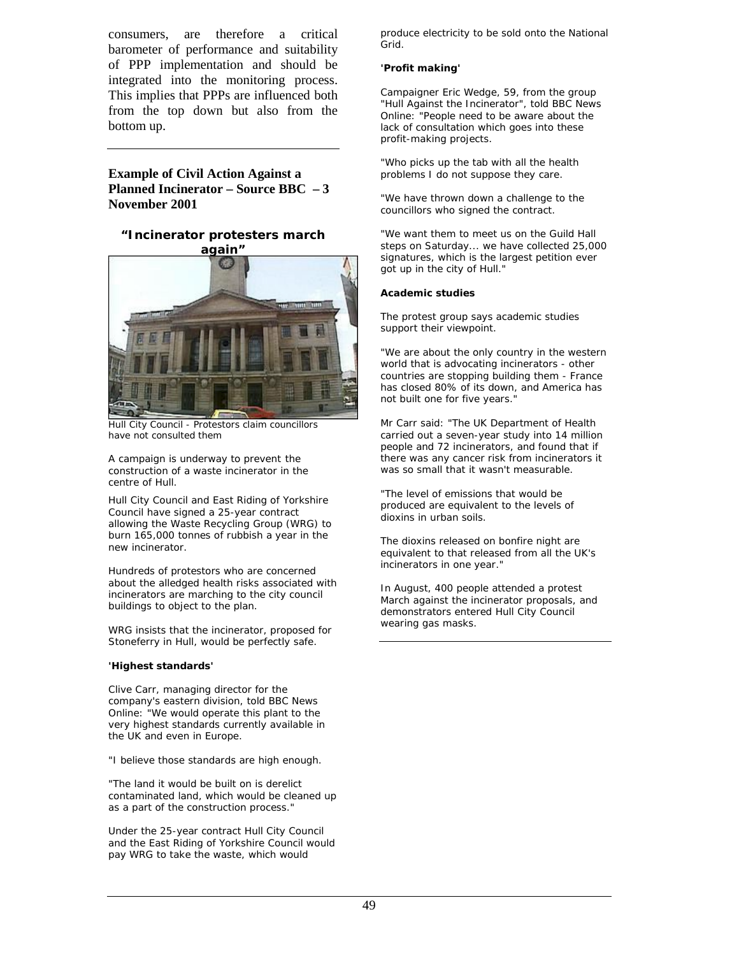consumers, are therefore a critical barometer of performance and suitability of PPP implementation and should be integrated into the monitoring process. This implies that PPPs are influenced both from the top down but also from the bottom up.

#### **Example of Civil Action Against a Planned Incinerator – Source BBC – 3 November 2001**

#### **"Incinerator protesters march again"**



Hull City Council - Protestors claim councillors have not consulted them

A campaign is underway to prevent the construction of a waste incinerator in the centre of Hull.

Hull City Council and East Riding of Yorkshire Council have signed a 25-year contract allowing the Waste Recycling Group (WRG) to burn 165,000 tonnes of rubbish a year in the new incinerator.

Hundreds of protestors who are concerned about the alledged health risks associated with incinerators are marching to the city council buildings to object to the plan.

WRG insists that the incinerator, proposed for Stoneferry in Hull, would be perfectly safe.

#### **'Highest standards'**

Clive Carr, managing director for the company's eastern division, told BBC News Online: "We would operate this plant to the very highest standards currently available in the UK and even in Europe.

"I believe those standards are high enough.

"The land it would be built on is derelict contaminated land, which would be cleaned up as a part of the construction process."

Under the 25-year contract Hull City Council and the East Riding of Yorkshire Council would pay WRG to take the waste, which would

produce electricity to be sold onto the National Grid.

#### **'Profit making'**

Campaigner Eric Wedge, 59, from the group "Hull Against the Incinerator", told BBC News Online: "People need to be aware about the lack of consultation which goes into these profit-making projects.

"Who picks up the tab with all the health problems I do not suppose they care.

"We have thrown down a challenge to the councillors who signed the contract.

"We want them to meet us on the Guild Hall steps on Saturday... we have collected 25,000 signatures, which is the largest petition ever got up in the city of Hull."

#### **Academic studies**

The protest group says academic studies support their viewpoint.

"We are about the only country in the western world that is advocating incinerators - other countries are stopping building them - France has closed 80% of its down, and America has not built one for five years."

Mr Carr said: "The UK Department of Health carried out a seven-year study into 14 million people and 72 incinerators, and found that if there was any cancer risk from incinerators it was so small that it wasn't measurable.

"The level of emissions that would be produced are equivalent to the levels of dioxins in urban soils.

The dioxins released on bonfire night are equivalent to that released from all the UK's incinerators in one year."

In August, 400 people attended a protest March against the incinerator proposals, and demonstrators entered Hull City Council wearing gas masks.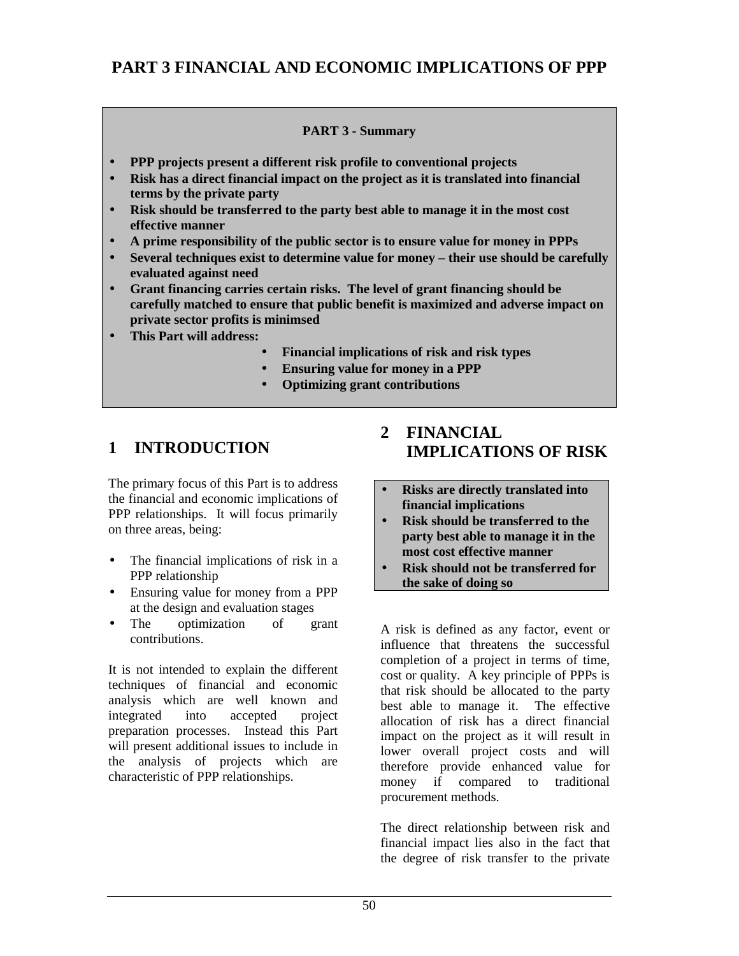### **PART 3 FINANCIAL AND ECONOMIC IMPLICATIONS OF PPP**

#### **PART 3 - Summary**

- **PPP projects present a different risk profile to conventional projects**
- **Risk has a direct financial impact on the project as it is translated into financial terms by the private party**
- **Risk should be transferred to the party best able to manage it in the most cost effective manner**
- **A prime responsibility of the public sector is to ensure value for money in PPPs**
- **Several techniques exist to determine value for money their use should be carefully evaluated against need**
- **Grant financing carries certain risks. The level of grant financing should be carefully matched to ensure that public benefit is maximized and adverse impact on private sector profits is minimsed**
- **This Part will address:**
	- **Financial implications of risk and risk types**
	- **Ensuring value for money in a PPP**
	- **Optimizing grant contributions**

### **1 INTRODUCTION**

The primary focus of this Part is to address the financial and economic implications of PPP relationships. It will focus primarily on three areas, being:

- The financial implications of risk in a PPP relationship
- Ensuring value for money from a PPP at the design and evaluation stages
- The optimization of grant contributions.

It is not intended to explain the different techniques of financial and economic analysis which are well known and integrated into accepted project preparation processes. Instead this Part will present additional issues to include in the analysis of projects which are characteristic of PPP relationships.

### **2 FINANCIAL IMPLICATIONS OF RISK**

- **Risks are directly translated into financial implications**
- **Risk should be transferred to the party best able to manage it in the most cost effective manner**
- **Risk should not be transferred for the sake of doing so**

A risk is defined as any factor, event or influence that threatens the successful completion of a project in terms of time, cost or quality. A key principle of PPPs is that risk should be allocated to the party best able to manage it. The effective allocation of risk has a direct financial impact on the project as it will result in lower overall project costs and will therefore provide enhanced value for money if compared to traditional procurement methods.

The direct relationship between risk and financial impact lies also in the fact that the degree of risk transfer to the private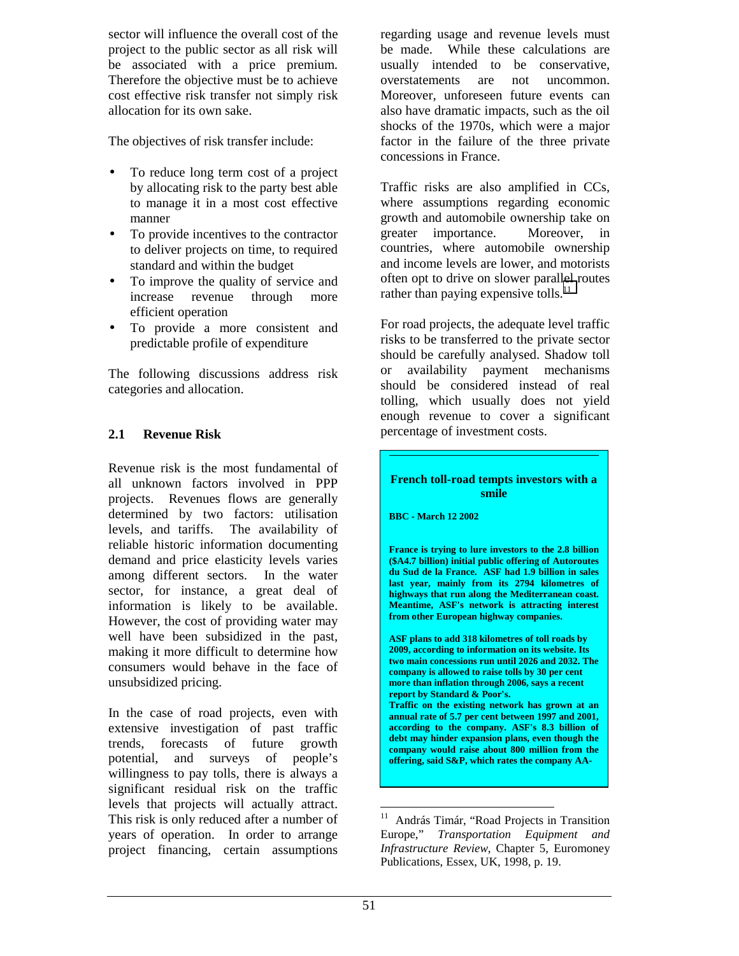sector will influence the overall cost of the project to the public sector as all risk will be associated with a price premium. Therefore the objective must be to achieve cost effective risk transfer not simply risk allocation for its own sake.

The objectives of risk transfer include:

- To reduce long term cost of a project by allocating risk to the party best able to manage it in a most cost effective manner
- To provide incentives to the contractor to deliver projects on time, to required standard and within the budget
- To improve the quality of service and increase revenue through more efficient operation
- To provide a more consistent and predictable profile of expenditure

The following discussions address risk categories and allocation.

### **2.1 Revenue Risk**

Revenue risk is the most fundamental of all unknown factors involved in PPP projects. Revenues flows are generally determined by two factors: utilisation levels, and tariffs. The availability of reliable historic information documenting demand and price elasticity levels varies among different sectors. In the water sector, for instance, a great deal of information is likely to be available. However, the cost of providing water may well have been subsidized in the past, making it more difficult to determine how consumers would behave in the face of unsubsidized pricing.

In the case of road projects, even with extensive investigation of past traffic trends, forecasts of future growth potential, and surveys of people's willingness to pay tolls, there is always a significant residual risk on the traffic levels that projects will actually attract. This risk is only reduced after a number of years of operation. In order to arrange project financing, certain assumptions

regarding usage and revenue levels must be made. While these calculations are usually intended to be conservative, overstatements are not uncommon. Moreover, unforeseen future events can also have dramatic impacts, such as the oil shocks of the 1970s, which were a major factor in the failure of the three private concessions in France.

Traffic risks are also amplified in CCs, where assumptions regarding economic growth and automobile ownership take on greater importance. Moreover, in countries, where automobile ownership and income levels are lower, and motorists often opt to drive on slower parallel routes rather than paying expensive tolls.<sup>11</sup>

For road projects, the adequate level traffic risks to be transferred to the private sector should be carefully analysed. Shadow toll or availability payment mechanisms should be considered instead of real tolling, which usually does not yield enough revenue to cover a significant percentage of investment costs.

#### **French toll-road tempts investors with a smile**

**BBC - March 12 2002**

**France is trying to lure investors to the 2.8 billion (\$A4.7 billion) initial public offering of Autoroutes du Sud de la France. ASF had 1.9 billion in sales last year, mainly from its 2794 kilometres of highways that run along the Mediterranean coast. Meantime, ASF's network is attracting interest from other European highway companies.**

**ASF plans to add 318 kilometres of toll roads by 2009, according to information on its website. Its two main concessions run until 2026 and 2032. The company is allowed to raise tolls by 30 per cent more than inflation through 2006, says a recent report by Standard & Poor's. Traffic on the existing network has grown at an**

**annual rate of 5.7 per cent between 1997 and 2001, according to the company. ASF's 8.3 billion of debt may hinder expansion plans, even though the company would raise about 800 million from the offering, said S&P, which rates the company AA-**

<sup>1</sup> <sup>11</sup> András Timár, "Road Projects in Transition Europe," *Transportation Equipment and Infrastructure Review*, Chapter 5, Euromoney Publications, Essex, UK, 1998, p. 19.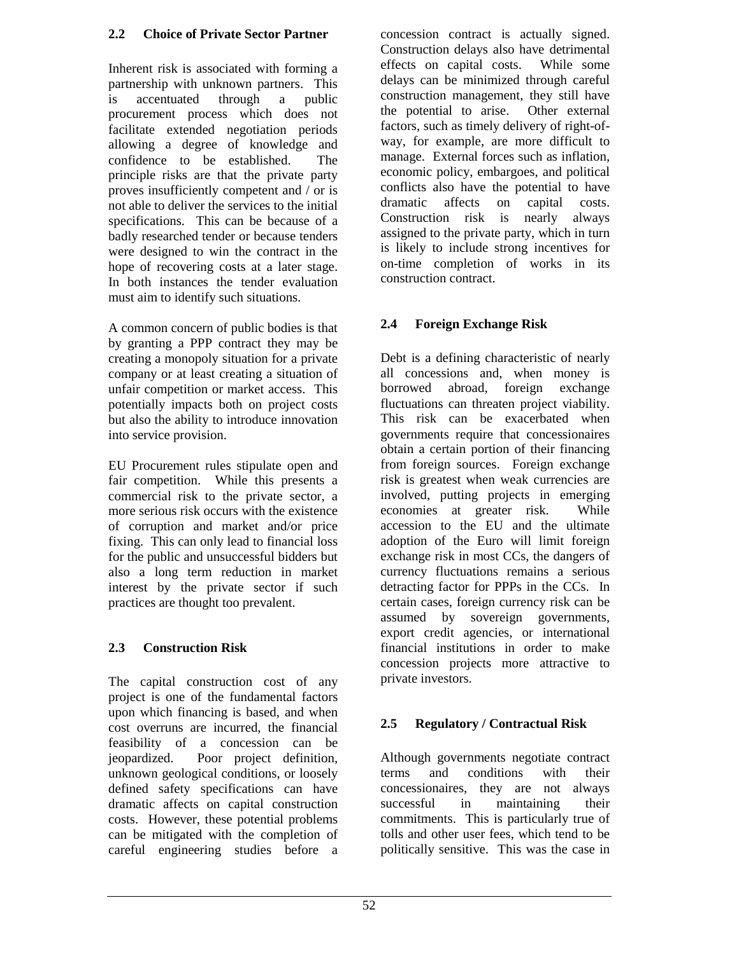#### **2.2 Choice of Private Sector Partner**

Inherent risk is associated with forming a partnership with unknown partners. This is accentuated through a public procurement process which does not facilitate extended negotiation periods allowing a degree of knowledge and confidence to be established. The principle risks are that the private party proves insufficiently competent and / or is not able to deliver the services to the initial specifications. This can be because of a badly researched tender or because tenders were designed to win the contract in the hope of recovering costs at a later stage. In both instances the tender evaluation must aim to identify such situations.

A common concern of public bodies is that by granting a PPP contract they may be creating a monopoly situation for a private company or at least creating a situation of unfair competition or market access. This potentially impacts both on project costs but also the ability to introduce innovation into service provision.

EU Procurement rules stipulate open and fair competition. While this presents a commercial risk to the private sector, a more serious risk occurs with the existence of corruption and market and/or price fixing. This can only lead to financial loss for the public and unsuccessful bidders but also a long term reduction in market interest by the private sector if such practices are thought too prevalent.

### **2.3 Construction Risk**

The capital construction cost of any project is one of the fundamental factors upon which financing is based, and when cost overruns are incurred, the financial feasibility of a concession can be jeopardized. Poor project definition, unknown geological conditions, or loosely defined safety specifications can have dramatic affects on capital construction costs. However, these potential problems can be mitigated with the completion of careful engineering studies before a concession contract is actually signed. Construction delays also have detrimental effects on capital costs. While some delays can be minimized through careful construction management, they still have the potential to arise. Other external factors, such as timely delivery of right-ofway, for example, are more difficult to manage. External forces such as inflation, economic policy, embargoes, and political conflicts also have the potential to have dramatic affects on capital costs. Construction risk is nearly always assigned to the private party, which in turn is likely to include strong incentives for on-time completion of works in its construction contract.

### **2.4 Foreign Exchange Risk**

Debt is a defining characteristic of nearly all concessions and, when money is borrowed abroad, foreign exchange fluctuations can threaten project viability. This risk can be exacerbated when governments require that concessionaires obtain a certain portion of their financing from foreign sources. Foreign exchange risk is greatest when weak currencies are involved, putting projects in emerging economies at greater risk. While accession to the EU and the ultimate adoption of the Euro will limit foreign exchange risk in most CCs, the dangers of currency fluctuations remains a serious detracting factor for PPPs in the CCs. In certain cases, foreign currency risk can be assumed by sovereign governments, export credit agencies, or international financial institutions in order to make concession projects more attractive to private investors.

### **2.5 Regulatory / Contractual Risk**

Although governments negotiate contract terms and conditions with their concessionaires, they are not always successful in maintaining their commitments. This is particularly true of tolls and other user fees, which tend to be politically sensitive. This was the case in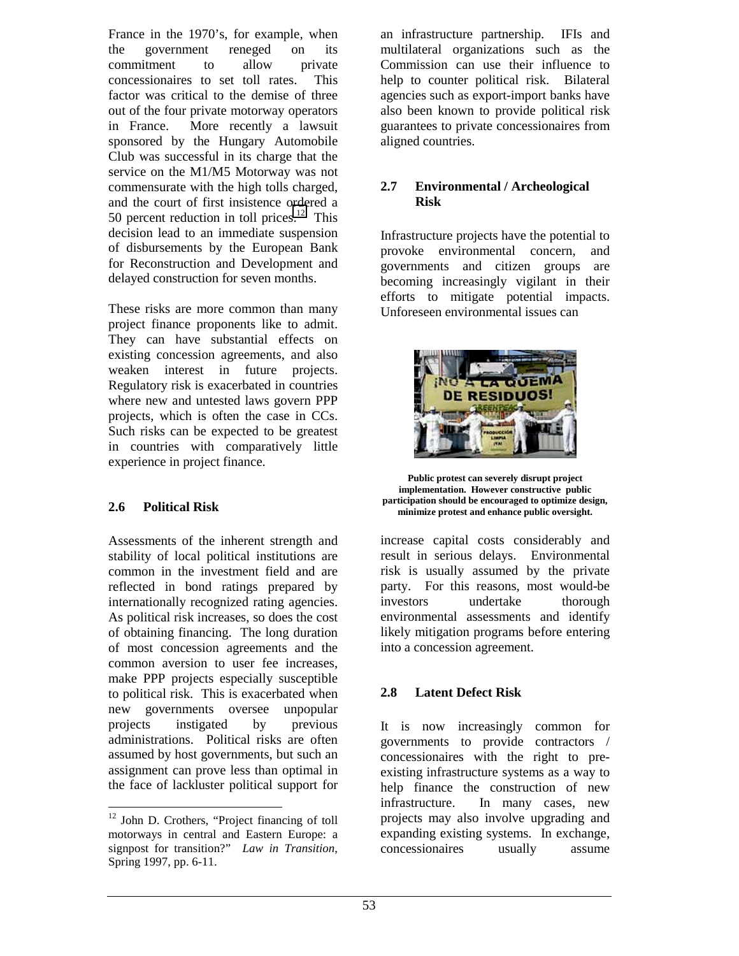France in the 1970's, for example, when the government reneged on its commitment to allow private concessionaires to set toll rates. This factor was critical to the demise of three out of the four private motorway operators in France. More recently a lawsuit sponsored by the Hungary Automobile Club was successful in its charge that the service on the M1/M5 Motorway was not commensurate with the high tolls charged, and the court of first insistence ordered a 50 percent reduction in toll prices.<sup>12</sup> This decision lead to an immediate suspension of disbursements by the European Bank for Reconstruction and Development and delayed construction for seven months.

These risks are more common than many project finance proponents like to admit. They can have substantial effects on existing concession agreements, and also weaken interest in future projects. Regulatory risk is exacerbated in countries where new and untested laws govern PPP projects, which is often the case in CCs. Such risks can be expected to be greatest in countries with comparatively little experience in project finance.

#### **2.6 Political Risk**

Assessments of the inherent strength and stability of local political institutions are common in the investment field and are reflected in bond ratings prepared by internationally recognized rating agencies. As political risk increases, so does the cost of obtaining financing. The long duration of most concession agreements and the common aversion to user fee increases, make PPP projects especially susceptible to political risk. This is exacerbated when new governments oversee unpopular projects instigated by previous administrations. Political risks are often assumed by host governments, but such an assignment can prove less than optimal in the face of lackluster political support for

an infrastructure partnership. IFIs and multilateral organizations such as the Commission can use their influence to help to counter political risk. Bilateral agencies such as export-import banks have also been known to provide political risk guarantees to private concessionaires from aligned countries.

#### **2.7 Environmental / Archeological Risk**

Infrastructure projects have the potential to provoke environmental concern, and governments and citizen groups are becoming increasingly vigilant in their efforts to mitigate potential impacts. Unforeseen environmental issues can



**Public protest can severely disrupt project implementation. However constructive public participation should be encouraged to optimize design, minimize protest and enhance public oversight.**

increase capital costs considerably and result in serious delays. Environmental risk is usually assumed by the private party. For this reasons, most would-be investors undertake thorough environmental assessments and identify likely mitigation programs before entering into a concession agreement.

#### **2.8 Latent Defect Risk**

It is now increasingly common for governments to provide contractors / concessionaires with the right to preexisting infrastructure systems as a way to help finance the construction of new infrastructure. In many cases, new projects may also involve upgrading and expanding existing systems. In exchange, concessionaires usually assume

<sup>&</sup>lt;sup>12</sup> John D. Crothers, "Project financing of toll motorways in central and Eastern Europe: a signpost for transition?" *Law in Transition*, Spring 1997, pp. 6-11.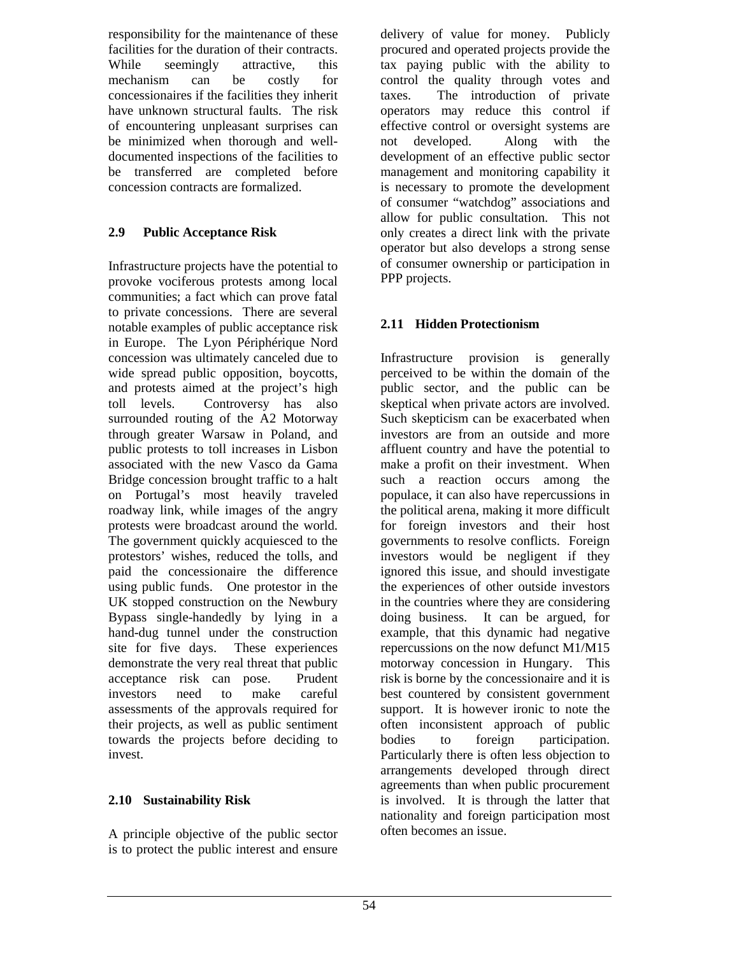responsibility for the maintenance of these facilities for the duration of their contracts. While seemingly attractive, this mechanism can be costly for concessionaires if the facilities they inherit have unknown structural faults. The risk of encountering unpleasant surprises can be minimized when thorough and welldocumented inspections of the facilities to be transferred are completed before concession contracts are formalized.

### **2.9 Public Acceptance Risk**

Infrastructure projects have the potential to provoke vociferous protests among local communities; a fact which can prove fatal to private concessions. There are several notable examples of public acceptance risk in Europe. The Lyon Périphérique Nord concession was ultimately canceled due to wide spread public opposition, boycotts, and protests aimed at the project's high toll levels. Controversy has also surrounded routing of the A2 Motorway through greater Warsaw in Poland, and public protests to toll increases in Lisbon associated with the new Vasco da Gama Bridge concession brought traffic to a halt on Portugal's most heavily traveled roadway link, while images of the angry protests were broadcast around the world. The government quickly acquiesced to the protestors' wishes, reduced the tolls, and paid the concessionaire the difference using public funds. One protestor in the UK stopped construction on the Newbury Bypass single-handedly by lying in a hand-dug tunnel under the construction site for five days. These experiences demonstrate the very real threat that public acceptance risk can pose. Prudent investors need to make careful assessments of the approvals required for their projects, as well as public sentiment towards the projects before deciding to invest.

### **2.10 Sustainability Risk**

A principle objective of the public sector is to protect the public interest and ensure

delivery of value for money. Publicly procured and operated projects provide the tax paying public with the ability to control the quality through votes and taxes. The introduction of private operators may reduce this control if effective control or oversight systems are not developed. Along with the development of an effective public sector management and monitoring capability it is necessary to promote the development of consumer "watchdog" associations and allow for public consultation. This not only creates a direct link with the private operator but also develops a strong sense of consumer ownership or participation in PPP projects.

### **2.11 Hidden Protectionism**

Infrastructure provision is generally perceived to be within the domain of the public sector, and the public can be skeptical when private actors are involved. Such skepticism can be exacerbated when investors are from an outside and more affluent country and have the potential to make a profit on their investment. When such a reaction occurs among the populace, it can also have repercussions in the political arena, making it more difficult for foreign investors and their host governments to resolve conflicts. Foreign investors would be negligent if they ignored this issue, and should investigate the experiences of other outside investors in the countries where they are considering doing business. It can be argued, for example, that this dynamic had negative repercussions on the now defunct M1/M15 motorway concession in Hungary. This risk is borne by the concessionaire and it is best countered by consistent government support. It is however ironic to note the often inconsistent approach of public bodies to foreign participation. Particularly there is often less objection to arrangements developed through direct agreements than when public procurement is involved. It is through the latter that nationality and foreign participation most often becomes an issue.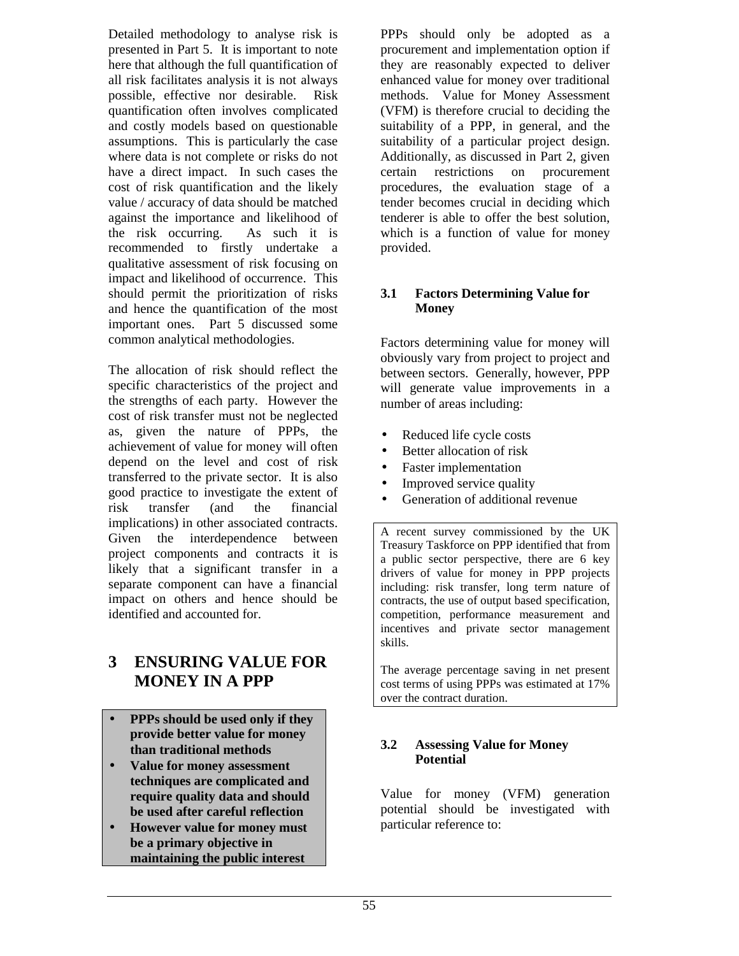Detailed methodology to analyse risk is presented in Part 5. It is important to note here that although the full quantification of all risk facilitates analysis it is not always possible, effective nor desirable. Risk quantification often involves complicated and costly models based on questionable assumptions. This is particularly the case where data is not complete or risks do not have a direct impact. In such cases the cost of risk quantification and the likely value / accuracy of data should be matched against the importance and likelihood of the risk occurring. As such it is recommended to firstly undertake a qualitative assessment of risk focusing on impact and likelihood of occurrence. This should permit the prioritization of risks and hence the quantification of the most important ones. Part 5 discussed some common analytical methodologies.

The allocation of risk should reflect the specific characteristics of the project and the strengths of each party. However the cost of risk transfer must not be neglected as, given the nature of PPPs, the achievement of value for money will often depend on the level and cost of risk transferred to the private sector. It is also good practice to investigate the extent of risk transfer (and the financial implications) in other associated contracts. Given the interdependence between project components and contracts it is likely that a significant transfer in a separate component can have a financial impact on others and hence should be identified and accounted for.

# **3 ENSURING VALUE FOR MONEY IN A PPP**

- **PPPs should be used only if they provide better value for money than traditional methods**
- **Value for money assessment techniques are complicated and require quality data and should be used after careful reflection**
- **However value for money must be a primary objective in maintaining the public interest**

PPPs should only be adopted as a procurement and implementation option if they are reasonably expected to deliver enhanced value for money over traditional methods. Value for Money Assessment (VFM) is therefore crucial to deciding the suitability of a PPP, in general, and the suitability of a particular project design. Additionally, as discussed in Part 2, given certain restrictions on procurement procedures, the evaluation stage of a tender becomes crucial in deciding which tenderer is able to offer the best solution, which is a function of value for money provided.

#### **3.1 Factors Determining Value for Money**

Factors determining value for money will obviously vary from project to project and between sectors. Generally, however, PPP will generate value improvements in a number of areas including:

- Reduced life cycle costs
- Better allocation of risk
- Faster implementation
- Improved service quality
- Generation of additional revenue

A recent survey commissioned by the UK Treasury Taskforce on PPP identified that from a public sector perspective, there are 6 key drivers of value for money in PPP projects including: risk transfer, long term nature of contracts, the use of output based specification, competition, performance measurement and incentives and private sector management skills.

The average percentage saving in net present cost terms of using PPPs was estimated at 17% over the contract duration.

#### **3.2 Assessing Value for Money Potential**

Value for money (VFM) generation potential should be investigated with particular reference to: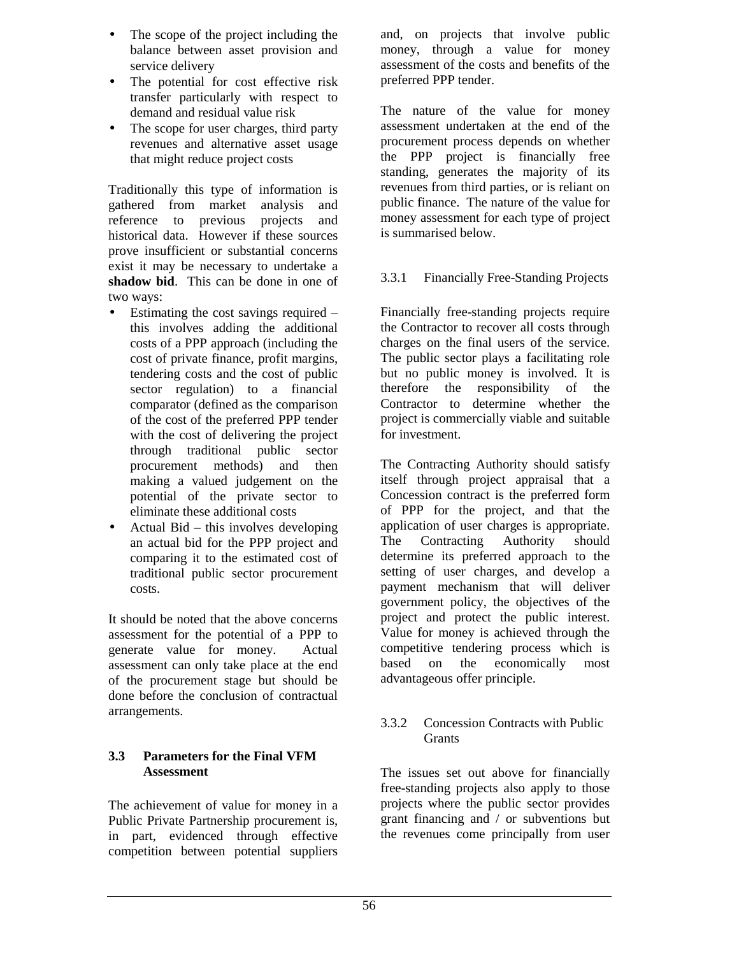- The scope of the project including the balance between asset provision and service delivery
- The potential for cost effective risk transfer particularly with respect to demand and residual value risk
- The scope for user charges, third party revenues and alternative asset usage that might reduce project costs

Traditionally this type of information is gathered from market analysis and reference to previous projects and historical data. However if these sources prove insufficient or substantial concerns exist it may be necessary to undertake a **shadow bid**. This can be done in one of two ways:

- Estimating the cost savings required this involves adding the additional costs of a PPP approach (including the cost of private finance, profit margins, tendering costs and the cost of public sector regulation) to a financial comparator (defined as the comparison of the cost of the preferred PPP tender with the cost of delivering the project through traditional public sector procurement methods) and then making a valued judgement on the potential of the private sector to eliminate these additional costs
- Actual Bid this involves developing an actual bid for the PPP project and comparing it to the estimated cost of traditional public sector procurement costs.

It should be noted that the above concerns assessment for the potential of a PPP to generate value for money. Actual assessment can only take place at the end of the procurement stage but should be done before the conclusion of contractual arrangements.

#### **3.3 Parameters for the Final VFM Assessment**

The achievement of value for money in a Public Private Partnership procurement is, in part, evidenced through effective competition between potential suppliers

and, on projects that involve public money, through a value for money assessment of the costs and benefits of the preferred PPP tender.

The nature of the value for money assessment undertaken at the end of the procurement process depends on whether the PPP project is financially free standing, generates the majority of its revenues from third parties, or is reliant on public finance. The nature of the value for money assessment for each type of project is summarised below.

#### 3.3.1 Financially Free-Standing Projects

Financially free-standing projects require the Contractor to recover all costs through charges on the final users of the service. The public sector plays a facilitating role but no public money is involved. It is therefore the responsibility of the Contractor to determine whether the project is commercially viable and suitable for investment.

The Contracting Authority should satisfy itself through project appraisal that a Concession contract is the preferred form of PPP for the project, and that the application of user charges is appropriate. The Contracting Authority should determine its preferred approach to the setting of user charges, and develop a payment mechanism that will deliver government policy, the objectives of the project and protect the public interest. Value for money is achieved through the competitive tendering process which is based on the economically most advantageous offer principle.

#### 3.3.2 Concession Contracts with Public Grants

The issues set out above for financially free-standing projects also apply to those projects where the public sector provides grant financing and / or subventions but the revenues come principally from user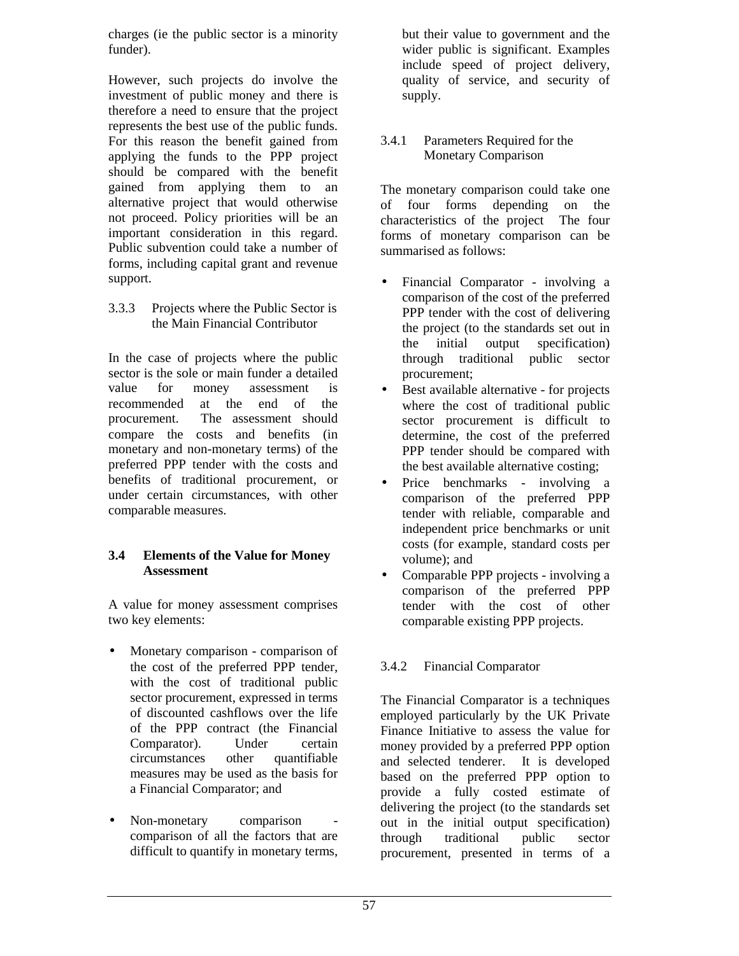charges (ie the public sector is a minority funder).

However, such projects do involve the investment of public money and there is therefore a need to ensure that the project represents the best use of the public funds. For this reason the benefit gained from applying the funds to the PPP project should be compared with the benefit gained from applying them to an alternative project that would otherwise not proceed. Policy priorities will be an important consideration in this regard. Public subvention could take a number of forms, including capital grant and revenue support.

3.3.3 Projects where the Public Sector is the Main Financial Contributor

In the case of projects where the public sector is the sole or main funder a detailed value for money assessment is recommended at the end of the procurement. The assessment should compare the costs and benefits (in monetary and non-monetary terms) of the preferred PPP tender with the costs and benefits of traditional procurement, or under certain circumstances, with other comparable measures.

#### **3.4 Elements of the Value for Money Assessment**

A value for money assessment comprises two key elements:

- Monetary comparison comparison of the cost of the preferred PPP tender, with the cost of traditional public sector procurement, expressed in terms of discounted cashflows over the life of the PPP contract (the Financial Comparator). Under certain circumstances other quantifiable measures may be used as the basis for a Financial Comparator; and
- Non-monetary comparison comparison of all the factors that are difficult to quantify in monetary terms,

but their value to government and the wider public is significant. Examples include speed of project delivery, quality of service, and security of supply.

#### 3.4.1 Parameters Required for the Monetary Comparison

The monetary comparison could take one of four forms depending on the characteristics of the project The four forms of monetary comparison can be summarised as follows:

- Financial Comparator involving a comparison of the cost of the preferred PPP tender with the cost of delivering the project (to the standards set out in the initial output specification) through traditional public sector procurement;
- Best available alternative for projects where the cost of traditional public sector procurement is difficult to determine, the cost of the preferred PPP tender should be compared with the best available alternative costing;
- Price benchmarks involving a comparison of the preferred PPP tender with reliable, comparable and independent price benchmarks or unit costs (for example, standard costs per volume); and
- Comparable PPP projects involving a comparison of the preferred PPP tender with the cost of other comparable existing PPP projects.

#### 3.4.2 Financial Comparator

The Financial Comparator is a techniques employed particularly by the UK Private Finance Initiative to assess the value for money provided by a preferred PPP option and selected tenderer. It is developed based on the preferred PPP option to provide a fully costed estimate of delivering the project (to the standards set out in the initial output specification) through traditional public sector procurement, presented in terms of a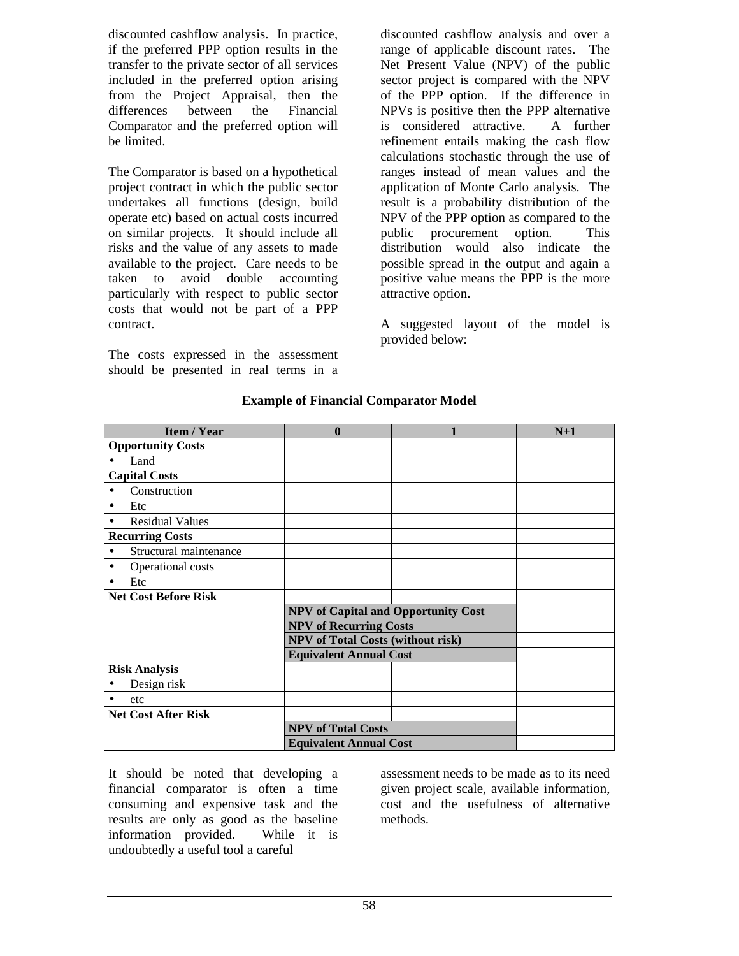discounted cashflow analysis. In practice, if the preferred PPP option results in the transfer to the private sector of all services included in the preferred option arising from the Project Appraisal, then the differences between the Financial Comparator and the preferred option will be limited.

The Comparator is based on a hypothetical project contract in which the public sector undertakes all functions (design, build operate etc) based on actual costs incurred on similar projects. It should include all risks and the value of any assets to made available to the project. Care needs to be taken to avoid double accounting particularly with respect to public sector costs that would not be part of a PPP contract.

The costs expressed in the assessment should be presented in real terms in a

discounted cashflow analysis and over a range of applicable discount rates. The Net Present Value (NPV) of the public sector project is compared with the NPV of the PPP option. If the difference in NPVs is positive then the PPP alternative is considered attractive. A further refinement entails making the cash flow calculations stochastic through the use of ranges instead of mean values and the application of Monte Carlo analysis. The result is a probability distribution of the NPV of the PPP option as compared to the public procurement option. This distribution would also indicate the possible spread in the output and again a positive value means the PPP is the more attractive option.

A suggested layout of the model is provided below:

| <b>Item / Year</b>                  | $\bf{0}$                                 |                                            | $N+1$ |
|-------------------------------------|------------------------------------------|--------------------------------------------|-------|
| <b>Opportunity Costs</b>            |                                          |                                            |       |
| Land                                |                                          |                                            |       |
| <b>Capital Costs</b>                |                                          |                                            |       |
| Construction                        |                                          |                                            |       |
| Etc                                 |                                          |                                            |       |
| <b>Residual Values</b>              |                                          |                                            |       |
| <b>Recurring Costs</b>              |                                          |                                            |       |
| Structural maintenance<br>$\bullet$ |                                          |                                            |       |
| Operational costs                   |                                          |                                            |       |
| Etc                                 |                                          |                                            |       |
| <b>Net Cost Before Risk</b>         |                                          |                                            |       |
|                                     |                                          | <b>NPV of Capital and Opportunity Cost</b> |       |
|                                     | <b>NPV of Recurring Costs</b>            |                                            |       |
|                                     | <b>NPV</b> of Total Costs (without risk) |                                            |       |
|                                     | <b>Equivalent Annual Cost</b>            |                                            |       |
| <b>Risk Analysis</b>                |                                          |                                            |       |
| Design risk<br>٠                    |                                          |                                            |       |
| etc                                 |                                          |                                            |       |
| <b>Net Cost After Risk</b>          |                                          |                                            |       |
|                                     | <b>NPV of Total Costs</b>                |                                            |       |
|                                     | <b>Equivalent Annual Cost</b>            |                                            |       |

#### **Example of Financial Comparator Model**

It should be noted that developing a financial comparator is often a time consuming and expensive task and the results are only as good as the baseline information provided. While it is undoubtedly a useful tool a careful

assessment needs to be made as to its need given project scale, available information, cost and the usefulness of alternative methods.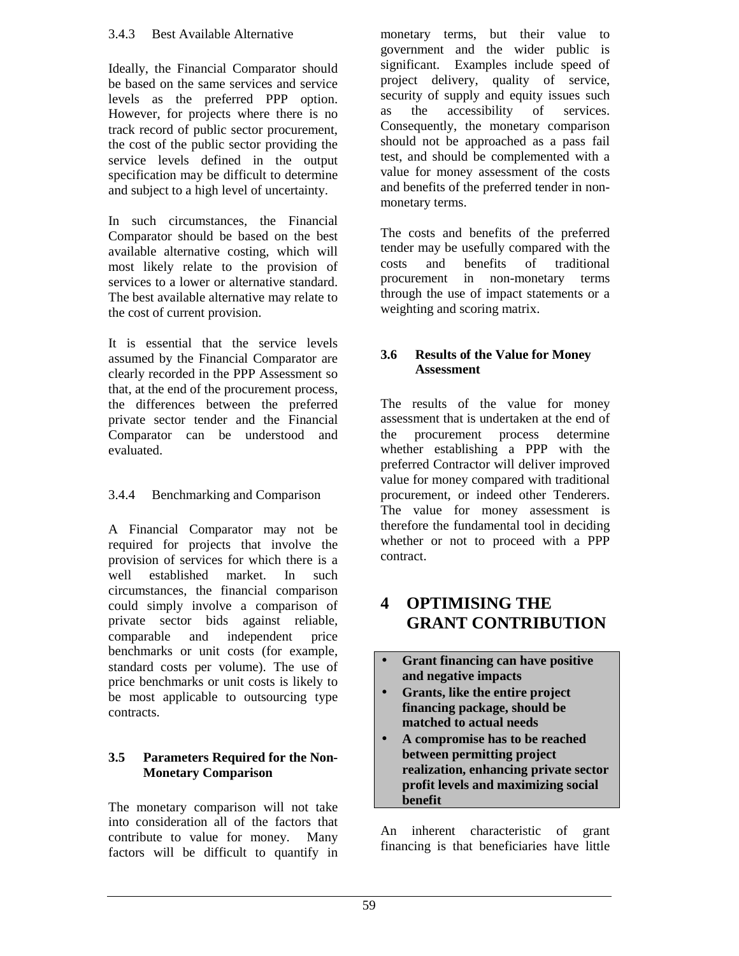Ideally, the Financial Comparator should be based on the same services and service levels as the preferred PPP option. However, for projects where there is no track record of public sector procurement, the cost of the public sector providing the service levels defined in the output specification may be difficult to determine and subject to a high level of uncertainty.

In such circumstances, the Financial Comparator should be based on the best available alternative costing, which will most likely relate to the provision of services to a lower or alternative standard. The best available alternative may relate to the cost of current provision.

It is essential that the service levels assumed by the Financial Comparator are clearly recorded in the PPP Assessment so that, at the end of the procurement process, the differences between the preferred private sector tender and the Financial Comparator can be understood and evaluated.

### 3.4.4 Benchmarking and Comparison

A Financial Comparator may not be required for projects that involve the provision of services for which there is a well established market. In such circumstances, the financial comparison could simply involve a comparison of private sector bids against reliable, comparable and independent price benchmarks or unit costs (for example, standard costs per volume). The use of price benchmarks or unit costs is likely to be most applicable to outsourcing type contracts.

#### **3.5 Parameters Required for the Non-Monetary Comparison**

The monetary comparison will not take into consideration all of the factors that contribute to value for money. Many factors will be difficult to quantify in

monetary terms, but their value to government and the wider public is significant. Examples include speed of project delivery, quality of service, security of supply and equity issues such as the accessibility of services. Consequently, the monetary comparison should not be approached as a pass fail test, and should be complemented with a value for money assessment of the costs and benefits of the preferred tender in nonmonetary terms.

The costs and benefits of the preferred tender may be usefully compared with the costs and benefits of traditional procurement in non-monetary terms through the use of impact statements or a weighting and scoring matrix.

#### **3.6 Results of the Value for Money Assessment**

The results of the value for money assessment that is undertaken at the end of the procurement process determine whether establishing a PPP with the preferred Contractor will deliver improved value for money compared with traditional procurement, or indeed other Tenderers. The value for money assessment is therefore the fundamental tool in deciding whether or not to proceed with a PPP contract.

# **4 OPTIMISING THE GRANT CONTRIBUTION**

- **Grant financing can have positive and negative impacts**
- **Grants, like the entire project financing package, should be matched to actual needs**
- **A compromise has to be reached between permitting project realization, enhancing private sector profit levels and maximizing social benefit**

An inherent characteristic of grant financing is that beneficiaries have little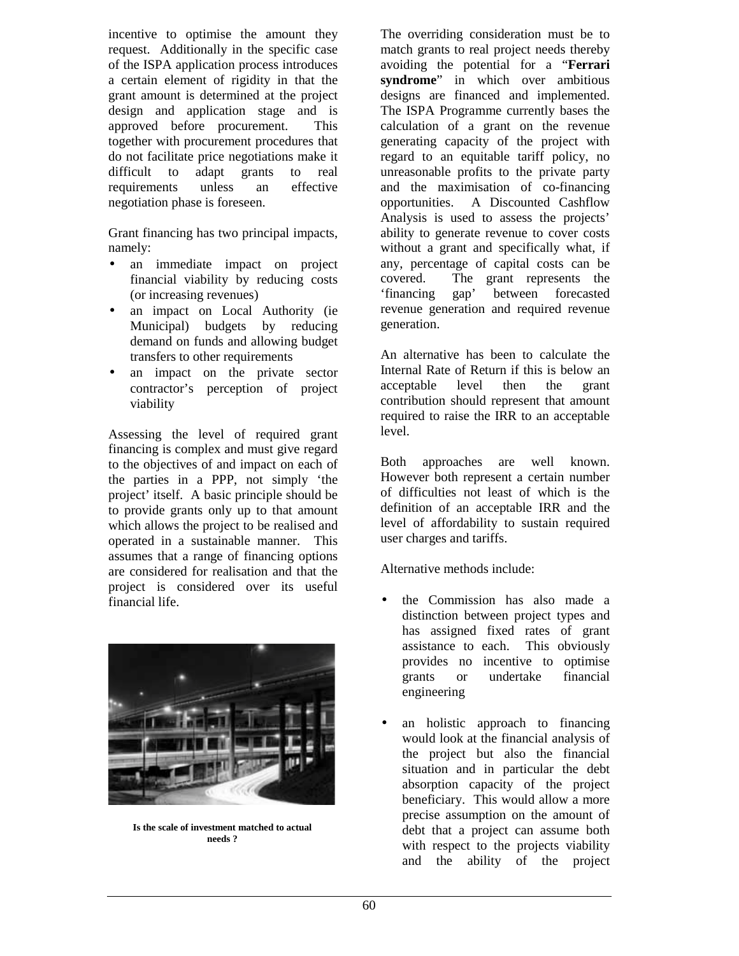incentive to optimise the amount they request. Additionally in the specific case of the ISPA application process introduces a certain element of rigidity in that the grant amount is determined at the project design and application stage and is approved before procurement. This together with procurement procedures that do not facilitate price negotiations make it difficult to adapt grants to real requirements unless an effective negotiation phase is foreseen.

Grant financing has two principal impacts, namely:

- an immediate impact on project financial viability by reducing costs (or increasing revenues)
- an impact on Local Authority (ie Municipal) budgets by reducing demand on funds and allowing budget transfers to other requirements
- an impact on the private sector contractor's perception of project viability

Assessing the level of required grant financing is complex and must give regard to the objectives of and impact on each of the parties in a PPP, not simply 'the project' itself. A basic principle should be to provide grants only up to that amount which allows the project to be realised and operated in a sustainable manner. This assumes that a range of financing options are considered for realisation and that the project is considered over its useful financial life.



**Is the scale of investment matched to actual needs ?**

The overriding consideration must be to match grants to real project needs thereby avoiding the potential for a "**Ferrari syndrome**" in which over ambitious designs are financed and implemented. The ISPA Programme currently bases the calculation of a grant on the revenue generating capacity of the project with regard to an equitable tariff policy, no unreasonable profits to the private party and the maximisation of co-financing opportunities. A Discounted Cashflow Analysis is used to assess the projects' ability to generate revenue to cover costs without a grant and specifically what, if any, percentage of capital costs can be covered. The grant represents the 'financing gap' between forecasted revenue generation and required revenue generation.

An alternative has been to calculate the Internal Rate of Return if this is below an acceptable level then the grant contribution should represent that amount required to raise the IRR to an acceptable level.

Both approaches are well known. However both represent a certain number of difficulties not least of which is the definition of an acceptable IRR and the level of affordability to sustain required user charges and tariffs.

Alternative methods include:

- the Commission has also made a distinction between project types and has assigned fixed rates of grant assistance to each. This obviously provides no incentive to optimise grants or undertake financial engineering
- an holistic approach to financing would look at the financial analysis of the project but also the financial situation and in particular the debt absorption capacity of the project beneficiary. This would allow a more precise assumption on the amount of debt that a project can assume both with respect to the projects viability and the ability of the project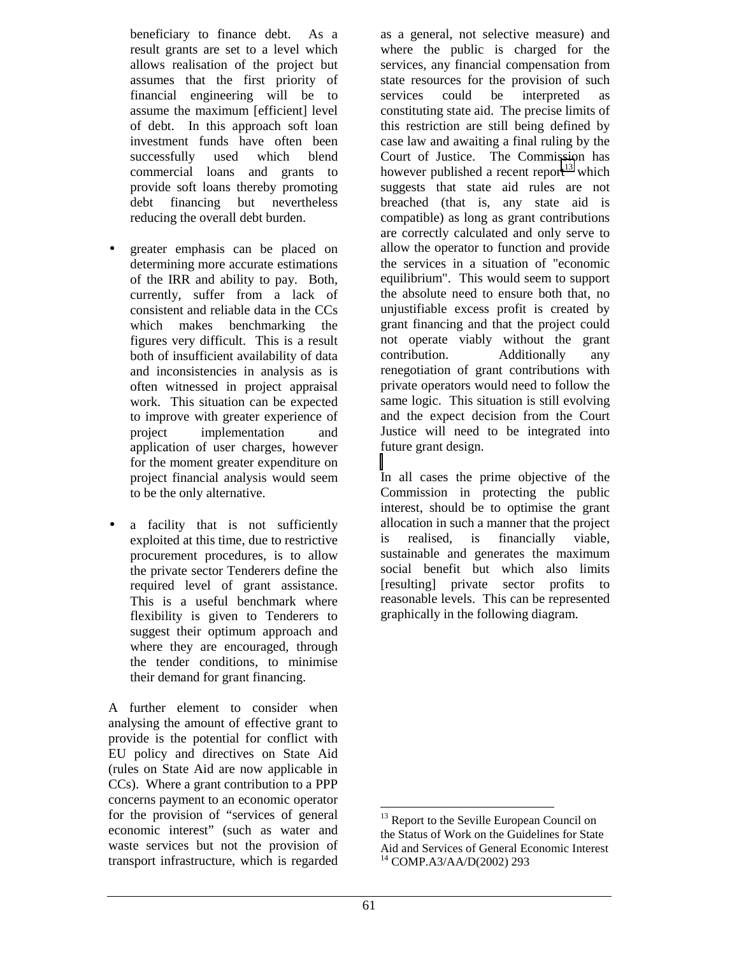beneficiary to finance debt. As a result grants are set to a level which allows realisation of the project but assumes that the first priority of financial engineering will be to assume the maximum [efficient] level of debt. In this approach soft loan investment funds have often been successfully used which blend commercial loans and grants to provide soft loans thereby promoting debt financing but nevertheless reducing the overall debt burden.

- greater emphasis can be placed on determining more accurate estimations of the IRR and ability to pay. Both, currently, suffer from a lack of consistent and reliable data in the CCs which makes benchmarking the figures very difficult. This is a result both of insufficient availability of data and inconsistencies in analysis as is often witnessed in project appraisal work. This situation can be expected to improve with greater experience of project implementation and application of user charges, however for the moment greater expenditure on project financial analysis would seem to be the only alternative.
- a facility that is not sufficiently exploited at this time, due to restrictive procurement procedures, is to allow the private sector Tenderers define the required level of grant assistance. This is a useful benchmark where flexibility is given to Tenderers to suggest their optimum approach and where they are encouraged, through the tender conditions, to minimise their demand for grant financing.

A further element to consider when analysing the amount of effective grant to provide is the potential for conflict with EU policy and directives on State Aid (rules on State Aid are now applicable in CCs). Where a grant contribution to a PPP concerns payment to an economic operator for the provision of "services of general economic interest" (such as water and waste services but not the provision of transport infrastructure, which is regarded

as a general, not selective measure) and where the public is charged for the services, any financial compensation from state resources for the provision of such services could be interpreted as constituting state aid. The precise limits of this restriction are still being defined by case law and awaiting a final ruling by the Court of Justice. The Commission has however published a recent report<sup>13</sup> which suggests that state aid rules are not breached (that is, any state aid is compatible) as long as grant contributions are correctly calculated and only serve to allow the operator to function and provide the services in a situation of "economic equilibrium". This would seem to support the absolute need to ensure both that, no unjustifiable excess profit is created by grant financing and that the project could not operate viably without the grant contribution. Additionally any renegotiation of grant contributions with private operators would need to follow the same logic. This situation is still evolving and the expect decision from the Court Justice will need to be integrated into future grant design.

In all cases the prime objective of the Commission in protecting the public interest, should be to optimise the grant allocation in such a manner that the project is realised, is financially viable, sustainable and generates the maximum social benefit but which also limits [resulting] private sector profits to reasonable levels. This can be represented graphically in the following diagram.

1

<sup>&</sup>lt;sup>13</sup> Report to the Seville European Council on the Status of Work on the Guidelines for State Aid and Services of General Economic Interest 14 COMP.A3/AA/D(2002) 293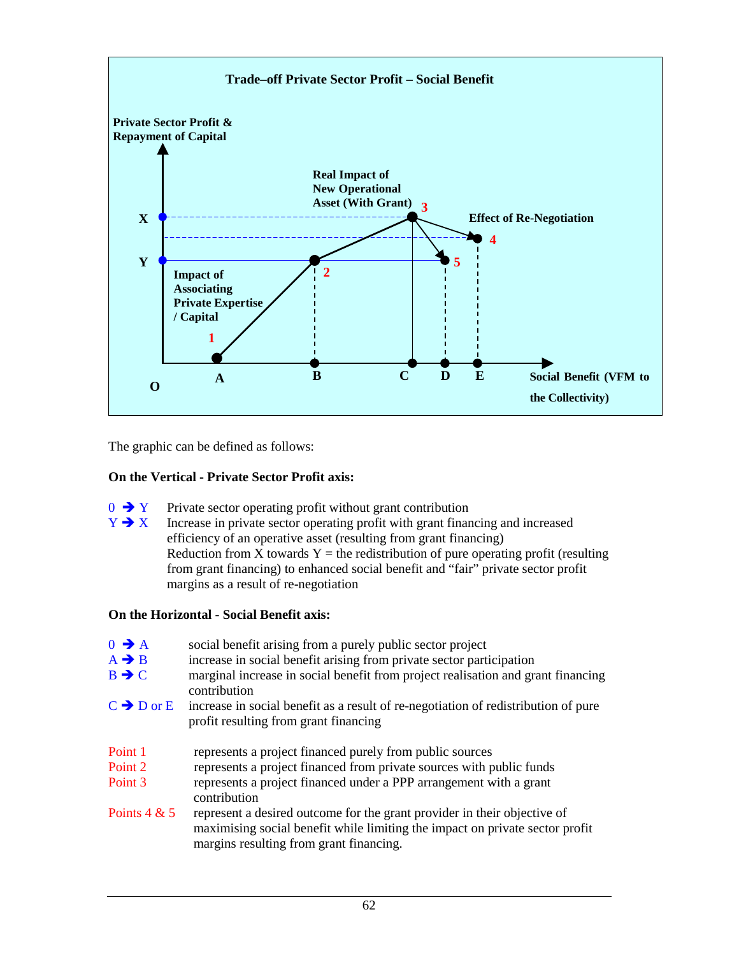

The graphic can be defined as follows:

#### **On the Vertical - Private Sector Profit axis:**

- $0 \rightarrow Y$  Private sector operating profit without grant contribution  $Y \rightarrow X$  Increase in private sector operating profit with grant finan
- Increase in private sector operating profit with grant financing and increased efficiency of an operative asset (resulting from grant financing) Reduction from X towards  $Y =$  the redistribution of pure operating profit (resulting from grant financing) to enhanced social benefit and "fair" private sector profit margins as a result of re-negotiation

#### **On the Horizontal - Social Benefit axis:**

| $0 \rightarrow A$<br>$A \rightarrow B$<br>$B \rightarrow C$ | social benefit arising from a purely public sector project<br>increase in social benefit arising from private sector participation<br>marginal increase in social benefit from project realisation and grant financing<br>contribution |
|-------------------------------------------------------------|----------------------------------------------------------------------------------------------------------------------------------------------------------------------------------------------------------------------------------------|
| $C \rightarrow D$ or E                                      | increase in social benefit as a result of re-negotiation of redistribution of pure<br>profit resulting from grant financing                                                                                                            |
| Point 1                                                     | represents a project financed purely from public sources                                                                                                                                                                               |
| Point 2                                                     | represents a project financed from private sources with public funds                                                                                                                                                                   |
| Point 3                                                     | represents a project financed under a PPP arrangement with a grant<br>contribution                                                                                                                                                     |
| Points $4 & 5$                                              | represent a desired outcome for the grant provider in their objective of<br>maximising social benefit while limiting the impact on private sector profit<br>margins resulting from grant financing.                                    |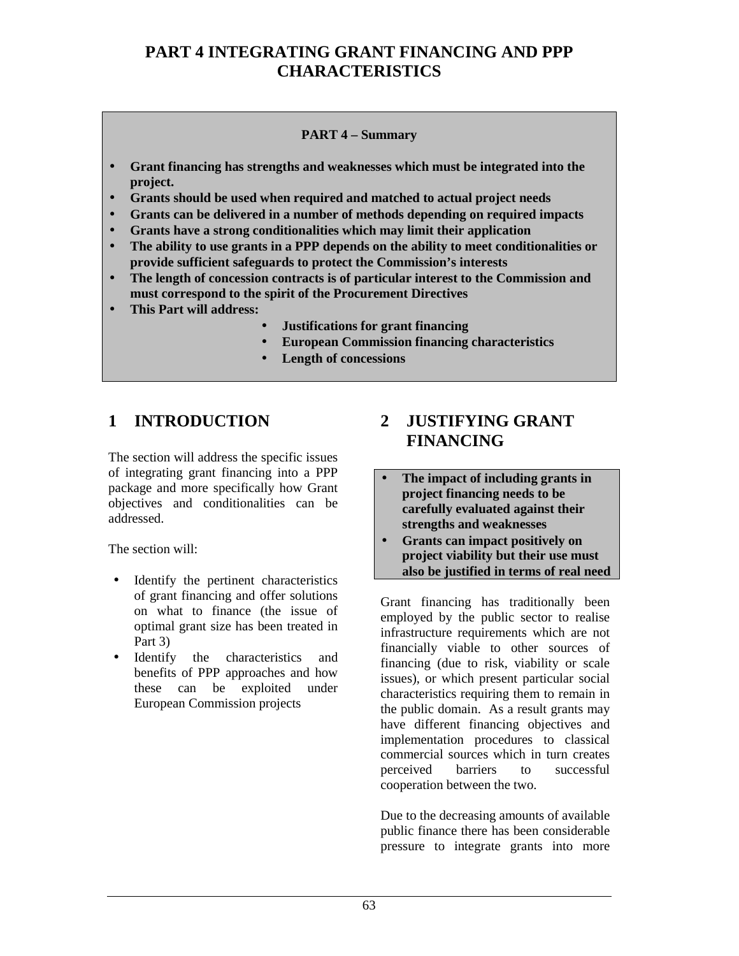# **PART 4 INTEGRATING GRANT FINANCING AND PPP CHARACTERISTICS**

#### **PART 4 – Summary**

- **Grant financing has strengths and weaknesses which must be integrated into the project.**
- **Grants should be used when required and matched to actual project needs**
- **Grants can be delivered in a number of methods depending on required impacts**
- **Grants have a strong conditionalities which may limit their application**
- **The ability to use grants in a PPP depends on the ability to meet conditionalities or provide sufficient safeguards to protect the Commission's interests**
- **The length of concession contracts is of particular interest to the Commission and must correspond to the spirit of the Procurement Directives**
- **This Part will address:**
	- **Justifications for grant financing**
	- **European Commission financing characteristics**
	- **Length of concessions**

### **1 INTRODUCTION**

The section will address the specific issues of integrating grant financing into a PPP package and more specifically how Grant objectives and conditionalities can be addressed.

The section will:

- Identify the pertinent characteristics of grant financing and offer solutions on what to finance (the issue of optimal grant size has been treated in Part 3)
- Identify the characteristics and benefits of PPP approaches and how these can be exploited under European Commission projects

# **2 JUSTIFYING GRANT FINANCING**

- **The impact of including grants in project financing needs to be carefully evaluated against their strengths and weaknesses**
- **Grants can impact positively on project viability but their use must also be justified in terms of real need**

Grant financing has traditionally been employed by the public sector to realise infrastructure requirements which are not financially viable to other sources of financing (due to risk, viability or scale issues), or which present particular social characteristics requiring them to remain in the public domain. As a result grants may have different financing objectives and implementation procedures to classical commercial sources which in turn creates perceived barriers to successful cooperation between the two.

Due to the decreasing amounts of available public finance there has been considerable pressure to integrate grants into more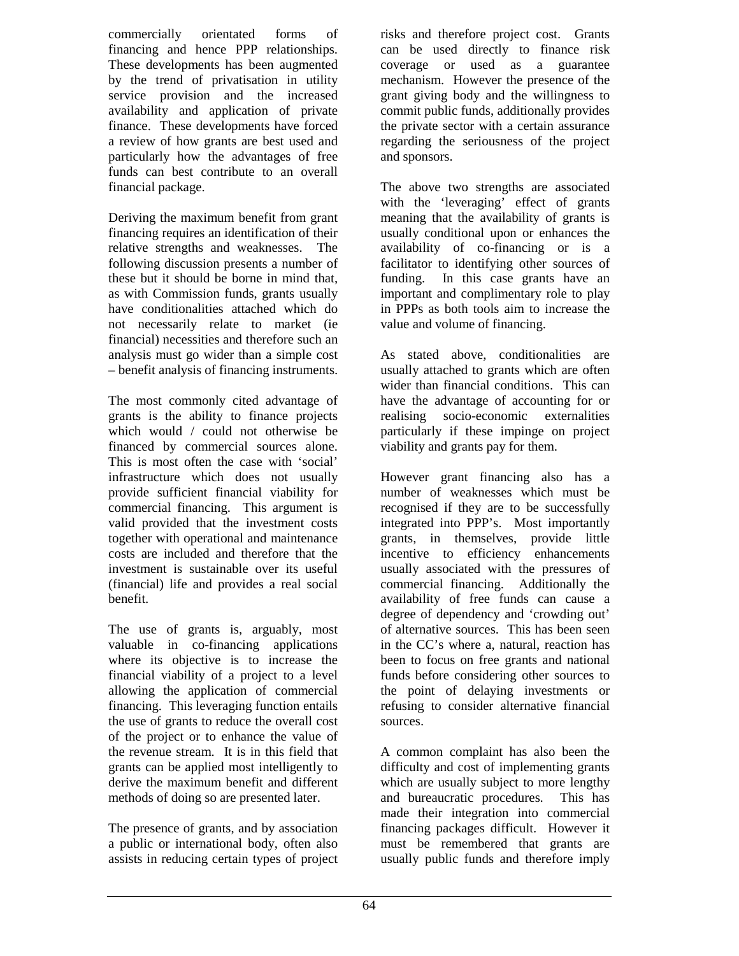commercially orientated forms of financing and hence PPP relationships. These developments has been augmented by the trend of privatisation in utility service provision and the increased availability and application of private finance. These developments have forced a review of how grants are best used and particularly how the advantages of free funds can best contribute to an overall financial package.

Deriving the maximum benefit from grant financing requires an identification of their relative strengths and weaknesses. The following discussion presents a number of these but it should be borne in mind that, as with Commission funds, grants usually have conditionalities attached which do not necessarily relate to market (ie financial) necessities and therefore such an analysis must go wider than a simple cost – benefit analysis of financing instruments.

The most commonly cited advantage of grants is the ability to finance projects which would / could not otherwise be financed by commercial sources alone. This is most often the case with 'social' infrastructure which does not usually provide sufficient financial viability for commercial financing. This argument is valid provided that the investment costs together with operational and maintenance costs are included and therefore that the investment is sustainable over its useful (financial) life and provides a real social benefit.

The use of grants is, arguably, most valuable in co-financing applications where its objective is to increase the financial viability of a project to a level allowing the application of commercial financing. This leveraging function entails the use of grants to reduce the overall cost of the project or to enhance the value of the revenue stream. It is in this field that grants can be applied most intelligently to derive the maximum benefit and different methods of doing so are presented later.

The presence of grants, and by association a public or international body, often also assists in reducing certain types of project

risks and therefore project cost. Grants can be used directly to finance risk coverage or used as a guarantee mechanism. However the presence of the grant giving body and the willingness to commit public funds, additionally provides the private sector with a certain assurance regarding the seriousness of the project and sponsors.

The above two strengths are associated with the 'leveraging' effect of grants meaning that the availability of grants is usually conditional upon or enhances the availability of co-financing or is a facilitator to identifying other sources of funding. In this case grants have an important and complimentary role to play in PPPs as both tools aim to increase the value and volume of financing.

As stated above, conditionalities are usually attached to grants which are often wider than financial conditions. This can have the advantage of accounting for or realising socio-economic externalities particularly if these impinge on project viability and grants pay for them.

However grant financing also has a number of weaknesses which must be recognised if they are to be successfully integrated into PPP's. Most importantly grants, in themselves, provide little incentive to efficiency enhancements usually associated with the pressures of commercial financing. Additionally the availability of free funds can cause a degree of dependency and 'crowding out' of alternative sources. This has been seen in the CC's where a, natural, reaction has been to focus on free grants and national funds before considering other sources to the point of delaying investments or refusing to consider alternative financial sources.

A common complaint has also been the difficulty and cost of implementing grants which are usually subject to more lengthy and bureaucratic procedures. This has made their integration into commercial financing packages difficult. However it must be remembered that grants are usually public funds and therefore imply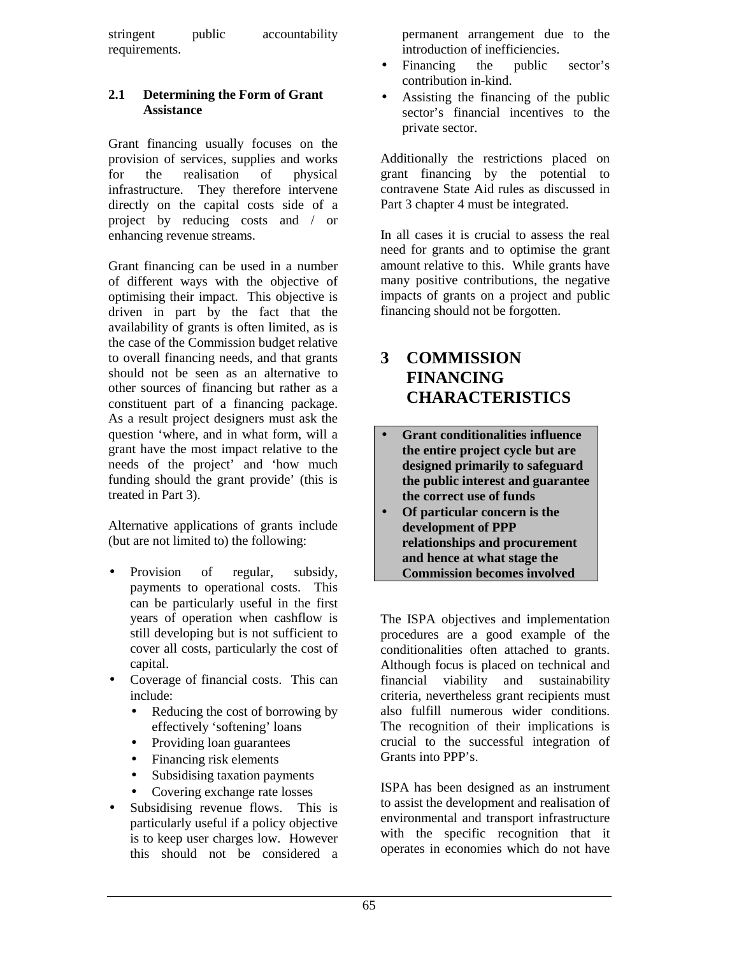stringent public accountability requirements.

#### **2.1 Determining the Form of Grant Assistance**

Grant financing usually focuses on the provision of services, supplies and works for the realisation of physical infrastructure. They therefore intervene directly on the capital costs side of a project by reducing costs and / or enhancing revenue streams.

Grant financing can be used in a number of different ways with the objective of optimising their impact. This objective is driven in part by the fact that the availability of grants is often limited, as is the case of the Commission budget relative to overall financing needs, and that grants should not be seen as an alternative to other sources of financing but rather as a constituent part of a financing package. As a result project designers must ask the question 'where, and in what form, will a grant have the most impact relative to the needs of the project' and 'how much funding should the grant provide' (this is treated in Part 3).

Alternative applications of grants include (but are not limited to) the following:

- Provision of regular, subsidy, payments to operational costs. This can be particularly useful in the first years of operation when cashflow is still developing but is not sufficient to cover all costs, particularly the cost of capital.
- Coverage of financial costs. This can include:
	- Reducing the cost of borrowing by effectively 'softening' loans
	- Providing loan guarantees
	- Financing risk elements
	- Subsidising taxation payments
	- Covering exchange rate losses
- Subsidising revenue flows. This is particularly useful if a policy objective is to keep user charges low. However this should not be considered a

permanent arrangement due to the introduction of inefficiencies.

- Financing the public sector's contribution in-kind.
- Assisting the financing of the public sector's financial incentives to the private sector.

Additionally the restrictions placed on grant financing by the potential to contravene State Aid rules as discussed in Part 3 chapter 4 must be integrated.

In all cases it is crucial to assess the real need for grants and to optimise the grant amount relative to this. While grants have many positive contributions, the negative impacts of grants on a project and public financing should not be forgotten.

## **3 COMMISSION FINANCING CHARACTERISTICS**

- **Grant conditionalities influence the entire project cycle but are designed primarily to safeguard the public interest and guarantee the correct use of funds**
- **Of particular concern is the development of PPP relationships and procurement and hence at what stage the Commission becomes involved**

The ISPA objectives and implementation procedures are a good example of the conditionalities often attached to grants. Although focus is placed on technical and financial viability and sustainability criteria, nevertheless grant recipients must also fulfill numerous wider conditions. The recognition of their implications is crucial to the successful integration of Grants into PPP's.

ISPA has been designed as an instrument to assist the development and realisation of environmental and transport infrastructure with the specific recognition that it operates in economies which do not have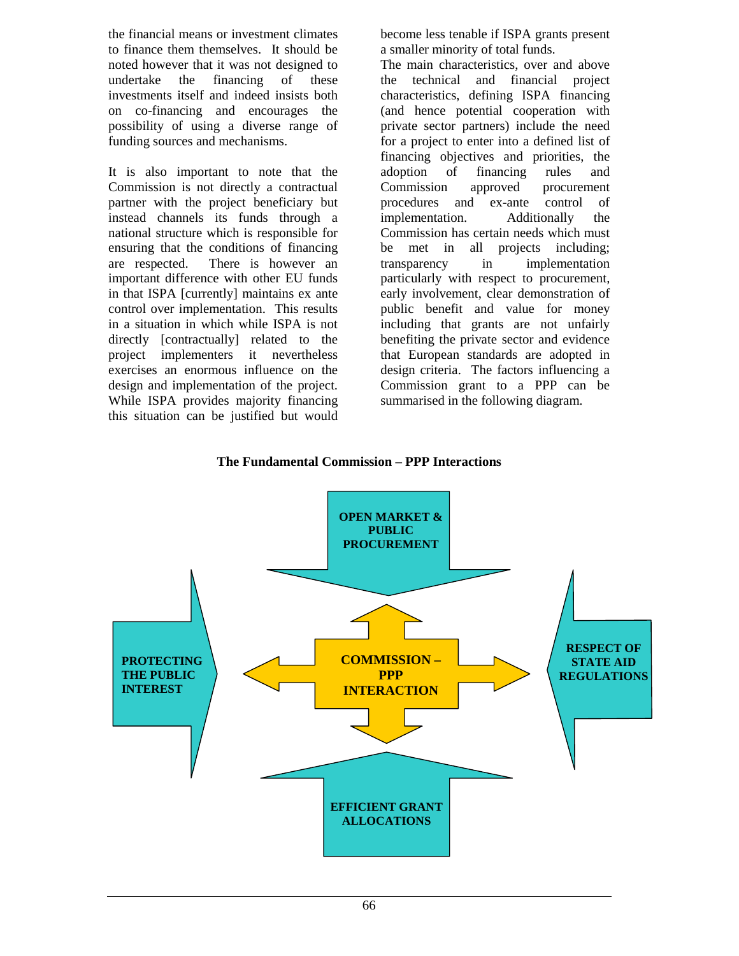the financial means or investment climates to finance them themselves. It should be noted however that it was not designed to undertake the financing of these investments itself and indeed insists both on co-financing and encourages the possibility of using a diverse range of funding sources and mechanisms.

It is also important to note that the Commission is not directly a contractual partner with the project beneficiary but instead channels its funds through a national structure which is responsible for ensuring that the conditions of financing are respected. There is however an important difference with other EU funds in that ISPA [currently] maintains ex ante control over implementation. This results in a situation in which while ISPA is not directly [contractually] related to the project implementers it nevertheless exercises an enormous influence on the design and implementation of the project. While ISPA provides majority financing this situation can be justified but would

become less tenable if ISPA grants present a smaller minority of total funds.

The main characteristics, over and above the technical and financial project characteristics, defining ISPA financing (and hence potential cooperation with private sector partners) include the need for a project to enter into a defined list of financing objectives and priorities, the adoption of financing rules and Commission approved procurement procedures and ex-ante control of implementation. Additionally the Commission has certain needs which must be met in all projects including: transparency in implementation particularly with respect to procurement, early involvement, clear demonstration of public benefit and value for money including that grants are not unfairly benefiting the private sector and evidence that European standards are adopted in design criteria. The factors influencing a Commission grant to a PPP can be summarised in the following diagram.



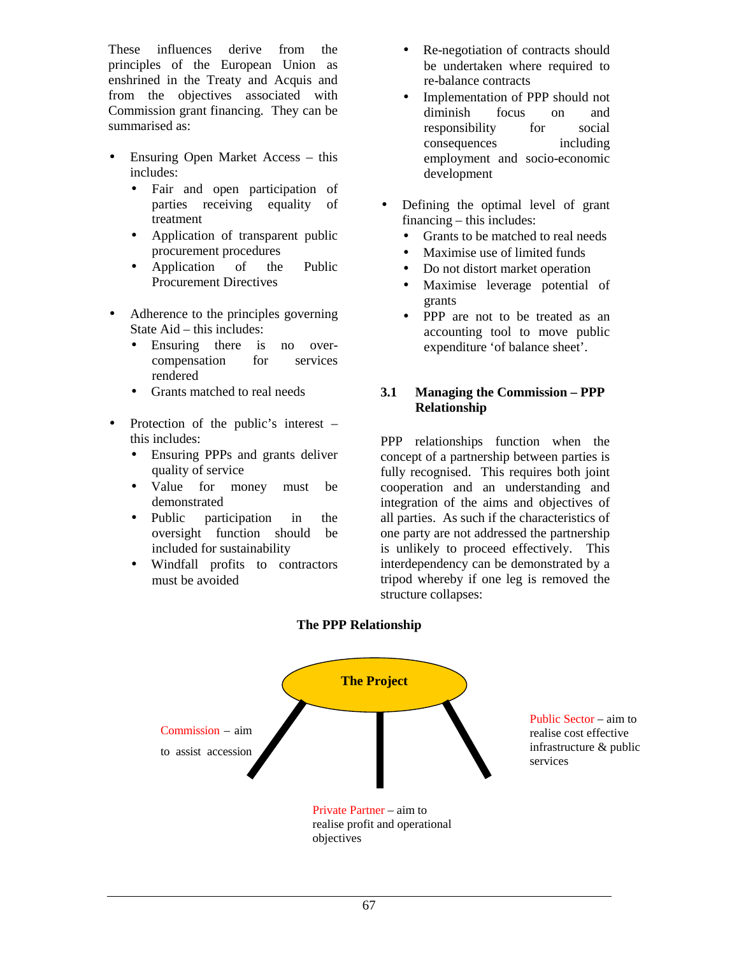These influences derive from the principles of the European Union as enshrined in the Treaty and Acquis and from the objectives associated with Commission grant financing. They can be summarised as:

- Ensuring Open Market Access this includes:
	- Fair and open participation of parties receiving equality of treatment
	- Application of transparent public procurement procedures
	- Application of the Public Procurement Directives
- Adherence to the principles governing State Aid – this includes:
	- Ensuring there is no overcompensation for services rendered
	- Grants matched to real needs
- Protection of the public's interest this includes:
	- Ensuring PPPs and grants deliver quality of service
	- Value for money must be demonstrated
	- Public participation in the oversight function should be included for sustainability
	- Windfall profits to contractors must be avoided
- Re-negotiation of contracts should be undertaken where required to re-balance contracts
- Implementation of PPP should not diminish focus on and responsibility for social consequences including employment and socio-economic development
- Defining the optimal level of grant financing – this includes:
	- Grants to be matched to real needs
	- Maximise use of limited funds
	- Do not distort market operation
	- Maximise leverage potential of grants
	- PPP are not to be treated as an accounting tool to move public expenditure 'of balance sheet'.

#### **3.1 Managing the Commission – PPP Relationship**

PPP relationships function when the concept of a partnership between parties is fully recognised. This requires both joint cooperation and an understanding and integration of the aims and objectives of all parties. As such if the characteristics of one party are not addressed the partnership is unlikely to proceed effectively. This interdependency can be demonstrated by a tripod whereby if one leg is removed the structure collapses:



#### **The PPP Relationship**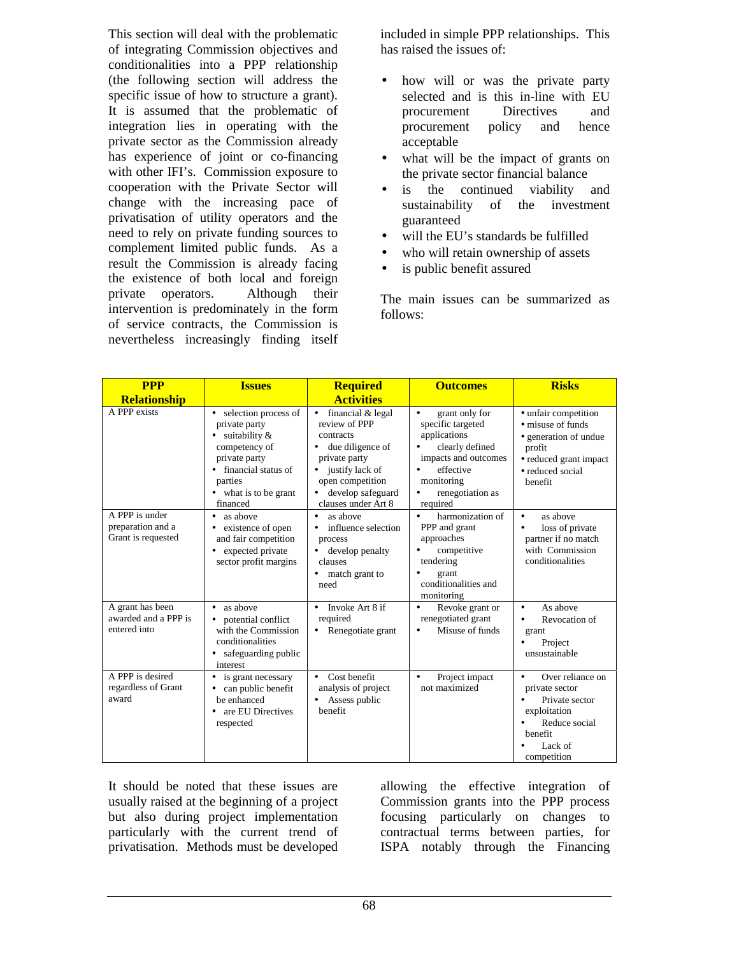This section will deal with the problematic of integrating Commission objectives and conditionalities into a PPP relationship (the following section will address the specific issue of how to structure a grant). It is assumed that the problematic of integration lies in operating with the private sector as the Commission already has experience of joint or co-financing with other IFI's. Commission exposure to cooperation with the Private Sector will change with the increasing pace of privatisation of utility operators and the need to rely on private funding sources to complement limited public funds. As a result the Commission is already facing the existence of both local and foreign private operators. Although their intervention is predominately in the form of service contracts, the Commission is nevertheless increasingly finding itself

included in simple PPP relationships. This has raised the issues of:

- how will or was the private party selected and is this in-line with EU procurement Directives and procurement policy and hence acceptable
- what will be the impact of grants on the private sector financial balance
- is the continued viability and sustainability of the investment guaranteed
- will the EU's standards be fulfilled
- who will retain ownership of assets
- is public benefit assured

The main issues can be summarized as follows:

| <b>PPP</b><br><b>Relationship</b>                        | <b>Issues</b>                                                                                                                                                                                                     | <b>Required</b><br><b>Activities</b>                                                                                                                                                                                       | <b>Outcomes</b>                                                                                                                                                                                                      | <b>Risks</b>                                                                                                                                                   |
|----------------------------------------------------------|-------------------------------------------------------------------------------------------------------------------------------------------------------------------------------------------------------------------|----------------------------------------------------------------------------------------------------------------------------------------------------------------------------------------------------------------------------|----------------------------------------------------------------------------------------------------------------------------------------------------------------------------------------------------------------------|----------------------------------------------------------------------------------------------------------------------------------------------------------------|
| A PPP exists<br>A PPP is under                           | selection process of<br>$\bullet$<br>private party<br>suitability &<br>$\bullet$<br>competency of<br>private party<br>• financial status of<br>parties<br>• what is to be grant<br>financed<br>$\bullet$ as above | financial & legal<br>$\bullet$<br>review of PPP<br>contracts<br>due diligence of<br>private party<br>justify lack of<br>$\bullet$<br>open competition<br>develop safeguard<br>clauses under Art 8<br>as above<br>$\bullet$ | grant only for<br>$\bullet$<br>specific targeted<br>applications<br>clearly defined<br>impacts and outcomes<br>effective<br>monitoring<br>renegotiation as<br>$\bullet$<br>required<br>harmonization of<br>$\bullet$ | • unfair competition<br>• misuse of funds<br>• generation of undue<br>profit<br>• reduced grant impact<br>• reduced social<br>henefit<br>as above<br>$\bullet$ |
| preparation and a<br>Grant is requested                  | existence of open<br>$\bullet$<br>and fair competition<br>expected private<br>$\bullet$<br>sector profit margins                                                                                                  | influence selection<br>$\bullet$<br>process<br>develop penalty<br>clauses<br>match grant to<br>$\bullet$<br>need                                                                                                           | PPP and grant<br>approaches<br>competitive<br>tendering<br>grant<br>conditionalities and<br>monitoring                                                                                                               | loss of private<br>$\bullet$<br>partner if no match<br>with Commission<br>conditionalities                                                                     |
| A grant has been<br>awarded and a PPP is<br>entered into | as above<br>$\bullet$<br>potential conflict<br>$\bullet$<br>with the Commission<br>conditionalities<br>safeguarding public<br>interest                                                                            | Invoke Art 8 if<br>required<br>Renegotiate grant<br>$\bullet$                                                                                                                                                              | Revoke grant or<br>renegotiated grant<br>Misuse of funds<br>$\bullet$                                                                                                                                                | As above<br>Revocation of<br>$\bullet$<br>grant<br>Project<br>$\bullet$<br>unsustainable                                                                       |
| A PPP is desired<br>regardless of Grant<br>award         | is grant necessary<br>$\bullet$<br>can public benefit<br>$\bullet$<br>be enhanced<br>are EU Directives<br>$\bullet$<br>respected                                                                                  | Cost benefit<br>$\bullet$<br>analysis of project<br>Assess public<br>$\bullet$<br>benefit                                                                                                                                  | Project impact<br>$\bullet$<br>not maximized                                                                                                                                                                         | Over reliance on<br>$\bullet$<br>private sector<br>Private sector<br>$\bullet$<br>exploitation<br>Reduce social<br>benefit<br>Lack of<br>competition           |

It should be noted that these issues are usually raised at the beginning of a project but also during project implementation particularly with the current trend of privatisation. Methods must be developed

allowing the effective integration of Commission grants into the PPP process focusing particularly on changes to contractual terms between parties, for ISPA notably through the Financing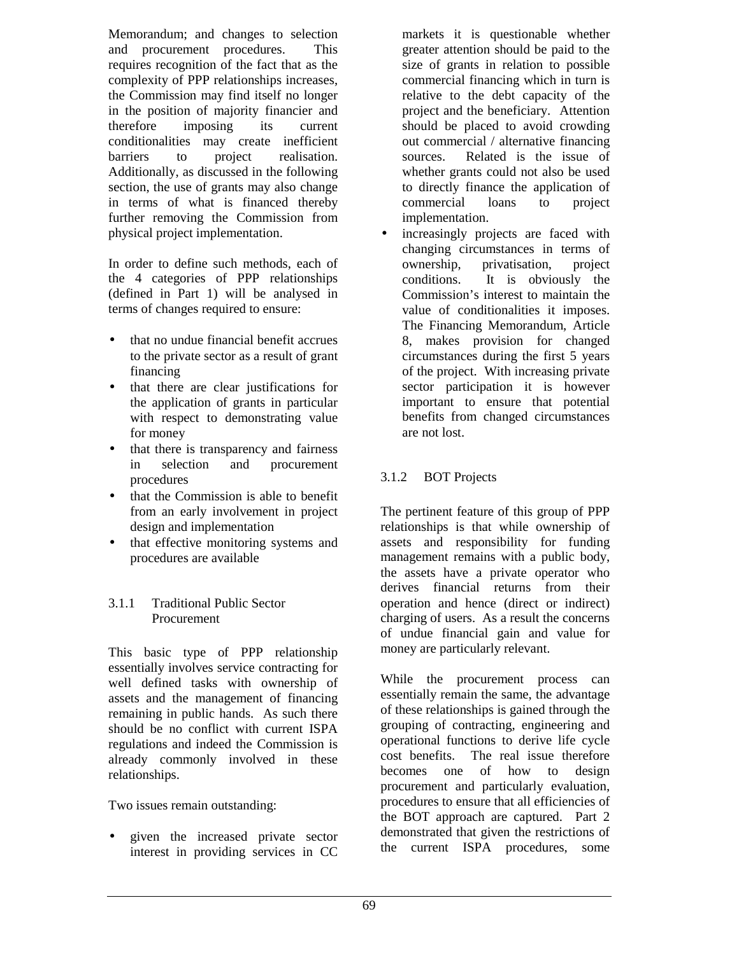Memorandum; and changes to selection and procurement procedures. This requires recognition of the fact that as the complexity of PPP relationships increases, the Commission may find itself no longer in the position of majority financier and therefore imposing its current conditionalities may create inefficient barriers to project realisation. Additionally, as discussed in the following section, the use of grants may also change in terms of what is financed thereby further removing the Commission from physical project implementation.

In order to define such methods, each of the 4 categories of PPP relationships (defined in Part 1) will be analysed in terms of changes required to ensure:

- that no undue financial benefit accrues to the private sector as a result of grant financing
- that there are clear justifications for the application of grants in particular with respect to demonstrating value for money
- that there is transparency and fairness in selection and procurement procedures
- that the Commission is able to benefit from an early involvement in project design and implementation
- that effective monitoring systems and procedures are available

#### 3.1.1 Traditional Public Sector Procurement

This basic type of PPP relationship essentially involves service contracting for well defined tasks with ownership of assets and the management of financing remaining in public hands. As such there should be no conflict with current ISPA regulations and indeed the Commission is already commonly involved in these relationships.

Two issues remain outstanding:

• given the increased private sector interest in providing services in CC

markets it is questionable whether greater attention should be paid to the size of grants in relation to possible commercial financing which in turn is relative to the debt capacity of the project and the beneficiary. Attention should be placed to avoid crowding out commercial / alternative financing sources. Related is the issue of whether grants could not also be used to directly finance the application of commercial loans to project implementation.

increasingly projects are faced with changing circumstances in terms of ownership, privatisation, project conditions. It is obviously the Commission's interest to maintain the value of conditionalities it imposes. The Financing Memorandum, Article 8, makes provision for changed circumstances during the first 5 years of the project. With increasing private sector participation it is however important to ensure that potential benefits from changed circumstances are not lost.

### 3.1.2 BOT Projects

The pertinent feature of this group of PPP relationships is that while ownership of assets and responsibility for funding management remains with a public body, the assets have a private operator who derives financial returns from their operation and hence (direct or indirect) charging of users. As a result the concerns of undue financial gain and value for money are particularly relevant.

While the procurement process can essentially remain the same, the advantage of these relationships is gained through the grouping of contracting, engineering and operational functions to derive life cycle cost benefits. The real issue therefore becomes one of how to design procurement and particularly evaluation, procedures to ensure that all efficiencies of the BOT approach are captured. Part 2 demonstrated that given the restrictions of the current ISPA procedures, some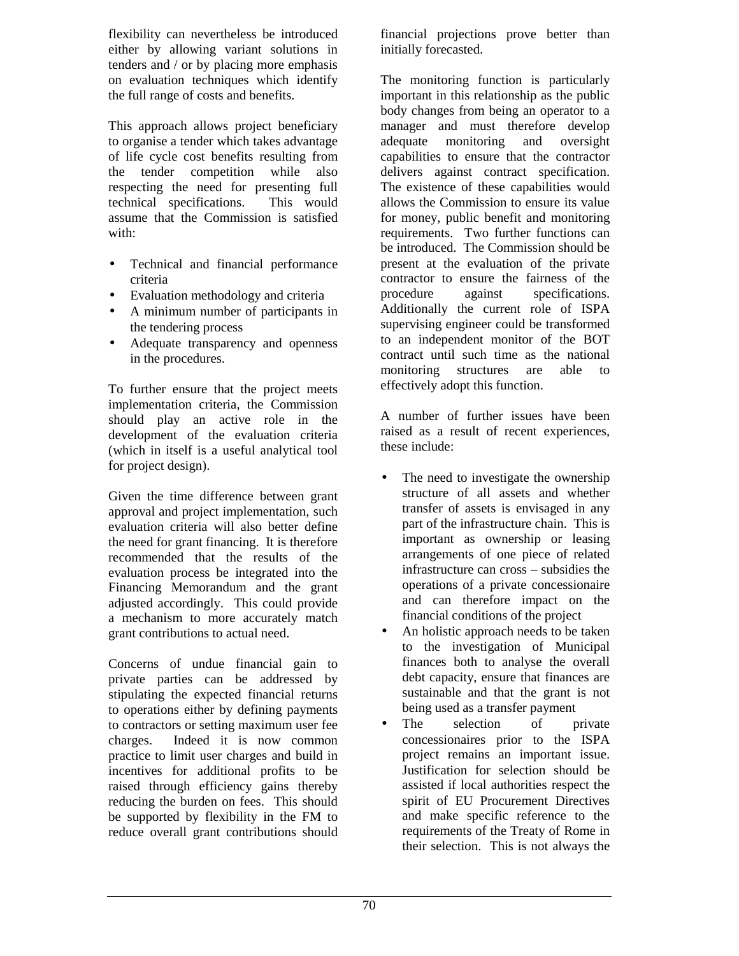flexibility can nevertheless be introduced either by allowing variant solutions in tenders and / or by placing more emphasis on evaluation techniques which identify the full range of costs and benefits.

This approach allows project beneficiary to organise a tender which takes advantage of life cycle cost benefits resulting from the tender competition while also respecting the need for presenting full technical specifications. This would assume that the Commission is satisfied with:

- Technical and financial performance criteria
- Evaluation methodology and criteria
- A minimum number of participants in the tendering process
- Adequate transparency and openness in the procedures.

To further ensure that the project meets implementation criteria, the Commission should play an active role in the development of the evaluation criteria (which in itself is a useful analytical tool for project design).

Given the time difference between grant approval and project implementation, such evaluation criteria will also better define the need for grant financing. It is therefore recommended that the results of the evaluation process be integrated into the Financing Memorandum and the grant adjusted accordingly. This could provide a mechanism to more accurately match grant contributions to actual need.

Concerns of undue financial gain to private parties can be addressed by stipulating the expected financial returns to operations either by defining payments to contractors or setting maximum user fee charges. Indeed it is now common practice to limit user charges and build in incentives for additional profits to be raised through efficiency gains thereby reducing the burden on fees. This should be supported by flexibility in the FM to reduce overall grant contributions should

financial projections prove better than initially forecasted.

The monitoring function is particularly important in this relationship as the public body changes from being an operator to a manager and must therefore develop adequate monitoring and oversight capabilities to ensure that the contractor delivers against contract specification. The existence of these capabilities would allows the Commission to ensure its value for money, public benefit and monitoring requirements. Two further functions can be introduced. The Commission should be present at the evaluation of the private contractor to ensure the fairness of the procedure against specifications. Additionally the current role of ISPA supervising engineer could be transformed to an independent monitor of the BOT contract until such time as the national monitoring structures are able to effectively adopt this function.

A number of further issues have been raised as a result of recent experiences, these include:

- The need to investigate the ownership structure of all assets and whether transfer of assets is envisaged in any part of the infrastructure chain. This is important as ownership or leasing arrangements of one piece of related infrastructure can cross – subsidies the operations of a private concessionaire and can therefore impact on the financial conditions of the project
- An holistic approach needs to be taken to the investigation of Municipal finances both to analyse the overall debt capacity, ensure that finances are sustainable and that the grant is not being used as a transfer payment
- The selection of private concessionaires prior to the ISPA project remains an important issue. Justification for selection should be assisted if local authorities respect the spirit of EU Procurement Directives and make specific reference to the requirements of the Treaty of Rome in their selection. This is not always the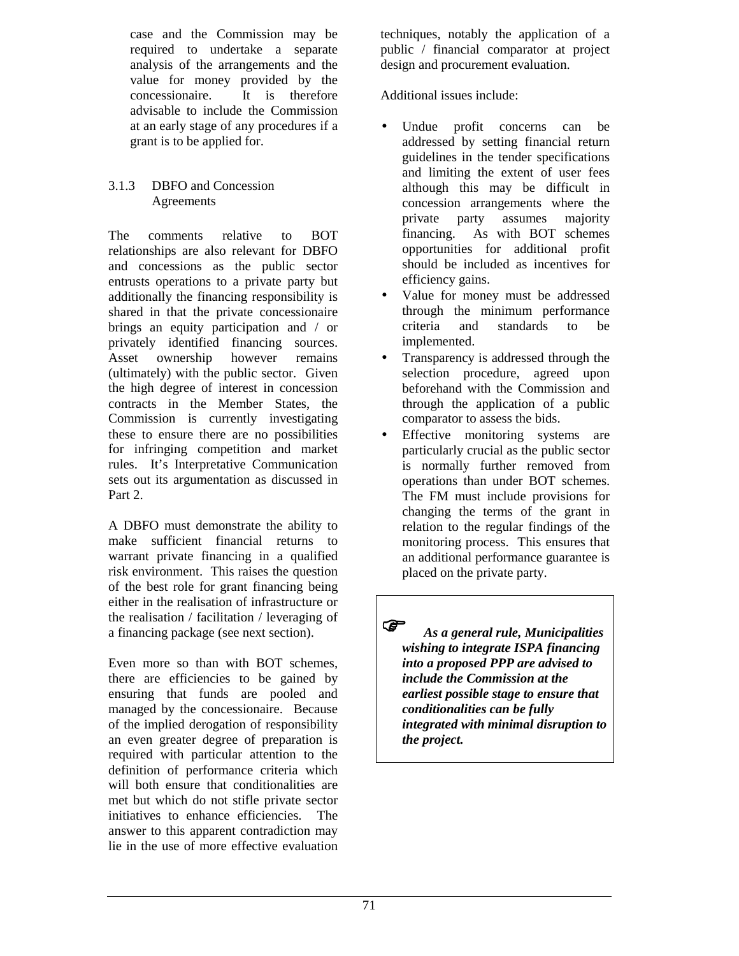case and the Commission may be required to undertake a separate analysis of the arrangements and the value for money provided by the concessionaire. It is therefore advisable to include the Commission at an early stage of any procedures if a grant is to be applied for.

#### 3.1.3 DBFO and Concession Agreements

The comments relative to BOT relationships are also relevant for DBFO and concessions as the public sector entrusts operations to a private party but additionally the financing responsibility is shared in that the private concessionaire brings an equity participation and / or privately identified financing sources. Asset ownership however remains (ultimately) with the public sector. Given the high degree of interest in concession contracts in the Member States, the Commission is currently investigating these to ensure there are no possibilities for infringing competition and market rules. It's Interpretative Communication sets out its argumentation as discussed in Part 2.

A DBFO must demonstrate the ability to make sufficient financial returns to warrant private financing in a qualified risk environment. This raises the question of the best role for grant financing being either in the realisation of infrastructure or the realisation / facilitation / leveraging of a financing package (see next section).

Even more so than with BOT schemes, there are efficiencies to be gained by ensuring that funds are pooled and managed by the concessionaire. Because of the implied derogation of responsibility an even greater degree of preparation is required with particular attention to the definition of performance criteria which will both ensure that conditionalities are met but which do not stifle private sector initiatives to enhance efficiencies. The answer to this apparent contradiction may lie in the use of more effective evaluation

techniques, notably the application of a public / financial comparator at project design and procurement evaluation.

Additional issues include:

- Undue profit concerns can be addressed by setting financial return guidelines in the tender specifications and limiting the extent of user fees although this may be difficult in concession arrangements where the private party assumes majority financing. As with BOT schemes opportunities for additional profit should be included as incentives for efficiency gains.
- Value for money must be addressed through the minimum performance criteria and standards to be implemented.
- Transparency is addressed through the selection procedure, agreed upon beforehand with the Commission and through the application of a public comparator to assess the bids.
- Effective monitoring systems are particularly crucial as the public sector is normally further removed from operations than under BOT schemes. The FM must include provisions for changing the terms of the grant in relation to the regular findings of the monitoring process. This ensures that an additional performance guarantee is placed on the private party.

 *As a general rule, Municipalities wishing to integrate ISPA financing into a proposed PPP are advised to include the Commission at the earliest possible stage to ensure that conditionalities can be fully integrated with minimal disruption to the project.*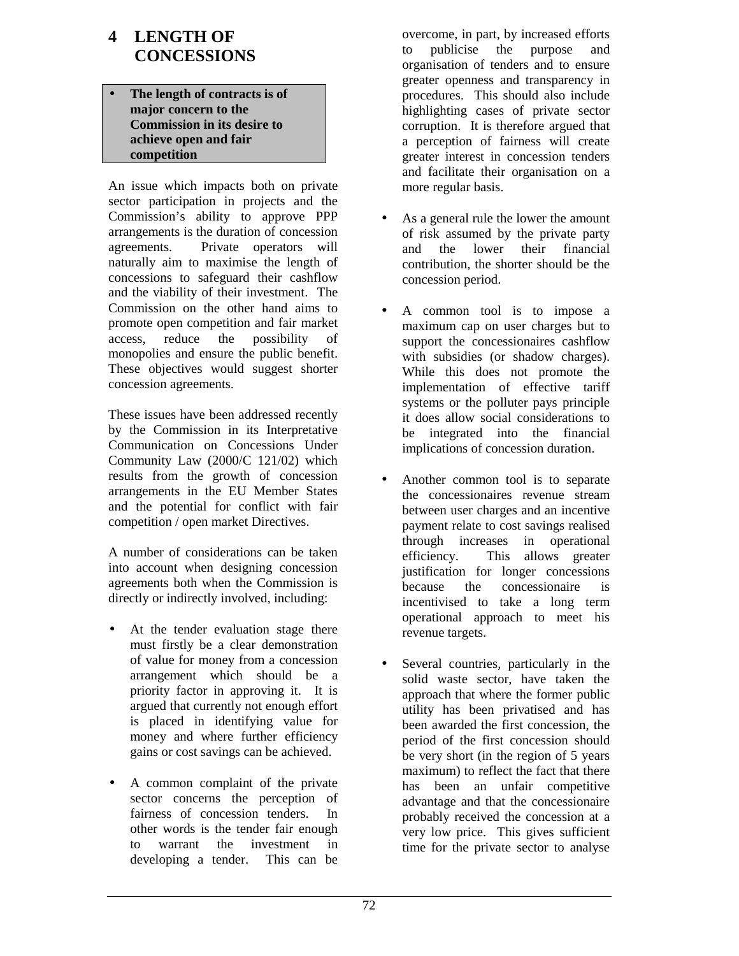# **4 LENGTH OF CONCESSIONS**

• **The length of contracts is of major concern to the Commission in its desire to achieve open and fair competition**

An issue which impacts both on private sector participation in projects and the Commission's ability to approve PPP arrangements is the duration of concession agreements. Private operators will naturally aim to maximise the length of concessions to safeguard their cashflow and the viability of their investment. The Commission on the other hand aims to promote open competition and fair market access, reduce the possibility of monopolies and ensure the public benefit. These objectives would suggest shorter concession agreements.

These issues have been addressed recently by the Commission in its Interpretative Communication on Concessions Under Community Law (2000/C 121/02) which results from the growth of concession arrangements in the EU Member States and the potential for conflict with fair competition / open market Directives.

A number of considerations can be taken into account when designing concession agreements both when the Commission is directly or indirectly involved, including:

- At the tender evaluation stage there must firstly be a clear demonstration of value for money from a concession arrangement which should be a priority factor in approving it. It is argued that currently not enough effort is placed in identifying value for money and where further efficiency gains or cost savings can be achieved.
- A common complaint of the private sector concerns the perception of fairness of concession tenders. In other words is the tender fair enough to warrant the investment in developing a tender. This can be

overcome, in part, by increased efforts to publicise the purpose and organisation of tenders and to ensure greater openness and transparency in procedures. This should also include highlighting cases of private sector corruption. It is therefore argued that a perception of fairness will create greater interest in concession tenders and facilitate their organisation on a more regular basis.

- As a general rule the lower the amount of risk assumed by the private party and the lower their financial contribution, the shorter should be the concession period.
- A common tool is to impose a maximum cap on user charges but to support the concessionaires cashflow with subsidies (or shadow charges). While this does not promote the implementation of effective tariff systems or the polluter pays principle it does allow social considerations to be integrated into the financial implications of concession duration.
- Another common tool is to separate the concessionaires revenue stream between user charges and an incentive payment relate to cost savings realised through increases in operational efficiency. This allows greater justification for longer concessions because the concessionaire is incentivised to take a long term operational approach to meet his revenue targets.
- Several countries, particularly in the solid waste sector, have taken the approach that where the former public utility has been privatised and has been awarded the first concession, the period of the first concession should be very short (in the region of 5 years maximum) to reflect the fact that there has been an unfair competitive advantage and that the concessionaire probably received the concession at a very low price. This gives sufficient time for the private sector to analyse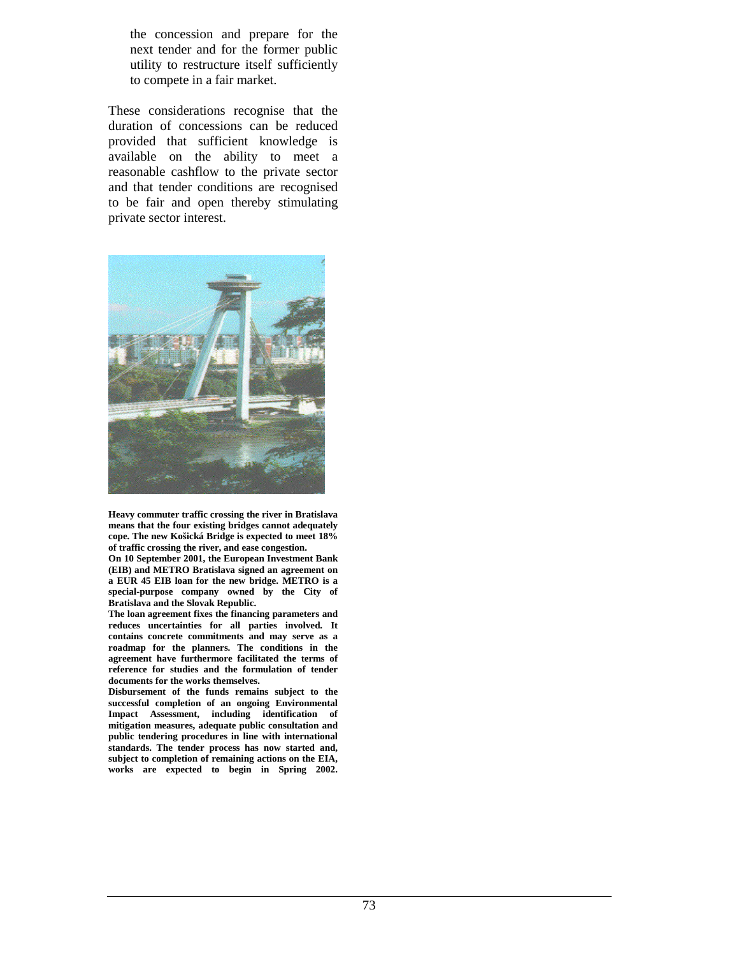the concession and prepare for the next tender and for the former public utility to restructure itself sufficiently to compete in a fair market.

These considerations recognise that the duration of concessions can be reduced provided that sufficient knowledge is available on the ability to meet a reasonable cashflow to the private sector and that tender conditions are recognised to be fair and open thereby stimulating private sector interest.



**Heavy commuter traffic crossing the river in Bratislava means that the four existing bridges cannot adequately cope. The new Košická Bridge is expected to meet 18% of traffic crossing the river, and ease congestion.**

**On 10 September 2001, the European Investment Bank (EIB) and METRO Bratislava signed an agreement on a EUR 45 EIB loan for the new bridge. METRO is a special-purpose company owned by the City of Bratislava and the Slovak Republic.**

**The loan agreement fixes the financing parameters and reduces uncertainties for all parties involved. It contains concrete commitments and may serve as a roadmap for the planners. The conditions in the agreement have furthermore facilitated the terms of reference for studies and the formulation of tender documents for the works themselves.** 

**Disbursement of the funds remains subject to the successful completion of an ongoing Environmental Impact Assessment, including identification of mitigation measures, adequate public consultation and public tendering procedures in line with international standards. The tender process has now started and, subject to completion of remaining actions on the EIA, works are expected to begin in Spring 2002.**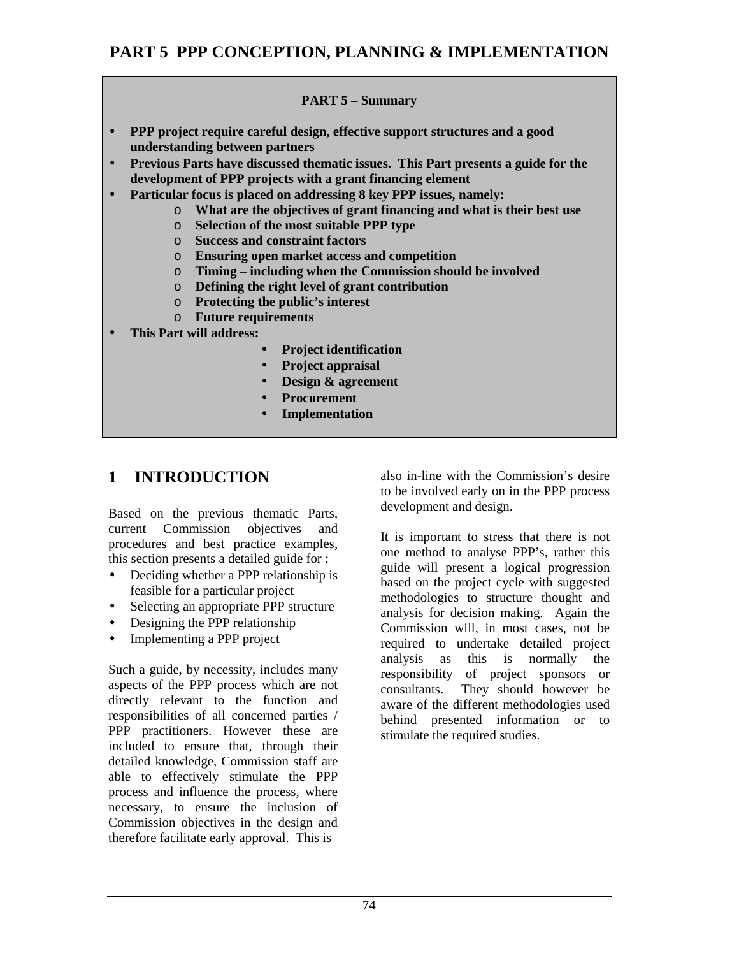# **PART 5 PPP CONCEPTION, PLANNING & IMPLEMENTATION**

#### **PART 5 – Summary**

- **PPP project require careful design, effective support structures and a good understanding between partners**
- **Previous Parts have discussed thematic issues. This Part presents a guide for the development of PPP projects with a grant financing element**
- **Particular focus is placed on addressing 8 key PPP issues, namely:**
	- o **What are the objectives of grant financing and what is their best use**
	- o **Selection of the most suitable PPP type**
	- o **Success and constraint factors**
	- o **Ensuring open market access and competition**
	- o **Timing including when the Commission should be involved**
	- o **Defining the right level of grant contribution**
	- o **Protecting the public's interest**
	- o **Future requirements**
- **This Part will address:**
	- **Project identification**
	- **Project appraisal**
	- **Design & agreement**
	- **Procurement**
	- **Implementation**

# **1 INTRODUCTION**

Based on the previous thematic Parts, current Commission objectives and procedures and best practice examples, this section presents a detailed guide for :

- Deciding whether a PPP relationship is feasible for a particular project
- Selecting an appropriate PPP structure
- Designing the PPP relationship
- Implementing a PPP project

Such a guide, by necessity, includes many aspects of the PPP process which are not directly relevant to the function and responsibilities of all concerned parties / PPP practitioners. However these are included to ensure that, through their detailed knowledge, Commission staff are able to effectively stimulate the PPP process and influence the process, where necessary, to ensure the inclusion of Commission objectives in the design and therefore facilitate early approval. This is

also in-line with the Commission's desire to be involved early on in the PPP process development and design.

It is important to stress that there is not one method to analyse PPP's, rather this guide will present a logical progression based on the project cycle with suggested methodologies to structure thought and analysis for decision making. Again the Commission will, in most cases, not be required to undertake detailed project analysis as this is normally the responsibility of project sponsors or consultants. They should however be aware of the different methodologies used behind presented information or to stimulate the required studies.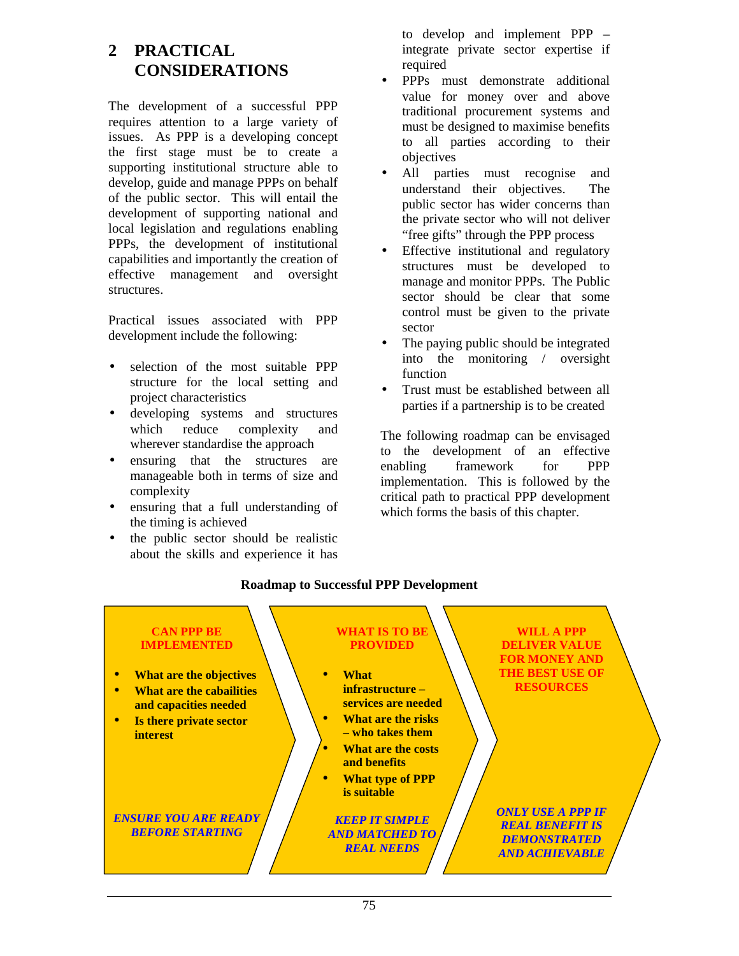# **2 PRACTICAL CONSIDERATIONS**

The development of a successful PPP requires attention to a large variety of issues. As PPP is a developing concept the first stage must be to create a supporting institutional structure able to develop, guide and manage PPPs on behalf of the public sector. This will entail the development of supporting national and local legislation and regulations enabling PPPs, the development of institutional capabilities and importantly the creation of effective management and oversight structures.

Practical issues associated with PPP development include the following:

- selection of the most suitable PPP structure for the local setting and project characteristics
- developing systems and structures which reduce complexity and wherever standardise the approach
- ensuring that the structures are manageable both in terms of size and complexity
- ensuring that a full understanding of the timing is achieved
- the public sector should be realistic about the skills and experience it has

to develop and implement PPP – integrate private sector expertise if required

- PPPs must demonstrate additional value for money over and above traditional procurement systems and must be designed to maximise benefits to all parties according to their objectives
- All parties must recognise and understand their objectives. The public sector has wider concerns than the private sector who will not deliver "free gifts" through the PPP process
- Effective institutional and regulatory structures must be developed to manage and monitor PPPs. The Public sector should be clear that some control must be given to the private sector
- The paying public should be integrated into the monitoring / oversight function
- Trust must be established between all parties if a partnership is to be created

The following roadmap can be envisaged to the development of an effective enabling framework for PPP implementation. This is followed by the critical path to practical PPP development which forms the basis of this chapter.



## **Roadmap to Successful PPP Development**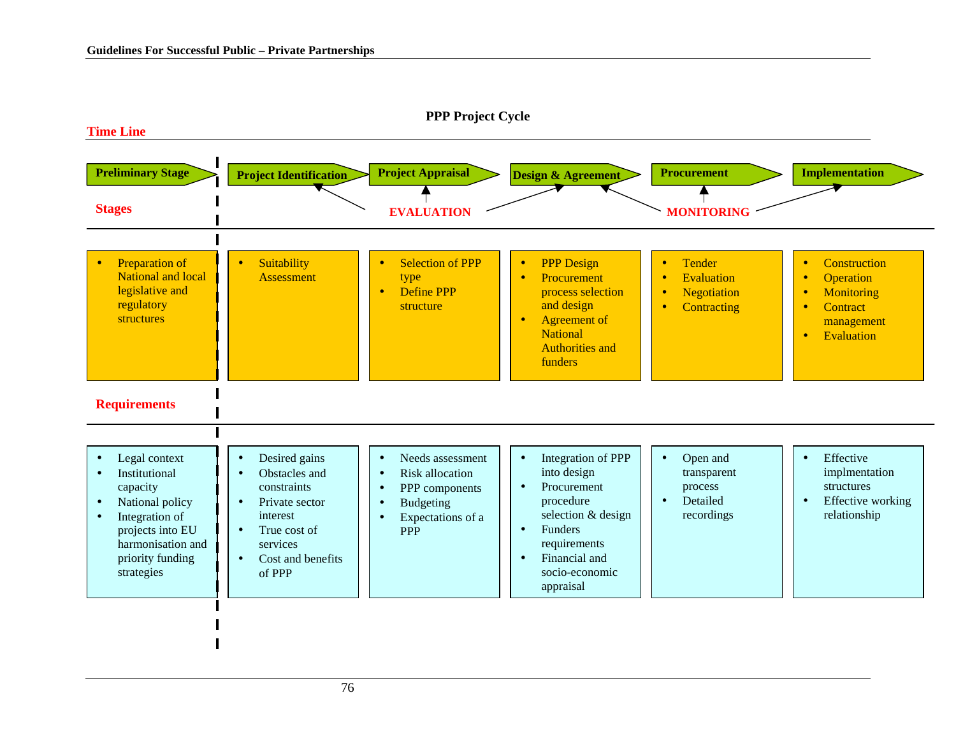

#### **PPP Project Cycle**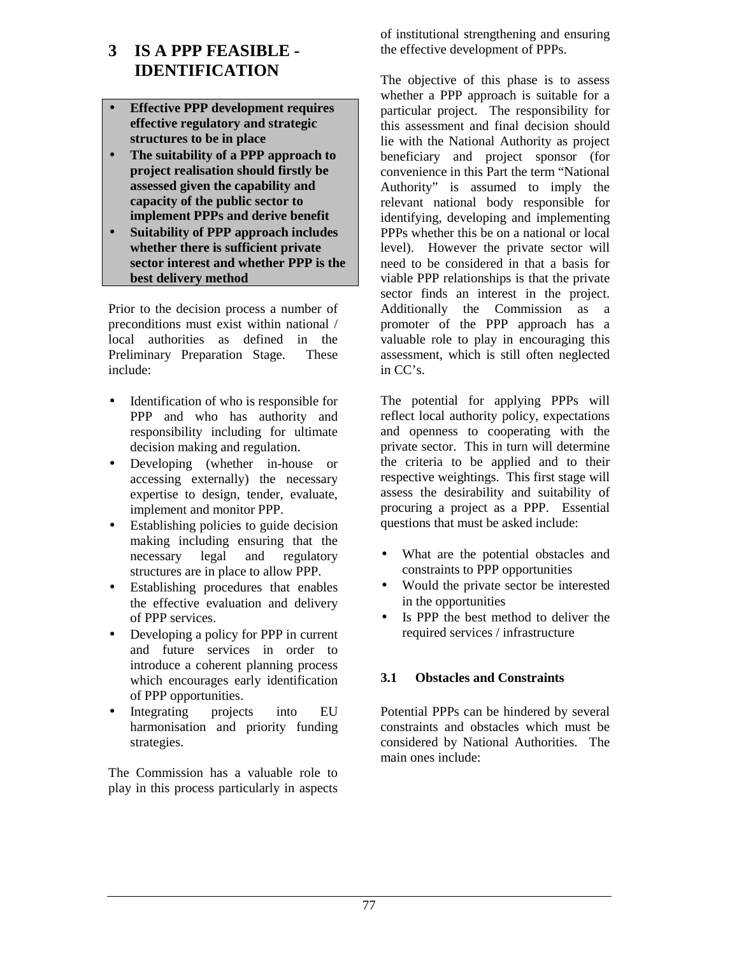# **3 IS A PPP FEASIBLE - IDENTIFICATION**

- **Effective PPP development requires effective regulatory and strategic structures to be in place**
- **The suitability of a PPP approach to project realisation should firstly be assessed given the capability and capacity of the public sector to implement PPPs and derive benefit**
- **Suitability of PPP approach includes whether there is sufficient private sector interest and whether PPP is the best delivery method**

Prior to the decision process a number of preconditions must exist within national / local authorities as defined in the Preliminary Preparation Stage. These include:

- Identification of who is responsible for PPP and who has authority and responsibility including for ultimate decision making and regulation.
- Developing (whether in-house or accessing externally) the necessary expertise to design, tender, evaluate, implement and monitor PPP.
- Establishing policies to guide decision making including ensuring that the necessary legal and regulatory structures are in place to allow PPP.
- Establishing procedures that enables the effective evaluation and delivery of PPP services.
- Developing a policy for PPP in current and future services in order to introduce a coherent planning process which encourages early identification of PPP opportunities.
- Integrating projects into EU harmonisation and priority funding strategies.

The Commission has a valuable role to play in this process particularly in aspects of institutional strengthening and ensuring the effective development of PPPs.

The objective of this phase is to assess whether a PPP approach is suitable for a particular project. The responsibility for this assessment and final decision should lie with the National Authority as project beneficiary and project sponsor (for convenience in this Part the term "National Authority" is assumed to imply the relevant national body responsible for identifying, developing and implementing PPPs whether this be on a national or local level). However the private sector will need to be considered in that a basis for viable PPP relationships is that the private sector finds an interest in the project. Additionally the Commission as a promoter of the PPP approach has a valuable role to play in encouraging this assessment, which is still often neglected in CC's.

The potential for applying PPPs will reflect local authority policy, expectations and openness to cooperating with the private sector. This in turn will determine the criteria to be applied and to their respective weightings. This first stage will assess the desirability and suitability of procuring a project as a PPP. Essential questions that must be asked include:

- What are the potential obstacles and constraints to PPP opportunities
- Would the private sector be interested in the opportunities
- Is PPP the best method to deliver the required services / infrastructure

## **3.1 Obstacles and Constraints**

Potential PPPs can be hindered by several constraints and obstacles which must be considered by National Authorities. The main ones include: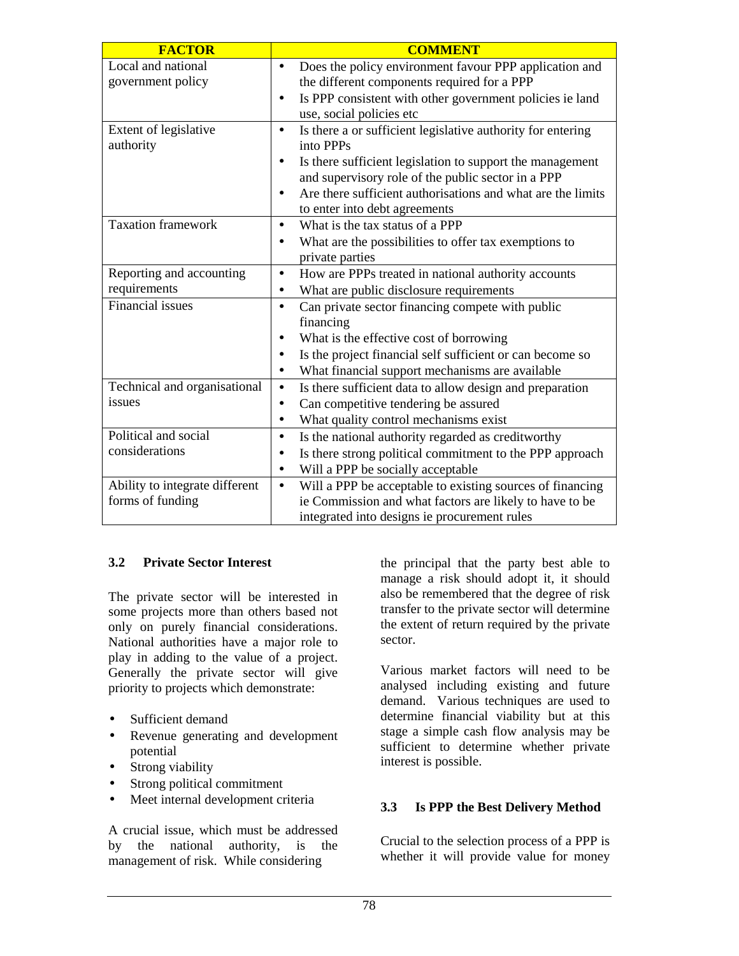| <b>FACTOR</b>                  | <b>COMMENT</b>                                                           |
|--------------------------------|--------------------------------------------------------------------------|
| Local and national             | Does the policy environment favour PPP application and<br>$\bullet$      |
| government policy              | the different components required for a PPP                              |
|                                | Is PPP consistent with other government policies ie land<br>$\bullet$    |
|                                | use, social policies etc                                                 |
| Extent of legislative          | Is there a or sufficient legislative authority for entering<br>$\bullet$ |
| authority                      | into PPPs                                                                |
|                                | Is there sufficient legislation to support the management<br>$\bullet$   |
|                                | and supervisory role of the public sector in a PPP                       |
|                                | Are there sufficient authorisations and what are the limits<br>$\bullet$ |
|                                | to enter into debt agreements                                            |
| Taxation framework             | What is the tax status of a PPP<br>$\bullet$                             |
|                                | What are the possibilities to offer tax exemptions to                    |
|                                | private parties                                                          |
| Reporting and accounting       | How are PPPs treated in national authority accounts<br>٠                 |
| requirements                   | What are public disclosure requirements<br>$\bullet$                     |
| <b>Financial issues</b>        | Can private sector financing compete with public<br>$\bullet$            |
|                                | financing                                                                |
|                                | What is the effective cost of borrowing                                  |
|                                | Is the project financial self sufficient or can become so<br>٠           |
|                                | What financial support mechanisms are available                          |
| Technical and organisational   | Is there sufficient data to allow design and preparation<br>$\bullet$    |
| issues                         | Can competitive tendering be assured<br>$\bullet$                        |
|                                | What quality control mechanisms exist<br>$\bullet$                       |
| Political and social           | Is the national authority regarded as creditworthy<br>$\bullet$          |
| considerations                 | Is there strong political commitment to the PPP approach<br>٠            |
|                                | Will a PPP be socially acceptable<br>٠                                   |
| Ability to integrate different | Will a PPP be acceptable to existing sources of financing<br>$\bullet$   |
| forms of funding               | ie Commission and what factors are likely to have to be                  |
|                                | integrated into designs ie procurement rules                             |

## **3.2 Private Sector Interest**

The private sector will be interested in some projects more than others based not only on purely financial considerations. National authorities have a major role to play in adding to the value of a project. Generally the private sector will give priority to projects which demonstrate:

- Sufficient demand
- Revenue generating and development potential
- Strong viability
- Strong political commitment
- Meet internal development criteria

A crucial issue, which must be addressed by the national authority, is the management of risk. While considering

the principal that the party best able to manage a risk should adopt it, it should also be remembered that the degree of risk transfer to the private sector will determine the extent of return required by the private sector.

Various market factors will need to be analysed including existing and future demand. Various techniques are used to determine financial viability but at this stage a simple cash flow analysis may be sufficient to determine whether private interest is possible.

## **3.3 Is PPP the Best Delivery Method**

Crucial to the selection process of a PPP is whether it will provide value for money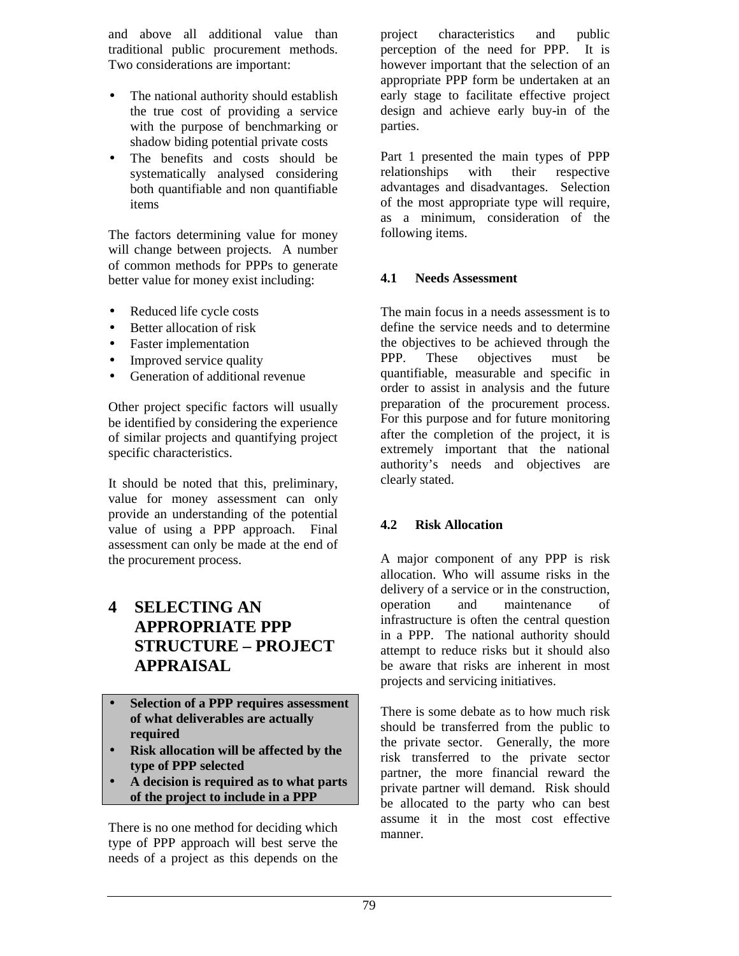and above all additional value than traditional public procurement methods. Two considerations are important:

- The national authority should establish the true cost of providing a service with the purpose of benchmarking or shadow biding potential private costs
- The benefits and costs should be systematically analysed considering both quantifiable and non quantifiable items

The factors determining value for money will change between projects. A number of common methods for PPPs to generate better value for money exist including:

- Reduced life cycle costs
- Better allocation of risk
- Faster implementation
- Improved service quality
- Generation of additional revenue

Other project specific factors will usually be identified by considering the experience of similar projects and quantifying project specific characteristics.

It should be noted that this, preliminary, value for money assessment can only provide an understanding of the potential value of using a PPP approach. Final assessment can only be made at the end of the procurement process.

# **4 SELECTING AN APPROPRIATE PPP STRUCTURE – PROJECT APPRAISAL**

- **Selection of a PPP requires assessment of what deliverables are actually required**
- **Risk allocation will be affected by the type of PPP selected**
- **A decision is required as to what parts of the project to include in a PPP**

There is no one method for deciding which type of PPP approach will best serve the needs of a project as this depends on the

project characteristics and public perception of the need for PPP. It is however important that the selection of an appropriate PPP form be undertaken at an early stage to facilitate effective project design and achieve early buy-in of the parties.

Part 1 presented the main types of PPP relationships with their respective advantages and disadvantages. Selection of the most appropriate type will require, as a minimum, consideration of the following items.

#### **4.1 Needs Assessment**

The main focus in a needs assessment is to define the service needs and to determine the objectives to be achieved through the PPP. These objectives must be quantifiable, measurable and specific in order to assist in analysis and the future preparation of the procurement process. For this purpose and for future monitoring after the completion of the project, it is extremely important that the national authority's needs and objectives are clearly stated.

#### **4.2 Risk Allocation**

A major component of any PPP is risk allocation. Who will assume risks in the delivery of a service or in the construction, operation and maintenance of infrastructure is often the central question in a PPP. The national authority should attempt to reduce risks but it should also be aware that risks are inherent in most projects and servicing initiatives.

There is some debate as to how much risk should be transferred from the public to the private sector. Generally, the more risk transferred to the private sector partner, the more financial reward the private partner will demand. Risk should be allocated to the party who can best assume it in the most cost effective manner.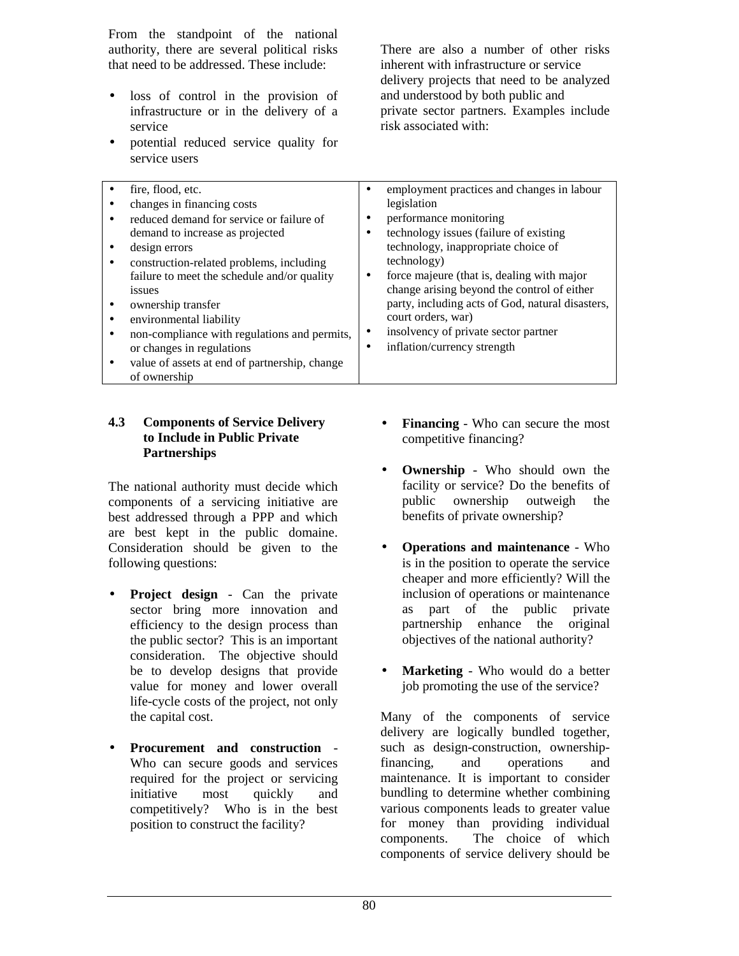From the standpoint of the national authority, there are several political risks that need to be addressed. These include:

- loss of control in the provision of infrastructure or in the delivery of a service
- potential reduced service quality for service users

There are also a number of other risks inherent with infrastructure or service delivery projects that need to be analyzed and understood by both public and private sector partners. Examples include risk associated with:

| fire, flood, etc.  |                                               | $\bullet$ | employment practices and changes in labour       |
|--------------------|-----------------------------------------------|-----------|--------------------------------------------------|
|                    | changes in financing costs                    |           | legislation                                      |
|                    | reduced demand for service or failure of      |           | performance monitoring                           |
|                    | demand to increase as projected               |           | technology issues (failure of existing           |
| design errors      |                                               |           | technology, inappropriate choice of              |
| ٠                  | construction-related problems, including      |           | technology)                                      |
|                    | failure to meet the schedule and/or quality   | ٠         | force majeure (that is, dealing with major       |
| <i>issues</i>      |                                               |           | change arising beyond the control of either      |
| ownership transfer |                                               |           | party, including acts of God, natural disasters, |
| $\bullet$          | environmental liability                       |           | court orders, war)                               |
| ٠                  | non-compliance with regulations and permits,  | ٠         | insolvency of private sector partner             |
|                    | or changes in regulations                     |           | inflation/currency strength                      |
| ٠                  | value of assets at end of partnership, change |           |                                                  |
| of ownership       |                                               |           |                                                  |

#### **4.3 Components of Service Delivery to Include in Public Private Partnerships**

The national authority must decide which components of a servicing initiative are best addressed through a PPP and which are best kept in the public domaine. Consideration should be given to the following questions:

- **Project design**  Can the private sector bring more innovation and efficiency to the design process than the public sector? This is an important consideration. The objective should be to develop designs that provide value for money and lower overall life-cycle costs of the project, not only the capital cost.
- **Procurement and construction**  Who can secure goods and services required for the project or servicing initiative most quickly and competitively? Who is in the best position to construct the facility?
- **Financing** Who can secure the most competitive financing?
- **Ownership**  Who should own the facility or service? Do the benefits of public ownership outweigh the benefits of private ownership?
- **Operations and maintenance**  Who is in the position to operate the service cheaper and more efficiently? Will the inclusion of operations or maintenance as part of the public private partnership enhance the original objectives of the national authority?
- **Marketing**  Who would do a better job promoting the use of the service?

Many of the components of service delivery are logically bundled together, such as design-construction, ownershipfinancing, and operations and maintenance. It is important to consider bundling to determine whether combining various components leads to greater value for money than providing individual components. The choice of which components of service delivery should be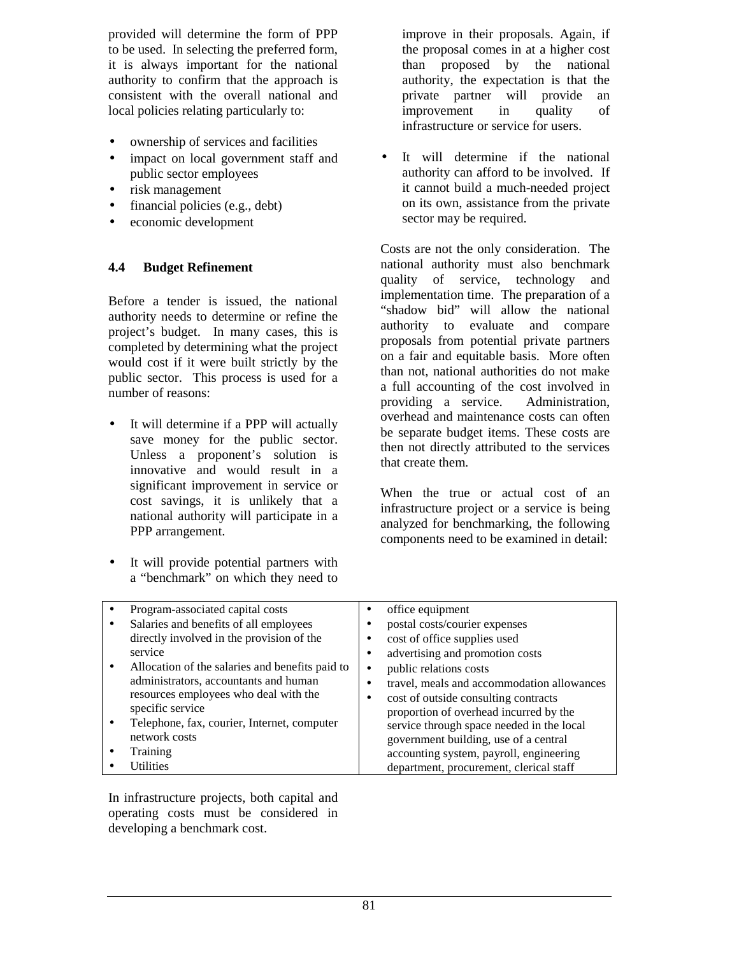provided will determine the form of PPP to be used. In selecting the preferred form, it is always important for the national authority to confirm that the approach is consistent with the overall national and local policies relating particularly to:

- ownership of services and facilities
- impact on local government staff and public sector employees
- risk management
- financial policies (e.g., debt)
- economic development

#### **4.4 Budget Refinement**

Before a tender is issued, the national authority needs to determine or refine the project's budget. In many cases, this is completed by determining what the project would cost if it were built strictly by the public sector. This process is used for a number of reasons:

- It will determine if a PPP will actually save money for the public sector. Unless a proponent's solution is innovative and would result in a significant improvement in service or cost savings, it is unlikely that a national authority will participate in a PPP arrangement.
- It will provide potential partners with a "benchmark" on which they need to

improve in their proposals. Again, if the proposal comes in at a higher cost than proposed by the national authority, the expectation is that the private partner will provide an improvement in quality of infrastructure or service for users.

It will determine if the national authority can afford to be involved. If it cannot build a much-needed project on its own, assistance from the private sector may be required.

Costs are not the only consideration. The national authority must also benchmark quality of service, technology and implementation time. The preparation of a "shadow bid" will allow the national authority to evaluate and compare proposals from potential private partners on a fair and equitable basis. More often than not, national authorities do not make a full accounting of the cost involved in providing a service. Administration, overhead and maintenance costs can often be separate budget items. These costs are then not directly attributed to the services that create them.

When the true or actual cost of an infrastructure project or a service is being analyzed for benchmarking, the following components need to be examined in detail:

| Program-associated capital costs                |   | office equipment                           |
|-------------------------------------------------|---|--------------------------------------------|
|                                                 |   |                                            |
| Salaries and benefits of all employees          |   | postal costs/courier expenses              |
| directly involved in the provision of the       |   | cost of office supplies used               |
| service                                         |   | advertising and promotion costs            |
| Allocation of the salaries and benefits paid to |   | public relations costs                     |
| administrators, accountants and human           |   | travel, meals and accommodation allowances |
| resources employees who deal with the           | ٠ | cost of outside consulting contracts       |
| specific service                                |   | proportion of overhead incurred by the     |
| Telephone, fax, courier, Internet, computer     |   | service through space needed in the local  |
| network costs                                   |   | government building, use of a central      |
| Training                                        |   | accounting system, payroll, engineering    |
| <b>Itilities</b>                                |   | department, procurement, clerical staff    |

In infrastructure projects, both capital and operating costs must be considered in developing a benchmark cost.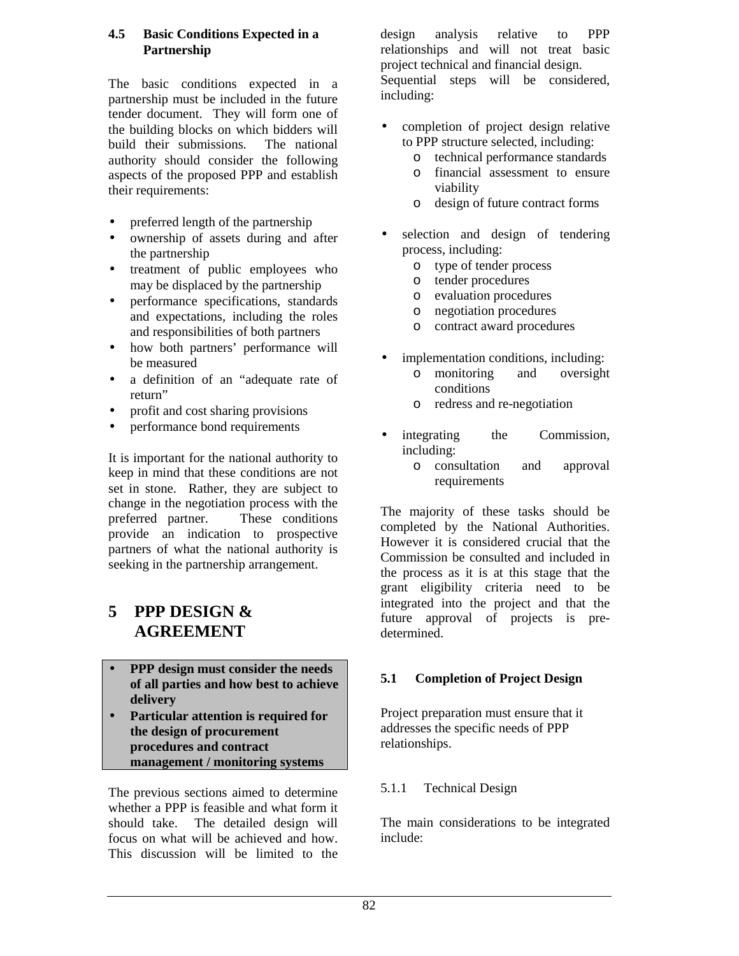#### **4.5 Basic Conditions Expected in a Partnership**

The basic conditions expected in a partnership must be included in the future tender document. They will form one of the building blocks on which bidders will build their submissions. The national authority should consider the following aspects of the proposed PPP and establish their requirements:

- preferred length of the partnership
- ownership of assets during and after the partnership
- treatment of public employees who may be displaced by the partnership
- performance specifications, standards and expectations, including the roles and responsibilities of both partners
- how both partners' performance will be measured
- a definition of an "adequate rate of return"
- profit and cost sharing provisions
- performance bond requirements

It is important for the national authority to keep in mind that these conditions are not set in stone. Rather, they are subject to change in the negotiation process with the preferred partner. These conditions provide an indication to prospective partners of what the national authority is seeking in the partnership arrangement.

# **5 PPP DESIGN & AGREEMENT**

- **PPP design must consider the needs of all parties and how best to achieve delivery**
- **Particular attention is required for the design of procurement procedures and contract management / monitoring systems**

The previous sections aimed to determine whether a PPP is feasible and what form it should take. The detailed design will focus on what will be achieved and how. This discussion will be limited to the

design analysis relative to PPP relationships and will not treat basic project technical and financial design. Sequential steps will be considered, including:

- completion of project design relative to PPP structure selected, including:
	- o technical performance standards
	- o financial assessment to ensure viability
	- o design of future contract forms
- selection and design of tendering process, including:
	- o type of tender process
	- o tender procedures
	- o evaluation procedures
	- o negotiation procedures
	- o contract award procedures
- implementation conditions, including:
	- o monitoring and oversight conditions
	- o redress and re-negotiation
- integrating the Commission, including:
	- o consultation and approval requirements

The majority of these tasks should be completed by the National Authorities. However it is considered crucial that the Commission be consulted and included in the process as it is at this stage that the grant eligibility criteria need to be integrated into the project and that the future approval of projects is predetermined.

## **5.1 Completion of Project Design**

Project preparation must ensure that it addresses the specific needs of PPP relationships.

## 5.1.1 Technical Design

The main considerations to be integrated include: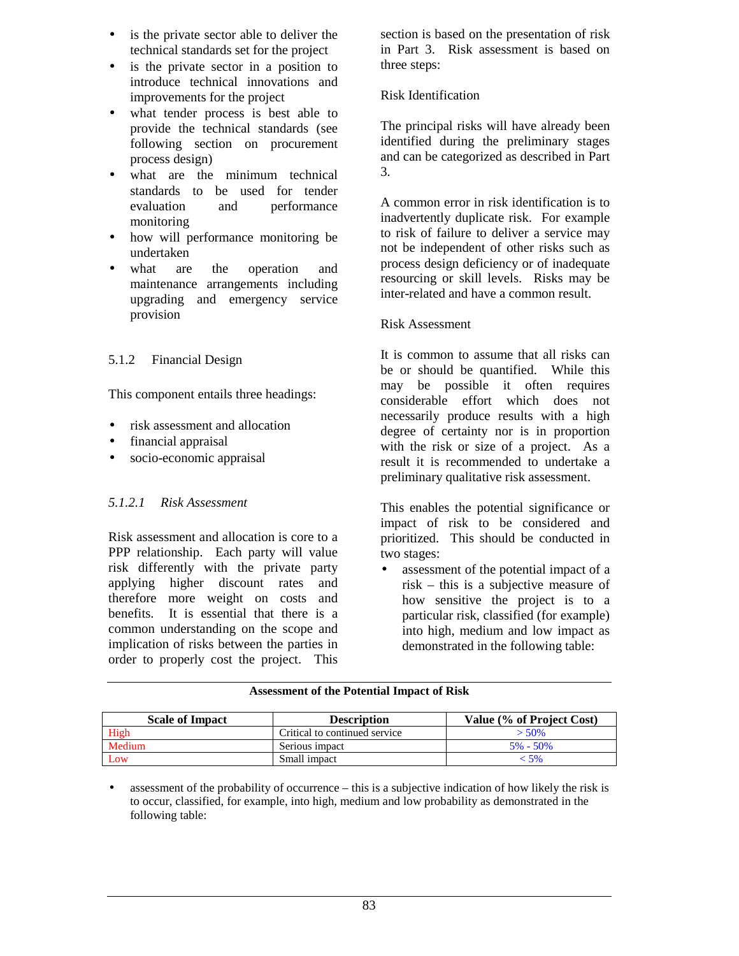- is the private sector able to deliver the technical standards set for the project
- is the private sector in a position to introduce technical innovations and improvements for the project
- what tender process is best able to provide the technical standards (see following section on procurement process design)
- what are the minimum technical standards to be used for tender evaluation and performance monitoring
- how will performance monitoring be undertaken
- what are the operation and maintenance arrangements including upgrading and emergency service provision

## 5.1.2 Financial Design

This component entails three headings:

- risk assessment and allocation
- financial appraisal
- socio-economic appraisal

#### *5.1.2.1 Risk Assessment*

Risk assessment and allocation is core to a PPP relationship. Each party will value risk differently with the private party applying higher discount rates and therefore more weight on costs and benefits. It is essential that there is a common understanding on the scope and implication of risks between the parties in order to properly cost the project. This

section is based on the presentation of risk in Part 3. Risk assessment is based on three steps:

#### Risk Identification

The principal risks will have already been identified during the preliminary stages and can be categorized as described in Part 3.

A common error in risk identification is to inadvertently duplicate risk. For example to risk of failure to deliver a service may not be independent of other risks such as process design deficiency or of inadequate resourcing or skill levels. Risks may be inter-related and have a common result.

#### Risk Assessment

It is common to assume that all risks can be or should be quantified. While this may be possible it often requires considerable effort which does not necessarily produce results with a high degree of certainty nor is in proportion with the risk or size of a project. As a result it is recommended to undertake a preliminary qualitative risk assessment.

This enables the potential significance or impact of risk to be considered and prioritized. This should be conducted in two stages:

• assessment of the potential impact of a risk – this is a subjective measure of how sensitive the project is to a particular risk, classified (for example) into high, medium and low impact as demonstrated in the following table:

#### **Assessment of the Potential Impact of Risk**

| <b>Scale of Impact</b> | <b>Description</b>            | Value (% of Project Cost) |
|------------------------|-------------------------------|---------------------------|
| High                   | Critical to continued service | $> 50\%$                  |
| Medium                 | Serious impact                | $5\% - 50\%$              |
| Low                    | Small impact                  | - 5%                      |

• assessment of the probability of occurrence – this is a subjective indication of how likely the risk is to occur, classified, for example, into high, medium and low probability as demonstrated in the following table: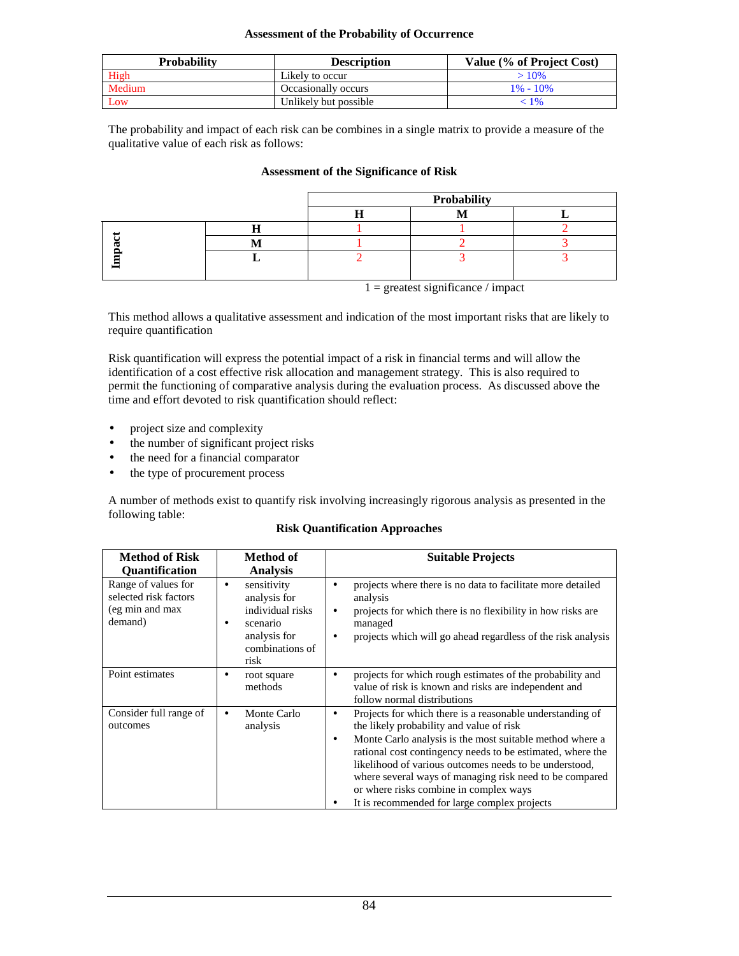#### **Assessment of the Probability of Occurrence**

| <b>Probability</b> | <b>Description</b>    | Value (% of Project Cost) |
|--------------------|-----------------------|---------------------------|
| High               | Likely to occur       | $>10\%$                   |
| Medium             | Occasionally occurs   | $1\% - 10\%$              |
| Low                | Unlikely but possible | $\sqrt{96}$               |

The probability and impact of each risk can be combines in a single matrix to provide a measure of the qualitative value of each risk as follows:

#### **Assessment of the Significance of Risk**

|  | Probability |  |  |
|--|-------------|--|--|
|  |             |  |  |
|  |             |  |  |
|  |             |  |  |
|  |             |  |  |

 $1 =$  greatest significance / impact

This method allows a qualitative assessment and indication of the most important risks that are likely to require quantification

Risk quantification will express the potential impact of a risk in financial terms and will allow the identification of a cost effective risk allocation and management strategy. This is also required to permit the functioning of comparative analysis during the evaluation process. As discussed above the time and effort devoted to risk quantification should reflect:

- project size and complexity
- the number of significant project risks
- the need for a financial comparator
- the type of procurement process

A number of methods exist to quantify risk involving increasingly rigorous analysis as presented in the following table:

#### **Risk Quantification Approaches**

| <b>Method of Risk</b>                                                      | Method of                                                                                                   | <b>Suitable Projects</b>                                                                                                                                                                                                                                                                                                                                                                                                                                 |  |
|----------------------------------------------------------------------------|-------------------------------------------------------------------------------------------------------------|----------------------------------------------------------------------------------------------------------------------------------------------------------------------------------------------------------------------------------------------------------------------------------------------------------------------------------------------------------------------------------------------------------------------------------------------------------|--|
| Quantification                                                             | <b>Analysis</b>                                                                                             |                                                                                                                                                                                                                                                                                                                                                                                                                                                          |  |
| Range of values for<br>selected risk factors<br>(eg min and max<br>demand) | sensitivity<br>٠<br>analysis for<br>individual risks<br>scenario<br>analysis for<br>combinations of<br>risk | projects where there is no data to facilitate more detailed<br>analysis<br>projects for which there is no flexibility in how risks are<br>٠<br>managed<br>projects which will go ahead regardless of the risk analysis<br>$\bullet$                                                                                                                                                                                                                      |  |
| Point estimates                                                            | root square<br>٠<br>methods                                                                                 | projects for which rough estimates of the probability and<br>value of risk is known and risks are independent and<br>follow normal distributions                                                                                                                                                                                                                                                                                                         |  |
| Consider full range of<br>outcomes                                         | Monte Carlo<br>٠<br>analysis                                                                                | Projects for which there is a reasonable understanding of<br>٠<br>the likely probability and value of risk<br>Monte Carlo analysis is the most suitable method where a<br>٠<br>rational cost contingency needs to be estimated, where the<br>likelihood of various outcomes needs to be understood,<br>where several ways of managing risk need to be compared<br>or where risks combine in complex ways<br>It is recommended for large complex projects |  |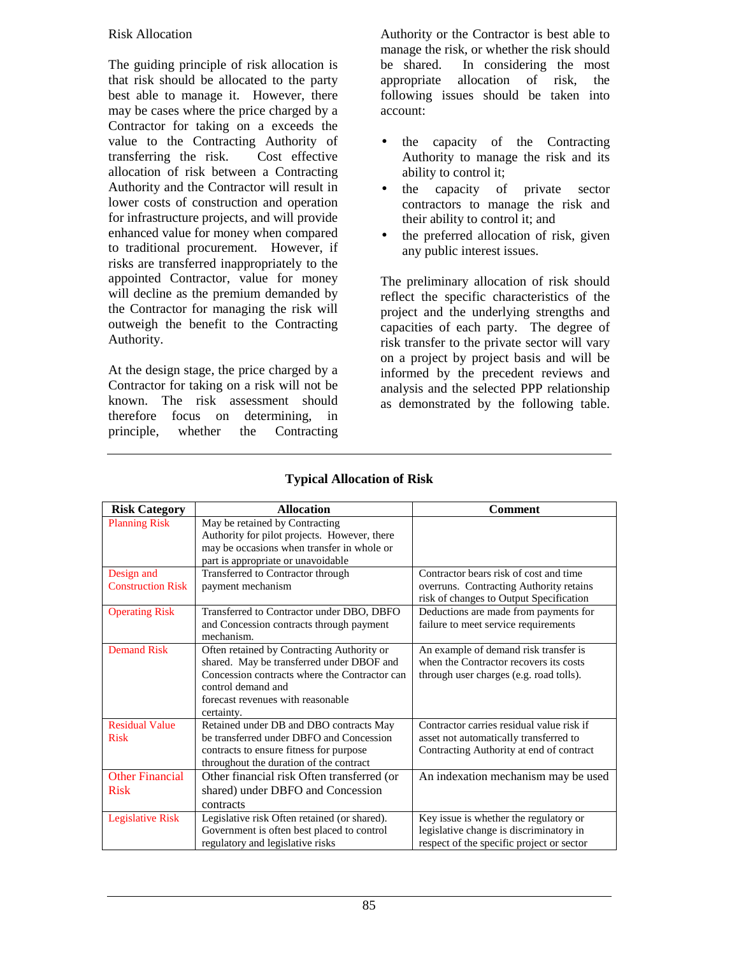#### Risk Allocation

The guiding principle of risk allocation is that risk should be allocated to the party best able to manage it. However, there may be cases where the price charged by a Contractor for taking on a exceeds the value to the Contracting Authority of transferring the risk. Cost effective allocation of risk between a Contracting Authority and the Contractor will result in lower costs of construction and operation for infrastructure projects, and will provide enhanced value for money when compared to traditional procurement. However, if risks are transferred inappropriately to the appointed Contractor, value for money will decline as the premium demanded by the Contractor for managing the risk will outweigh the benefit to the Contracting Authority.

At the design stage, the price charged by a Contractor for taking on a risk will not be known. The risk assessment should therefore focus on determining, in principle, whether the Contracting

Authority or the Contractor is best able to manage the risk, or whether the risk should be shared. In considering the most appropriate allocation of risk, the following issues should be taken into account:

- the capacity of the Contracting Authority to manage the risk and its ability to control it;
- the capacity of private sector contractors to manage the risk and their ability to control it; and
- the preferred allocation of risk, given any public interest issues.

The preliminary allocation of risk should reflect the specific characteristics of the project and the underlying strengths and capacities of each party. The degree of risk transfer to the private sector will vary on a project by project basis and will be informed by the precedent reviews and analysis and the selected PPP relationship as demonstrated by the following table.

| <b>Risk Category</b>     | <b>Allocation</b>                             | <b>Comment</b>                            |
|--------------------------|-----------------------------------------------|-------------------------------------------|
| <b>Planning Risk</b>     | May be retained by Contracting                |                                           |
|                          | Authority for pilot projects. However, there  |                                           |
|                          | may be occasions when transfer in whole or    |                                           |
|                          | part is appropriate or unavoidable            |                                           |
| Design and               | Transferred to Contractor through             | Contractor bears risk of cost and time    |
| <b>Construction Risk</b> | payment mechanism                             | overruns. Contracting Authority retains   |
|                          |                                               | risk of changes to Output Specification   |
| <b>Operating Risk</b>    | Transferred to Contractor under DBO, DBFO     | Deductions are made from payments for     |
|                          | and Concession contracts through payment      | failure to meet service requirements      |
|                          | mechanism.                                    |                                           |
| <b>Demand</b> Risk       | Often retained by Contracting Authority or    | An example of demand risk transfer is     |
|                          | shared. May be transferred under DBOF and     | when the Contractor recovers its costs    |
|                          | Concession contracts where the Contractor can | through user charges (e.g. road tolls).   |
|                          | control demand and                            |                                           |
|                          | forecast revenues with reasonable             |                                           |
|                          | certainty.                                    |                                           |
| <b>Residual Value</b>    | Retained under DB and DBO contracts May       | Contractor carries residual value risk if |
| <b>Risk</b>              | be transferred under DBFO and Concession      | asset not automatically transferred to    |
|                          | contracts to ensure fitness for purpose       | Contracting Authority at end of contract  |
|                          | throughout the duration of the contract       |                                           |
| <b>Other Financial</b>   | Other financial risk Often transferred (or    | An indexation mechanism may be used       |
| <b>Risk</b>              | shared) under DBFO and Concession             |                                           |
|                          | contracts                                     |                                           |
| <b>Legislative Risk</b>  | Legislative risk Often retained (or shared).  | Key issue is whether the regulatory or    |
|                          | Government is often best placed to control    | legislative change is discriminatory in   |
|                          | regulatory and legislative risks              | respect of the specific project or sector |

#### **Typical Allocation of Risk**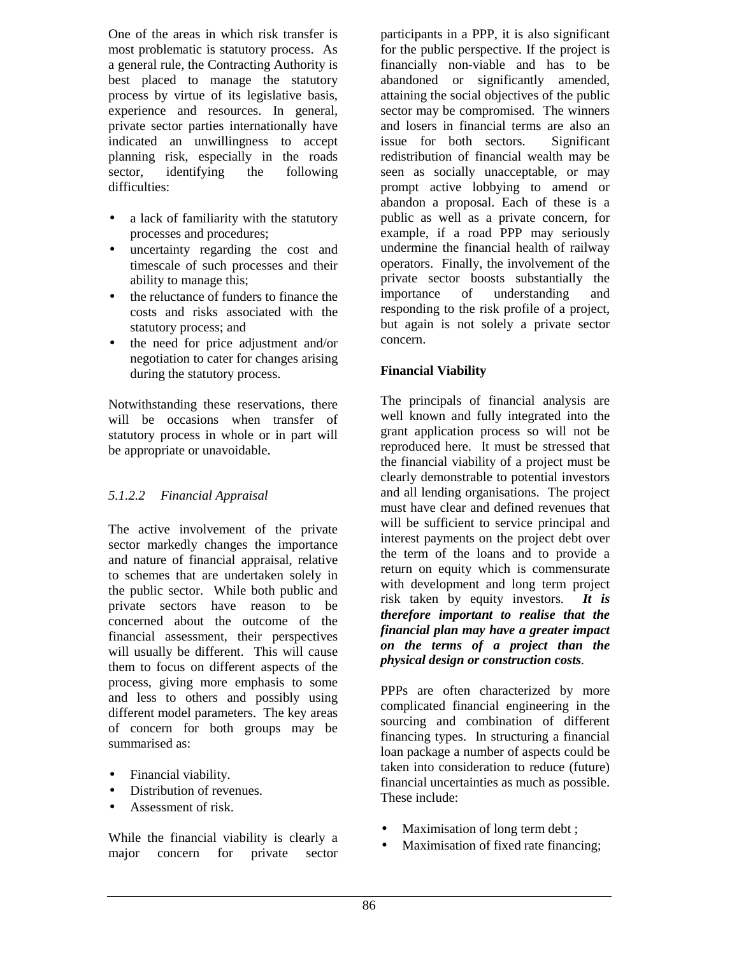One of the areas in which risk transfer is most problematic is statutory process. As a general rule, the Contracting Authority is best placed to manage the statutory process by virtue of its legislative basis, experience and resources. In general, private sector parties internationally have indicated an unwillingness to accept planning risk, especially in the roads sector, identifying the following difficulties:

- a lack of familiarity with the statutory processes and procedures;
- uncertainty regarding the cost and timescale of such processes and their ability to manage this;
- the reluctance of funders to finance the costs and risks associated with the statutory process; and
- the need for price adjustment and/or negotiation to cater for changes arising during the statutory process.

Notwithstanding these reservations, there will be occasions when transfer of statutory process in whole or in part will be appropriate or unavoidable.

## *5.1.2.2 Financial Appraisal*

The active involvement of the private sector markedly changes the importance and nature of financial appraisal, relative to schemes that are undertaken solely in the public sector. While both public and private sectors have reason to be concerned about the outcome of the financial assessment, their perspectives will usually be different. This will cause them to focus on different aspects of the process, giving more emphasis to some and less to others and possibly using different model parameters. The key areas of concern for both groups may be summarised as:

- Financial viability.
- Distribution of revenues.
- Assessment of risk.

While the financial viability is clearly a major concern for private sector

participants in a PPP, it is also significant for the public perspective. If the project is financially non-viable and has to be abandoned or significantly amended, attaining the social objectives of the public sector may be compromised. The winners and losers in financial terms are also an issue for both sectors. Significant redistribution of financial wealth may be seen as socially unacceptable, or may prompt active lobbying to amend or abandon a proposal. Each of these is a public as well as a private concern, for example, if a road PPP may seriously undermine the financial health of railway operators. Finally, the involvement of the private sector boosts substantially the importance of understanding and responding to the risk profile of a project, but again is not solely a private sector concern.

#### **Financial Viability**

The principals of financial analysis are well known and fully integrated into the grant application process so will not be reproduced here. It must be stressed that the financial viability of a project must be clearly demonstrable to potential investors and all lending organisations. The project must have clear and defined revenues that will be sufficient to service principal and interest payments on the project debt over the term of the loans and to provide a return on equity which is commensurate with development and long term project risk taken by equity investors. *It is therefore important to realise that the financial plan may have a greater impact on the terms of a project than the physical design or construction costs.*

PPPs are often characterized by more complicated financial engineering in the sourcing and combination of different financing types. In structuring a financial loan package a number of aspects could be taken into consideration to reduce (future) financial uncertainties as much as possible. These include:

- Maximisation of long term debt;
- Maximisation of fixed rate financing;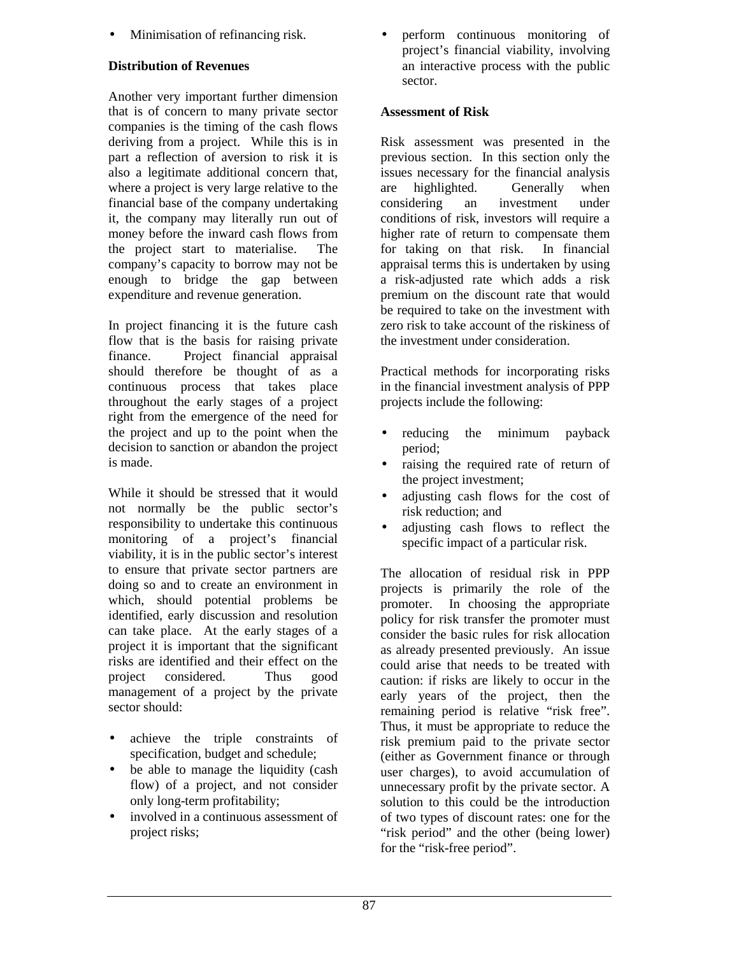• Minimisation of refinancing risk.

## **Distribution of Revenues**

Another very important further dimension that is of concern to many private sector companies is the timing of the cash flows deriving from a project. While this is in part a reflection of aversion to risk it is also a legitimate additional concern that, where a project is very large relative to the financial base of the company undertaking it, the company may literally run out of money before the inward cash flows from the project start to materialise. The company's capacity to borrow may not be enough to bridge the gap between expenditure and revenue generation.

In project financing it is the future cash flow that is the basis for raising private finance. Project financial appraisal should therefore be thought of as a continuous process that takes place throughout the early stages of a project right from the emergence of the need for the project and up to the point when the decision to sanction or abandon the project is made.

While it should be stressed that it would not normally be the public sector's responsibility to undertake this continuous monitoring of a project's financial viability, it is in the public sector's interest to ensure that private sector partners are doing so and to create an environment in which, should potential problems be identified, early discussion and resolution can take place. At the early stages of a project it is important that the significant risks are identified and their effect on the project considered. Thus good management of a project by the private sector should:

- achieve the triple constraints of specification, budget and schedule;
- be able to manage the liquidity (cash flow) of a project, and not consider only long-term profitability;
- involved in a continuous assessment of project risks;

• perform continuous monitoring of project's financial viability, involving an interactive process with the public sector.

#### **Assessment of Risk**

Risk assessment was presented in the previous section. In this section only the issues necessary for the financial analysis are highlighted. Generally when considering an investment under conditions of risk, investors will require a higher rate of return to compensate them for taking on that risk. In financial appraisal terms this is undertaken by using a risk-adjusted rate which adds a risk premium on the discount rate that would be required to take on the investment with zero risk to take account of the riskiness of the investment under consideration.

Practical methods for incorporating risks in the financial investment analysis of PPP projects include the following:

- reducing the minimum payback period;
- raising the required rate of return of the project investment;
- adjusting cash flows for the cost of risk reduction; and
- adjusting cash flows to reflect the specific impact of a particular risk.

The allocation of residual risk in PPP projects is primarily the role of the promoter. In choosing the appropriate policy for risk transfer the promoter must consider the basic rules for risk allocation as already presented previously. An issue could arise that needs to be treated with caution: if risks are likely to occur in the early years of the project, then the remaining period is relative "risk free". Thus, it must be appropriate to reduce the risk premium paid to the private sector (either as Government finance or through user charges), to avoid accumulation of unnecessary profit by the private sector. A solution to this could be the introduction of two types of discount rates: one for the "risk period" and the other (being lower) for the "risk-free period".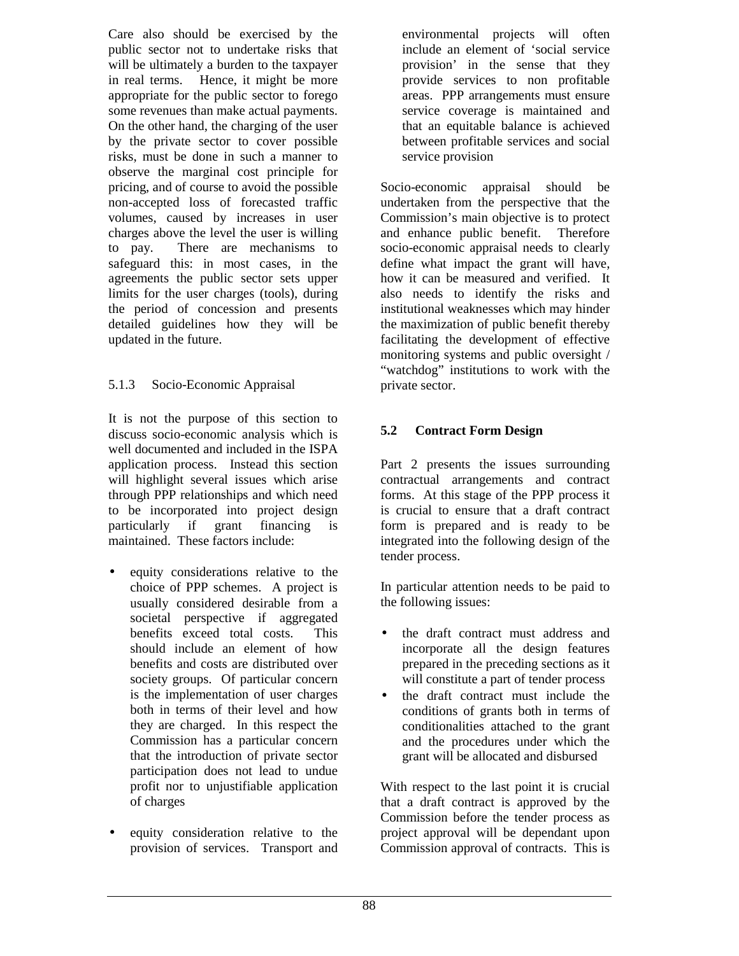Care also should be exercised by the public sector not to undertake risks that will be ultimately a burden to the taxpayer in real terms. Hence, it might be more appropriate for the public sector to forego some revenues than make actual payments. On the other hand, the charging of the user by the private sector to cover possible risks, must be done in such a manner to observe the marginal cost principle for pricing, and of course to avoid the possible non-accepted loss of forecasted traffic volumes, caused by increases in user charges above the level the user is willing to pay. There are mechanisms to safeguard this: in most cases, in the agreements the public sector sets upper limits for the user charges (tools), during the period of concession and presents detailed guidelines how they will be updated in the future.

## 5.1.3 Socio-Economic Appraisal

It is not the purpose of this section to discuss socio-economic analysis which is well documented and included in the ISPA application process. Instead this section will highlight several issues which arise through PPP relationships and which need to be incorporated into project design particularly if grant financing is maintained. These factors include:

- equity considerations relative to the choice of PPP schemes. A project is usually considered desirable from a societal perspective if aggregated benefits exceed total costs. This should include an element of how benefits and costs are distributed over society groups. Of particular concern is the implementation of user charges both in terms of their level and how they are charged. In this respect the Commission has a particular concern that the introduction of private sector participation does not lead to undue profit nor to unjustifiable application of charges
- equity consideration relative to the provision of services. Transport and

environmental projects will often include an element of 'social service provision' in the sense that they provide services to non profitable areas. PPP arrangements must ensure service coverage is maintained and that an equitable balance is achieved between profitable services and social service provision

Socio-economic appraisal should be undertaken from the perspective that the Commission's main objective is to protect and enhance public benefit. Therefore socio-economic appraisal needs to clearly define what impact the grant will have, how it can be measured and verified. It also needs to identify the risks and institutional weaknesses which may hinder the maximization of public benefit thereby facilitating the development of effective monitoring systems and public oversight / "watchdog" institutions to work with the private sector.

## **5.2 Contract Form Design**

Part 2 presents the issues surrounding contractual arrangements and contract forms. At this stage of the PPP process it is crucial to ensure that a draft contract form is prepared and is ready to be integrated into the following design of the tender process.

In particular attention needs to be paid to the following issues:

- the draft contract must address and incorporate all the design features prepared in the preceding sections as it will constitute a part of tender process
- the draft contract must include the conditions of grants both in terms of conditionalities attached to the grant and the procedures under which the grant will be allocated and disbursed

With respect to the last point it is crucial that a draft contract is approved by the Commission before the tender process as project approval will be dependant upon Commission approval of contracts. This is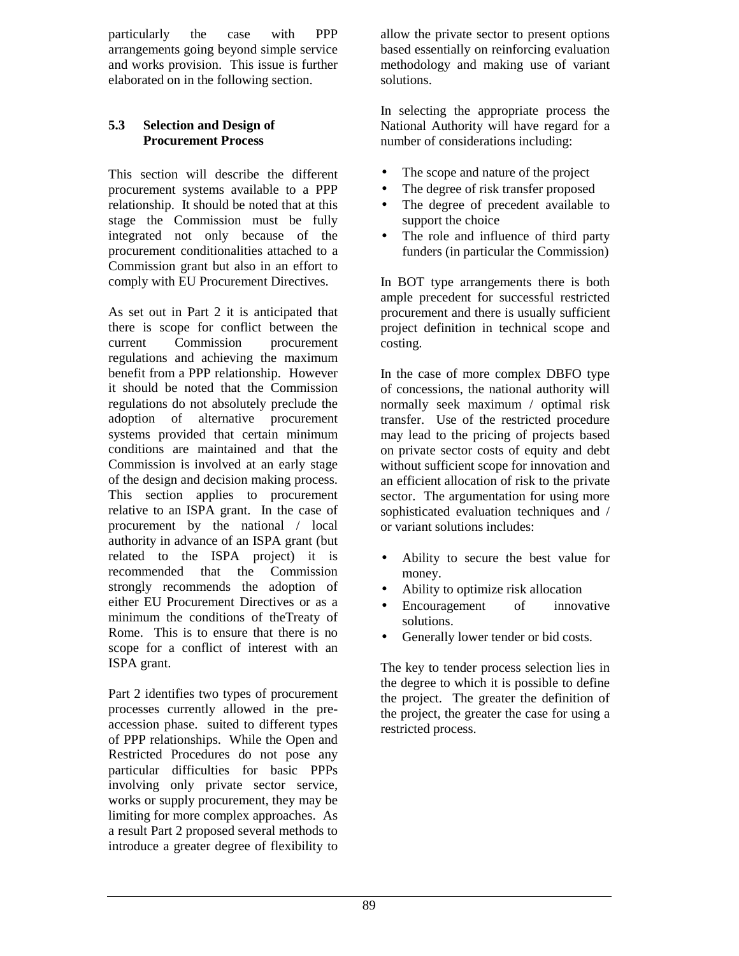particularly the case with PPP arrangements going beyond simple service and works provision. This issue is further elaborated on in the following section.

#### **5.3 Selection and Design of Procurement Process**

This section will describe the different procurement systems available to a PPP relationship. It should be noted that at this stage the Commission must be fully integrated not only because of the procurement conditionalities attached to a Commission grant but also in an effort to comply with EU Procurement Directives.

As set out in Part 2 it is anticipated that there is scope for conflict between the current Commission procurement regulations and achieving the maximum benefit from a PPP relationship. However it should be noted that the Commission regulations do not absolutely preclude the adoption of alternative procurement systems provided that certain minimum conditions are maintained and that the Commission is involved at an early stage of the design and decision making process. This section applies to procurement relative to an ISPA grant. In the case of procurement by the national / local authority in advance of an ISPA grant (but related to the ISPA project) it is recommended that the Commission strongly recommends the adoption of either EU Procurement Directives or as a minimum the conditions of theTreaty of Rome. This is to ensure that there is no scope for a conflict of interest with an ISPA grant.

Part 2 identifies two types of procurement processes currently allowed in the preaccession phase. suited to different types of PPP relationships. While the Open and Restricted Procedures do not pose any particular difficulties for basic PPPs involving only private sector service, works or supply procurement, they may be limiting for more complex approaches. As a result Part 2 proposed several methods to introduce a greater degree of flexibility to

allow the private sector to present options based essentially on reinforcing evaluation methodology and making use of variant solutions.

In selecting the appropriate process the National Authority will have regard for a number of considerations including:

- The scope and nature of the project
- The degree of risk transfer proposed
- The degree of precedent available to support the choice
- The role and influence of third party funders (in particular the Commission)

In BOT type arrangements there is both ample precedent for successful restricted procurement and there is usually sufficient project definition in technical scope and costing.

In the case of more complex DBFO type of concessions, the national authority will normally seek maximum / optimal risk transfer. Use of the restricted procedure may lead to the pricing of projects based on private sector costs of equity and debt without sufficient scope for innovation and an efficient allocation of risk to the private sector. The argumentation for using more sophisticated evaluation techniques and / or variant solutions includes:

- Ability to secure the best value for money.
- Ability to optimize risk allocation
- Encouragement of innovative solutions.
- Generally lower tender or bid costs.

The key to tender process selection lies in the degree to which it is possible to define the project. The greater the definition of the project, the greater the case for using a restricted process.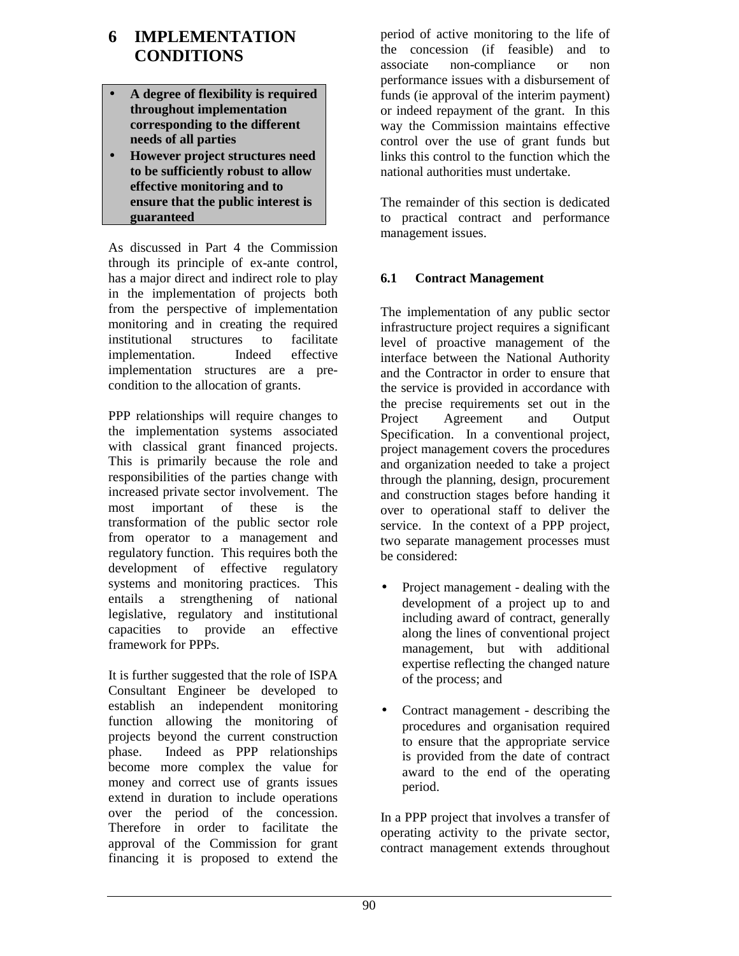# **6 IMPLEMENTATION CONDITIONS**

- **A degree of flexibility is required throughout implementation corresponding to the different needs of all parties**
- **However project structures need to be sufficiently robust to allow effective monitoring and to ensure that the public interest is guaranteed**

As discussed in Part 4 the Commission through its principle of ex-ante control, has a major direct and indirect role to play in the implementation of projects both from the perspective of implementation monitoring and in creating the required institutional structures to facilitate implementation. Indeed effective implementation structures are a precondition to the allocation of grants.

PPP relationships will require changes to the implementation systems associated with classical grant financed projects. This is primarily because the role and responsibilities of the parties change with increased private sector involvement. The most important of these is the transformation of the public sector role from operator to a management and regulatory function. This requires both the development of effective regulatory systems and monitoring practices. This entails a strengthening of national legislative, regulatory and institutional capacities to provide an effective framework for PPPs.

It is further suggested that the role of ISPA Consultant Engineer be developed to establish an independent monitoring function allowing the monitoring of projects beyond the current construction phase. Indeed as PPP relationships become more complex the value for money and correct use of grants issues extend in duration to include operations over the period of the concession. Therefore in order to facilitate the approval of the Commission for grant financing it is proposed to extend the

period of active monitoring to the life of the concession (if feasible) and to associate non-compliance or non performance issues with a disbursement of funds (ie approval of the interim payment) or indeed repayment of the grant. In this way the Commission maintains effective control over the use of grant funds but links this control to the function which the national authorities must undertake.

The remainder of this section is dedicated to practical contract and performance management issues.

## **6.1 Contract Management**

The implementation of any public sector infrastructure project requires a significant level of proactive management of the interface between the National Authority and the Contractor in order to ensure that the service is provided in accordance with the precise requirements set out in the Project Agreement and Output Specification. In a conventional project, project management covers the procedures and organization needed to take a project through the planning, design, procurement and construction stages before handing it over to operational staff to deliver the service. In the context of a PPP project, two separate management processes must be considered:

- Project management dealing with the development of a project up to and including award of contract, generally along the lines of conventional project management, but with additional expertise reflecting the changed nature of the process; and
- Contract management describing the procedures and organisation required to ensure that the appropriate service is provided from the date of contract award to the end of the operating period.

In a PPP project that involves a transfer of operating activity to the private sector, contract management extends throughout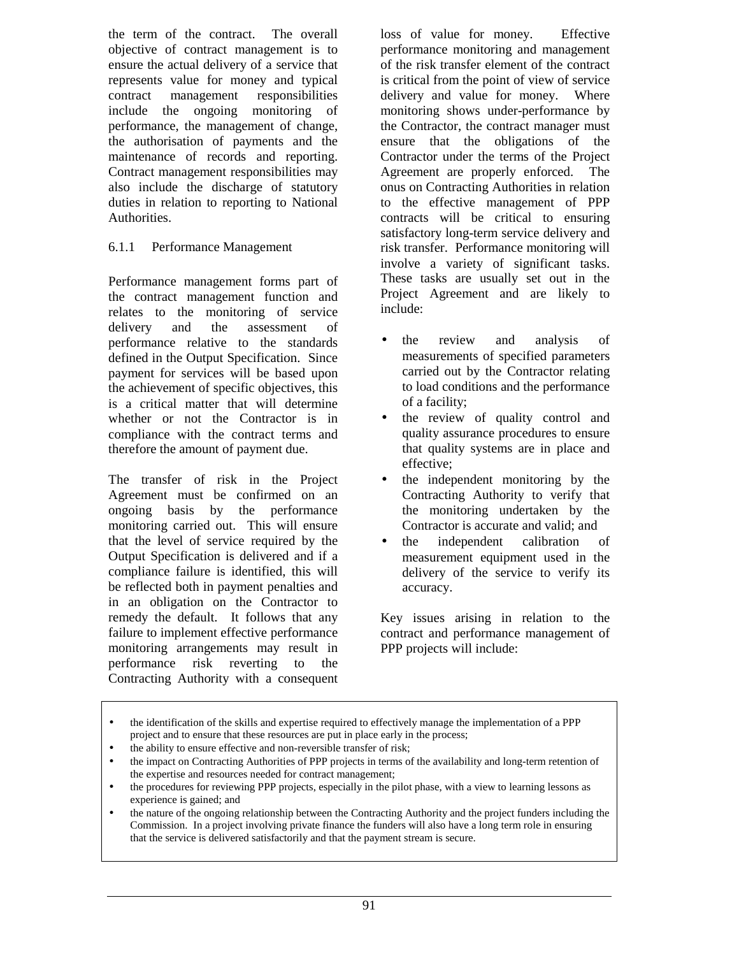the term of the contract. The overall objective of contract management is to ensure the actual delivery of a service that represents value for money and typical contract management responsibilities include the ongoing monitoring of performance, the management of change, the authorisation of payments and the maintenance of records and reporting. Contract management responsibilities may also include the discharge of statutory duties in relation to reporting to National Authorities.

#### 6.1.1 Performance Management

Performance management forms part of the contract management function and relates to the monitoring of service delivery and the assessment of performance relative to the standards defined in the Output Specification. Since payment for services will be based upon the achievement of specific objectives, this is a critical matter that will determine whether or not the Contractor is in compliance with the contract terms and therefore the amount of payment due.

The transfer of risk in the Project Agreement must be confirmed on an ongoing basis by the performance monitoring carried out. This will ensure that the level of service required by the Output Specification is delivered and if a compliance failure is identified, this will be reflected both in payment penalties and in an obligation on the Contractor to remedy the default. It follows that any failure to implement effective performance monitoring arrangements may result in performance risk reverting to the Contracting Authority with a consequent

loss of value for money. Effective performance monitoring and management of the risk transfer element of the contract is critical from the point of view of service delivery and value for money. Where monitoring shows under-performance by the Contractor, the contract manager must ensure that the obligations of the Contractor under the terms of the Project Agreement are properly enforced. The onus on Contracting Authorities in relation to the effective management of PPP contracts will be critical to ensuring satisfactory long-term service delivery and risk transfer. Performance monitoring will involve a variety of significant tasks. These tasks are usually set out in the Project Agreement and are likely to include:

- the review and analysis of measurements of specified parameters carried out by the Contractor relating to load conditions and the performance of a facility;
- the review of quality control and quality assurance procedures to ensure that quality systems are in place and effective;
- the independent monitoring by the Contracting Authority to verify that the monitoring undertaken by the Contractor is accurate and valid; and
- the independent calibration of measurement equipment used in the delivery of the service to verify its accuracy.

Key issues arising in relation to the contract and performance management of PPP projects will include:

• the nature of the ongoing relationship between the Contracting Authority and the project funders including the Commission. In a project involving private finance the funders will also have a long term role in ensuring that the service is delivered satisfactorily and that the payment stream is secure.

<sup>•</sup> the identification of the skills and expertise required to effectively manage the implementation of a PPP project and to ensure that these resources are put in place early in the process;

<sup>•</sup> the ability to ensure effective and non-reversible transfer of risk;

<sup>•</sup> the impact on Contracting Authorities of PPP projects in terms of the availability and long-term retention of the expertise and resources needed for contract management;

<sup>•</sup> the procedures for reviewing PPP projects, especially in the pilot phase, with a view to learning lessons as experience is gained; and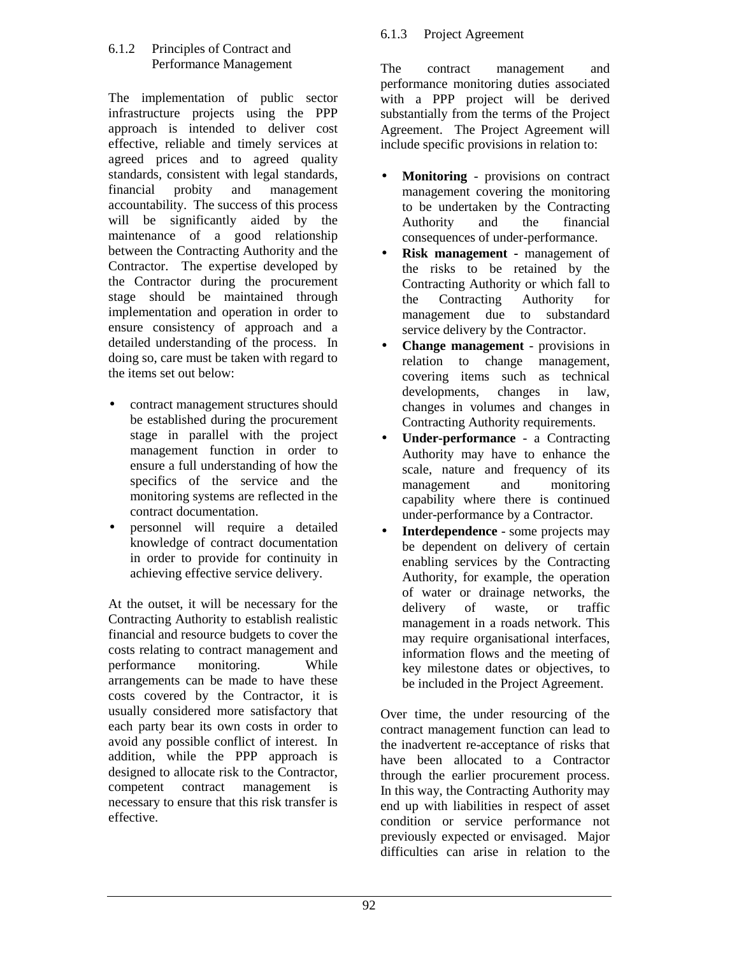#### 6.1.2 Principles of Contract and Performance Management

The implementation of public sector infrastructure projects using the PPP approach is intended to deliver cost effective, reliable and timely services at agreed prices and to agreed quality standards, consistent with legal standards, financial probity and management accountability. The success of this process will be significantly aided by the maintenance of a good relationship between the Contracting Authority and the Contractor. The expertise developed by the Contractor during the procurement stage should be maintained through implementation and operation in order to ensure consistency of approach and a detailed understanding of the process. In doing so, care must be taken with regard to the items set out below:

- contract management structures should be established during the procurement stage in parallel with the project management function in order to ensure a full understanding of how the specifics of the service and the monitoring systems are reflected in the contract documentation.
- personnel will require a detailed knowledge of contract documentation in order to provide for continuity in achieving effective service delivery.

At the outset, it will be necessary for the Contracting Authority to establish realistic financial and resource budgets to cover the costs relating to contract management and performance monitoring. While arrangements can be made to have these costs covered by the Contractor, it is usually considered more satisfactory that each party bear its own costs in order to avoid any possible conflict of interest. In addition, while the PPP approach is designed to allocate risk to the Contractor, competent contract management is necessary to ensure that this risk transfer is effective.

## 6.1.3 Project Agreement

The contract management and performance monitoring duties associated with a PPP project will be derived substantially from the terms of the Project Agreement. The Project Agreement will include specific provisions in relation to:

- **Monitoring** provisions on contract management covering the monitoring to be undertaken by the Contracting Authority and the financial consequences of under-performance.
- **Risk management** management of the risks to be retained by the Contracting Authority or which fall to the Contracting Authority for management due to substandard service delivery by the Contractor.
- **Change management** provisions in relation to change management, covering items such as technical developments, changes in law, changes in volumes and changes in Contracting Authority requirements.
- **Under-performance** a Contracting Authority may have to enhance the scale, nature and frequency of its management and monitoring capability where there is continued under-performance by a Contractor.
- **Interdependence** some projects may be dependent on delivery of certain enabling services by the Contracting Authority, for example, the operation of water or drainage networks, the delivery of waste, or traffic management in a roads network. This may require organisational interfaces, information flows and the meeting of key milestone dates or objectives, to be included in the Project Agreement.

Over time, the under resourcing of the contract management function can lead to the inadvertent re-acceptance of risks that have been allocated to a Contractor through the earlier procurement process. In this way, the Contracting Authority may end up with liabilities in respect of asset condition or service performance not previously expected or envisaged. Major difficulties can arise in relation to the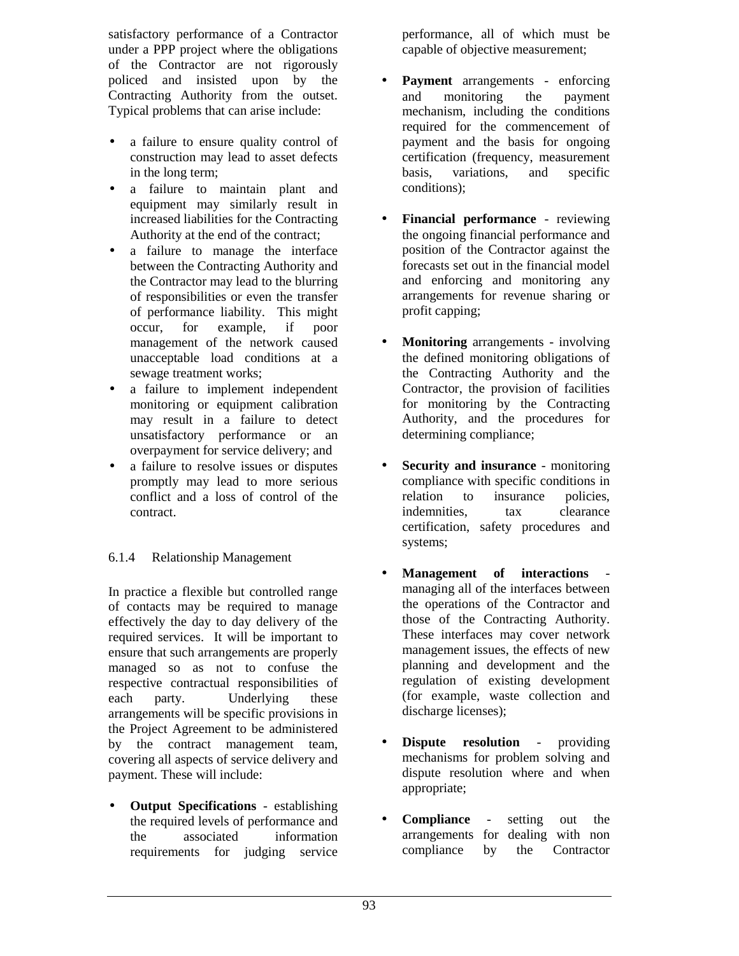satisfactory performance of a Contractor under a PPP project where the obligations of the Contractor are not rigorously policed and insisted upon by the Contracting Authority from the outset. Typical problems that can arise include:

- a failure to ensure quality control of construction may lead to asset defects in the long term;
- a failure to maintain plant and equipment may similarly result in increased liabilities for the Contracting Authority at the end of the contract;
- a failure to manage the interface between the Contracting Authority and the Contractor may lead to the blurring of responsibilities or even the transfer of performance liability. This might occur, for example, if poor management of the network caused unacceptable load conditions at a sewage treatment works;
- a failure to implement independent monitoring or equipment calibration may result in a failure to detect unsatisfactory performance or an overpayment for service delivery; and
- a failure to resolve issues or disputes promptly may lead to more serious conflict and a loss of control of the contract.

## 6.1.4 Relationship Management

In practice a flexible but controlled range of contacts may be required to manage effectively the day to day delivery of the required services. It will be important to ensure that such arrangements are properly managed so as not to confuse the respective contractual responsibilities of each party. Underlying these arrangements will be specific provisions in the Project Agreement to be administered by the contract management team, covering all aspects of service delivery and payment. These will include:

• **Output Specifications** - establishing the required levels of performance and the associated information requirements for judging service

performance, all of which must be capable of objective measurement;

- **Payment** arrangements enforcing and monitoring the payment mechanism, including the conditions required for the commencement of payment and the basis for ongoing certification (frequency, measurement basis, variations, and specific conditions);
- **Financial performance** reviewing the ongoing financial performance and position of the Contractor against the forecasts set out in the financial model and enforcing and monitoring any arrangements for revenue sharing or profit capping;
- **Monitoring** arrangements involving the defined monitoring obligations of the Contracting Authority and the Contractor, the provision of facilities for monitoring by the Contracting Authority, and the procedures for determining compliance;
- **Security and insurance** monitoring compliance with specific conditions in relation to insurance policies, indemnities, tax clearance certification, safety procedures and systems;
- **Management of interactions** managing all of the interfaces between the operations of the Contractor and those of the Contracting Authority. These interfaces may cover network management issues, the effects of new planning and development and the regulation of existing development (for example, waste collection and discharge licenses);
- **Dispute resolution** providing mechanisms for problem solving and dispute resolution where and when appropriate;
- **Compliance**  setting out the arrangements for dealing with non compliance by the Contractor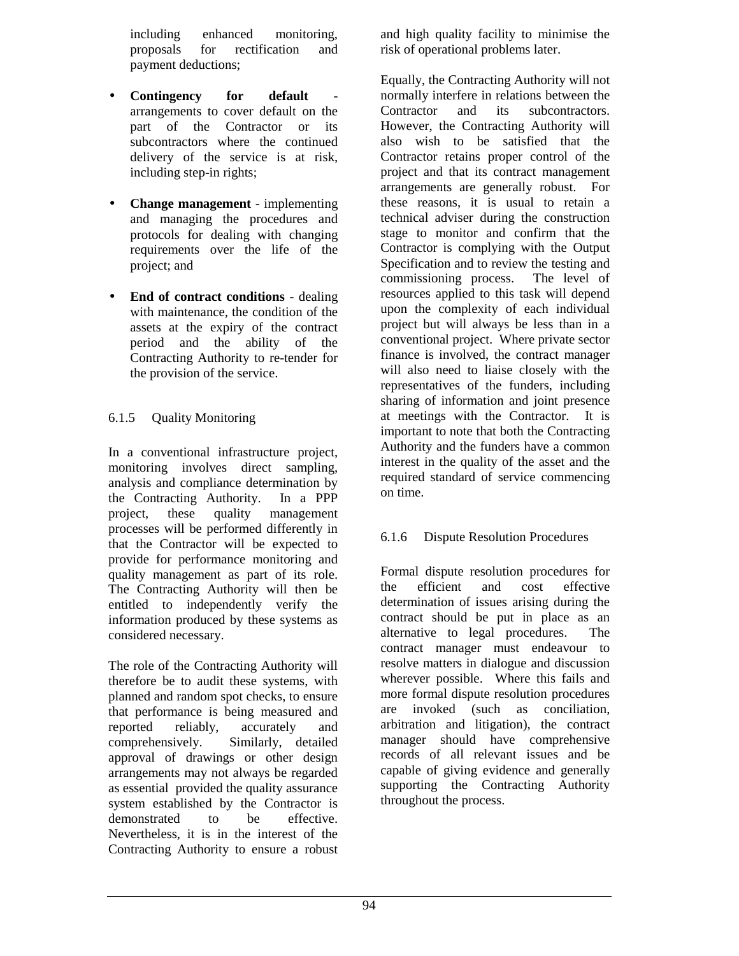including enhanced monitoring, proposals for rectification and payment deductions;

- **Contingency** for default arrangements to cover default on the part of the Contractor or its subcontractors where the continued delivery of the service is at risk, including step-in rights;
- **Change management** implementing and managing the procedures and protocols for dealing with changing requirements over the life of the project; and
- **End of contract conditions** dealing with maintenance, the condition of the assets at the expiry of the contract period and the ability of the Contracting Authority to re-tender for the provision of the service.

## 6.1.5 Quality Monitoring

In a conventional infrastructure project, monitoring involves direct sampling, analysis and compliance determination by the Contracting Authority. In a PPP project, these quality management processes will be performed differently in that the Contractor will be expected to provide for performance monitoring and quality management as part of its role. The Contracting Authority will then be entitled to independently verify the information produced by these systems as considered necessary.

The role of the Contracting Authority will therefore be to audit these systems, with planned and random spot checks, to ensure that performance is being measured and reported reliably, accurately and comprehensively. Similarly, detailed approval of drawings or other design arrangements may not always be regarded as essential provided the quality assurance system established by the Contractor is demonstrated to be effective. Nevertheless, it is in the interest of the Contracting Authority to ensure a robust

and high quality facility to minimise the risk of operational problems later.

Equally, the Contracting Authority will not normally interfere in relations between the Contractor and its subcontractors. However, the Contracting Authority will also wish to be satisfied that the Contractor retains proper control of the project and that its contract management arrangements are generally robust. For these reasons, it is usual to retain a technical adviser during the construction stage to monitor and confirm that the Contractor is complying with the Output Specification and to review the testing and commissioning process. The level of resources applied to this task will depend upon the complexity of each individual project but will always be less than in a conventional project. Where private sector finance is involved, the contract manager will also need to liaise closely with the representatives of the funders, including sharing of information and joint presence at meetings with the Contractor. It is important to note that both the Contracting Authority and the funders have a common interest in the quality of the asset and the required standard of service commencing on time.

## 6.1.6 Dispute Resolution Procedures

Formal dispute resolution procedures for the efficient and cost effective determination of issues arising during the contract should be put in place as an alternative to legal procedures. The contract manager must endeavour to resolve matters in dialogue and discussion wherever possible. Where this fails and more formal dispute resolution procedures are invoked (such as conciliation, arbitration and litigation), the contract manager should have comprehensive records of all relevant issues and be capable of giving evidence and generally supporting the Contracting Authority throughout the process.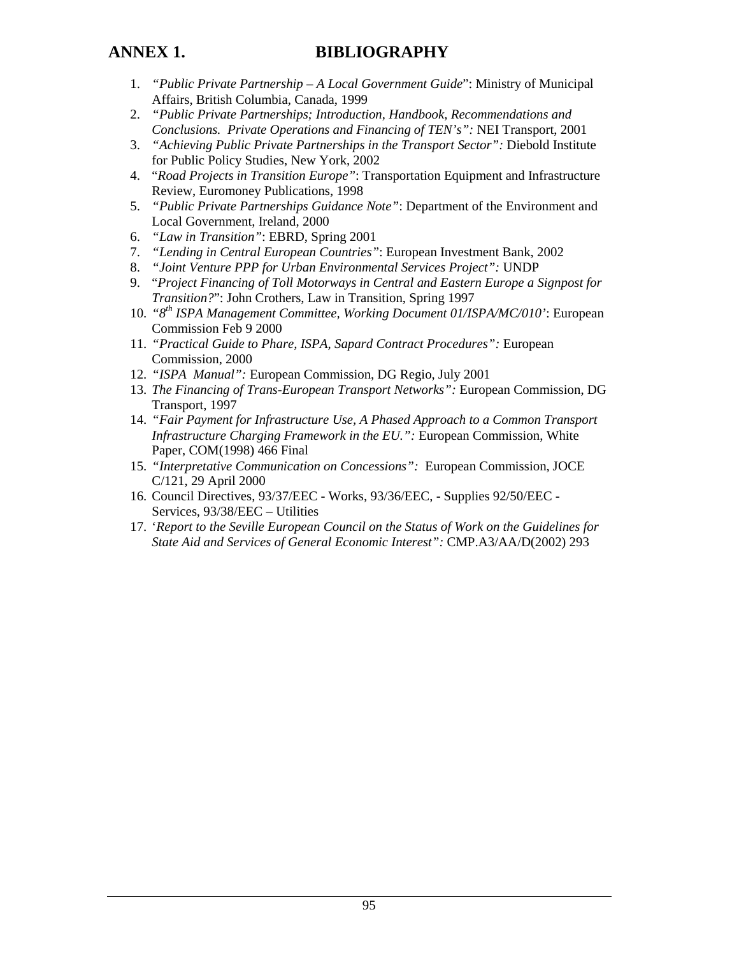# **ANNEX 1. BIBLIOGRAPHY**

- 1. *"Public Private Partnership A Local Government Guide*": Ministry of Municipal Affairs, British Columbia, Canada, 1999
- 2. *"Public Private Partnerships; Introduction, Handbook, Recommendations and Conclusions. Private Operations and Financing of TEN's":* NEI Transport, 2001
- 3. *"Achieving Public Private Partnerships in the Transport Sector":* Diebold Institute for Public Policy Studies, New York, 2002
- 4. "*Road Projects in Transition Europe"*: Transportation Equipment and Infrastructure Review, Euromoney Publications, 1998
- 5. *"Public Private Partnerships Guidance Note"*: Department of the Environment and Local Government, Ireland, 2000
- 6. *"Law in Transition"*: EBRD, Spring 2001
- 7. *"Lending in Central European Countries"*: European Investment Bank, 2002
- 8. *"Joint Venture PPP for Urban Environmental Services Project":* UNDP
- 9. "*Project Financing of Toll Motorways in Central and Eastern Europe a Signpost for Transition?*": John Crothers, Law in Transition, Spring 1997
- 10. *"8th ISPA Management Committee, Working Document 01/ISPA/MC/010'*: European Commission Feb 9 2000
- 11. *"Practical Guide to Phare, ISPA, Sapard Contract Procedures":* European Commission, 2000
- 12. *"ISPA Manual":* European Commission, DG Regio, July 2001
- 13. *The Financing of Trans-European Transport Networks":* European Commission, DG Transport, 1997
- 14. *"Fair Payment for Infrastructure Use, A Phased Approach to a Common Transport Infrastructure Charging Framework in the EU.":* European Commission, White Paper, COM(1998) 466 Final
- 15. *"Interpretative Communication on Concessions":* European Commission, JOCE C/121, 29 April 2000
- 16. Council Directives, 93/37/EEC Works, 93/36/EEC, Supplies 92/50/EEC Services, 93/38/EEC – Utilities
- 17. '*Report to the Seville European Council on the Status of Work on the Guidelines for State Aid and Services of General Economic Interest":* CMP.A3/AA/D(2002) 293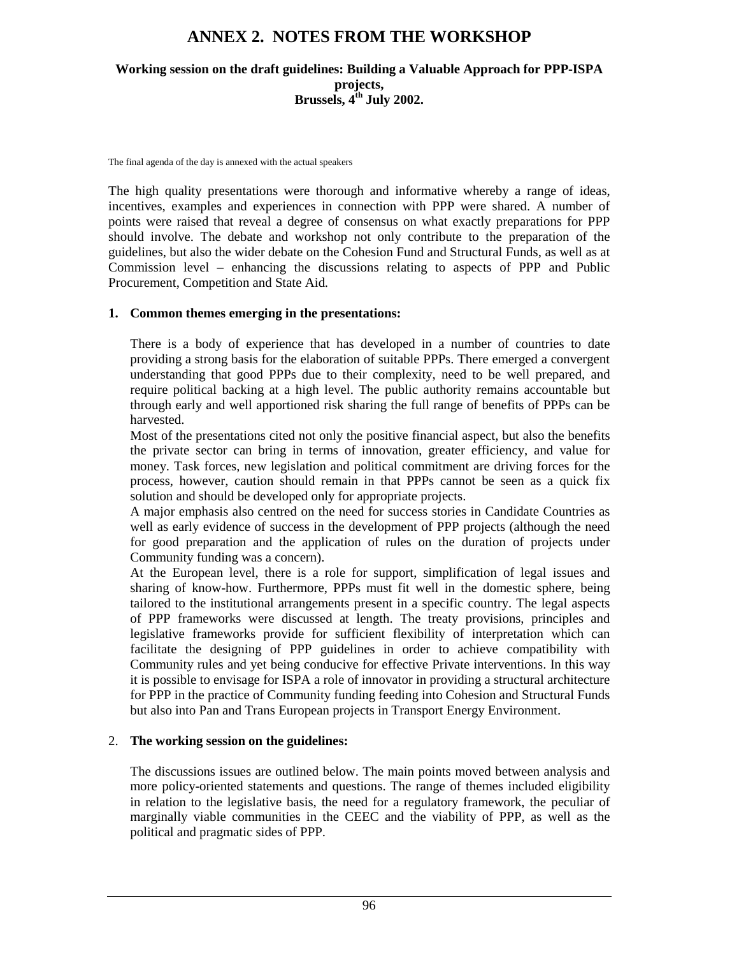# **ANNEX 2. NOTES FROM THE WORKSHOP**

#### **Working session on the draft guidelines: Building a Valuable Approach for PPP-ISPA projects, Brussels, 4th July 2002.**

The final agenda of the day is annexed with the actual speakers

The high quality presentations were thorough and informative whereby a range of ideas, incentives, examples and experiences in connection with PPP were shared. A number of points were raised that reveal a degree of consensus on what exactly preparations for PPP should involve. The debate and workshop not only contribute to the preparation of the guidelines, but also the wider debate on the Cohesion Fund and Structural Funds, as well as at Commission level – enhancing the discussions relating to aspects of PPP and Public Procurement, Competition and State Aid.

#### **1. Common themes emerging in the presentations:**

There is a body of experience that has developed in a number of countries to date providing a strong basis for the elaboration of suitable PPPs. There emerged a convergent understanding that good PPPs due to their complexity, need to be well prepared, and require political backing at a high level. The public authority remains accountable but through early and well apportioned risk sharing the full range of benefits of PPPs can be harvested.

Most of the presentations cited not only the positive financial aspect, but also the benefits the private sector can bring in terms of innovation, greater efficiency, and value for money. Task forces, new legislation and political commitment are driving forces for the process, however, caution should remain in that PPPs cannot be seen as a quick fix solution and should be developed only for appropriate projects.

A major emphasis also centred on the need for success stories in Candidate Countries as well as early evidence of success in the development of PPP projects (although the need for good preparation and the application of rules on the duration of projects under Community funding was a concern).

At the European level, there is a role for support, simplification of legal issues and sharing of know-how. Furthermore, PPPs must fit well in the domestic sphere, being tailored to the institutional arrangements present in a specific country. The legal aspects of PPP frameworks were discussed at length. The treaty provisions, principles and legislative frameworks provide for sufficient flexibility of interpretation which can facilitate the designing of PPP guidelines in order to achieve compatibility with Community rules and yet being conducive for effective Private interventions. In this way it is possible to envisage for ISPA a role of innovator in providing a structural architecture for PPP in the practice of Community funding feeding into Cohesion and Structural Funds but also into Pan and Trans European projects in Transport Energy Environment.

#### 2. **The working session on the guidelines:**

The discussions issues are outlined below. The main points moved between analysis and more policy-oriented statements and questions. The range of themes included eligibility in relation to the legislative basis, the need for a regulatory framework, the peculiar of marginally viable communities in the CEEC and the viability of PPP, as well as the political and pragmatic sides of PPP.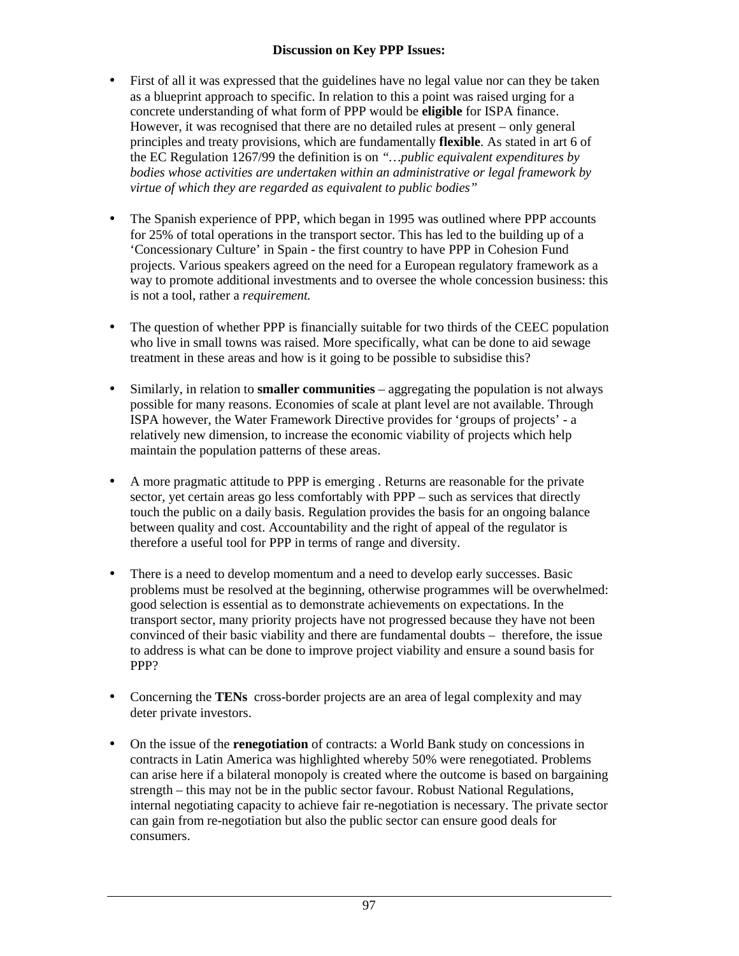#### **Discussion on Key PPP Issues:**

- First of all it was expressed that the guidelines have no legal value nor can they be taken as a blueprint approach to specific. In relation to this a point was raised urging for a concrete understanding of what form of PPP would be **eligible** for ISPA finance. However, it was recognised that there are no detailed rules at present – only general principles and treaty provisions, which are fundamentally **flexible**. As stated in art 6 of the EC Regulation 1267/99 the definition is on *"…public equivalent expenditures by bodies whose activities are undertaken within an administrative or legal framework by virtue of which they are regarded as equivalent to public bodies"*
- The Spanish experience of PPP, which began in 1995 was outlined where PPP accounts for 25% of total operations in the transport sector. This has led to the building up of a 'Concessionary Culture' in Spain - the first country to have PPP in Cohesion Fund projects. Various speakers agreed on the need for a European regulatory framework as a way to promote additional investments and to oversee the whole concession business: this is not a tool, rather a *requirement.*
- The question of whether PPP is financially suitable for two thirds of the CEEC population who live in small towns was raised. More specifically, what can be done to aid sewage treatment in these areas and how is it going to be possible to subsidise this?
- Similarly, in relation to **smaller communities** aggregating the population is not always possible for many reasons. Economies of scale at plant level are not available. Through ISPA however, the Water Framework Directive provides for 'groups of projects' - a relatively new dimension, to increase the economic viability of projects which help maintain the population patterns of these areas.
- A more pragmatic attitude to PPP is emerging . Returns are reasonable for the private sector, yet certain areas go less comfortably with PPP – such as services that directly touch the public on a daily basis. Regulation provides the basis for an ongoing balance between quality and cost. Accountability and the right of appeal of the regulator is therefore a useful tool for PPP in terms of range and diversity.
- There is a need to develop momentum and a need to develop early successes. Basic problems must be resolved at the beginning, otherwise programmes will be overwhelmed: good selection is essential as to demonstrate achievements on expectations. In the transport sector, many priority projects have not progressed because they have not been convinced of their basic viability and there are fundamental doubts – therefore, the issue to address is what can be done to improve project viability and ensure a sound basis for PPP?
- Concerning the **TENs** cross-border projects are an area of legal complexity and may deter private investors.
- On the issue of the **renegotiation** of contracts: a World Bank study on concessions in contracts in Latin America was highlighted whereby 50% were renegotiated. Problems can arise here if a bilateral monopoly is created where the outcome is based on bargaining strength – this may not be in the public sector favour. Robust National Regulations, internal negotiating capacity to achieve fair re-negotiation is necessary. The private sector can gain from re-negotiation but also the public sector can ensure good deals for consumers.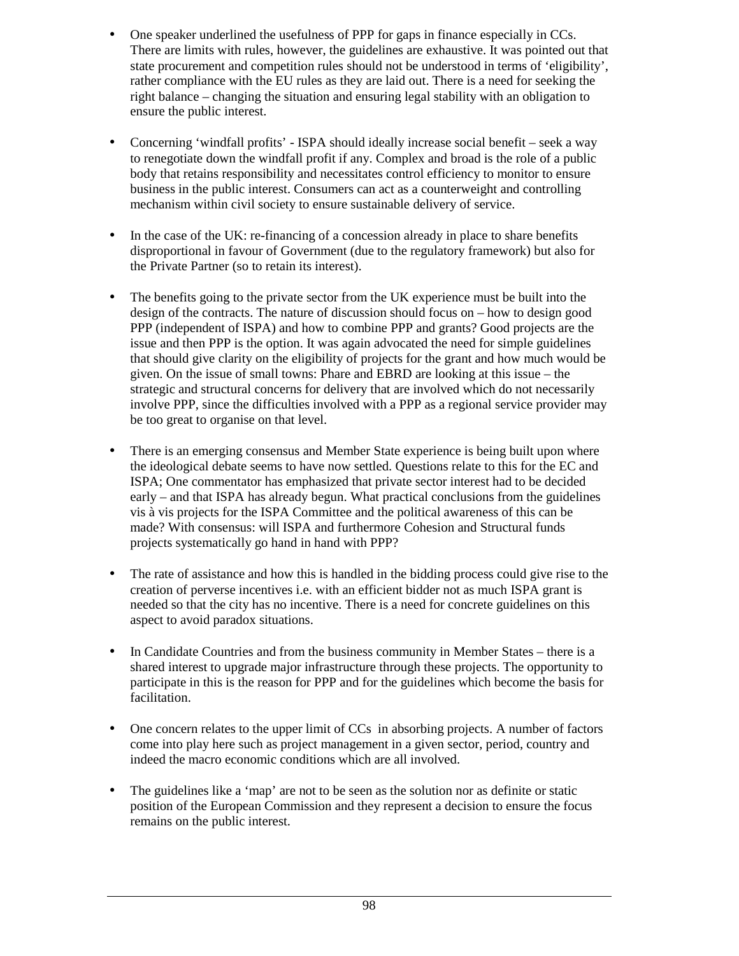- One speaker underlined the usefulness of PPP for gaps in finance especially in CCs. There are limits with rules, however, the guidelines are exhaustive. It was pointed out that state procurement and competition rules should not be understood in terms of 'eligibility', rather compliance with the EU rules as they are laid out. There is a need for seeking the right balance – changing the situation and ensuring legal stability with an obligation to ensure the public interest.
- Concerning 'windfall profits' ISPA should ideally increase social benefit seek a way to renegotiate down the windfall profit if any. Complex and broad is the role of a public body that retains responsibility and necessitates control efficiency to monitor to ensure business in the public interest. Consumers can act as a counterweight and controlling mechanism within civil society to ensure sustainable delivery of service.
- In the case of the UK: re-financing of a concession already in place to share benefits disproportional in favour of Government (due to the regulatory framework) but also for the Private Partner (so to retain its interest).
- The benefits going to the private sector from the UK experience must be built into the design of the contracts. The nature of discussion should focus on – how to design good PPP (independent of ISPA) and how to combine PPP and grants? Good projects are the issue and then PPP is the option. It was again advocated the need for simple guidelines that should give clarity on the eligibility of projects for the grant and how much would be given. On the issue of small towns: Phare and EBRD are looking at this issue – the strategic and structural concerns for delivery that are involved which do not necessarily involve PPP, since the difficulties involved with a PPP as a regional service provider may be too great to organise on that level.
- There is an emerging consensus and Member State experience is being built upon where the ideological debate seems to have now settled. Questions relate to this for the EC and ISPA; One commentator has emphasized that private sector interest had to be decided early – and that ISPA has already begun. What practical conclusions from the guidelines vis à vis projects for the ISPA Committee and the political awareness of this can be made? With consensus: will ISPA and furthermore Cohesion and Structural funds projects systematically go hand in hand with PPP?
- The rate of assistance and how this is handled in the bidding process could give rise to the creation of perverse incentives i.e. with an efficient bidder not as much ISPA grant is needed so that the city has no incentive. There is a need for concrete guidelines on this aspect to avoid paradox situations.
- In Candidate Countries and from the business community in Member States there is a shared interest to upgrade major infrastructure through these projects. The opportunity to participate in this is the reason for PPP and for the guidelines which become the basis for facilitation.
- One concern relates to the upper limit of CCs in absorbing projects. A number of factors come into play here such as project management in a given sector, period, country and indeed the macro economic conditions which are all involved.
- The guidelines like a 'map' are not to be seen as the solution nor as definite or static position of the European Commission and they represent a decision to ensure the focus remains on the public interest.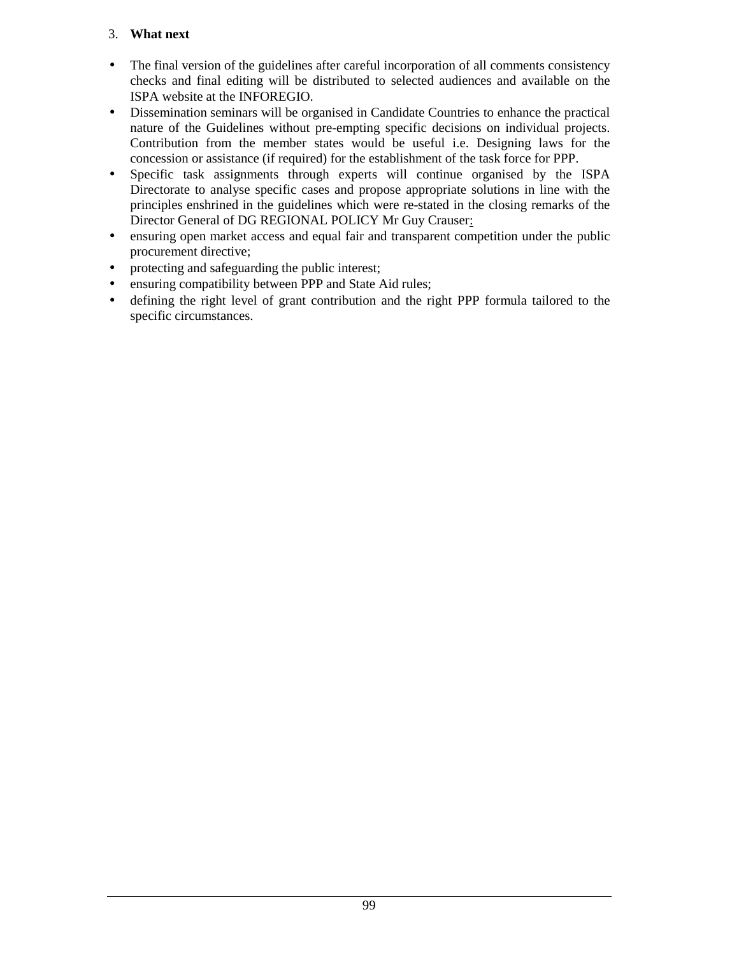## 3. **What next**

- The final version of the guidelines after careful incorporation of all comments consistency checks and final editing will be distributed to selected audiences and available on the ISPA website at the INFOREGIO.
- Dissemination seminars will be organised in Candidate Countries to enhance the practical nature of the Guidelines without pre-empting specific decisions on individual projects. Contribution from the member states would be useful i.e. Designing laws for the concession or assistance (if required) for the establishment of the task force for PPP.
- Specific task assignments through experts will continue organised by the ISPA Directorate to analyse specific cases and propose appropriate solutions in line with the principles enshrined in the guidelines which were re-stated in the closing remarks of the Director General of DG REGIONAL POLICY Mr Guy Crauser:
- ensuring open market access and equal fair and transparent competition under the public procurement directive;
- protecting and safeguarding the public interest;
- ensuring compatibility between PPP and State Aid rules;
- defining the right level of grant contribution and the right PPP formula tailored to the specific circumstances.